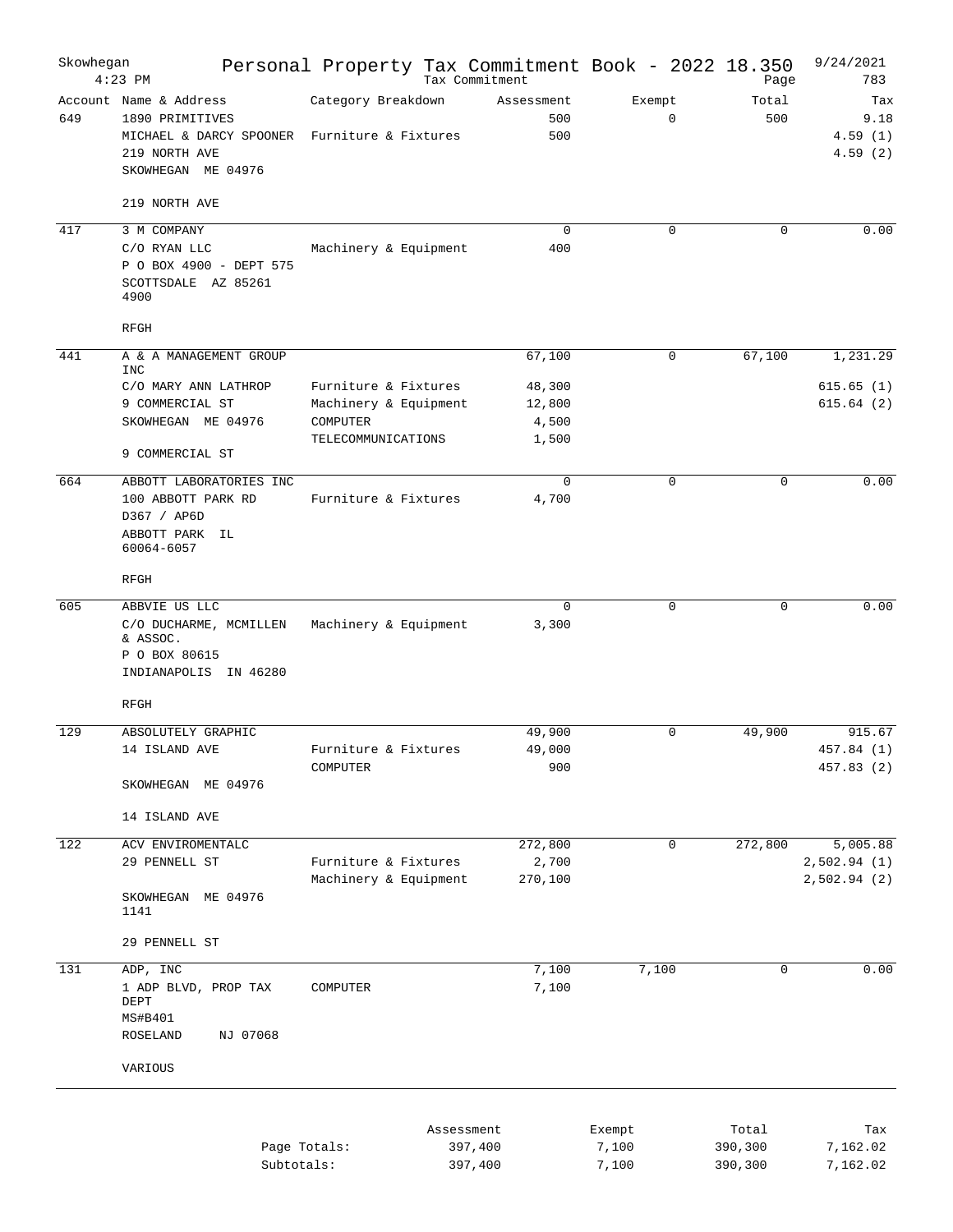| Skowhegan | $4:23$ PM                                                                                                                        | Personal Property Tax Commitment Book - 2022 18.350 | Tax Commitment           |                    | Page             | 9/24/2021<br>783                  |
|-----------|----------------------------------------------------------------------------------------------------------------------------------|-----------------------------------------------------|--------------------------|--------------------|------------------|-----------------------------------|
| 649       | Account Name & Address<br>1890 PRIMITIVES<br>MICHAEL & DARCY SPOONER Furniture & Fixtures<br>219 NORTH AVE<br>SKOWHEGAN ME 04976 | Category Breakdown                                  | Assessment<br>500<br>500 | Exempt<br>$\Omega$ | Total<br>500     | Tax<br>9.18<br>4.59(1)<br>4.59(2) |
|           | 219 NORTH AVE                                                                                                                    |                                                     |                          |                    |                  |                                   |
| 417       | 3 M COMPANY                                                                                                                      |                                                     | $\mathbf 0$              | $\Omega$           | $\Omega$         | 0.00                              |
|           | C/O RYAN LLC<br>P O BOX 4900 - DEPT 575<br>SCOTTSDALE AZ 85261<br>4900                                                           | Machinery & Equipment                               | 400                      |                    |                  |                                   |
|           | <b>RFGH</b>                                                                                                                      |                                                     |                          |                    |                  |                                   |
| 441       | A & A MANAGEMENT GROUP<br><b>INC</b>                                                                                             |                                                     | 67,100                   | 0                  | 67,100           | 1,231.29                          |
|           | C/O MARY ANN LATHROP<br>9 COMMERCIAL ST                                                                                          | Furniture & Fixtures<br>Machinery & Equipment       | 48,300<br>12,800         |                    |                  | 615.65(1)<br>615.64(2)            |
|           | SKOWHEGAN ME 04976                                                                                                               | COMPUTER<br>TELECOMMUNICATIONS                      | 4,500<br>1,500           |                    |                  |                                   |
|           | 9 COMMERCIAL ST                                                                                                                  |                                                     |                          |                    |                  |                                   |
| 664       | ABBOTT LABORATORIES INC<br>100 ABBOTT PARK RD<br>D367 / AP6D<br>ABBOTT PARK IL<br>60064-6057                                     | Furniture & Fixtures                                | $\mathbf 0$<br>4,700     | $\mathbf 0$        | $\mathbf 0$      | 0.00                              |
|           | RFGH                                                                                                                             |                                                     |                          |                    |                  |                                   |
| 605       | ABBVIE US LLC                                                                                                                    |                                                     | $\mathbf 0$              | $\Omega$           | $\Omega$         | 0.00                              |
|           | C/O DUCHARME, MCMILLEN<br>& ASSOC.<br>P O BOX 80615<br>INDIANAPOLIS IN 46280                                                     | Machinery & Equipment                               | 3,300                    |                    |                  |                                   |
|           | RFGH                                                                                                                             |                                                     |                          |                    |                  |                                   |
| 129       | ABSOLUTELY GRAPHIC<br>14 ISLAND AVE                                                                                              | Furniture & Fixtures                                | 49,900<br>49,000         | $\Omega$           | 49,900           | 915.67<br>457.84 (1)              |
|           | SKOWHEGAN ME 04976                                                                                                               | COMPUTER                                            | 900                      |                    |                  | 457.83 (2)                        |
|           | 14 ISLAND AVE                                                                                                                    |                                                     |                          |                    |                  |                                   |
| 122       | ACV ENVIROMENTALC                                                                                                                |                                                     | 272,800                  | 0                  | 272,800          | 5,005.88                          |
|           | 29 PENNELL ST                                                                                                                    | Furniture & Fixtures<br>Machinery & Equipment       | 2,700<br>270,100         |                    |                  | 2,502.94(1)<br>2,502.94(2)        |
|           | SKOWHEGAN ME 04976<br>1141                                                                                                       |                                                     |                          |                    |                  |                                   |
|           | 29 PENNELL ST                                                                                                                    |                                                     |                          |                    |                  |                                   |
| 131       | ADP, INC<br>1 ADP BLVD, PROP TAX<br>DEPT<br>MS#B401<br>NJ 07068<br>ROSELAND                                                      | COMPUTER                                            | 7,100<br>7,100           | 7,100              | $\mathbf 0$      | 0.00                              |
|           | VARIOUS                                                                                                                          |                                                     |                          |                    |                  |                                   |
|           |                                                                                                                                  | Page Totals:                                        | Assessment<br>397,400    | Exempt<br>7,100    | Total<br>390,300 | Tax<br>7,162.02                   |
|           | Subtotals:                                                                                                                       |                                                     | 397,400                  | 7,100              | 390,300          | 7,162.02                          |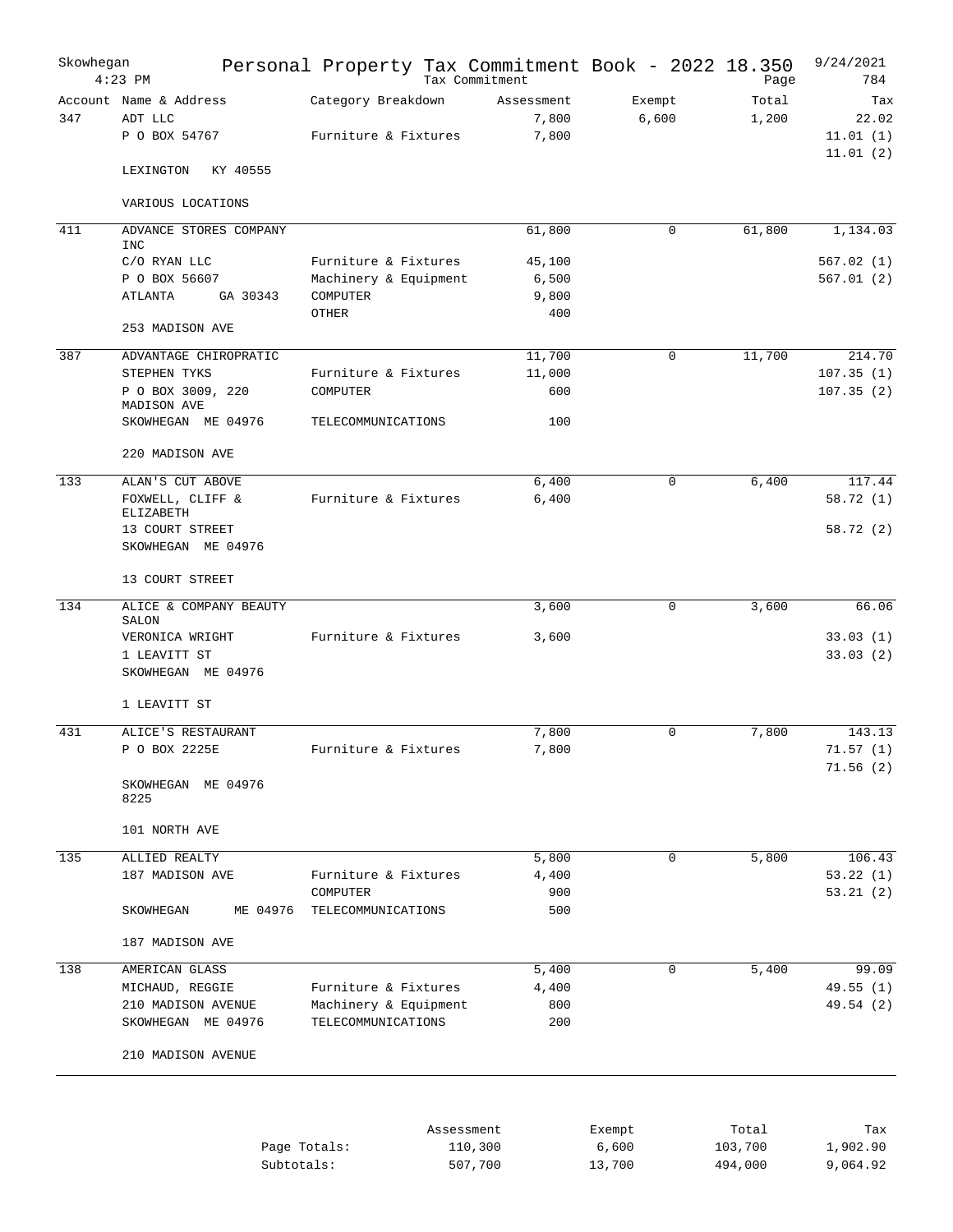| Skowhegan | $4:23$ PM                                          | Personal Property Tax Commitment Book - 2022 18.350 |            | Tax Commitment               |                 | Page           | 9/24/2021<br>784                     |
|-----------|----------------------------------------------------|-----------------------------------------------------|------------|------------------------------|-----------------|----------------|--------------------------------------|
| 347       | Account Name & Address<br>ADT LLC<br>P O BOX 54767 | Category Breakdown<br>Furniture & Fixtures          |            | Assessment<br>7,800<br>7,800 | Exempt<br>6,600 | Total<br>1,200 | Tax<br>22.02<br>11.01(1)<br>11.01(2) |
|           | KY 40555<br>LEXINGTON                              |                                                     |            |                              |                 |                |                                      |
|           | VARIOUS LOCATIONS                                  |                                                     |            |                              |                 |                |                                      |
| 411       | ADVANCE STORES COMPANY                             |                                                     |            | 61,800                       | 0               | 61,800         | 1,134.03                             |
|           | <b>INC</b><br>C/O RYAN LLC                         | Furniture & Fixtures                                |            | 45,100                       |                 |                | 567.02(1)                            |
|           | P O BOX 56607                                      | Machinery & Equipment                               |            | 6,500                        |                 |                | 567.01(2)                            |
|           | GA 30343<br>ATLANTA                                | COMPUTER                                            |            | 9,800                        |                 |                |                                      |
|           | 253 MADISON AVE                                    | OTHER                                               |            | 400                          |                 |                |                                      |
| 387       | ADVANTAGE CHIROPRATIC                              |                                                     |            | 11,700                       | 0               | 11,700         | 214.70                               |
|           | STEPHEN TYKS                                       | Furniture & Fixtures                                |            | 11,000                       |                 |                | 107.35(1)                            |
|           | P O BOX 3009, 220                                  | COMPUTER                                            |            | 600                          |                 |                | 107.35(2)                            |
|           | MADISON AVE<br>SKOWHEGAN ME 04976                  | TELECOMMUNICATIONS                                  |            | 100                          |                 |                |                                      |
|           | 220 MADISON AVE                                    |                                                     |            |                              |                 |                |                                      |
| 133       | ALAN'S CUT ABOVE                                   |                                                     |            | 6,400                        | 0               | 6,400          | 117.44                               |
|           | FOXWELL, CLIFF &                                   | Furniture & Fixtures                                |            | 6,400                        |                 |                | 58.72(1)                             |
|           | ELIZABETH                                          |                                                     |            |                              |                 |                |                                      |
|           | 13 COURT STREET<br>SKOWHEGAN ME 04976              |                                                     |            |                              |                 |                | 58.72(2)                             |
|           | 13 COURT STREET                                    |                                                     |            |                              |                 |                |                                      |
| 134       | ALICE & COMPANY BEAUTY                             |                                                     |            | 3,600                        | $\mathbf 0$     | 3,600          | 66.06                                |
|           | SALON<br>VERONICA WRIGHT                           | Furniture & Fixtures                                |            | 3,600                        |                 |                | 33.03(1)                             |
|           | 1 LEAVITT ST                                       |                                                     |            |                              |                 |                | 33.03(2)                             |
|           | SKOWHEGAN ME 04976                                 |                                                     |            |                              |                 |                |                                      |
|           | 1 LEAVITT ST                                       |                                                     |            |                              |                 |                |                                      |
| 431       | ALICE'S RESTAURANT                                 |                                                     |            | 7,800                        | $\Omega$        | 7,800          | 143.13                               |
|           | P O BOX 2225E                                      | Furniture & Fixtures                                |            | 7,800                        |                 |                | 71.57(1)                             |
|           | SKOWHEGAN ME 04976                                 |                                                     |            |                              |                 |                | 71.56(2)                             |
|           | 8225                                               |                                                     |            |                              |                 |                |                                      |
|           | 101 NORTH AVE                                      |                                                     |            |                              |                 |                |                                      |
| 135       | ALLIED REALTY                                      |                                                     |            | 5,800                        | 0               | 5,800          | 106.43                               |
|           | 187 MADISON AVE                                    | Furniture & Fixtures                                |            | 4,400                        |                 |                | 53.22(1)                             |
|           | SKOWHEGAN<br>ME 04976                              | COMPUTER<br>TELECOMMUNICATIONS                      |            | 900<br>500                   |                 |                | 53.21(2)                             |
|           | 187 MADISON AVE                                    |                                                     |            |                              |                 |                |                                      |
| 138       | AMERICAN GLASS                                     |                                                     |            | 5,400                        | 0               | 5,400          | 99.09                                |
|           | MICHAUD, REGGIE                                    | Furniture & Fixtures                                |            | 4,400                        |                 |                | 49.55 (1)                            |
|           | 210 MADISON AVENUE                                 | Machinery & Equipment                               |            | 800                          |                 |                | 49.54 (2)                            |
|           | SKOWHEGAN ME 04976                                 | TELECOMMUNICATIONS                                  |            | 200                          |                 |                |                                      |
|           | 210 MADISON AVENUE                                 |                                                     |            |                              |                 |                |                                      |
|           |                                                    |                                                     |            |                              |                 |                |                                      |
|           |                                                    |                                                     | Assessment |                              | Exempt          | Total          | Tax                                  |
|           |                                                    | Page Totals:                                        |            | 110,300                      | 6,600           | 103,700        | 1,902.90                             |
|           |                                                    | Subtotals:                                          |            | 507,700                      | 13,700          | 494,000        | 9,064.92                             |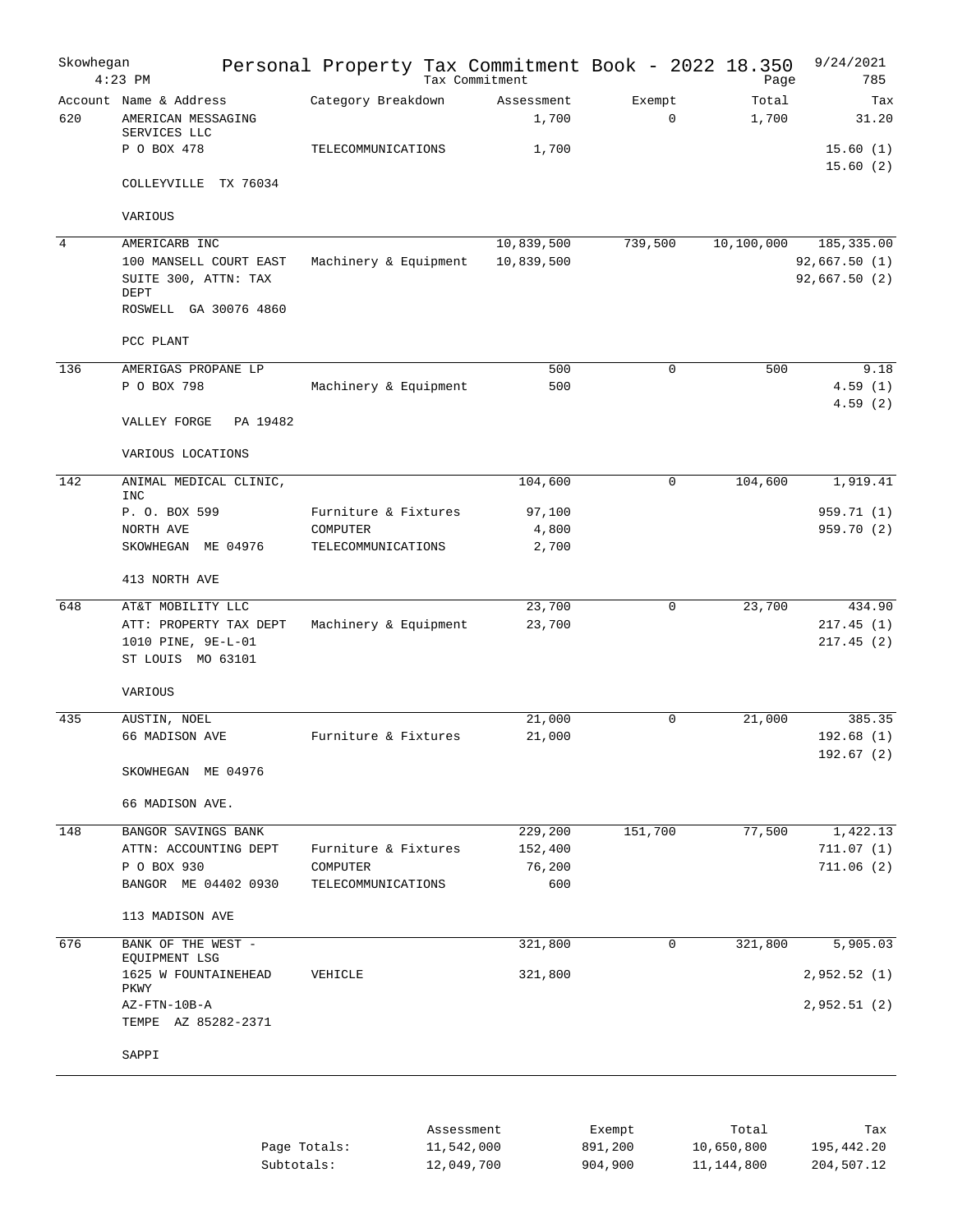| Skowhegan      | $4:23$ PM                                                         | Personal Property Tax Commitment Book - 2022 18.350 | Tax Commitment      |                       | Page           | 9/24/2021<br>785              |
|----------------|-------------------------------------------------------------------|-----------------------------------------------------|---------------------|-----------------------|----------------|-------------------------------|
| 620            | Account Name & Address<br>AMERICAN MESSAGING<br>SERVICES LLC      | Category Breakdown                                  | Assessment<br>1,700 | Exempt<br>$\mathbf 0$ | Total<br>1,700 | Tax<br>31.20                  |
|                | P O BOX 478                                                       | TELECOMMUNICATIONS                                  | 1,700               |                       |                | 15.60(1)<br>15.60(2)          |
|                | COLLEYVILLE TX 76034                                              |                                                     |                     |                       |                |                               |
|                | VARIOUS                                                           |                                                     |                     |                       |                |                               |
| $\overline{4}$ | AMERICARB INC                                                     |                                                     | 10,839,500          | 739,500               | 10,100,000     | 185, 335.00                   |
|                | 100 MANSELL COURT EAST<br>SUITE 300, ATTN: TAX<br>DEPT            | Machinery & Equipment                               | 10,839,500          |                       |                | 92,667.50(1)<br>92,667.50 (2) |
|                | ROSWELL GA 30076 4860                                             |                                                     |                     |                       |                |                               |
|                | PCC PLANT                                                         |                                                     |                     |                       |                |                               |
| 136            | AMERIGAS PROPANE LP                                               |                                                     | 500                 | 0                     | 500            | 9.18                          |
|                | P O BOX 798                                                       | Machinery & Equipment                               | 500                 |                       |                | 4.59(1)                       |
|                | PA 19482<br>VALLEY FORGE                                          |                                                     |                     |                       |                | 4.59(2)                       |
|                | VARIOUS LOCATIONS                                                 |                                                     |                     |                       |                |                               |
| 142            | ANIMAL MEDICAL CLINIC,<br><b>INC</b>                              |                                                     | 104,600             | 0                     | 104,600        | 1,919.41                      |
|                | P. O. BOX 599                                                     | Furniture & Fixtures                                | 97,100              |                       |                | 959.71 (1)                    |
|                | NORTH AVE                                                         | COMPUTER                                            | 4,800               |                       |                | 959.70 (2)                    |
|                | SKOWHEGAN ME 04976                                                | TELECOMMUNICATIONS                                  | 2,700               |                       |                |                               |
|                | 413 NORTH AVE                                                     |                                                     |                     |                       |                |                               |
| 648            | AT&T MOBILITY LLC                                                 |                                                     | 23,700              | 0                     | 23,700         | 434.90                        |
|                | ATT: PROPERTY TAX DEPT<br>1010 PINE, 9E-L-01<br>ST LOUIS MO 63101 | Machinery & Equipment                               | 23,700              |                       |                | 217.45(1)<br>217.45(2)        |
|                | VARIOUS                                                           |                                                     |                     |                       |                |                               |
| 435            | AUSTIN, NOEL                                                      |                                                     | 21,000              | 0                     | 21,000         | 385.35                        |
|                | 66 MADISON AVE                                                    | Furniture & Fixtures                                | 21,000              |                       |                | 192.68(1)                     |
|                | SKOWHEGAN ME 04976                                                |                                                     |                     |                       |                | 192.67(2)                     |
|                | 66 MADISON AVE.                                                   |                                                     |                     |                       |                |                               |
| 148            | BANGOR SAVINGS BANK                                               |                                                     | 229,200             | 151,700               | 77,500         | 1,422.13                      |
|                | ATTN: ACCOUNTING DEPT                                             | Furniture & Fixtures                                | 152,400             |                       |                | 711.07(1)                     |
|                | P O BOX 930                                                       | COMPUTER                                            | 76,200              |                       |                | 711.06(2)                     |
|                | BANGOR ME 04402 0930                                              | TELECOMMUNICATIONS                                  | 600                 |                       |                |                               |
|                | 113 MADISON AVE                                                   |                                                     |                     |                       |                |                               |
| 676            | BANK OF THE WEST -<br>EQUIPMENT LSG                               |                                                     | 321,800             | 0                     | 321,800        | 5,905.03                      |
|                | 1625 W FOUNTAINEHEAD<br>PKWY                                      | VEHICLE                                             | 321,800             |                       |                | 2,952.52 (1)                  |
|                | AZ-FTN-10B-A                                                      |                                                     |                     |                       |                | 2,952.51 (2)                  |
|                | TEMPE AZ 85282-2371                                               |                                                     |                     |                       |                |                               |
|                | SAPPI                                                             |                                                     |                     |                       |                |                               |
|                |                                                                   |                                                     |                     |                       |                |                               |

|              | Assessment | Exempt  | Total      | Tax        |
|--------------|------------|---------|------------|------------|
| Page Totals: | 11,542,000 | 891,200 | 10,650,800 | 195,442.20 |
| Subtotals:   | 12,049,700 | 904,900 | 11,144,800 | 204,507.12 |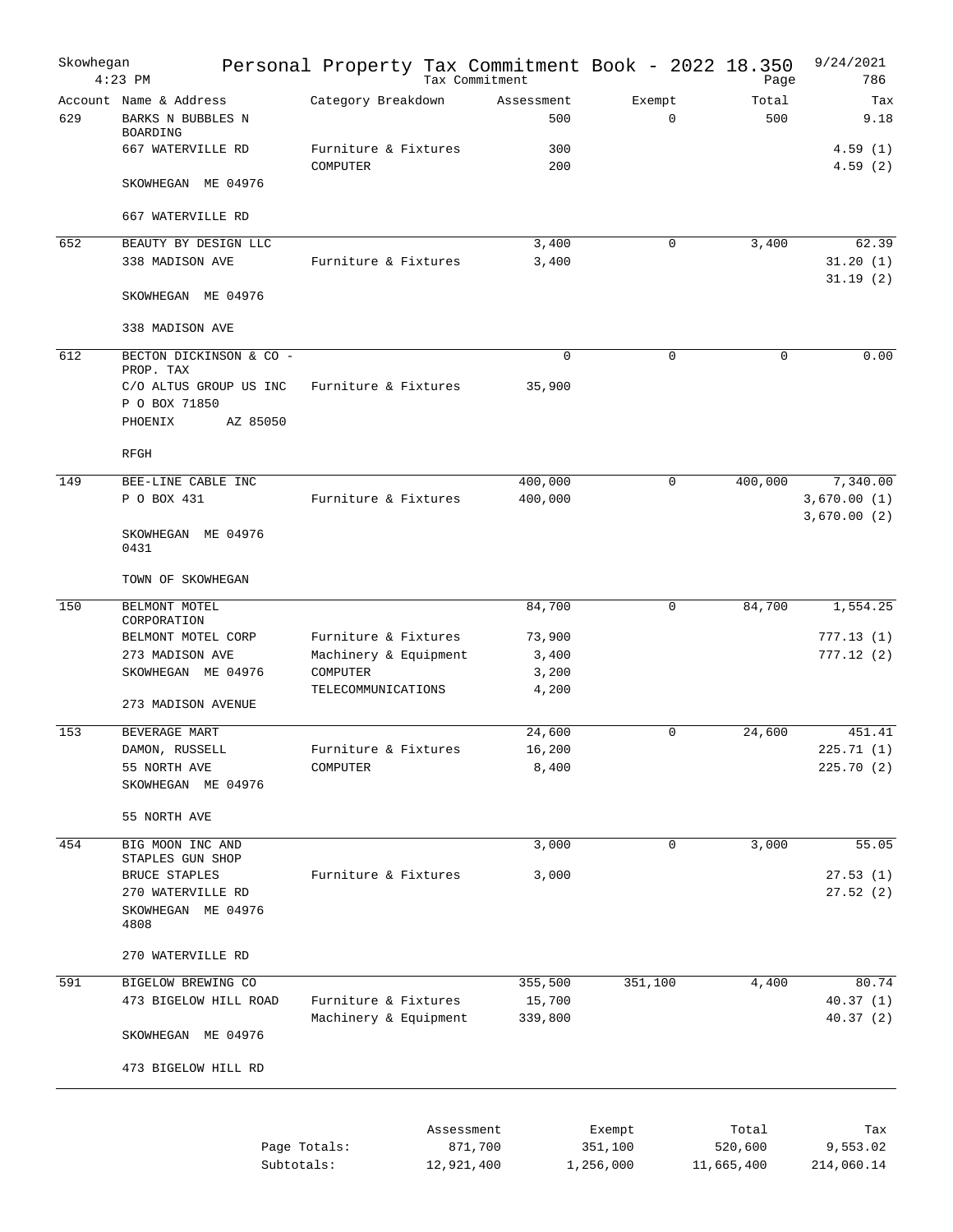| Skowhegan | $4:23$ PM                                                                                              | Personal Property Tax Commitment Book - 2022 18.350       |                          | Tax Commitment               |                                |                                | Page         | 9/24/2021<br>786                       |
|-----------|--------------------------------------------------------------------------------------------------------|-----------------------------------------------------------|--------------------------|------------------------------|--------------------------------|--------------------------------|--------------|----------------------------------------|
| 629       | Account Name & Address<br>BARKS N BUBBLES N<br>BOARDING                                                | Category Breakdown                                        |                          | Assessment<br>500            | Exempt<br>$\mathbf 0$          |                                | Total<br>500 | Tax<br>9.18                            |
|           | 667 WATERVILLE RD                                                                                      | Furniture & Fixtures<br>COMPUTER                          |                          | 300<br>200                   |                                |                                |              | 4.59(1)<br>4.59(2)                     |
|           | SKOWHEGAN ME 04976                                                                                     |                                                           |                          |                              |                                |                                |              |                                        |
|           | 667 WATERVILLE RD                                                                                      |                                                           |                          |                              |                                |                                |              |                                        |
| 652       | BEAUTY BY DESIGN LLC<br>338 MADISON AVE                                                                | Furniture & Fixtures                                      |                          | 3,400<br>3,400               | 0                              |                                | 3,400        | 62.39<br>31.20(1)<br>31.19(2)          |
|           | SKOWHEGAN ME 04976                                                                                     |                                                           |                          |                              |                                |                                |              |                                        |
|           | 338 MADISON AVE                                                                                        |                                                           |                          |                              |                                |                                |              |                                        |
| 612       | BECTON DICKINSON & CO -<br>PROP. TAX<br>C/O ALTUS GROUP US INC<br>P O BOX 71850<br>PHOENIX<br>AZ 85050 | Furniture & Fixtures                                      |                          | $\mathbf 0$<br>35,900        | $\mathbf 0$                    |                                | $\mathbf 0$  | 0.00                                   |
|           | RFGH                                                                                                   |                                                           |                          |                              |                                |                                |              |                                        |
| 149       | BEE-LINE CABLE INC<br>P O BOX 431                                                                      | Furniture & Fixtures                                      |                          | 400,000<br>400,000           | $\mathbf 0$                    | 400,000                        |              | 7,340.00<br>3,670.00(1)<br>3,670.00(2) |
|           | SKOWHEGAN ME 04976<br>0431                                                                             |                                                           |                          |                              |                                |                                |              |                                        |
|           | TOWN OF SKOWHEGAN                                                                                      |                                                           |                          |                              |                                |                                |              |                                        |
| 150       | BELMONT MOTEL<br>CORPORATION                                                                           |                                                           |                          | 84,700                       | 0                              | 84,700                         |              | 1,554.25                               |
|           | BELMONT MOTEL CORP<br>273 MADISON AVE<br>SKOWHEGAN ME 04976                                            | Furniture & Fixtures<br>Machinery & Equipment<br>COMPUTER |                          | 73,900<br>3,400<br>3,200     |                                |                                |              | 777.13(1)<br>777.12(2)                 |
|           | 273 MADISON AVENUE                                                                                     | TELECOMMUNICATIONS                                        |                          | 4,200                        |                                |                                |              |                                        |
| 153       | BEVERAGE MART<br>DAMON, RUSSELL<br>55 NORTH AVE<br>SKOWHEGAN ME 04976                                  | Furniture & Fixtures<br>COMPUTER                          |                          | 24,600<br>16,200<br>8,400    | $\Omega$                       | 24,600                         |              | 451.41<br>225.71(1)<br>225.70(2)       |
|           | 55 NORTH AVE                                                                                           |                                                           |                          |                              |                                |                                |              |                                        |
| 454       | BIG MOON INC AND<br>STAPLES GUN SHOP                                                                   |                                                           |                          | 3,000                        | 0                              |                                | 3,000        | 55.05                                  |
|           | BRUCE STAPLES<br>270 WATERVILLE RD<br>SKOWHEGAN ME 04976<br>4808                                       | Furniture & Fixtures                                      |                          | 3,000                        |                                |                                |              | 27.53(1)<br>27.52(2)                   |
|           | 270 WATERVILLE RD                                                                                      |                                                           |                          |                              |                                |                                |              |                                        |
| 591       | BIGELOW BREWING CO<br>473 BIGELOW HILL ROAD                                                            | Furniture & Fixtures<br>Machinery & Equipment             |                          | 355,500<br>15,700<br>339,800 | 351,100                        |                                | 4,400        | 80.74<br>40.37(1)<br>40.37(2)          |
|           | SKOWHEGAN ME 04976                                                                                     |                                                           |                          |                              |                                |                                |              |                                        |
|           | 473 BIGELOW HILL RD                                                                                    |                                                           |                          |                              |                                |                                |              |                                        |
|           |                                                                                                        | Page Totals:<br>Subtotals:                                | Assessment<br>12,921,400 | 871,700                      | Exempt<br>351,100<br>1,256,000 | Total<br>520,600<br>11,665,400 |              | Tax<br>9,553.02<br>214,060.14          |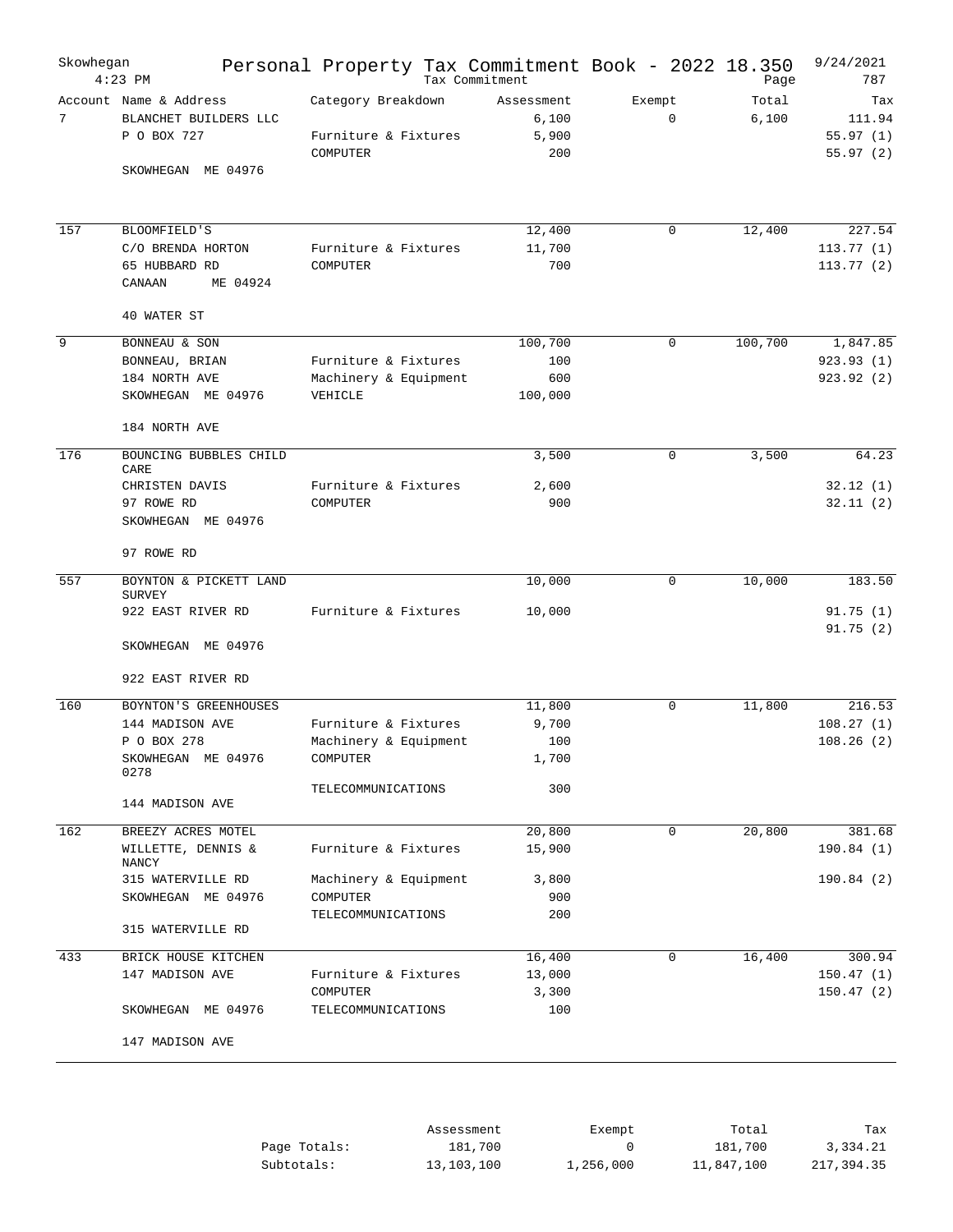| Skowhegan | $4:23$ PM                                                      | Personal Property Tax Commitment Book - 2022 18.350<br>Tax Commitment |                                     |                    | Page           | 9/24/2021<br>787                      |
|-----------|----------------------------------------------------------------|-----------------------------------------------------------------------|-------------------------------------|--------------------|----------------|---------------------------------------|
| 7         | Account Name & Address<br>BLANCHET BUILDERS LLC<br>P O BOX 727 | Category Breakdown<br>Furniture & Fixtures<br>COMPUTER                | Assessment<br>6,100<br>5,900<br>200 | Exempt<br>$\Omega$ | Total<br>6,100 | Tax<br>111.94<br>55.97(1)<br>55.97(2) |
|           | SKOWHEGAN ME 04976                                             |                                                                       |                                     |                    |                |                                       |
| 157       | BLOOMFIELD'S                                                   |                                                                       | 12,400                              | 0                  | 12,400         | 227.54                                |
|           | C/O BRENDA HORTON<br>65 HUBBARD RD<br>ME 04924<br>CANAAN       | Furniture & Fixtures<br>COMPUTER                                      | 11,700<br>700                       |                    |                | 113.77(1)<br>113.77(2)                |
|           | 40 WATER ST                                                    |                                                                       |                                     |                    |                |                                       |
| 9         | BONNEAU & SON                                                  |                                                                       | 100,700                             | 0                  | 100,700        | 1,847.85                              |
|           | BONNEAU, BRIAN                                                 | Furniture & Fixtures                                                  | 100                                 |                    |                | 923.93(1)                             |
|           | 184 NORTH AVE<br>SKOWHEGAN ME 04976                            | Machinery & Equipment<br>VEHICLE                                      | 600<br>100,000                      |                    |                | 923.92(2)                             |
|           | 184 NORTH AVE                                                  |                                                                       |                                     |                    |                |                                       |
| 176       | BOUNCING BUBBLES CHILD<br>CARE                                 |                                                                       | 3,500                               | 0                  | 3,500          | 64.23                                 |
|           | CHRISTEN DAVIS                                                 | Furniture & Fixtures                                                  | 2,600                               |                    |                | 32.12(1)                              |
|           | 97 ROWE RD<br>SKOWHEGAN ME 04976                               | COMPUTER                                                              | 900                                 |                    |                | 32.11(2)                              |
|           | 97 ROWE RD                                                     |                                                                       |                                     |                    |                |                                       |
| 557       | BOYNTON & PICKETT LAND                                         |                                                                       | 10,000                              | 0                  | 10,000         | 183.50                                |
|           | <b>SURVEY</b><br>922 EAST RIVER RD                             | Furniture & Fixtures                                                  | 10,000                              |                    |                | 91.75(1)                              |
|           | SKOWHEGAN ME 04976                                             |                                                                       |                                     |                    |                | 91.75(2)                              |
|           | 922 EAST RIVER RD                                              |                                                                       |                                     |                    |                |                                       |
| 160       | BOYNTON'S GREENHOUSES                                          |                                                                       | 11,800                              | 0                  | 11,800         | 216.53                                |
|           | 144 MADISON AVE                                                | Furniture & Fixtures                                                  | 9,700                               |                    |                | 108.27(1)                             |
|           | P O BOX 278                                                    | Machinery & Equipment                                                 | 100                                 |                    |                | 108.26(2)                             |
|           | SKOWHEGAN ME 04976<br>0278                                     | COMPUTER                                                              | 1,700                               |                    |                |                                       |
|           | 144 MADISON AVE                                                | TELECOMMUNICATIONS                                                    | 300                                 |                    |                |                                       |
| 162       | BREEZY ACRES MOTEL                                             |                                                                       | 20,800                              | $\mathbf 0$        | 20,800         | 381.68                                |
|           | WILLETTE, DENNIS &<br>NANCY                                    | Furniture & Fixtures                                                  | 15,900                              |                    |                | 190.84(1)                             |
|           | 315 WATERVILLE RD<br>SKOWHEGAN ME 04976                        | Machinery & Equipment<br>COMPUTER                                     | 3,800<br>900                        |                    |                | 190.84(2)                             |
|           | 315 WATERVILLE RD                                              | TELECOMMUNICATIONS                                                    | 200                                 |                    |                |                                       |
|           |                                                                |                                                                       |                                     |                    |                |                                       |
| 433       | BRICK HOUSE KITCHEN                                            |                                                                       | 16,400                              | $\mathbf 0$        | 16,400         | 300.94                                |
|           | 147 MADISON AVE                                                | Furniture & Fixtures<br>COMPUTER                                      | 13,000<br>3,300                     |                    |                | 150.47(1)<br>150.47(2)                |
|           | SKOWHEGAN ME 04976                                             | TELECOMMUNICATIONS                                                    | 100                                 |                    |                |                                       |
|           | 147 MADISON AVE                                                |                                                                       |                                     |                    |                |                                       |
|           |                                                                |                                                                       |                                     |                    |                |                                       |

|              | Assessment | Exempt    | Total      | Tax        |
|--------------|------------|-----------|------------|------------|
| Page Totals: | 181,700    |           | 181,700    | 3,334.21   |
| Subtotals:   | 13,103,100 | 1,256,000 | 11,847,100 | 217,394.35 |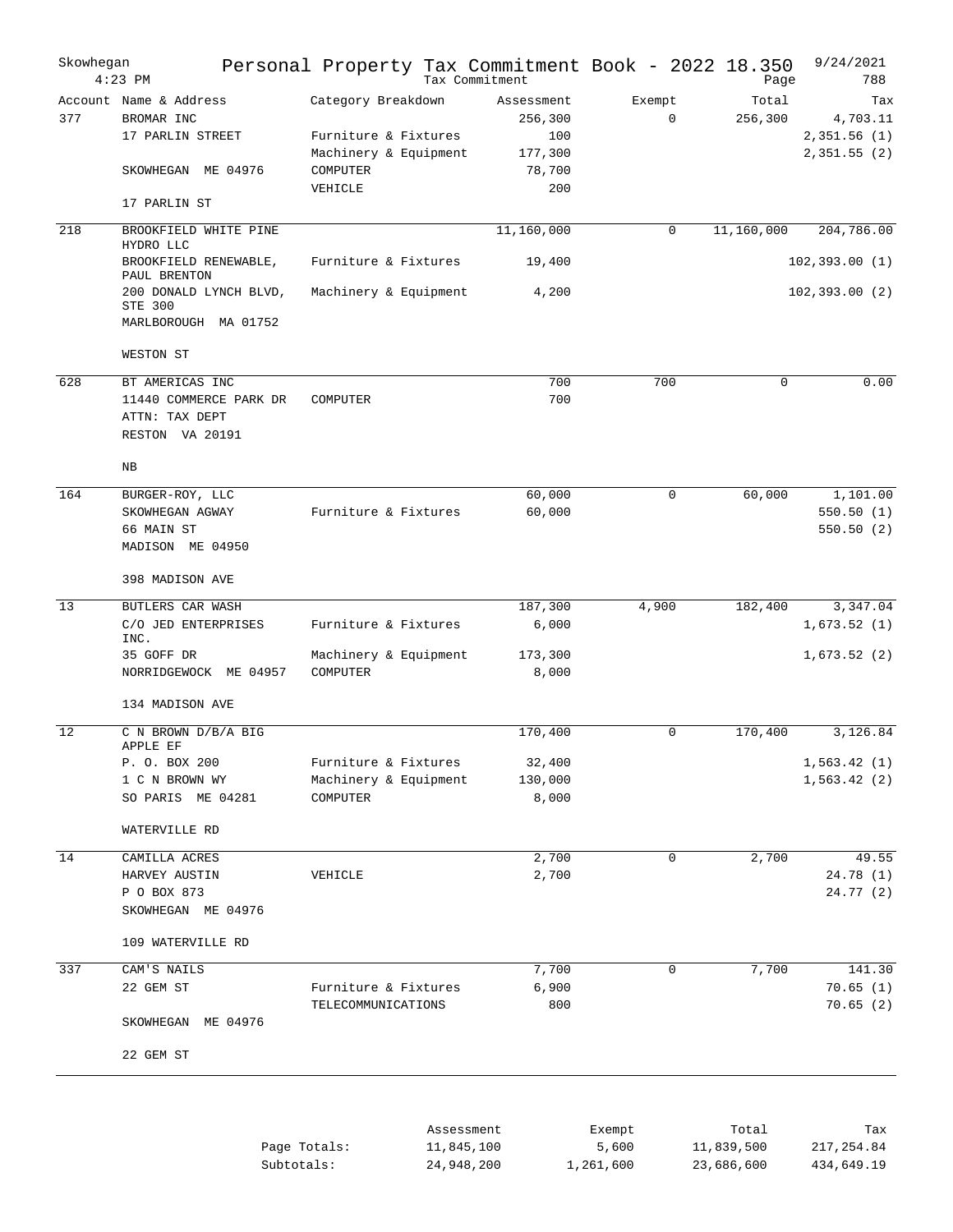| Skowhegan | $4:23$ PM                                | Personal Property Tax Commitment Book - 2022 18.350 | Tax Commitment        |                       | Page             | 9/24/2021<br>788 |
|-----------|------------------------------------------|-----------------------------------------------------|-----------------------|-----------------------|------------------|------------------|
| 377       | Account Name & Address<br>BROMAR INC     | Category Breakdown                                  | Assessment<br>256,300 | Exempt<br>$\mathbf 0$ | Total<br>256,300 | Tax<br>4,703.11  |
|           | 17 PARLIN STREET                         | Furniture & Fixtures                                | 100                   |                       |                  | 2,351.56(1)      |
|           | SKOWHEGAN ME 04976                       | Machinery & Equipment<br>COMPUTER                   | 177,300<br>78,700     |                       |                  | 2,351.55(2)      |
|           |                                          | VEHICLE                                             | 200                   |                       |                  |                  |
|           | 17 PARLIN ST                             |                                                     |                       |                       |                  |                  |
| 218       | BROOKFIELD WHITE PINE<br>HYDRO LLC       |                                                     | 11,160,000            | $\mathbf 0$           | 11,160,000       | 204,786.00       |
|           | BROOKFIELD RENEWABLE,<br>PAUL BRENTON    | Furniture & Fixtures                                | 19,400                |                       |                  | 102, 393.00(1)   |
|           | 200 DONALD LYNCH BLVD,<br><b>STE 300</b> | Machinery & Equipment                               | 4,200                 |                       |                  | 102, 393.00(2)   |
|           | MARLBOROUGH MA 01752                     |                                                     |                       |                       |                  |                  |
|           | WESTON ST                                |                                                     |                       |                       |                  |                  |
| 628       | BT AMERICAS INC                          |                                                     | 700                   | 700                   | $\Omega$         | 0.00             |
|           | 11440 COMMERCE PARK DR                   | COMPUTER                                            | 700                   |                       |                  |                  |
|           | ATTN: TAX DEPT                           |                                                     |                       |                       |                  |                  |
|           | RESTON VA 20191                          |                                                     |                       |                       |                  |                  |
|           | NB                                       |                                                     |                       |                       |                  |                  |
| 164       | BURGER-ROY, LLC                          |                                                     | 60,000                | 0                     | 60,000           | 1,101.00         |
|           | SKOWHEGAN AGWAY                          | Furniture & Fixtures                                | 60,000                |                       |                  | 550.50(1)        |
|           | 66 MAIN ST<br>MADISON ME 04950           |                                                     |                       |                       |                  | 550.50(2)        |
|           | 398 MADISON AVE                          |                                                     |                       |                       |                  |                  |
| 13        | BUTLERS CAR WASH                         |                                                     | 187,300               | 4,900                 | 182,400          | 3,347.04         |
|           | C/O JED ENTERPRISES<br>INC.              | Furniture & Fixtures                                | 6,000                 |                       |                  | 1,673.52(1)      |
|           | 35 GOFF DR                               | Machinery & Equipment                               | 173,300               |                       |                  | 1,673.52(2)      |
|           | NORRIDGEWOCK ME 04957                    | COMPUTER                                            | 8,000                 |                       |                  |                  |
|           | 134 MADISON AVE                          |                                                     |                       |                       |                  |                  |
| 12        | C N BROWN D/B/A BIG<br>APPLE EF          |                                                     | 170,400               | 0                     | 170,400          | 3,126.84         |
|           | P. O. BOX 200                            | Furniture & Fixtures                                | 32,400                |                       |                  | 1,563.42(1)      |
|           | 1 C N BROWN WY                           | Machinery & Equipment                               | 130,000               |                       |                  | 1,563.42(2)      |
|           | SO PARIS ME 04281                        | COMPUTER                                            | 8,000                 |                       |                  |                  |
|           | WATERVILLE RD                            |                                                     |                       |                       |                  |                  |
| 14        | CAMILLA ACRES                            |                                                     | 2,700                 | 0                     | 2,700            | 49.55            |
|           | HARVEY AUSTIN                            | VEHICLE                                             | 2,700                 |                       |                  | 24.78(1)         |
|           | P O BOX 873<br>SKOWHEGAN ME 04976        |                                                     |                       |                       |                  | 24.77(2)         |
|           | 109 WATERVILLE RD                        |                                                     |                       |                       |                  |                  |
| 337       | CAM'S NAILS                              |                                                     | 7,700                 | 0                     | 7,700            | 141.30           |
|           | 22 GEM ST                                | Furniture & Fixtures                                | 6,900                 |                       |                  | 70.65(1)         |
|           |                                          | TELECOMMUNICATIONS                                  | 800                   |                       |                  | 70.65(2)         |
|           | SKOWHEGAN ME 04976                       |                                                     |                       |                       |                  |                  |
|           | 22 GEM ST                                |                                                     |                       |                       |                  |                  |
|           |                                          |                                                     |                       |                       |                  |                  |
|           |                                          | Assessment                                          |                       | Exempt                | Total            | Tax              |
|           |                                          |                                                     |                       |                       |                  |                  |

|              |            | $-$       | -----      | ----       |
|--------------|------------|-----------|------------|------------|
| Page Totals: | 11,845,100 | 5,600     | 11,839,500 | 217,254.84 |
| Subtotals:   | 24,948,200 | 1,261,600 | 23,686,600 | 434,649.19 |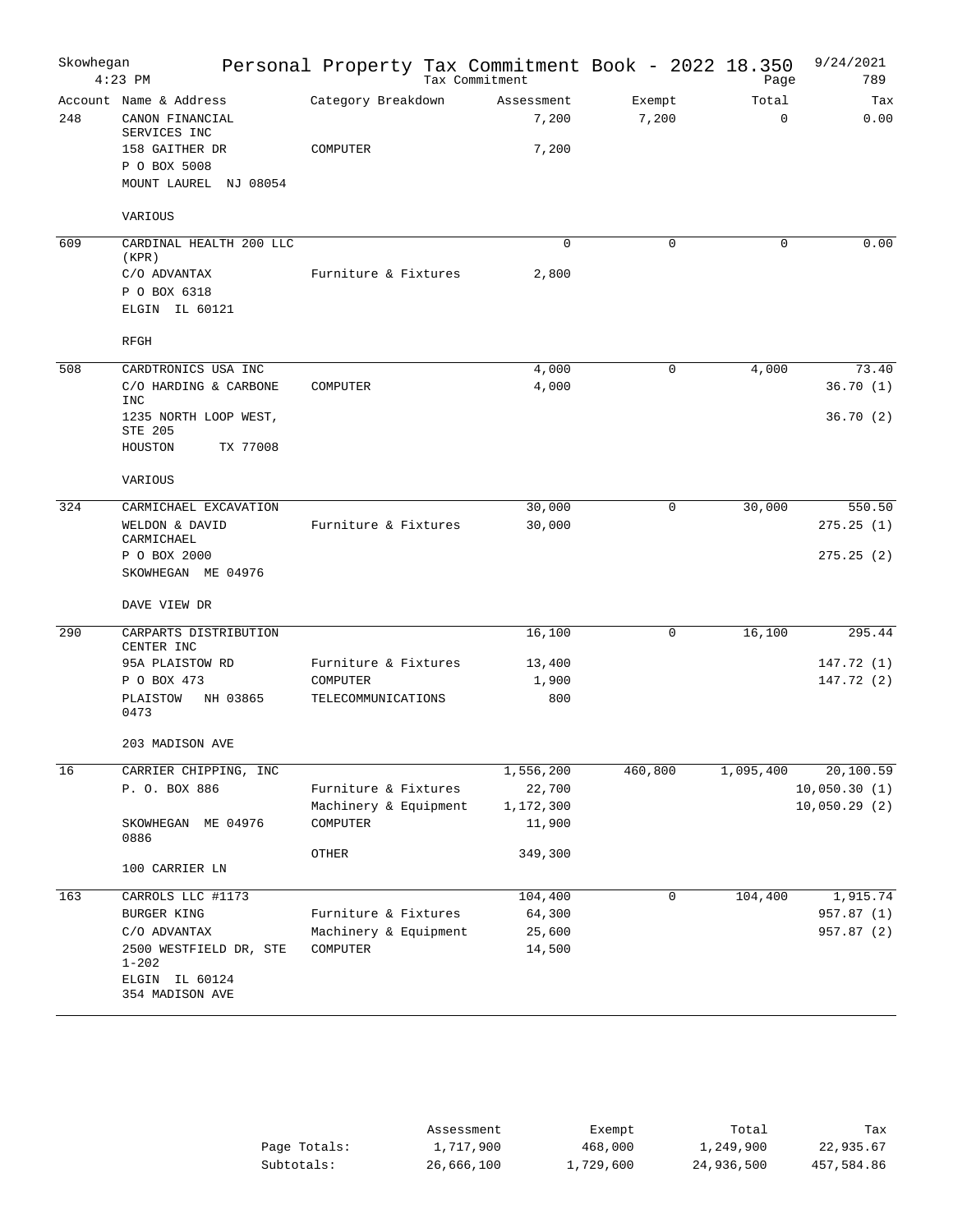| Skowhegan | $4:23$ PM                                                 |          |                       |  | Personal Property Tax Commitment Book - 2022 18.350<br>Tax Commitment |              |                 | Page                 | 9/24/2021<br>789 |
|-----------|-----------------------------------------------------------|----------|-----------------------|--|-----------------------------------------------------------------------|--------------|-----------------|----------------------|------------------|
| 248       | Account Name & Address<br>CANON FINANCIAL<br>SERVICES INC |          | Category Breakdown    |  | Assessment<br>7,200                                                   |              | Exempt<br>7,200 | Total<br>$\mathbf 0$ | Tax<br>0.00      |
|           | 158 GAITHER DR                                            |          | COMPUTER              |  | 7,200                                                                 |              |                 |                      |                  |
|           | P O BOX 5008                                              |          |                       |  |                                                                       |              |                 |                      |                  |
|           | MOUNT LAUREL NJ 08054                                     |          |                       |  |                                                                       |              |                 |                      |                  |
|           | VARIOUS                                                   |          |                       |  |                                                                       |              |                 |                      |                  |
| 609       | CARDINAL HEALTH 200 LLC<br>(KPR)                          |          |                       |  |                                                                       | $\mathbf{0}$ | 0               | 0                    | 0.00             |
|           | C/O ADVANTAX                                              |          | Furniture & Fixtures  |  | 2,800                                                                 |              |                 |                      |                  |
|           | P O BOX 6318                                              |          |                       |  |                                                                       |              |                 |                      |                  |
|           | ELGIN IL 60121                                            |          |                       |  |                                                                       |              |                 |                      |                  |
|           | RFGH                                                      |          |                       |  |                                                                       |              |                 |                      |                  |
| 508       | CARDTRONICS USA INC                                       |          |                       |  | 4,000                                                                 |              | 0               | 4,000                | 73.40            |
|           | C/O HARDING & CARBONE<br>INC                              |          | COMPUTER              |  | 4,000                                                                 |              |                 |                      | 36.70(1)         |
|           | 1235 NORTH LOOP WEST,<br>STE 205                          |          |                       |  |                                                                       |              |                 |                      | 36.70(2)         |
|           | HOUSTON                                                   | TX 77008 |                       |  |                                                                       |              |                 |                      |                  |
|           | VARIOUS                                                   |          |                       |  |                                                                       |              |                 |                      |                  |
| 324       | CARMICHAEL EXCAVATION                                     |          |                       |  | 30,000                                                                |              | 0               | 30,000               | 550.50           |
|           | WELDON & DAVID                                            |          | Furniture & Fixtures  |  | 30,000                                                                |              |                 |                      | 275.25(1)        |
|           | CARMICHAEL                                                |          |                       |  |                                                                       |              |                 |                      |                  |
|           | P O BOX 2000                                              |          |                       |  |                                                                       |              |                 |                      | 275.25(2)        |
|           | SKOWHEGAN ME 04976                                        |          |                       |  |                                                                       |              |                 |                      |                  |
|           | DAVE VIEW DR                                              |          |                       |  |                                                                       |              |                 |                      |                  |
| 290       | CARPARTS DISTRIBUTION<br>CENTER INC                       |          |                       |  | 16,100                                                                |              | 0               | 16,100               | 295.44           |
|           | 95A PLAISTOW RD                                           |          | Furniture & Fixtures  |  | 13,400                                                                |              |                 |                      | 147.72 (1)       |
|           | P O BOX 473                                               |          | COMPUTER              |  | 1,900                                                                 |              |                 |                      | 147.72 (2)       |
|           | PLAISTOW<br>0473                                          | NH 03865 | TELECOMMUNICATIONS    |  |                                                                       | 800          |                 |                      |                  |
|           | 203 MADISON AVE                                           |          |                       |  |                                                                       |              |                 |                      |                  |
| 16        | CARRIER CHIPPING, INC                                     |          |                       |  | 1,556,200                                                             |              | 460,800         | 1,095,400            | 20,100.59        |
|           | P. O. BOX 886                                             |          | Furniture & Fixtures  |  | 22,700                                                                |              |                 |                      | 10,050.30(1)     |
|           |                                                           |          | Machinery & Equipment |  | 1,172,300                                                             |              |                 |                      | 10,050.29(2)     |
|           | SKOWHEGAN ME 04976<br>0886                                |          | COMPUTER              |  | 11,900                                                                |              |                 |                      |                  |
|           | 100 CARRIER LN                                            |          | OTHER                 |  | 349,300                                                               |              |                 |                      |                  |
|           |                                                           |          |                       |  |                                                                       |              |                 |                      |                  |
| 163       | CARROLS LLC #1173                                         |          |                       |  | 104,400                                                               |              | 0               | 104,400              | 1,915.74         |
|           | BURGER KING                                               |          | Furniture & Fixtures  |  | 64,300                                                                |              |                 |                      | 957.87 (1)       |
|           | C/O ADVANTAX                                              |          | Machinery & Equipment |  | 25,600                                                                |              |                 |                      | 957.87 (2)       |
|           | 2500 WESTFIELD DR, STE<br>$1 - 202$                       |          | COMPUTER              |  | 14,500                                                                |              |                 |                      |                  |
|           | ELGIN IL 60124<br>354 MADISON AVE                         |          |                       |  |                                                                       |              |                 |                      |                  |

|              | Assessment | Exempt    | Total      | Tax        |
|--------------|------------|-----------|------------|------------|
| Page Totals: | 1,717,900  | 468,000   | 1,249,900  | 22,935.67  |
| Subtotals:   | 26,666,100 | 1,729,600 | 24,936,500 | 457,584.86 |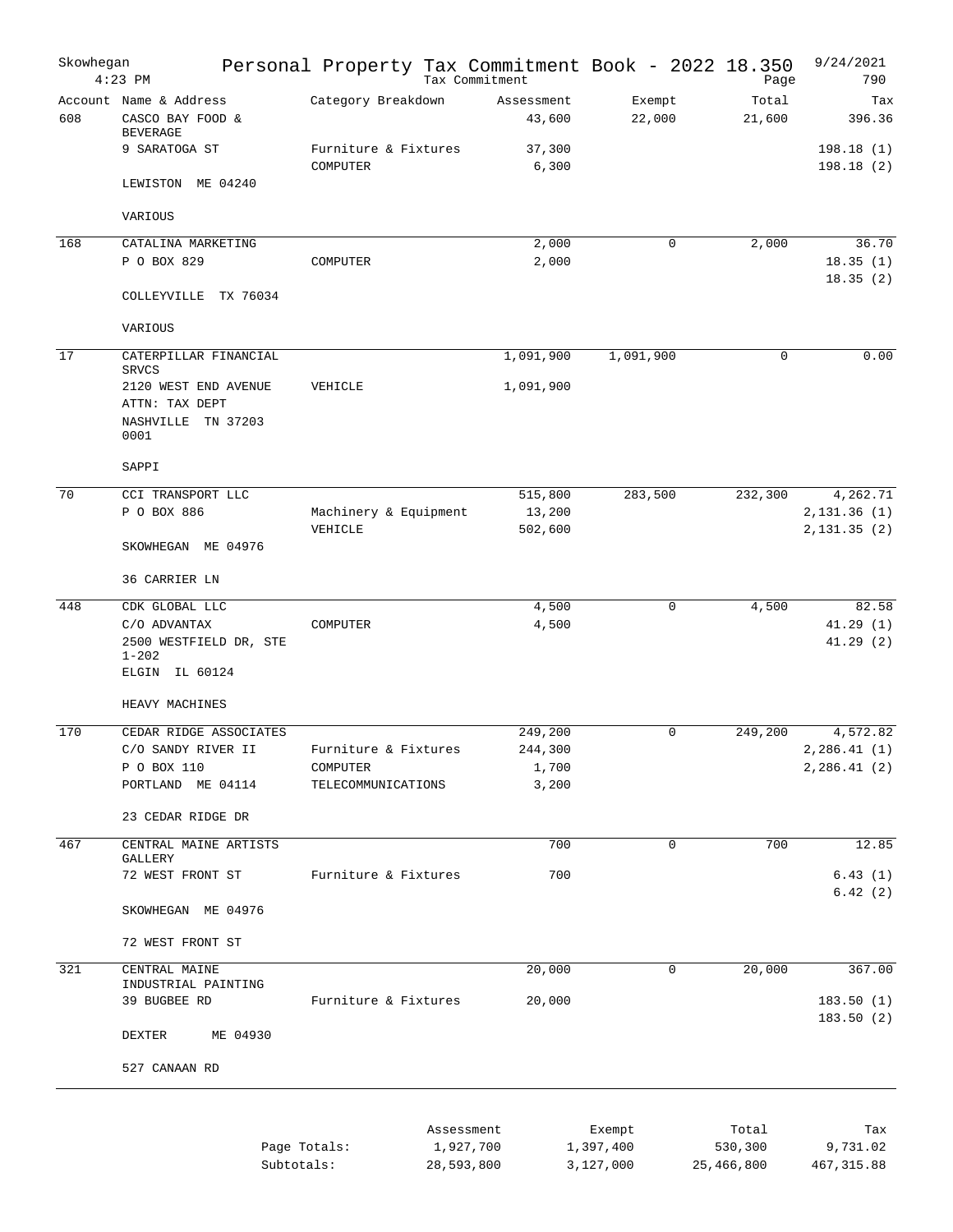| Skowhegan | $4:23$ PM                                                       |          |                                  | Personal Property Tax Commitment Book - 2022 18.350<br>Tax Commitment |                     |             | Page             | 9/24/2021<br>790           |
|-----------|-----------------------------------------------------------------|----------|----------------------------------|-----------------------------------------------------------------------|---------------------|-------------|------------------|----------------------------|
| 608       | Account Name & Address<br>CASCO BAY FOOD &<br><b>BEVERAGE</b>   |          | Category Breakdown               | Assessment<br>43,600                                                  | Exempt<br>22,000    |             | Total<br>21,600  | Tax<br>396.36              |
|           | 9 SARATOGA ST                                                   |          | Furniture & Fixtures<br>COMPUTER | 37,300<br>6,300                                                       |                     |             |                  | 198.18(1)<br>198.18(2)     |
|           | LEWISTON ME 04240                                               |          |                                  |                                                                       |                     |             |                  |                            |
|           | VARIOUS                                                         |          |                                  |                                                                       |                     |             |                  |                            |
| 168       | CATALINA MARKETING                                              |          |                                  | 2,000                                                                 |                     | $\mathbf 0$ | 2,000            | 36.70                      |
|           | P O BOX 829                                                     |          | COMPUTER                         | 2,000                                                                 |                     |             |                  | 18.35(1)<br>18.35(2)       |
|           | COLLEYVILLE TX 76034                                            |          |                                  |                                                                       |                     |             |                  |                            |
|           | VARIOUS                                                         |          |                                  |                                                                       |                     |             |                  |                            |
| 17        | CATERPILLAR FINANCIAL<br><b>SRVCS</b>                           |          |                                  | 1,091,900                                                             | 1,091,900           |             | 0                | 0.00                       |
|           | 2120 WEST END AVENUE<br>ATTN: TAX DEPT<br>NASHVILLE<br>TN 37203 |          | VEHICLE                          | 1,091,900                                                             |                     |             |                  |                            |
|           | 0001                                                            |          |                                  |                                                                       |                     |             |                  |                            |
|           | SAPPI                                                           |          |                                  |                                                                       |                     |             |                  |                            |
| 70        | CCI TRANSPORT LLC<br>P O BOX 886                                |          | Machinery & Equipment            | 515,800<br>13,200                                                     | 283,500             |             | 232,300          | 4,262.71<br>2,131.36(1)    |
|           | SKOWHEGAN ME 04976                                              |          | VEHICLE                          | 502,600                                                               |                     |             |                  | 2,131.35(2)                |
|           | 36 CARRIER LN                                                   |          |                                  |                                                                       |                     |             |                  |                            |
| 448       | CDK GLOBAL LLC                                                  |          |                                  | 4,500                                                                 |                     | $\mathbf 0$ | 4,500            | 82.58                      |
|           | C/O ADVANTAX                                                    |          | COMPUTER                         | 4,500                                                                 |                     |             |                  | 41.29(1)                   |
|           | 2500 WESTFIELD DR, STE<br>$1 - 202$                             |          |                                  |                                                                       |                     |             |                  | 41.29(2)                   |
|           | ELGIN IL 60124                                                  |          |                                  |                                                                       |                     |             |                  |                            |
|           | HEAVY MACHINES                                                  |          |                                  |                                                                       |                     |             |                  |                            |
| 170       | CEDAR RIDGE ASSOCIATES                                          |          |                                  | 249,200                                                               |                     | $\mathbf 0$ | 249,200          | 4,572.82                   |
|           | C/O SANDY RIVER II<br>P O BOX 110                               |          | Furniture & Fixtures<br>COMPUTER | 244,300<br>1,700                                                      |                     |             |                  | 2,286.41(1)<br>2,286.41(2) |
|           | PORTLAND ME 04114                                               |          | TELECOMMUNICATIONS               | 3,200                                                                 |                     |             |                  |                            |
|           |                                                                 |          |                                  |                                                                       |                     |             |                  |                            |
|           | 23 CEDAR RIDGE DR                                               |          |                                  |                                                                       |                     |             |                  |                            |
| 467       | CENTRAL MAINE ARTISTS<br>GALLERY                                |          |                                  | 700                                                                   |                     | $\Omega$    | 700              | 12.85                      |
|           | 72 WEST FRONT ST                                                |          | Furniture & Fixtures             | 700                                                                   |                     |             |                  | 6.43(1)<br>6.42(2)         |
|           | SKOWHEGAN ME 04976                                              |          |                                  |                                                                       |                     |             |                  |                            |
|           | 72 WEST FRONT ST                                                |          |                                  |                                                                       |                     |             |                  |                            |
| 321       | CENTRAL MAINE<br>INDUSTRIAL PAINTING                            |          |                                  | 20,000                                                                |                     | 0           | 20,000           | 367.00                     |
|           | 39 BUGBEE RD                                                    |          | Furniture & Fixtures             | 20,000                                                                |                     |             |                  | 183.50(1)<br>183.50(2)     |
|           | DEXTER                                                          | ME 04930 |                                  |                                                                       |                     |             |                  |                            |
|           | 527 CANAAN RD                                                   |          |                                  |                                                                       |                     |             |                  |                            |
|           |                                                                 |          |                                  |                                                                       |                     |             |                  |                            |
|           |                                                                 |          | Page Totals:                     | Assessment<br>1,927,700                                               | Exempt<br>1,397,400 |             | Total<br>530,300 | Tax<br>9,731.02            |

Subtotals: 28,593,800 3,127,000 25,466,800 467,315.88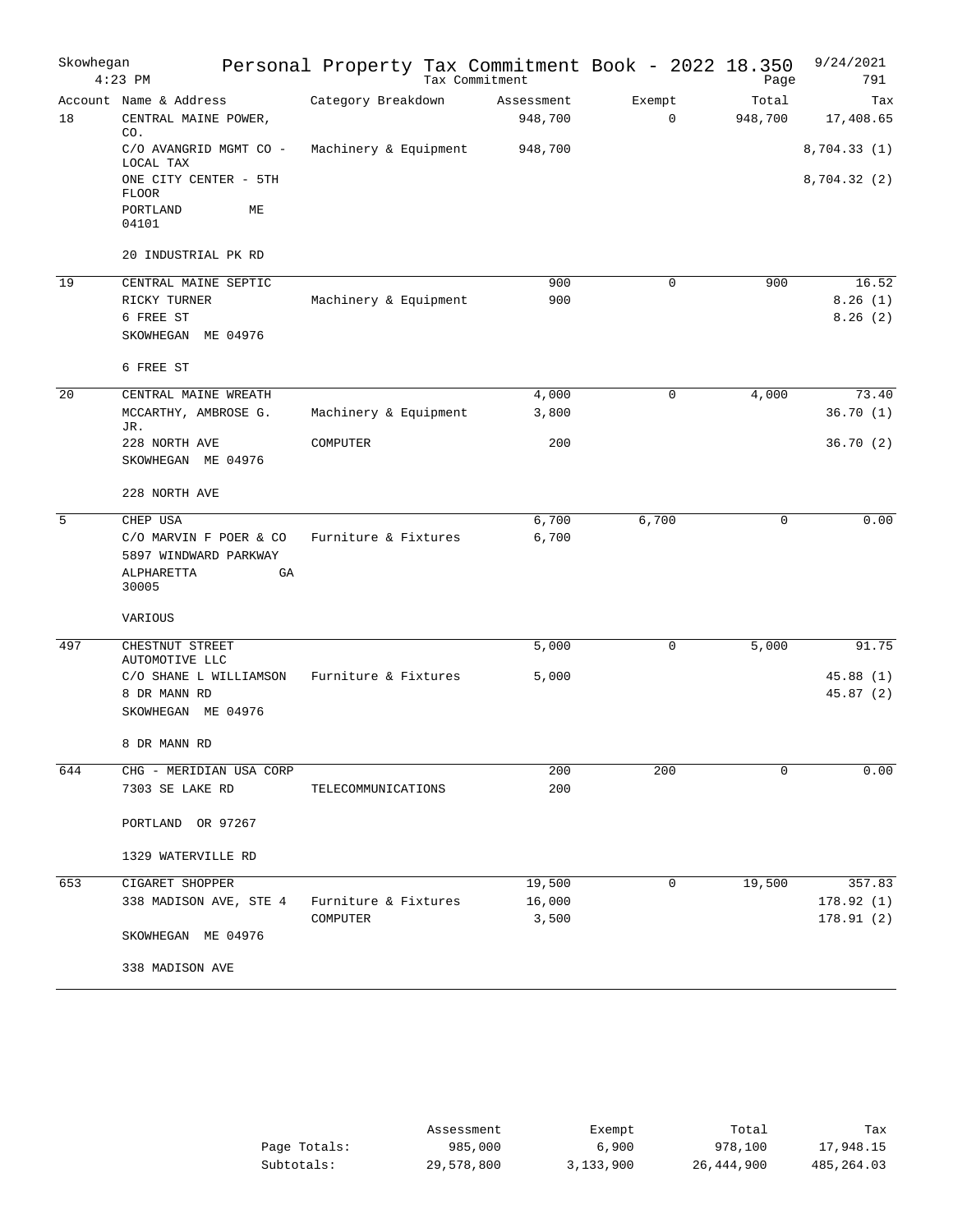| Skowhegan | $4:23$ PM                                                           | Personal Property Tax Commitment Book - 2022 18.350 | Tax Commitment |                       |                       | Page             | 9/24/2021<br>791       |
|-----------|---------------------------------------------------------------------|-----------------------------------------------------|----------------|-----------------------|-----------------------|------------------|------------------------|
| 18        | Account Name & Address<br>CENTRAL MAINE POWER,<br>CO.               | Category Breakdown                                  |                | Assessment<br>948,700 | Exempt<br>$\mathbf 0$ | Total<br>948,700 | Tax<br>17,408.65       |
|           | C/O AVANGRID MGMT CO -<br>LOCAL TAX                                 | Machinery & Equipment                               |                | 948,700               |                       |                  | 8,704.33(1)            |
|           | ONE CITY CENTER - 5TH<br><b>FLOOR</b><br>PORTLAND<br>МE             |                                                     |                |                       |                       |                  | 8,704.32 (2)           |
|           | 04101                                                               |                                                     |                |                       |                       |                  |                        |
|           | 20 INDUSTRIAL PK RD                                                 |                                                     |                |                       |                       |                  |                        |
| 19        | CENTRAL MAINE SEPTIC                                                |                                                     |                | 900                   | $\mathbf 0$           | 900              | 16.52                  |
|           | RICKY TURNER<br>6 FREE ST                                           | Machinery & Equipment                               |                | 900                   |                       |                  | 8.26(1)<br>8.26(2)     |
|           | SKOWHEGAN ME 04976                                                  |                                                     |                |                       |                       |                  |                        |
|           | 6 FREE ST                                                           |                                                     |                |                       |                       |                  |                        |
| 20        | CENTRAL MAINE WREATH                                                |                                                     |                | 4,000                 | $\mathbf 0$           | 4,000            | 73.40                  |
|           | MCCARTHY, AMBROSE G.<br>JR.                                         | Machinery & Equipment                               |                | 3,800                 |                       |                  | 36.70(1)               |
|           | 228 NORTH AVE<br>SKOWHEGAN ME 04976                                 | COMPUTER                                            |                | 200                   |                       |                  | 36.70(2)               |
|           | 228 NORTH AVE                                                       |                                                     |                |                       |                       |                  |                        |
| 5         | CHEP USA                                                            |                                                     |                | 6,700                 | 6,700                 | $\mathbf 0$      | 0.00                   |
|           | C/O MARVIN F POER & CO<br>5897 WINDWARD PARKWAY<br>ALPHARETTA<br>GA | Furniture & Fixtures                                |                | 6,700                 |                       |                  |                        |
|           | 30005<br>VARIOUS                                                    |                                                     |                |                       |                       |                  |                        |
| 497       | CHESTNUT STREET                                                     |                                                     |                | 5,000                 | $\mathbf 0$           | 5,000            | 91.75                  |
|           | AUTOMOTIVE LLC<br>C/O SHANE L WILLIAMSON                            | Furniture & Fixtures                                |                | 5,000                 |                       |                  | 45.88(1)               |
|           | 8 DR MANN RD<br>SKOWHEGAN ME 04976                                  |                                                     |                |                       |                       |                  | 45.87(2)               |
|           | 8 DR MANN RD                                                        |                                                     |                |                       |                       |                  |                        |
| 644       | CHG - MERIDIAN USA CORP                                             |                                                     |                | 200                   | 200                   | $\mathbf 0$      | 0.00                   |
|           | 7303 SE LAKE RD                                                     | TELECOMMUNICATIONS                                  |                | 200                   |                       |                  |                        |
|           | PORTLAND OR 97267                                                   |                                                     |                |                       |                       |                  |                        |
|           | 1329 WATERVILLE RD                                                  |                                                     |                |                       |                       |                  |                        |
| 653       | CIGARET SHOPPER                                                     |                                                     |                | 19,500                | 0                     | 19,500           | 357.83                 |
|           | 338 MADISON AVE, STE 4                                              | Furniture & Fixtures<br>COMPUTER                    |                | 16,000<br>3,500       |                       |                  | 178.92(1)<br>178.91(2) |
|           | SKOWHEGAN ME 04976                                                  |                                                     |                |                       |                       |                  |                        |
|           | 338 MADISON AVE                                                     |                                                     |                |                       |                       |                  |                        |
|           |                                                                     |                                                     |                |                       |                       |                  |                        |

|              | Assessment | Exempt    | Total      | Tax        |
|--------------|------------|-----------|------------|------------|
| Page Totals: | 985,000    | 6,900     | 978,100    | 17,948.15  |
| Subtotals:   | 29,578,800 | 3,133,900 | 26,444,900 | 485,264.03 |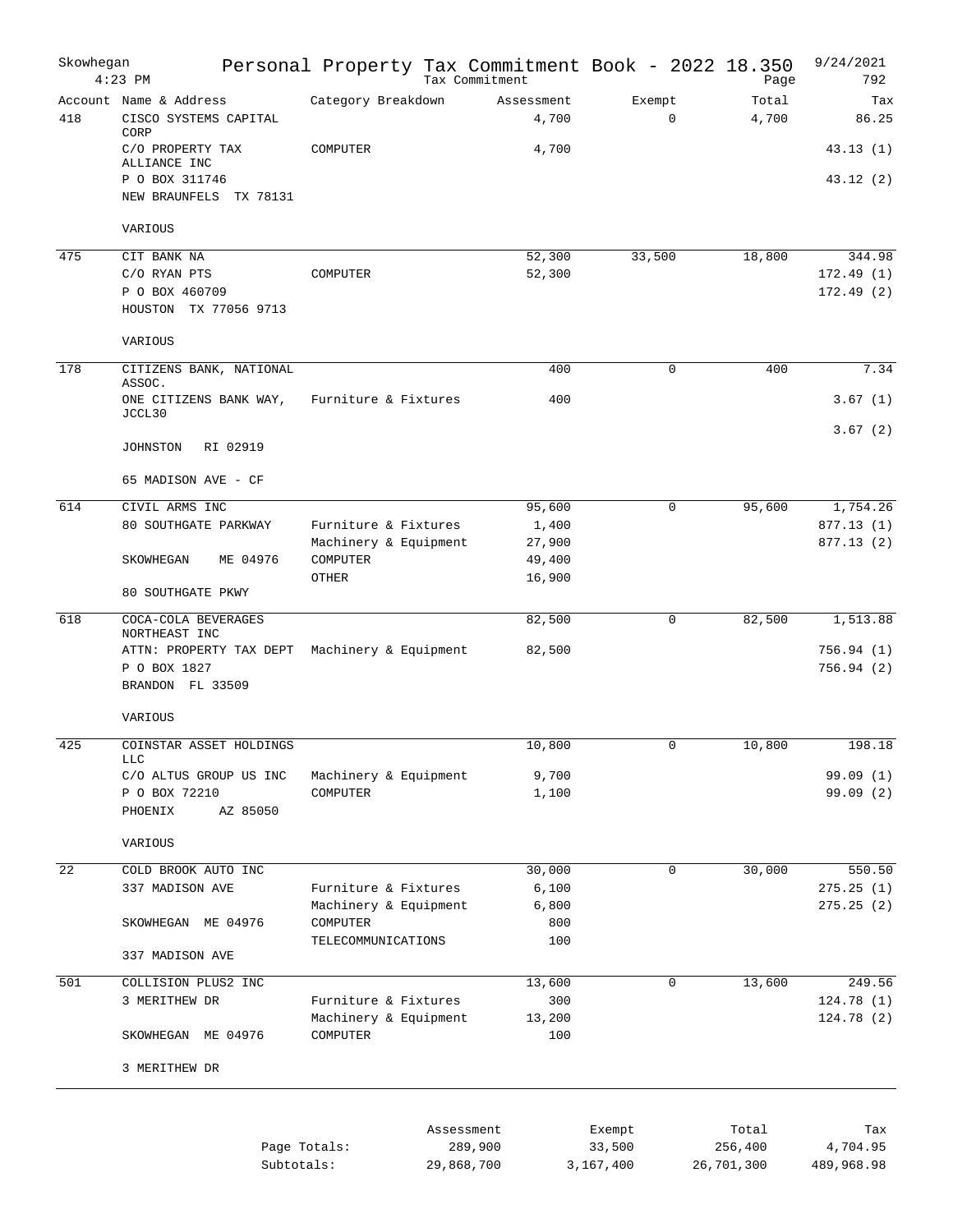| Skowhegan       | $4:23$ PM                                               | Personal Property Tax Commitment Book - 2022 18.350 |            | Tax Commitment      |                       | Page             | 9/24/2021<br>792       |
|-----------------|---------------------------------------------------------|-----------------------------------------------------|------------|---------------------|-----------------------|------------------|------------------------|
| 418             | Account Name & Address<br>CISCO SYSTEMS CAPITAL<br>CORP | Category Breakdown                                  |            | Assessment<br>4,700 | Exempt<br>$\mathbf 0$ | Total<br>4,700   | Tax<br>86.25           |
|                 | C/O PROPERTY TAX<br>ALLIANCE INC                        | COMPUTER                                            |            | 4,700               |                       |                  | 43.13(1)               |
|                 | P O BOX 311746<br>NEW BRAUNFELS TX 78131                |                                                     |            |                     |                       |                  | 43.12 (2)              |
|                 | VARIOUS                                                 |                                                     |            |                     |                       |                  |                        |
| 475             | CIT BANK NA                                             |                                                     |            | 52,300              | 33,500                | 18,800           | 344.98                 |
|                 | C/O RYAN PTS<br>P O BOX 460709<br>HOUSTON TX 77056 9713 | COMPUTER                                            |            | 52,300              |                       |                  | 172.49(1)<br>172.49(2) |
|                 | VARIOUS                                                 |                                                     |            |                     |                       |                  |                        |
| 178             | CITIZENS BANK, NATIONAL                                 |                                                     |            | 400                 | $\mathbf 0$           | 400              | 7.34                   |
|                 | ASSOC.<br>ONE CITIZENS BANK WAY,                        | Furniture & Fixtures                                |            | 400                 |                       |                  | 3.67(1)                |
|                 | JCCL30                                                  |                                                     |            |                     |                       |                  | 3.67(2)                |
|                 | RI 02919<br>JOHNSTON                                    |                                                     |            |                     |                       |                  |                        |
|                 | 65 MADISON AVE - CF                                     |                                                     |            |                     |                       |                  |                        |
| 614             | CIVIL ARMS INC                                          |                                                     |            | 95,600              | $\Omega$              | 95,600           | 1,754.26               |
|                 | 80 SOUTHGATE PARKWAY                                    | Furniture & Fixtures                                |            | 1,400               |                       |                  | 877.13(1)              |
|                 | ME 04976<br>SKOWHEGAN                                   | Machinery & Equipment<br>COMPUTER                   |            | 27,900<br>49,400    |                       |                  | 877.13(2)              |
|                 |                                                         | OTHER                                               |            | 16,900              |                       |                  |                        |
|                 | 80 SOUTHGATE PKWY                                       |                                                     |            |                     |                       |                  |                        |
| 618             | COCA-COLA BEVERAGES<br>NORTHEAST INC                    |                                                     |            | 82,500              | $\Omega$              | 82,500           | 1,513.88               |
|                 | ATTN: PROPERTY TAX DEPT Machinery & Equipment           |                                                     |            | 82,500              |                       |                  | 756.94(1)              |
|                 | P O BOX 1827<br>BRANDON FL 33509                        |                                                     |            |                     |                       |                  | 756.94(2)              |
|                 | VARIOUS                                                 |                                                     |            |                     |                       |                  |                        |
| 425             | COINSTAR ASSET HOLDINGS<br><b>LLC</b>                   |                                                     |            | 10,800              | $\mathbf 0$           | 10,800           | 198.18                 |
|                 | C/O ALTUS GROUP US INC                                  | Machinery & Equipment                               |            | 9,700               |                       |                  | 99.09(1)               |
|                 | P O BOX 72210                                           | COMPUTER                                            |            | 1,100               |                       |                  | 99.09(2)               |
|                 | AZ 85050<br>PHOENIX                                     |                                                     |            |                     |                       |                  |                        |
|                 | VARIOUS                                                 |                                                     |            |                     |                       |                  |                        |
| $\overline{22}$ | COLD BROOK AUTO INC                                     |                                                     |            | 30,000              | $\mathbf 0$           | 30,000           | 550.50                 |
|                 | 337 MADISON AVE                                         | Furniture & Fixtures                                |            | 6,100               |                       |                  | 275.25(1)              |
|                 | SKOWHEGAN ME 04976                                      | Machinery & Equipment<br>COMPUTER                   |            | 6,800<br>800        |                       |                  | 275.25(2)              |
|                 |                                                         | TELECOMMUNICATIONS                                  |            | 100                 |                       |                  |                        |
|                 | 337 MADISON AVE                                         |                                                     |            |                     |                       |                  |                        |
| 501             | COLLISION PLUS2 INC                                     |                                                     |            | 13,600              | $\mathbf 0$           | 13,600           | 249.56                 |
|                 | 3 MERITHEW DR                                           | Furniture & Fixtures                                |            | 300                 |                       |                  | 124.78(1)              |
|                 | SKOWHEGAN ME 04976                                      | Machinery & Equipment<br>COMPUTER                   |            | 13,200<br>100       |                       |                  | 124.78(2)              |
|                 | 3 MERITHEW DR                                           |                                                     |            |                     |                       |                  |                        |
|                 |                                                         |                                                     |            |                     |                       |                  |                        |
|                 |                                                         |                                                     |            |                     |                       |                  |                        |
|                 |                                                         | Page Totals:                                        | Assessment | 289,900             | Exempt<br>33,500      | Total<br>256,400 | Tax<br>4,704.95        |
|                 | Subtotals:                                              |                                                     | 29,868,700 |                     | 3,167,400             | 26,701,300       | 489,968.98             |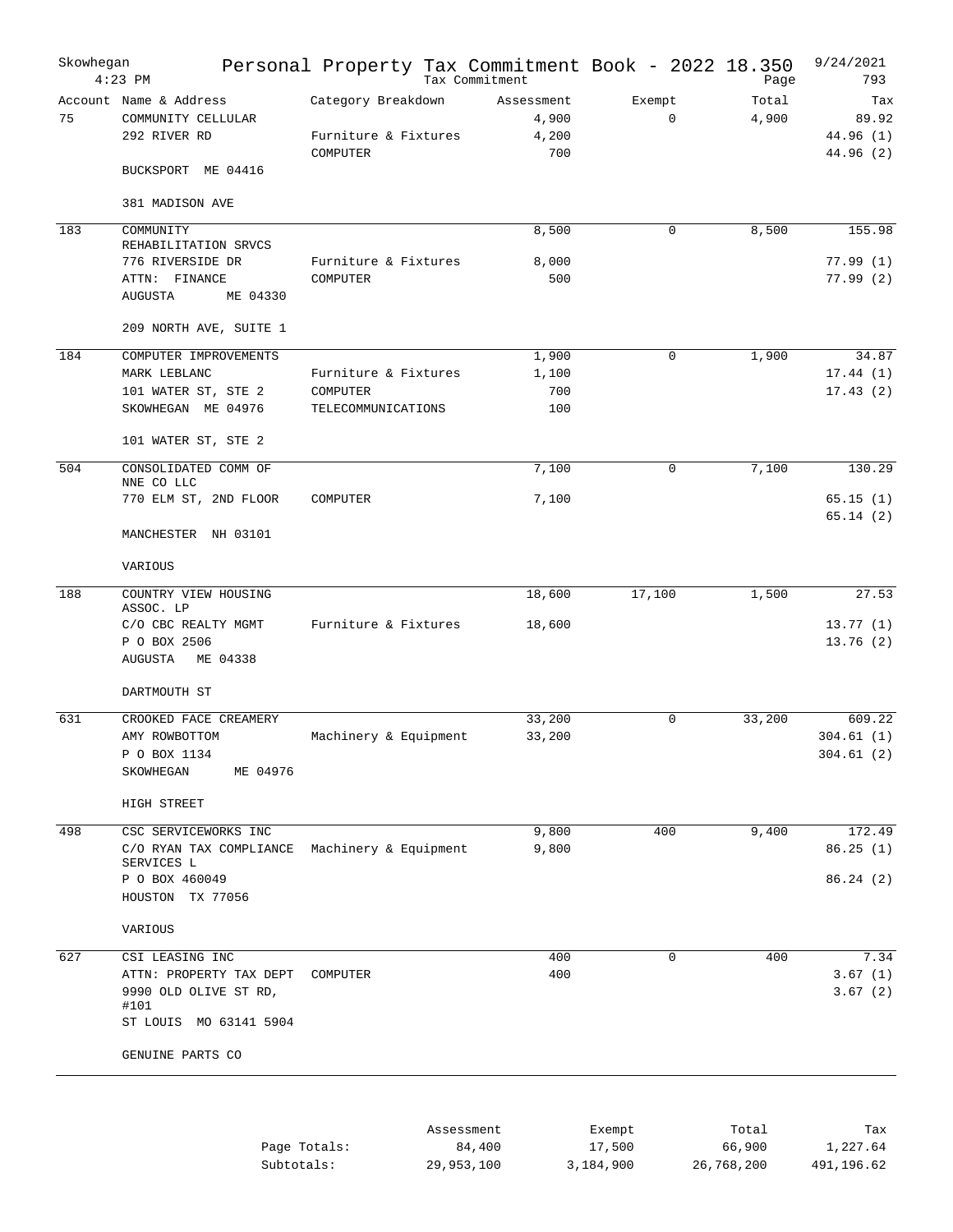| Skowhegan | $4:23$ PM                                                                                                                 | Personal Property Tax Commitment Book - 2022 18.350    | Tax Commitment                      |                       | Page            | 9/24/2021<br>793                       |
|-----------|---------------------------------------------------------------------------------------------------------------------------|--------------------------------------------------------|-------------------------------------|-----------------------|-----------------|----------------------------------------|
| 75        | Account Name & Address<br>COMMUNITY CELLULAR<br>292 RIVER RD                                                              | Category Breakdown<br>Furniture & Fixtures<br>COMPUTER | Assessment<br>4,900<br>4,200<br>700 | Exempt<br>$\mathbf 0$ | Total<br>4,900  | Tax<br>89.92<br>44.96 (1)<br>44.96 (2) |
|           | BUCKSPORT ME 04416<br>381 MADISON AVE                                                                                     |                                                        |                                     |                       |                 |                                        |
| 183       | COMMUNITY<br>REHABILITATION SRVCS<br>776 RIVERSIDE DR<br>ATTN: FINANCE<br><b>AUGUSTA</b><br>ME 04330                      | Furniture & Fixtures<br>COMPUTER                       | 8,500<br>8,000<br>500               | $\mathbf 0$           | 8,500           | 155.98<br>77.99(1)<br>77.99(2)         |
|           | 209 NORTH AVE, SUITE 1                                                                                                    |                                                        |                                     |                       |                 |                                        |
| 184       | COMPUTER IMPROVEMENTS<br>MARK LEBLANC<br>101 WATER ST, STE 2<br>SKOWHEGAN ME 04976                                        | Furniture & Fixtures<br>COMPUTER<br>TELECOMMUNICATIONS | 1,900<br>1,100<br>700<br>100        | 0                     | 1,900           | 34.87<br>17.44(1)<br>17.43(2)          |
| 504       | 101 WATER ST, STE 2<br>CONSOLIDATED COMM OF                                                                               |                                                        | 7,100                               | $\mathbf 0$           | 7,100           | 130.29                                 |
|           | NNE CO LLC<br>770 ELM ST, 2ND FLOOR<br>MANCHESTER NH 03101                                                                | COMPUTER                                               | 7,100                               |                       |                 | 65.15(1)<br>65.14(2)                   |
|           | VARIOUS                                                                                                                   |                                                        |                                     |                       |                 |                                        |
| 188       | COUNTRY VIEW HOUSING<br>ASSOC. LP<br>C/O CBC REALTY MGMT<br>P O BOX 2506<br><b>AUGUSTA</b><br>ME 04338                    | Furniture & Fixtures                                   | 18,600<br>18,600                    | 17,100                | 1,500           | 27.53<br>13.77(1)<br>13.76(2)          |
| 631       | DARTMOUTH ST<br>CROOKED FACE CREAMERY<br>AMY ROWBOTTOM<br>P O BOX 1134<br>ME 04976<br>SKOWHEGAN                           | Machinery & Equipment                                  | 33,200<br>33,200                    | $\mathbf 0$           | 33,200          | 609.22<br>304.61(1)<br>304.61(2)       |
|           | HIGH STREET                                                                                                               |                                                        |                                     |                       |                 |                                        |
| 498       | CSC SERVICEWORKS INC<br>C/O RYAN TAX COMPLIANCE<br>SERVICES L<br>P O BOX 460049<br>HOUSTON TX 77056                       | Machinery & Equipment                                  | 9,800<br>9,800                      | 400                   | 9,400           | 172.49<br>86.25(1)<br>86.24(2)         |
|           | VARIOUS                                                                                                                   |                                                        |                                     |                       |                 |                                        |
| 627       | CSI LEASING INC<br>ATTN: PROPERTY TAX DEPT<br>9990 OLD OLIVE ST RD,<br>#101<br>ST LOUIS MO 63141 5904<br>GENUINE PARTS CO | COMPUTER                                               | 400<br>400                          | $\mathbf 0$           | 400             | 7.34<br>3.67(1)<br>3.67(2)             |
|           |                                                                                                                           | Assessment<br>Page Totals:                             | 84,400                              | Exempt<br>17,500      | Total<br>66,900 | Tax<br>1,227.64                        |

|              | --------------------- |           | --------   | -------    |
|--------------|-----------------------|-----------|------------|------------|
| Page Totals: | 84,400                | 17,500    | 66,900     | 1,227.64   |
| Subtotals:   | 29,953,100            | 3,184,900 | 26,768,200 | 491,196.62 |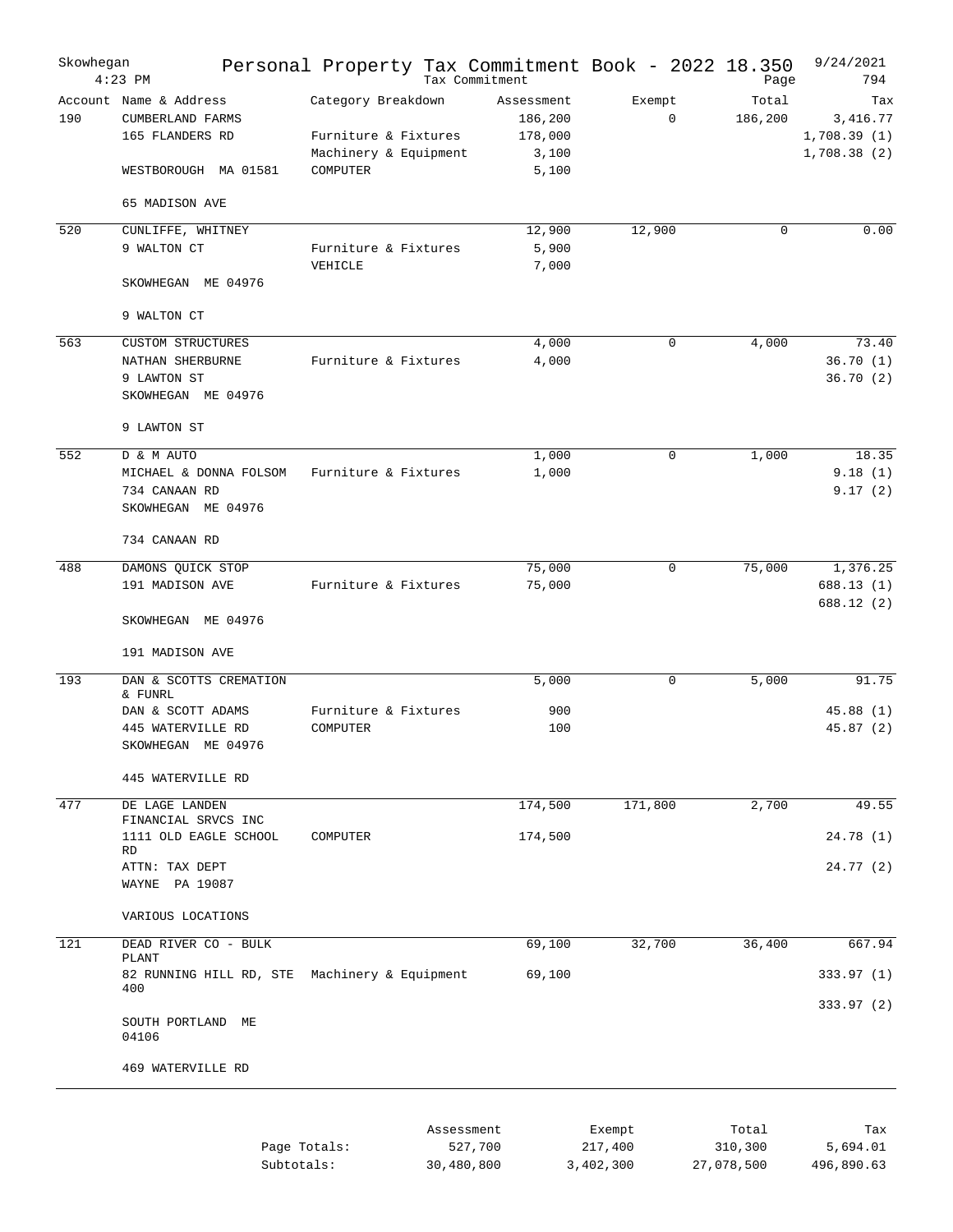| Skowhegan | $4:23$ PM                                                                             | Personal Property Tax Commitment Book - 2022 18.350                             |            | Tax Commitment                                     |                       | Page             | 9/24/2021<br>794                              |
|-----------|---------------------------------------------------------------------------------------|---------------------------------------------------------------------------------|------------|----------------------------------------------------|-----------------------|------------------|-----------------------------------------------|
| 190       | Account Name & Address<br>CUMBERLAND FARMS<br>165 FLANDERS RD<br>WESTBOROUGH MA 01581 | Category Breakdown<br>Furniture & Fixtures<br>Machinery & Equipment<br>COMPUTER |            | Assessment<br>186,200<br>178,000<br>3,100<br>5,100 | Exempt<br>$\mathbf 0$ | Total<br>186,200 | Tax<br>3,416.77<br>1,708.39(1)<br>1,708.38(2) |
|           | 65 MADISON AVE                                                                        |                                                                                 |            |                                                    |                       |                  |                                               |
| 520       | CUNLIFFE, WHITNEY                                                                     |                                                                                 |            | 12,900                                             | 12,900                | $\mathbf 0$      | 0.00                                          |
|           | 9 WALTON CT<br>SKOWHEGAN ME 04976                                                     | Furniture & Fixtures<br>VEHICLE                                                 |            | 5,900<br>7,000                                     |                       |                  |                                               |
|           | 9 WALTON CT                                                                           |                                                                                 |            |                                                    |                       |                  |                                               |
| 563       | <b>CUSTOM STRUCTURES</b>                                                              |                                                                                 |            | 4,000                                              | $\mathbf 0$           | 4,000            | 73.40                                         |
|           | NATHAN SHERBURNE<br>9 LAWTON ST<br>SKOWHEGAN ME 04976                                 | Furniture & Fixtures                                                            |            | 4,000                                              |                       |                  | 36.70(1)<br>36.70(2)                          |
|           | 9 LAWTON ST                                                                           |                                                                                 |            |                                                    |                       |                  |                                               |
| 552       | D & M AUTO                                                                            |                                                                                 |            | 1,000                                              | $\mathbf 0$           | 1,000            | 18.35                                         |
|           | MICHAEL & DONNA FOLSOM<br>734 CANAAN RD<br>SKOWHEGAN ME 04976                         | Furniture & Fixtures                                                            |            | 1,000                                              |                       |                  | 9.18(1)<br>9.17(2)                            |
|           | 734 CANAAN RD                                                                         |                                                                                 |            |                                                    |                       |                  |                                               |
| 488       | DAMONS QUICK STOP                                                                     |                                                                                 |            | 75,000                                             | $\mathbf 0$           | 75,000           | 1,376.25                                      |
|           | 191 MADISON AVE                                                                       | Furniture & Fixtures                                                            |            | 75,000                                             |                       |                  | 688.13(1)<br>688.12 (2)                       |
|           | SKOWHEGAN ME 04976                                                                    |                                                                                 |            |                                                    |                       |                  |                                               |
|           | 191 MADISON AVE                                                                       |                                                                                 |            |                                                    |                       |                  |                                               |
| 193       | DAN & SCOTTS CREMATION<br>& FUNRL                                                     |                                                                                 |            | 5,000                                              | $\mathbf 0$           | 5,000            | 91.75                                         |
|           | DAN & SCOTT ADAMS                                                                     | Furniture & Fixtures                                                            |            | 900                                                |                       |                  | 45.88(1)                                      |
|           | 445 WATERVILLE RD<br>SKOWHEGAN ME 04976                                               | COMPUTER                                                                        |            | 100                                                |                       |                  | 45.87(2)                                      |
|           | 445 WATERVILLE RD                                                                     |                                                                                 |            |                                                    |                       |                  |                                               |
| 477       | DE LAGE LANDEN<br>FINANCIAL SRVCS INC                                                 |                                                                                 |            | 174,500                                            | 171,800               | 2,700            | 49.55                                         |
|           | 1111 OLD EAGLE SCHOOL<br><b>RD</b>                                                    | COMPUTER                                                                        |            | 174,500                                            |                       |                  | 24.78(1)                                      |
|           | ATTN: TAX DEPT<br>WAYNE PA 19087                                                      |                                                                                 |            |                                                    |                       |                  | 24.77 (2)                                     |
|           | VARIOUS LOCATIONS                                                                     |                                                                                 |            |                                                    |                       |                  |                                               |
| 121       | DEAD RIVER CO - BULK<br>PLANT                                                         |                                                                                 |            | 69,100                                             | 32,700                | 36,400           | 667.94                                        |
|           | 82 RUNNING HILL RD, STE Machinery & Equipment<br>400                                  |                                                                                 |            | 69,100                                             |                       |                  | 333.97(1)                                     |
|           | SOUTH PORTLAND<br>ME<br>04106                                                         |                                                                                 |            |                                                    |                       |                  | 333.97 (2)                                    |
|           | 469 WATERVILLE RD                                                                     |                                                                                 |            |                                                    |                       |                  |                                               |
|           |                                                                                       |                                                                                 |            |                                                    |                       |                  |                                               |
|           |                                                                                       | Page Totals:                                                                    | Assessment | 527,700                                            | Exempt<br>217,400     | Total<br>310,300 | Tax<br>5,694.01                               |

30,480,800

3,402,300 27,078,500 496,890.63

Subtotals: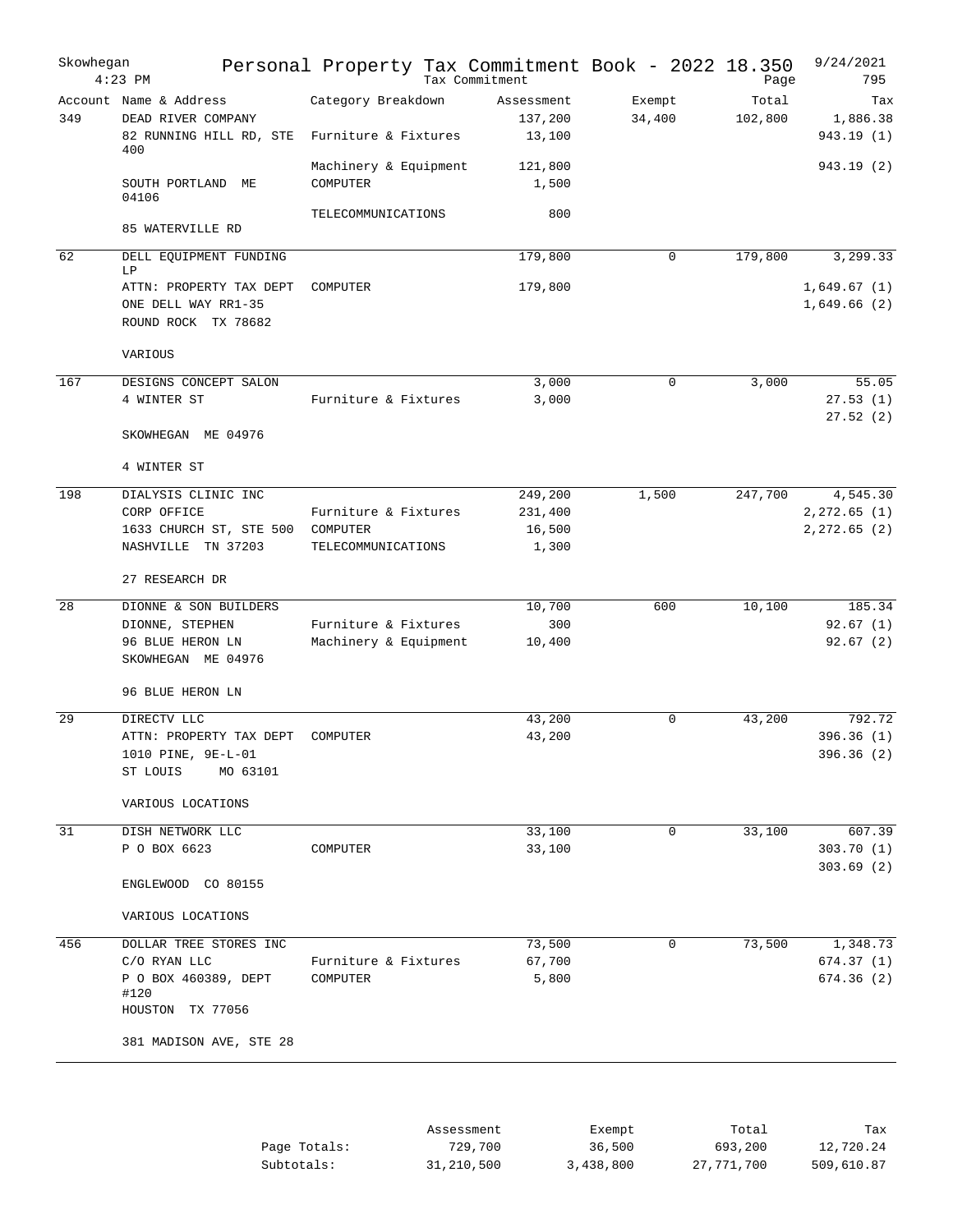| Skowhegan | $4:23$ PM                                                                                  | Personal Property Tax Commitment Book - 2022 18.350    | Tax Commitment                  |                  | Page             | 9/24/2021<br>795                     |
|-----------|--------------------------------------------------------------------------------------------|--------------------------------------------------------|---------------------------------|------------------|------------------|--------------------------------------|
| 349       | Account Name & Address<br>DEAD RIVER COMPANY<br>82 RUNNING HILL RD, STE<br>400             | Category Breakdown<br>Furniture & Fixtures             | Assessment<br>137,200<br>13,100 | Exempt<br>34,400 | Total<br>102,800 | Tax<br>1,886.38<br>943.19 (1)        |
|           | SOUTH PORTLAND ME<br>04106                                                                 | Machinery & Equipment<br>COMPUTER                      | 121,800<br>1,500                |                  |                  | 943.19(2)                            |
|           | 85 WATERVILLE RD                                                                           | TELECOMMUNICATIONS                                     | 800                             |                  |                  |                                      |
| 62        | DELL EQUIPMENT FUNDING<br>LP                                                               |                                                        | 179,800                         | $\mathbf 0$      | 179,800          | 3,299.33                             |
|           | ATTN: PROPERTY TAX DEPT<br>ONE DELL WAY RR1-35<br>ROUND ROCK TX 78682                      | COMPUTER                                               | 179,800                         |                  |                  | 1,649.67(1)<br>1,649.66(2)           |
|           | VARIOUS                                                                                    |                                                        |                                 |                  |                  |                                      |
| 167       | DESIGNS CONCEPT SALON<br>4 WINTER ST                                                       | Furniture & Fixtures                                   | 3,000<br>3,000                  | $\Omega$         | 3,000            | 55.05<br>27.53(1)<br>27.52(2)        |
|           | SKOWHEGAN ME 04976<br>4 WINTER ST                                                          |                                                        |                                 |                  |                  |                                      |
| 198       | DIALYSIS CLINIC INC                                                                        |                                                        | 249,200                         | 1,500            | 247,700          | 4,545.30                             |
|           | CORP OFFICE<br>1633 CHURCH ST, STE 500<br>NASHVILLE TN 37203                               | Furniture & Fixtures<br>COMPUTER<br>TELECOMMUNICATIONS | 231,400<br>16,500<br>1,300      |                  |                  | $2, 272.65$ (1)<br>2, 272.65 (2)     |
|           | 27 RESEARCH DR                                                                             |                                                        |                                 |                  |                  |                                      |
| 28        | DIONNE & SON BUILDERS                                                                      |                                                        | 10,700                          | 600              | 10,100           | 185.34                               |
|           | DIONNE, STEPHEN<br>96 BLUE HERON LN<br>SKOWHEGAN ME 04976                                  | Furniture & Fixtures<br>Machinery & Equipment          | 300<br>10,400                   |                  |                  | 92.67(1)<br>92.67(2)                 |
|           | 96 BLUE HERON LN                                                                           |                                                        |                                 |                  |                  |                                      |
| 29        | DIRECTV LLC<br>ATTN: PROPERTY TAX DEPT<br>1010 PINE, 9E-L-01<br>ST LOUIS<br>MO 63101       | COMPUTER                                               | 43,200<br>43,200                | $\Omega$         | 43,200           | 792.72<br>396.36(1)<br>396.36 (2)    |
|           | VARIOUS LOCATIONS                                                                          |                                                        |                                 |                  |                  |                                      |
| 31        | DISH NETWORK LLC<br>P O BOX 6623                                                           | COMPUTER                                               | 33,100<br>33,100                | 0                | 33,100           | 607.39<br>303.70 (1)<br>303.69(2)    |
|           | ENGLEWOOD CO 80155                                                                         |                                                        |                                 |                  |                  |                                      |
|           | VARIOUS LOCATIONS                                                                          |                                                        |                                 |                  |                  |                                      |
| 456       | DOLLAR TREE STORES INC<br>C/O RYAN LLC<br>P O BOX 460389, DEPT<br>#120<br>HOUSTON TX 77056 | Furniture & Fixtures<br>COMPUTER                       | 73,500<br>67,700<br>5,800       | 0                | 73,500           | 1,348.73<br>674.37 (1)<br>674.36 (2) |
|           | 381 MADISON AVE, STE 28                                                                    |                                                        |                                 |                  |                  |                                      |
|           |                                                                                            |                                                        |                                 |                  |                  |                                      |

|              | Assessment | Exempt    | Total      | Tax        |
|--------------|------------|-----------|------------|------------|
| Page Totals: | 729,700    | 36,500    | 693,200    | 12,720.24  |
| Subtotals:   | 31,210,500 | 3,438,800 | 27,771,700 | 509,610.87 |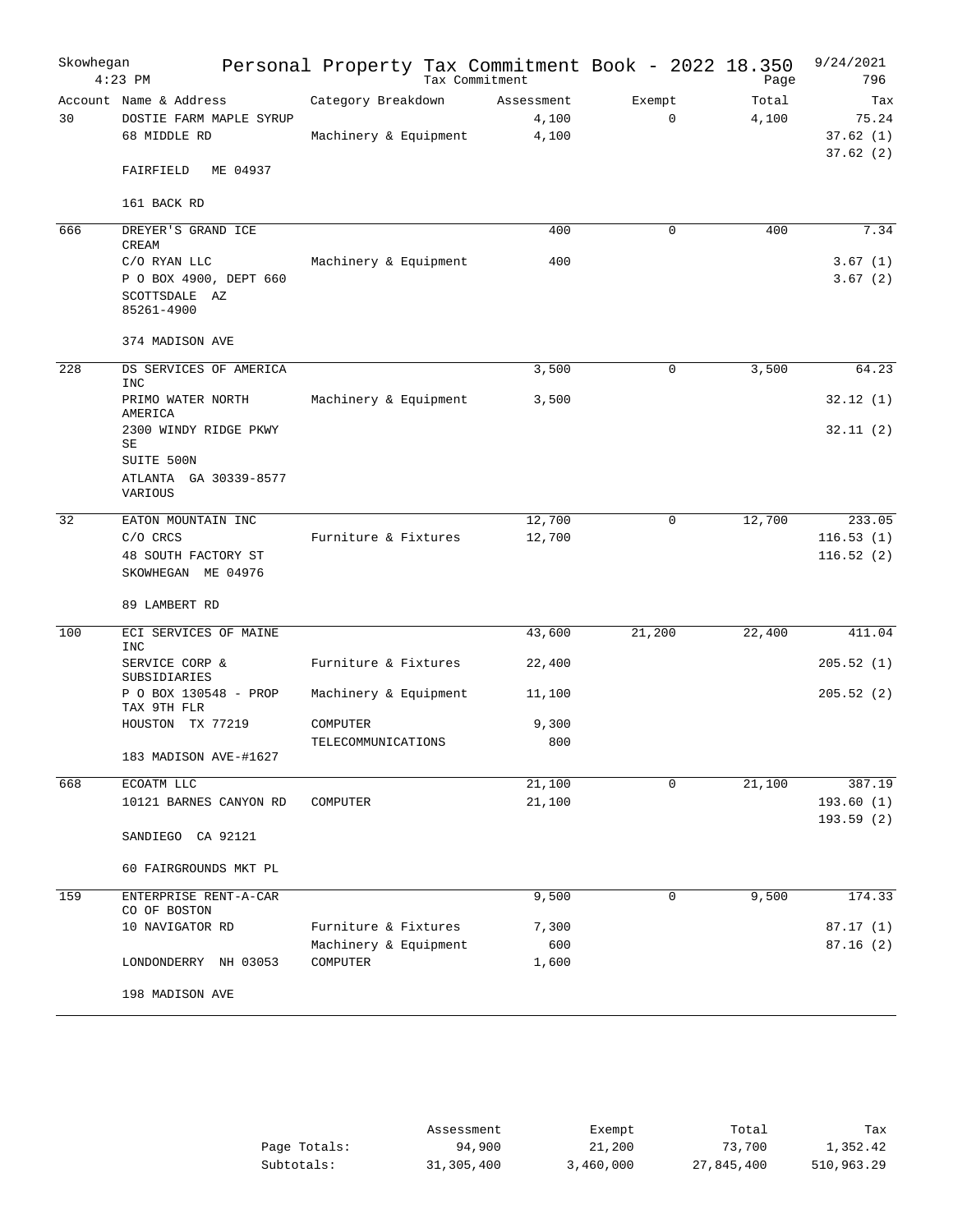| Skowhegan | $4:23$ PM                                                             |                                             | Tax Commitment |                              | Personal Property Tax Commitment Book - 2022 18.350 | Page           | 9/24/2021<br>796                     |
|-----------|-----------------------------------------------------------------------|---------------------------------------------|----------------|------------------------------|-----------------------------------------------------|----------------|--------------------------------------|
| 30        | Account Name & Address<br>DOSTIE FARM MAPLE SYRUP<br>68 MIDDLE RD     | Category Breakdown<br>Machinery & Equipment |                | Assessment<br>4,100<br>4,100 | Exempt<br>$\mathbf 0$                               | Total<br>4,100 | Tax<br>75.24<br>37.62(1)<br>37.62(2) |
|           | ME 04937<br>FAIRFIELD                                                 |                                             |                |                              |                                                     |                |                                      |
|           | 161 BACK RD                                                           |                                             |                |                              |                                                     |                |                                      |
| 666       | DREYER'S GRAND ICE<br>CREAM                                           |                                             |                | 400                          | 0                                                   | 400            | 7.34                                 |
|           | C/O RYAN LLC<br>P O BOX 4900, DEPT 660<br>SCOTTSDALE AZ<br>85261-4900 | Machinery & Equipment                       |                | 400                          |                                                     |                | 3.67(1)<br>3.67(2)                   |
|           | 374 MADISON AVE                                                       |                                             |                |                              |                                                     |                |                                      |
| 228       | DS SERVICES OF AMERICA<br><b>INC</b>                                  |                                             |                | 3,500                        | $\mathbf 0$                                         | 3,500          | 64.23                                |
|           | PRIMO WATER NORTH<br>AMERICA                                          | Machinery & Equipment                       |                | 3,500                        |                                                     |                | 32.12(1)                             |
|           | 2300 WINDY RIDGE PKWY<br>SE                                           |                                             |                |                              |                                                     |                | 32.11(2)                             |
|           | SUITE 500N<br>ATLANTA GA 30339-8577<br>VARIOUS                        |                                             |                |                              |                                                     |                |                                      |
| 32        | EATON MOUNTAIN INC                                                    |                                             |                | 12,700                       | $\mathbf 0$                                         | 12,700         | 233.05                               |
|           | C/O CRCS<br>48 SOUTH FACTORY ST<br>SKOWHEGAN ME 04976                 | Furniture & Fixtures                        |                | 12,700                       |                                                     |                | 116.53(1)<br>116.52(2)               |
|           | 89 LAMBERT RD                                                         |                                             |                |                              |                                                     |                |                                      |
| 100       | ECI SERVICES OF MAINE<br><b>INC</b>                                   |                                             |                | 43,600                       | 21,200                                              | 22,400         | 411.04                               |
|           | SERVICE CORP &<br>SUBSIDIARIES                                        | Furniture & Fixtures                        |                | 22,400                       |                                                     |                | 205.52(1)                            |
|           | P O BOX 130548 - PROP<br>TAX 9TH FLR                                  | Machinery & Equipment                       |                | 11,100                       |                                                     |                | 205.52(2)                            |
|           | HOUSTON TX 77219                                                      | COMPUTER                                    |                | 9,300                        |                                                     |                |                                      |
|           | 183 MADISON AVE-#1627                                                 | TELECOMMUNICATIONS                          |                | 800                          |                                                     |                |                                      |
| 668       | ECOATM LLC                                                            |                                             |                | 21,100                       | $\mathbf 0$                                         | 21,100         |                                      |
|           | 10121 BARNES CANYON RD                                                | COMPUTER                                    |                | 21,100                       |                                                     |                | 387.19<br>193.60(1)<br>193.59(2)     |
|           | CA 92121<br>SANDIEGO                                                  |                                             |                |                              |                                                     |                |                                      |
|           | 60 FAIRGROUNDS MKT PL                                                 |                                             |                |                              |                                                     |                |                                      |
| 159       | ENTERPRISE RENT-A-CAR<br>CO OF BOSTON                                 |                                             |                | 9,500                        | 0                                                   | 9,500          | 174.33                               |
|           | 10 NAVIGATOR RD                                                       | Furniture & Fixtures                        |                | 7,300                        |                                                     |                | 87.17(1)                             |
|           |                                                                       | Machinery & Equipment                       |                | 600                          |                                                     |                | 87.16(2)                             |
|           | LONDONDERRY NH 03053                                                  | COMPUTER                                    |                | 1,600                        |                                                     |                |                                      |
|           | 198 MADISON AVE                                                       |                                             |                |                              |                                                     |                |                                      |

|              | Assessment | Exempt    | Total      | Tax        |
|--------------|------------|-----------|------------|------------|
| Page Totals: | 94,900     | 21,200    | 73,700     | 1,352.42   |
| Subtotals:   | 31,305,400 | 3,460,000 | 27,845,400 | 510,963.29 |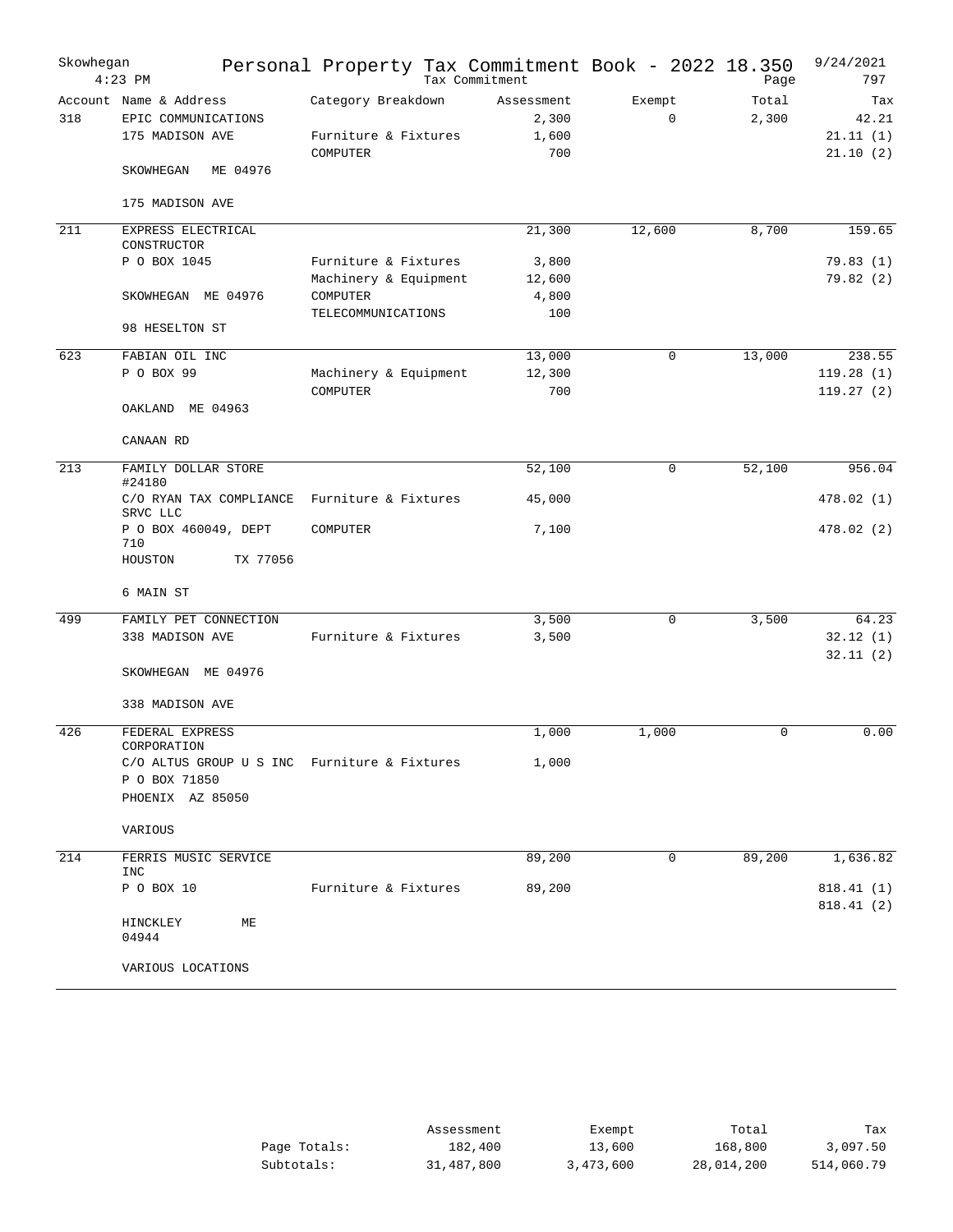| Account Name & Address<br>Category Breakdown<br>Exempt<br>Total<br>Assessment<br>Tax<br>318<br>2,300<br>$\mathbf 0$<br>2,300<br>42.21<br>EPIC COMMUNICATIONS<br>Furniture & Fixtures<br>1,600<br>21.11(1)<br>175 MADISON AVE<br>COMPUTER<br>700<br>21.10(2)<br>ME 04976<br>SKOWHEGAN<br>175 MADISON AVE<br>211<br>8,700<br>EXPRESS ELECTRICAL<br>21,300<br>12,600<br>159.65<br>CONSTRUCTOR<br>P O BOX 1045<br>Furniture & Fixtures<br>79.83(1)<br>3,800<br>Machinery & Equipment<br>79.82(2)<br>12,600<br>SKOWHEGAN ME 04976<br>COMPUTER<br>4,800<br>TELECOMMUNICATIONS<br>100<br>98 HESELTON ST<br>623<br>FABIAN OIL INC<br>13,000<br>13,000<br>238.55<br>0<br>P O BOX 99<br>Machinery & Equipment<br>119.28(1)<br>12,300<br>700<br>119.27(2)<br>COMPUTER<br>OAKLAND ME 04963<br>CANAAN RD<br>213<br>FAMILY DOLLAR STORE<br>52,100<br>$\mathbf 0$<br>52,100<br>956.04<br>#24180<br>C/O RYAN TAX COMPLIANCE<br>Furniture & Fixtures<br>45,000<br>478.02(1)<br>SRVC LLC<br>P O BOX 460049, DEPT<br>7,100<br>478.02(2)<br>COMPUTER<br>710<br>HOUSTON<br>TX 77056<br>6 MAIN ST<br>499<br>FAMILY PET CONNECTION<br>3,500<br>3,500<br>0<br>64.23<br>32.12(1)<br>338 MADISON AVE<br>Furniture & Fixtures<br>3,500<br>32.11(2)<br>SKOWHEGAN ME 04976<br>338 MADISON AVE<br>426<br>FEDERAL EXPRESS<br>0.00<br>1,000<br>1,000<br>$\Omega$<br>CORPORATION<br>1,000<br>C/O ALTUS GROUP U S INC Furniture & Fixtures<br>P O BOX 71850<br>PHOENIX AZ 85050<br>VARIOUS<br>214<br>89,200<br>89,200<br>1,636.82<br>FERRIS MUSIC SERVICE<br>0<br>INC<br>P O BOX 10<br>Furniture & Fixtures<br>89,200<br>818.41(1)<br>818.41 (2)<br>HINCKLEY<br>МE<br>04944<br>VARIOUS LOCATIONS | Skowhegan | $4:23$ PM | Personal Property Tax Commitment Book - 2022 18.350 | Tax Commitment |  | Page | 9/24/2021<br>797 |
|----------------------------------------------------------------------------------------------------------------------------------------------------------------------------------------------------------------------------------------------------------------------------------------------------------------------------------------------------------------------------------------------------------------------------------------------------------------------------------------------------------------------------------------------------------------------------------------------------------------------------------------------------------------------------------------------------------------------------------------------------------------------------------------------------------------------------------------------------------------------------------------------------------------------------------------------------------------------------------------------------------------------------------------------------------------------------------------------------------------------------------------------------------------------------------------------------------------------------------------------------------------------------------------------------------------------------------------------------------------------------------------------------------------------------------------------------------------------------------------------------------------------------------------------------------------------------------------------------------------------------------------------------------------|-----------|-----------|-----------------------------------------------------|----------------|--|------|------------------|
|                                                                                                                                                                                                                                                                                                                                                                                                                                                                                                                                                                                                                                                                                                                                                                                                                                                                                                                                                                                                                                                                                                                                                                                                                                                                                                                                                                                                                                                                                                                                                                                                                                                                |           |           |                                                     |                |  |      |                  |
|                                                                                                                                                                                                                                                                                                                                                                                                                                                                                                                                                                                                                                                                                                                                                                                                                                                                                                                                                                                                                                                                                                                                                                                                                                                                                                                                                                                                                                                                                                                                                                                                                                                                |           |           |                                                     |                |  |      |                  |
|                                                                                                                                                                                                                                                                                                                                                                                                                                                                                                                                                                                                                                                                                                                                                                                                                                                                                                                                                                                                                                                                                                                                                                                                                                                                                                                                                                                                                                                                                                                                                                                                                                                                |           |           |                                                     |                |  |      |                  |
|                                                                                                                                                                                                                                                                                                                                                                                                                                                                                                                                                                                                                                                                                                                                                                                                                                                                                                                                                                                                                                                                                                                                                                                                                                                                                                                                                                                                                                                                                                                                                                                                                                                                |           |           |                                                     |                |  |      |                  |
|                                                                                                                                                                                                                                                                                                                                                                                                                                                                                                                                                                                                                                                                                                                                                                                                                                                                                                                                                                                                                                                                                                                                                                                                                                                                                                                                                                                                                                                                                                                                                                                                                                                                |           |           |                                                     |                |  |      |                  |
|                                                                                                                                                                                                                                                                                                                                                                                                                                                                                                                                                                                                                                                                                                                                                                                                                                                                                                                                                                                                                                                                                                                                                                                                                                                                                                                                                                                                                                                                                                                                                                                                                                                                |           |           |                                                     |                |  |      |                  |
|                                                                                                                                                                                                                                                                                                                                                                                                                                                                                                                                                                                                                                                                                                                                                                                                                                                                                                                                                                                                                                                                                                                                                                                                                                                                                                                                                                                                                                                                                                                                                                                                                                                                |           |           |                                                     |                |  |      |                  |
|                                                                                                                                                                                                                                                                                                                                                                                                                                                                                                                                                                                                                                                                                                                                                                                                                                                                                                                                                                                                                                                                                                                                                                                                                                                                                                                                                                                                                                                                                                                                                                                                                                                                |           |           |                                                     |                |  |      |                  |
|                                                                                                                                                                                                                                                                                                                                                                                                                                                                                                                                                                                                                                                                                                                                                                                                                                                                                                                                                                                                                                                                                                                                                                                                                                                                                                                                                                                                                                                                                                                                                                                                                                                                |           |           |                                                     |                |  |      |                  |
|                                                                                                                                                                                                                                                                                                                                                                                                                                                                                                                                                                                                                                                                                                                                                                                                                                                                                                                                                                                                                                                                                                                                                                                                                                                                                                                                                                                                                                                                                                                                                                                                                                                                |           |           |                                                     |                |  |      |                  |
|                                                                                                                                                                                                                                                                                                                                                                                                                                                                                                                                                                                                                                                                                                                                                                                                                                                                                                                                                                                                                                                                                                                                                                                                                                                                                                                                                                                                                                                                                                                                                                                                                                                                |           |           |                                                     |                |  |      |                  |
|                                                                                                                                                                                                                                                                                                                                                                                                                                                                                                                                                                                                                                                                                                                                                                                                                                                                                                                                                                                                                                                                                                                                                                                                                                                                                                                                                                                                                                                                                                                                                                                                                                                                |           |           |                                                     |                |  |      |                  |
|                                                                                                                                                                                                                                                                                                                                                                                                                                                                                                                                                                                                                                                                                                                                                                                                                                                                                                                                                                                                                                                                                                                                                                                                                                                                                                                                                                                                                                                                                                                                                                                                                                                                |           |           |                                                     |                |  |      |                  |
|                                                                                                                                                                                                                                                                                                                                                                                                                                                                                                                                                                                                                                                                                                                                                                                                                                                                                                                                                                                                                                                                                                                                                                                                                                                                                                                                                                                                                                                                                                                                                                                                                                                                |           |           |                                                     |                |  |      |                  |
|                                                                                                                                                                                                                                                                                                                                                                                                                                                                                                                                                                                                                                                                                                                                                                                                                                                                                                                                                                                                                                                                                                                                                                                                                                                                                                                                                                                                                                                                                                                                                                                                                                                                |           |           |                                                     |                |  |      |                  |
|                                                                                                                                                                                                                                                                                                                                                                                                                                                                                                                                                                                                                                                                                                                                                                                                                                                                                                                                                                                                                                                                                                                                                                                                                                                                                                                                                                                                                                                                                                                                                                                                                                                                |           |           |                                                     |                |  |      |                  |
|                                                                                                                                                                                                                                                                                                                                                                                                                                                                                                                                                                                                                                                                                                                                                                                                                                                                                                                                                                                                                                                                                                                                                                                                                                                                                                                                                                                                                                                                                                                                                                                                                                                                |           |           |                                                     |                |  |      |                  |
|                                                                                                                                                                                                                                                                                                                                                                                                                                                                                                                                                                                                                                                                                                                                                                                                                                                                                                                                                                                                                                                                                                                                                                                                                                                                                                                                                                                                                                                                                                                                                                                                                                                                |           |           |                                                     |                |  |      |                  |
|                                                                                                                                                                                                                                                                                                                                                                                                                                                                                                                                                                                                                                                                                                                                                                                                                                                                                                                                                                                                                                                                                                                                                                                                                                                                                                                                                                                                                                                                                                                                                                                                                                                                |           |           |                                                     |                |  |      |                  |
|                                                                                                                                                                                                                                                                                                                                                                                                                                                                                                                                                                                                                                                                                                                                                                                                                                                                                                                                                                                                                                                                                                                                                                                                                                                                                                                                                                                                                                                                                                                                                                                                                                                                |           |           |                                                     |                |  |      |                  |
|                                                                                                                                                                                                                                                                                                                                                                                                                                                                                                                                                                                                                                                                                                                                                                                                                                                                                                                                                                                                                                                                                                                                                                                                                                                                                                                                                                                                                                                                                                                                                                                                                                                                |           |           |                                                     |                |  |      |                  |

|              | Assessment | Exempt    | Total      | Tax        |
|--------------|------------|-----------|------------|------------|
| Page Totals: | 182,400    | 13,600    | 168,800    | 3,097.50   |
| Subtotals:   | 31,487,800 | 3,473,600 | 28,014,200 | 514,060.79 |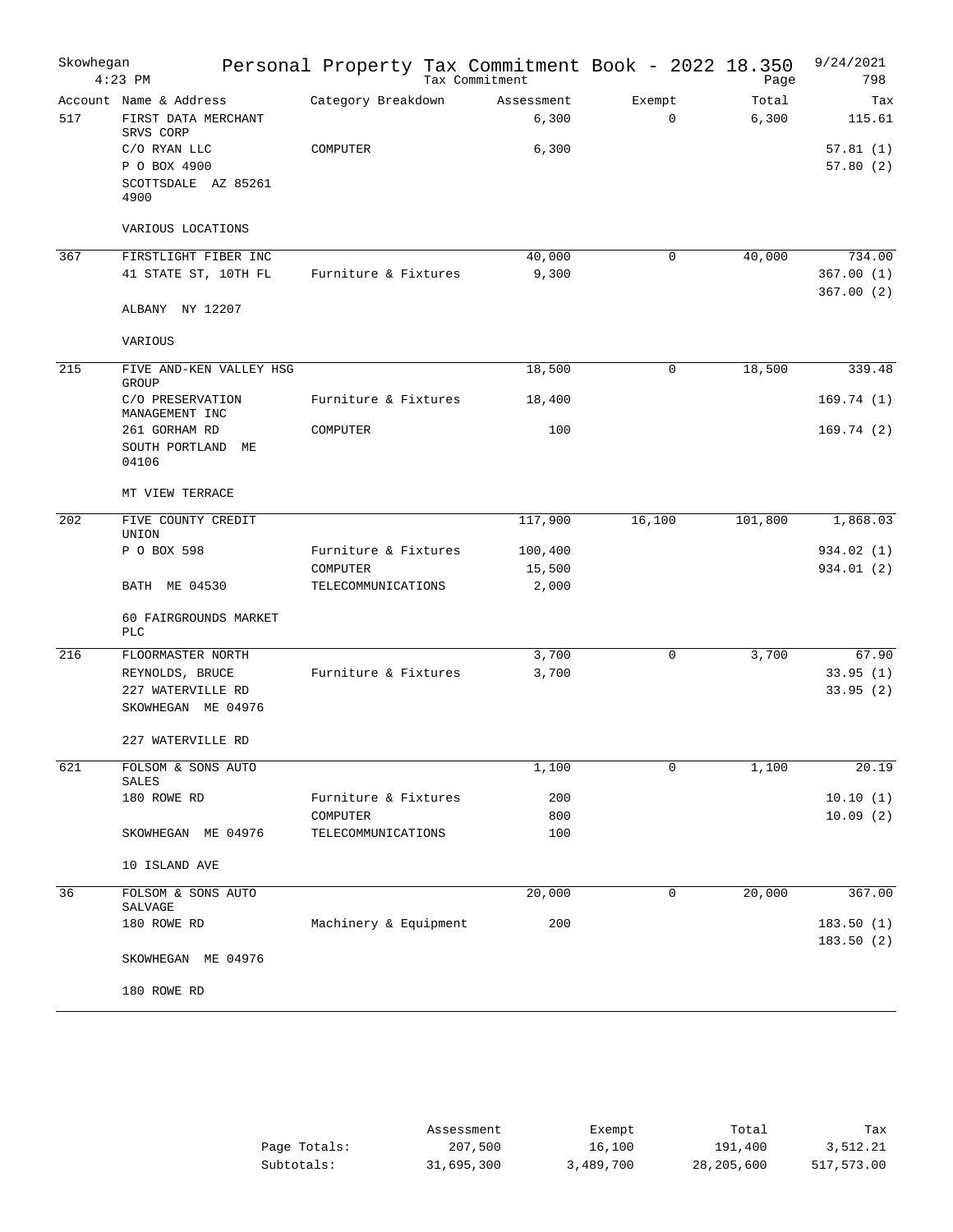| Skowhegan | $4:23$ PM                                                  | Personal Property Tax Commitment Book - 2022 18.350 | Tax Commitment |                     |                       | Page           | 9/24/2021<br>798         |
|-----------|------------------------------------------------------------|-----------------------------------------------------|----------------|---------------------|-----------------------|----------------|--------------------------|
| 517       | Account Name & Address<br>FIRST DATA MERCHANT<br>SRVS CORP | Category Breakdown                                  |                | Assessment<br>6,300 | Exempt<br>$\mathbf 0$ | Total<br>6,300 | Tax<br>115.61            |
|           | C/O RYAN LLC<br>P O BOX 4900                               | COMPUTER                                            |                | 6,300               |                       |                | 57.81(1)<br>57.80(2)     |
|           | SCOTTSDALE AZ 85261<br>4900                                |                                                     |                |                     |                       |                |                          |
|           | VARIOUS LOCATIONS                                          |                                                     |                |                     |                       |                |                          |
| 367       | FIRSTLIGHT FIBER INC                                       |                                                     |                | 40,000              | 0                     | 40,000         | 734.00                   |
|           | 41 STATE ST, 10TH FL                                       | Furniture & Fixtures                                |                | 9,300               |                       |                | 367.00(1)<br>367.00(2)   |
|           | ALBANY NY 12207                                            |                                                     |                |                     |                       |                |                          |
|           | VARIOUS                                                    |                                                     |                |                     |                       |                |                          |
| 215       | FIVE AND-KEN VALLEY HSG<br>GROUP                           |                                                     |                | 18,500              | 0                     | 18,500         | 339.48                   |
|           | C/O PRESERVATION<br>MANAGEMENT INC                         | Furniture & Fixtures                                |                | 18,400              |                       |                | 169.74(1)                |
|           | 261 GORHAM RD                                              | COMPUTER                                            |                | 100                 |                       |                | 169.74(2)                |
|           | SOUTH PORTLAND<br>МE<br>04106                              |                                                     |                |                     |                       |                |                          |
|           | MT VIEW TERRACE                                            |                                                     |                |                     |                       |                |                          |
| 202       | FIVE COUNTY CREDIT<br>UNION                                |                                                     |                | 117,900             | 16,100                | 101,800        | 1,868.03                 |
|           | P O BOX 598                                                | Furniture & Fixtures<br>COMPUTER                    |                | 100,400<br>15,500   |                       |                | 934.02 (1)<br>934.01 (2) |
|           | BATH ME 04530                                              | TELECOMMUNICATIONS                                  |                | 2,000               |                       |                |                          |
|           | 60 FAIRGROUNDS MARKET<br><b>PLC</b>                        |                                                     |                |                     |                       |                |                          |
| 216       | FLOORMASTER NORTH                                          |                                                     |                | 3,700               | 0                     | 3,700          | 67.90                    |
|           | REYNOLDS, BRUCE                                            | Furniture & Fixtures                                |                | 3,700               |                       |                | 33.95(1)                 |
|           | 227 WATERVILLE RD<br>SKOWHEGAN ME 04976                    |                                                     |                |                     |                       |                | 33.95(2)                 |
|           | 227 WATERVILLE RD                                          |                                                     |                |                     |                       |                |                          |
| 621       | FOLSOM & SONS AUTO<br>SALES                                |                                                     |                | 1,100               | 0                     | 1,100          | 20.19                    |
|           | 180 ROWE RD                                                | Furniture & Fixtures                                |                | 200                 |                       |                | 10.10(1)                 |
|           | SKOWHEGAN ME 04976                                         | COMPUTER<br>TELECOMMUNICATIONS                      |                | 800<br>100          |                       |                | 10.09(2)                 |
|           | 10 ISLAND AVE                                              |                                                     |                |                     |                       |                |                          |
| 36        | FOLSOM & SONS AUTO                                         |                                                     |                | 20,000              | 0                     | 20,000         | 367.00                   |
|           | SALVAGE<br>180 ROWE RD                                     | Machinery & Equipment                               |                | 200                 |                       |                | 183.50(1)                |
|           | SKOWHEGAN ME 04976                                         |                                                     |                |                     |                       |                | 183.50(2)                |
|           | 180 ROWE RD                                                |                                                     |                |                     |                       |                |                          |

|              | Assessment | Exempt    | Total      | Tax        |
|--------------|------------|-----------|------------|------------|
| Page Totals: | 207,500    | 16,100    | 191,400    | 3,512.21   |
| Subtotals:   | 31,695,300 | 3,489,700 | 28,205,600 | 517,573.00 |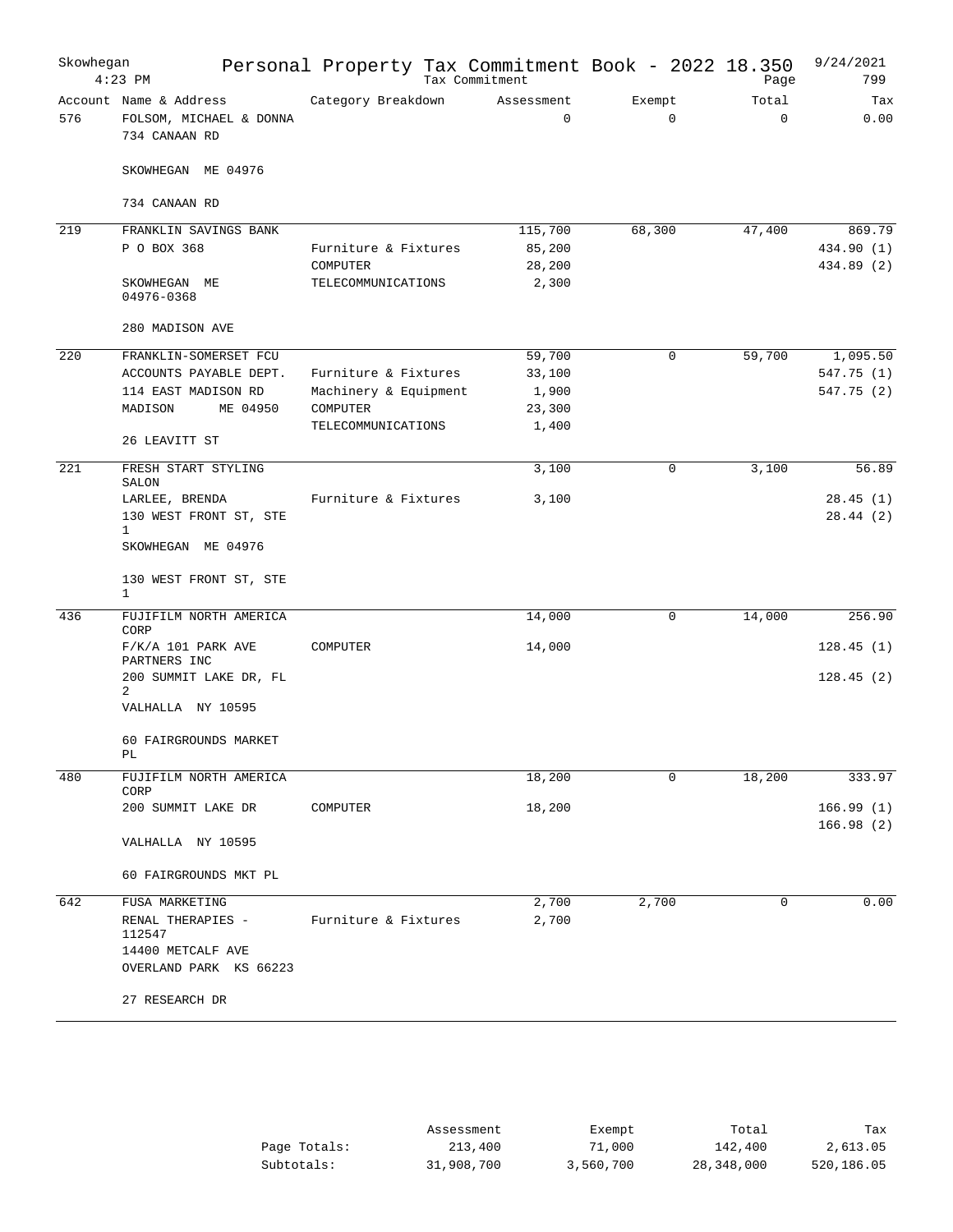| Skowhegan | $4:23$ PM                                                          | Personal Property Tax Commitment Book - 2022 18.350<br>Tax Commitment |                           |                       | Page                 | 9/24/2021<br>799       |
|-----------|--------------------------------------------------------------------|-----------------------------------------------------------------------|---------------------------|-----------------------|----------------------|------------------------|
| 576       | Account Name & Address<br>FOLSOM, MICHAEL & DONNA<br>734 CANAAN RD | Category Breakdown                                                    | Assessment<br>$\mathbf 0$ | Exempt<br>$\mathbf 0$ | Total<br>$\mathbf 0$ | Tax<br>0.00            |
|           | SKOWHEGAN ME 04976                                                 |                                                                       |                           |                       |                      |                        |
|           | 734 CANAAN RD                                                      |                                                                       |                           |                       |                      |                        |
| 219       | FRANKLIN SAVINGS BANK                                              |                                                                       | 115,700                   | 68,300                | 47,400               | 869.79                 |
|           | P O BOX 368                                                        | Furniture & Fixtures                                                  | 85,200                    |                       |                      | 434.90 (1)             |
|           |                                                                    | COMPUTER                                                              | 28,200                    |                       |                      | 434.89 (2)             |
|           | SKOWHEGAN ME<br>04976-0368                                         | TELECOMMUNICATIONS                                                    | 2,300                     |                       |                      |                        |
|           | 280 MADISON AVE                                                    |                                                                       |                           |                       |                      |                        |
| 220       | FRANKLIN-SOMERSET FCU                                              |                                                                       | 59,700                    | $\mathbf 0$           | 59,700               | 1,095.50               |
|           | ACCOUNTS PAYABLE DEPT.                                             | Furniture & Fixtures                                                  | 33,100                    |                       |                      | 547.75 (1)             |
|           | 114 EAST MADISON RD                                                | Machinery & Equipment                                                 | 1,900                     |                       |                      | 547.75(2)              |
|           | MADISON<br>ME 04950                                                | COMPUTER                                                              | 23,300                    |                       |                      |                        |
|           | 26 LEAVITT ST                                                      | TELECOMMUNICATIONS                                                    | 1,400                     |                       |                      |                        |
| 221       | FRESH START STYLING<br>SALON                                       |                                                                       | 3,100                     | $\mathbf 0$           | 3,100                | 56.89                  |
|           | LARLEE, BRENDA                                                     | Furniture & Fixtures                                                  | 3,100                     |                       |                      | 28.45(1)               |
|           | 130 WEST FRONT ST, STE                                             |                                                                       |                           |                       |                      | 28.44(2)               |
|           | $\mathbf{1}$                                                       |                                                                       |                           |                       |                      |                        |
|           | SKOWHEGAN ME 04976                                                 |                                                                       |                           |                       |                      |                        |
|           | 130 WEST FRONT ST, STE<br>$\mathbf{1}$                             |                                                                       |                           |                       |                      |                        |
| 436       | FUJIFILM NORTH AMERICA<br>CORP                                     |                                                                       | 14,000                    | 0                     | 14,000               | 256.90                 |
|           | $F/K/A$ 101 PARK AVE<br>PARTNERS INC                               | COMPUTER                                                              | 14,000                    |                       |                      | 128.45(1)              |
|           | 200 SUMMIT LAKE DR, FL<br>2                                        |                                                                       |                           |                       |                      | 128.45(2)              |
|           | VALHALLA NY 10595                                                  |                                                                       |                           |                       |                      |                        |
|           | 60 FAIRGROUNDS MARKET<br>PL                                        |                                                                       |                           |                       |                      |                        |
| 480       | FUJIFILM NORTH AMERICA<br>CORP                                     |                                                                       | 18,200                    | $\mathbf 0$           | 18,200               | 333.97                 |
|           | 200 SUMMIT LAKE DR                                                 | COMPUTER                                                              | 18,200                    |                       |                      | 166.99(1)<br>166.98(2) |
|           | VALHALLA NY 10595                                                  |                                                                       |                           |                       |                      |                        |
|           | 60 FAIRGROUNDS MKT PL                                              |                                                                       |                           |                       |                      |                        |
| 642       | FUSA MARKETING                                                     |                                                                       | 2,700                     | 2,700                 | 0                    | 0.00                   |
|           | RENAL THERAPIES -                                                  | Furniture & Fixtures                                                  | 2,700                     |                       |                      |                        |
|           | 112547                                                             |                                                                       |                           |                       |                      |                        |
|           | 14400 METCALF AVE<br>OVERLAND PARK KS 66223                        |                                                                       |                           |                       |                      |                        |
|           | 27 RESEARCH DR                                                     |                                                                       |                           |                       |                      |                        |

|              | Assessment | Exempt    | Total      | Tax        |
|--------------|------------|-----------|------------|------------|
| Page Totals: | 213,400    | 71,000    | 142,400    | 2,613.05   |
| Subtotals:   | 31,908,700 | 3,560,700 | 28,348,000 | 520,186.05 |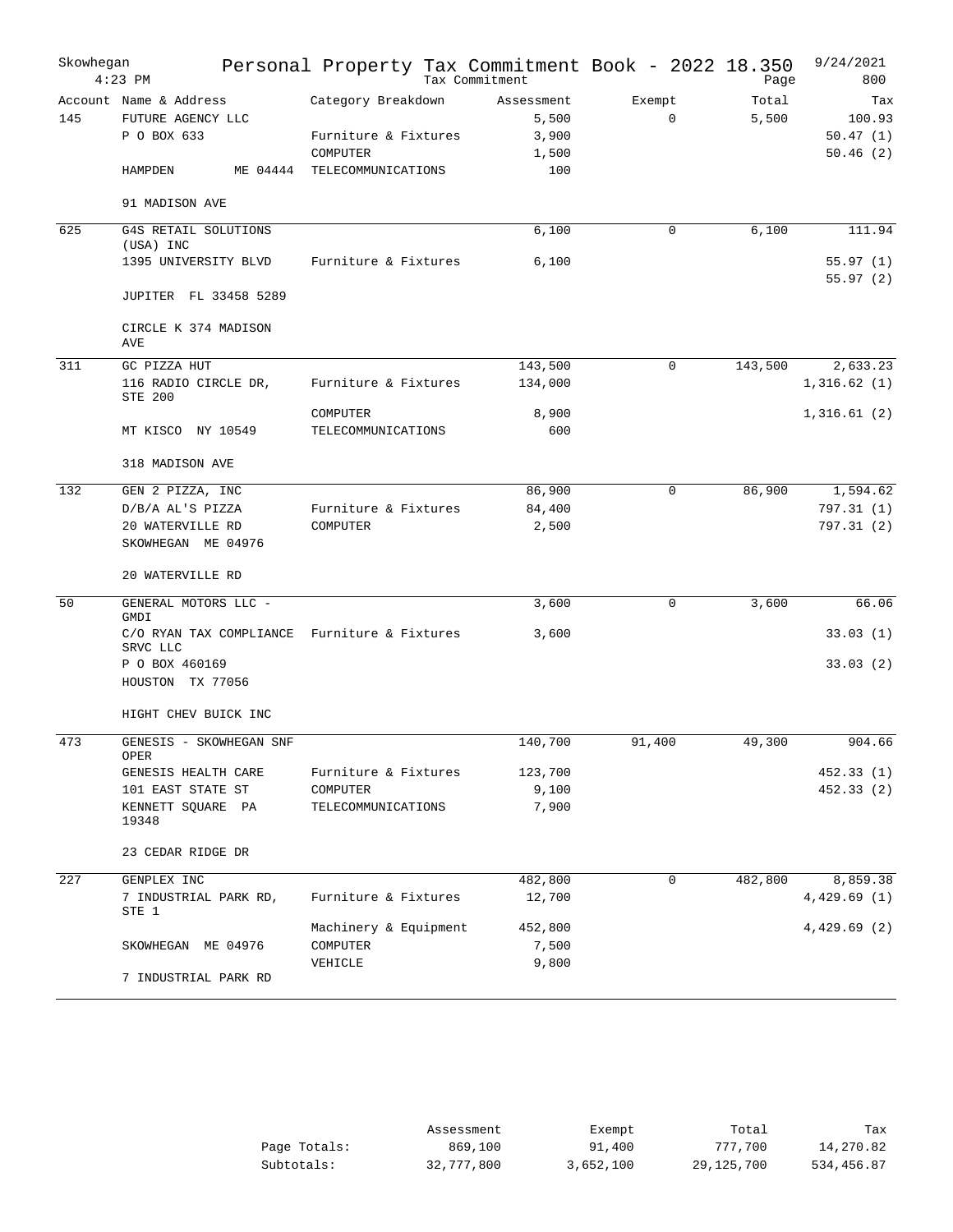| Skowhegan       | $4:23$ PM                                                  | Personal Property Tax Commitment Book - 2022 18.350    | Tax Commitment                        |                       | Page           | 9/24/2021<br>800                      |
|-----------------|------------------------------------------------------------|--------------------------------------------------------|---------------------------------------|-----------------------|----------------|---------------------------------------|
| 145             | Account Name & Address<br>FUTURE AGENCY LLC<br>P O BOX 633 | Category Breakdown<br>Furniture & Fixtures<br>COMPUTER | Assessment<br>5,500<br>3,900<br>1,500 | Exempt<br>$\mathbf 0$ | Total<br>5,500 | Tax<br>100.93<br>50.47(1)<br>50.46(2) |
|                 | HAMPDEN<br>ME 04444                                        | TELECOMMUNICATIONS                                     | 100                                   |                       |                |                                       |
|                 | 91 MADISON AVE                                             |                                                        |                                       |                       |                |                                       |
| 625             | G4S RETAIL SOLUTIONS<br>(USA) INC                          |                                                        | 6,100                                 | 0                     | 6,100          | 111.94                                |
|                 | 1395 UNIVERSITY BLVD                                       | Furniture & Fixtures                                   | 6,100                                 |                       |                | 55.97(1)<br>55.97(2)                  |
|                 | JUPITER FL 33458 5289                                      |                                                        |                                       |                       |                |                                       |
|                 | CIRCLE K 374 MADISON<br>AVE                                |                                                        |                                       |                       |                |                                       |
| 311             | GC PIZZA HUT                                               |                                                        | 143,500                               | $\mathbf 0$           | 143,500        | 2,633.23                              |
|                 | 116 RADIO CIRCLE DR,<br><b>STE 200</b>                     | Furniture & Fixtures                                   | 134,000                               |                       |                | 1,316.62(1)                           |
|                 |                                                            | COMPUTER                                               | 8,900                                 |                       |                | 1,316.61(2)                           |
|                 | MT KISCO NY 10549                                          | TELECOMMUNICATIONS                                     | 600                                   |                       |                |                                       |
|                 | 318 MADISON AVE                                            |                                                        |                                       |                       |                |                                       |
| 132             | GEN 2 PIZZA, INC                                           |                                                        | 86,900                                | $\Omega$              | 86,900         | 1,594.62                              |
|                 | D/B/A AL'S PIZZA                                           | Furniture & Fixtures                                   | 84,400                                |                       |                | 797.31(1)                             |
|                 | 20 WATERVILLE RD<br>SKOWHEGAN ME 04976                     | COMPUTER                                               | 2,500                                 |                       |                | 797.31 (2)                            |
|                 | 20 WATERVILLE RD                                           |                                                        |                                       |                       |                |                                       |
| $\overline{50}$ | GENERAL MOTORS LLC -                                       |                                                        | 3,600                                 | 0                     | 3,600          | 66.06                                 |
|                 | <b>GMDI</b>                                                |                                                        |                                       |                       |                |                                       |
|                 | C/O RYAN TAX COMPLIANCE<br>SRVC LLC                        | Furniture & Fixtures                                   | 3,600                                 |                       |                | 33.03(1)                              |
|                 | P O BOX 460169<br>HOUSTON TX 77056                         |                                                        |                                       |                       |                | 33.03(2)                              |
|                 |                                                            |                                                        |                                       |                       |                |                                       |
|                 | HIGHT CHEV BUICK INC                                       |                                                        |                                       |                       |                |                                       |
| 473             | GENESIS - SKOWHEGAN SNF<br>OPER                            |                                                        | 140,700                               | 91,400                | 49,300         | 904.66                                |
|                 | GENESIS HEALTH CARE                                        | Furniture & Fixtures                                   | 123,700                               |                       |                | 452.33 (1)                            |
|                 | 101 EAST STATE ST                                          | COMPUTER                                               | 9,100                                 |                       |                | 452.33(2)                             |
|                 | KENNETT SQUARE PA<br>19348                                 | TELECOMMUNICATIONS                                     | 7,900                                 |                       |                |                                       |
|                 | 23 CEDAR RIDGE DR                                          |                                                        |                                       |                       |                |                                       |
| 227             | GENPLEX INC                                                |                                                        | 482,800                               | $\mathbf 0$           | 482,800        | 8,859.38                              |
|                 | 7 INDUSTRIAL PARK RD,<br>STE 1                             | Furniture & Fixtures                                   | 12,700                                |                       |                | 4,429.69(1)                           |
|                 |                                                            | Machinery & Equipment                                  | 452,800                               |                       |                | 4,429.69 (2)                          |
|                 | SKOWHEGAN ME 04976                                         | COMPUTER                                               | 7,500                                 |                       |                |                                       |
|                 | 7 INDUSTRIAL PARK RD                                       | VEHICLE                                                | 9,800                                 |                       |                |                                       |
|                 |                                                            |                                                        |                                       |                       |                |                                       |

|              | Assessment | Exempt    | Total      | Tax        |
|--------------|------------|-----------|------------|------------|
| Page Totals: | 869,100    | 91,400    | 777.700    | 14,270.82  |
| Subtotals:   | 32,777,800 | 3,652,100 | 29,125,700 | 534,456.87 |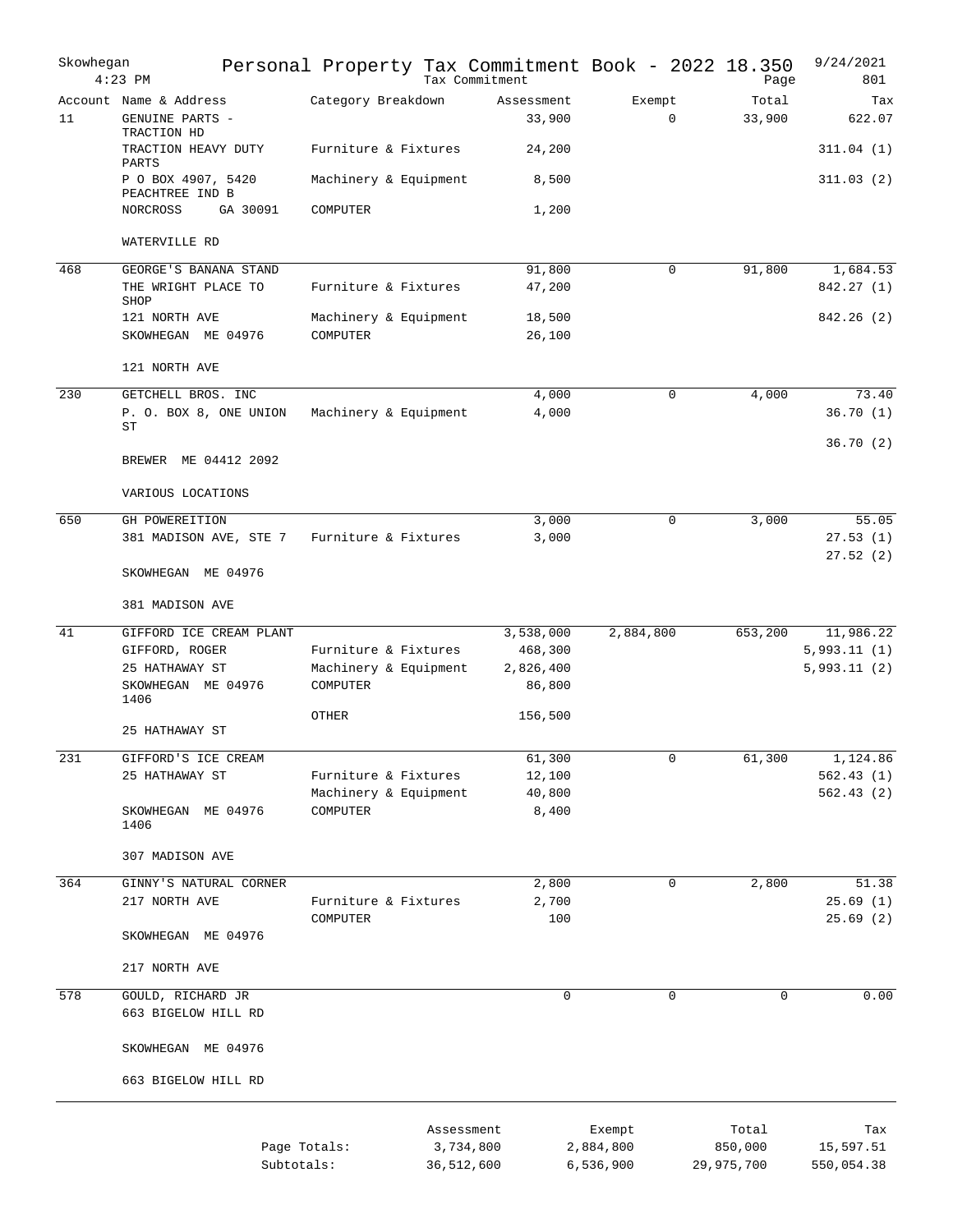| Skowhegan | $4:23$ PM                                                | Personal Property Tax Commitment Book - 2022 18.350 | Tax Commitment       |                       | Page            | 9/24/2021<br>801     |
|-----------|----------------------------------------------------------|-----------------------------------------------------|----------------------|-----------------------|-----------------|----------------------|
| 11        | Account Name & Address<br>GENUINE PARTS -<br>TRACTION HD | Category Breakdown                                  | Assessment<br>33,900 | Exempt<br>$\mathbf 0$ | Total<br>33,900 | Tax<br>622.07        |
|           | TRACTION HEAVY DUTY<br>PARTS                             | Furniture & Fixtures                                | 24,200               |                       |                 | 311.04(1)            |
|           | P O BOX 4907, 5420<br>PEACHTREE IND B                    | Machinery & Equipment                               | 8,500                |                       |                 | 311.03(2)            |
|           | NORCROSS<br>GA 30091                                     | COMPUTER                                            | 1,200                |                       |                 |                      |
|           | WATERVILLE RD                                            |                                                     |                      |                       |                 |                      |
| 468       | GEORGE'S BANANA STAND                                    |                                                     | 91,800               | 0                     | 91,800          | 1,684.53             |
|           | THE WRIGHT PLACE TO<br>SHOP                              | Furniture & Fixtures                                | 47,200               |                       |                 | 842.27 (1)           |
|           | 121 NORTH AVE                                            | Machinery & Equipment                               | 18,500               |                       |                 | 842.26(2)            |
|           | SKOWHEGAN ME 04976                                       | COMPUTER                                            | 26,100               |                       |                 |                      |
|           | 121 NORTH AVE                                            |                                                     |                      |                       |                 |                      |
| 230       | GETCHELL BROS. INC                                       |                                                     | 4,000                | 0                     | 4,000           | 73.40                |
|           | P. O. BOX 8, ONE UNION<br>SТ                             | Machinery & Equipment                               | 4,000                |                       |                 | 36.70(1)             |
|           | BREWER ME 04412 2092                                     |                                                     |                      |                       |                 | 36.70(2)             |
|           | VARIOUS LOCATIONS                                        |                                                     |                      |                       |                 |                      |
| 650       | GH POWEREITION                                           |                                                     | 3,000                | 0                     | 3,000           | 55.05                |
|           | 381 MADISON AVE, STE 7                                   | Furniture & Fixtures                                | 3,000                |                       |                 | 27.53(1)<br>27.52(2) |
|           | SKOWHEGAN ME 04976                                       |                                                     |                      |                       |                 |                      |
|           | 381 MADISON AVE                                          |                                                     |                      |                       |                 |                      |
| 41        | GIFFORD ICE CREAM PLANT                                  |                                                     | 3,538,000            | 2,884,800             | 653,200         | 11,986.22            |
|           | GIFFORD, ROGER                                           | Furniture & Fixtures                                | 468,300              |                       |                 | 5,993.11(1)          |
|           | 25 HATHAWAY ST<br>SKOWHEGAN ME 04976                     | Machinery & Equipment<br>COMPUTER                   | 2,826,400<br>86,800  |                       |                 | 5,993.11(2)          |
|           | 1406                                                     |                                                     |                      |                       |                 |                      |
|           | 25 HATHAWAY ST                                           | <b>OTHER</b>                                        | 156,500              |                       |                 |                      |
| 231       | GIFFORD'S ICE CREAM                                      |                                                     | 61,300               | 0                     | 61,300          | 1,124.86             |
|           | 25 HATHAWAY ST                                           | Furniture & Fixtures                                | 12,100               |                       |                 | 562.43(1)            |
|           |                                                          | Machinery & Equipment                               | 40,800               |                       |                 | 562.43(2)            |
|           | SKOWHEGAN ME 04976<br>1406                               | COMPUTER                                            | 8,400                |                       |                 |                      |
|           | 307 MADISON AVE                                          |                                                     |                      |                       |                 |                      |
| 364       | GINNY'S NATURAL CORNER                                   |                                                     | 2,800                | 0                     | 2,800           | 51.38                |
|           | 217 NORTH AVE                                            | Furniture & Fixtures                                | 2,700                |                       |                 | 25.69 (1)            |
|           | SKOWHEGAN ME 04976                                       | COMPUTER                                            | 100                  |                       |                 | 25.69(2)             |
|           | 217 NORTH AVE                                            |                                                     |                      |                       |                 |                      |
| 578       | GOULD, RICHARD JR                                        |                                                     | $\mathbf 0$          | 0                     | 0               | 0.00                 |
|           | 663 BIGELOW HILL RD                                      |                                                     |                      |                       |                 |                      |
|           | SKOWHEGAN ME 04976                                       |                                                     |                      |                       |                 |                      |
|           | 663 BIGELOW HILL RD                                      |                                                     |                      |                       |                 |                      |
|           |                                                          |                                                     | Assessment           | Exempt                | Total           | Tax                  |
|           |                                                          | Page Totals:                                        | 3,734,800            | 2,884,800             | 850,000         | 15,597.51            |
|           |                                                          | Subtotals:                                          | 36,512,600           | 6,536,900             | 29,975,700      | 550,054.38           |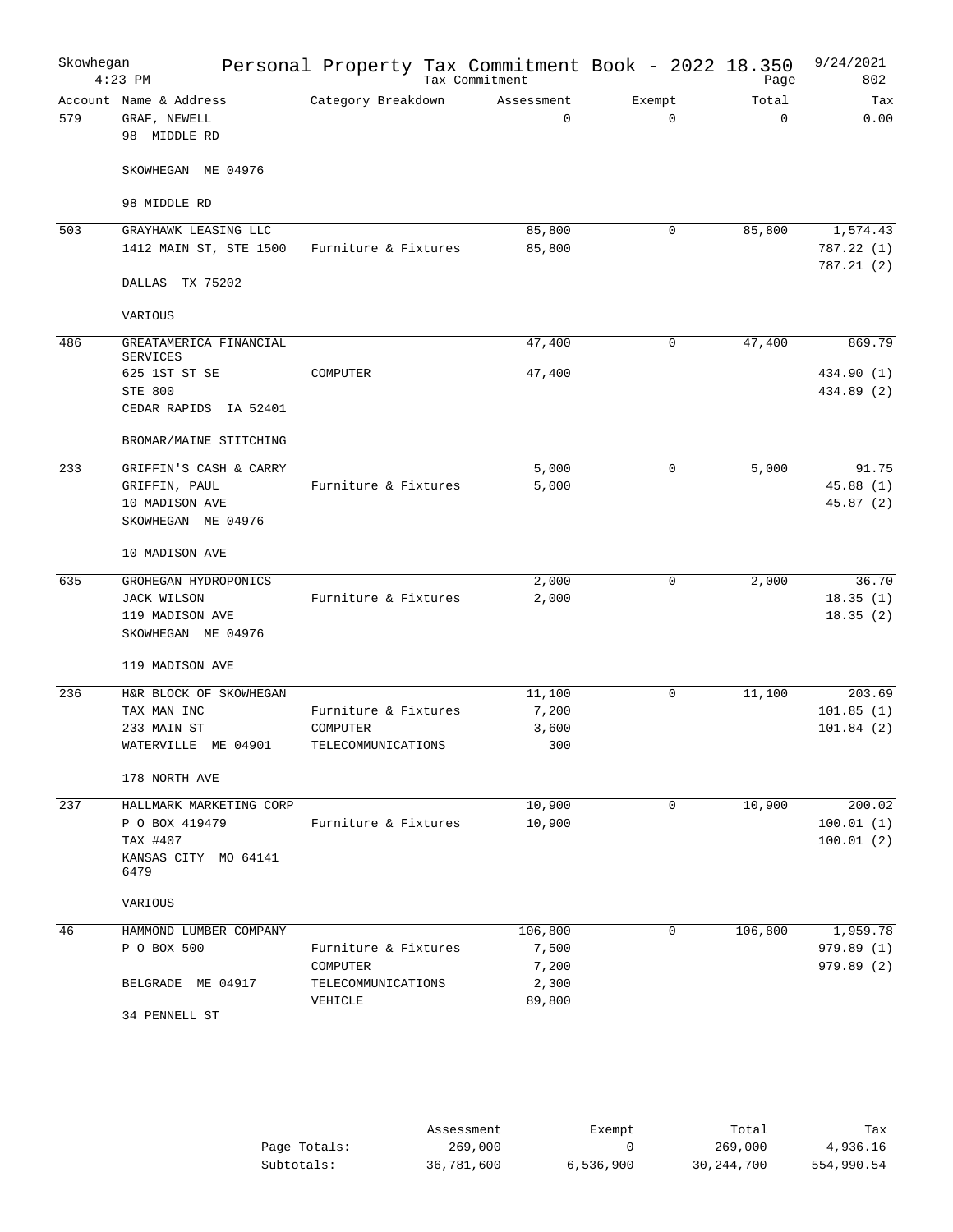| Skowhegan | $4:23$ PM                                              |                      | Personal Property Tax Commitment Book - 2022 18.350<br>Tax Commitment |                       | Page                 | 9/24/2021<br>802        |
|-----------|--------------------------------------------------------|----------------------|-----------------------------------------------------------------------|-----------------------|----------------------|-------------------------|
| 579       | Account Name & Address<br>GRAF, NEWELL<br>98 MIDDLE RD | Category Breakdown   | Assessment<br>$\mathbf 0$                                             | Exempt<br>$\mathbf 0$ | Total<br>$\mathbf 0$ | Tax<br>0.00             |
|           | SKOWHEGAN ME 04976                                     |                      |                                                                       |                       |                      |                         |
|           | 98 MIDDLE RD                                           |                      |                                                                       |                       |                      |                         |
| 503       | GRAYHAWK LEASING LLC                                   |                      | 85,800                                                                | 0                     | 85,800               | 1,574.43                |
|           | 1412 MAIN ST, STE 1500                                 | Furniture & Fixtures | 85,800                                                                |                       |                      | 787.22 (1)<br>787.21(2) |
|           | DALLAS TX 75202                                        |                      |                                                                       |                       |                      |                         |
|           | VARIOUS                                                |                      |                                                                       |                       |                      |                         |
| 486       | GREATAMERICA FINANCIAL<br><b>SERVICES</b>              |                      | 47,400                                                                | 0                     | 47,400               | 869.79                  |
|           | 625 1ST ST SE                                          | COMPUTER             | 47,400                                                                |                       |                      | 434.90 (1)              |
|           | STE 800<br>CEDAR RAPIDS IA 52401                       |                      |                                                                       |                       |                      | 434.89 (2)              |
|           | BROMAR/MAINE STITCHING                                 |                      |                                                                       |                       |                      |                         |
| 233       | GRIFFIN'S CASH & CARRY                                 |                      | 5,000                                                                 | 0                     | 5,000                | 91.75                   |
|           | GRIFFIN, PAUL                                          | Furniture & Fixtures | 5,000                                                                 |                       |                      | 45.88(1)                |
|           | 10 MADISON AVE                                         |                      |                                                                       |                       |                      | 45.87(2)                |
|           | SKOWHEGAN ME 04976                                     |                      |                                                                       |                       |                      |                         |
|           | 10 MADISON AVE                                         |                      |                                                                       |                       |                      |                         |
| 635       | GROHEGAN HYDROPONICS                                   |                      | 2,000                                                                 | 0                     | 2,000                | 36.70                   |
|           | <b>JACK WILSON</b>                                     | Furniture & Fixtures | 2,000                                                                 |                       |                      | 18.35(1)                |
|           | 119 MADISON AVE<br>SKOWHEGAN ME 04976                  |                      |                                                                       |                       |                      | 18.35(2)                |
|           | 119 MADISON AVE                                        |                      |                                                                       |                       |                      |                         |
| 236       | H&R BLOCK OF SKOWHEGAN                                 |                      | 11,100                                                                | $\mathbf 0$           | 11,100               | 203.69                  |
|           | TAX MAN INC                                            | Furniture & Fixtures | 7,200                                                                 |                       |                      | 101.85(1)               |
|           | 233 MAIN ST                                            | COMPUTER             | 3,600                                                                 |                       |                      | 101.84(2)               |
|           | WATERVILLE ME 04901                                    | TELECOMMUNICATIONS   | 300                                                                   |                       |                      |                         |
|           | 178 NORTH AVE                                          |                      |                                                                       |                       |                      |                         |
| 237       | HALLMARK MARKETING CORP                                |                      | 10,900                                                                | 0                     | 10,900               | 200.02                  |
|           | P O BOX 419479<br>TAX #407                             | Furniture & Fixtures | 10,900                                                                |                       |                      | 100.01(1)<br>100.01(2)  |
|           | KANSAS CITY MO 64141<br>6479                           |                      |                                                                       |                       |                      |                         |
|           | VARIOUS                                                |                      |                                                                       |                       |                      |                         |
| 46        | HAMMOND LUMBER COMPANY                                 |                      | 106,800                                                               | 0                     | 106,800              | 1,959.78                |
|           | P O BOX 500                                            | Furniture & Fixtures | 7,500                                                                 |                       |                      | 979.89(1)               |
|           |                                                        | COMPUTER             | 7,200                                                                 |                       |                      | 979.89(2)               |
|           | BELGRADE ME 04917                                      | TELECOMMUNICATIONS   | 2,300                                                                 |                       |                      |                         |
|           | 34 PENNELL ST                                          | VEHICLE              | 89,800                                                                |                       |                      |                         |
|           |                                                        |                      |                                                                       |                       |                      |                         |

|              | Assessment | Exempt    | Total      | Tax        |
|--------------|------------|-----------|------------|------------|
| Page Totals: | 269,000    |           | 269,000    | 4,936.16   |
| Subtotals:   | 36,781,600 | 6.536.900 | 30,244,700 | 554,990.54 |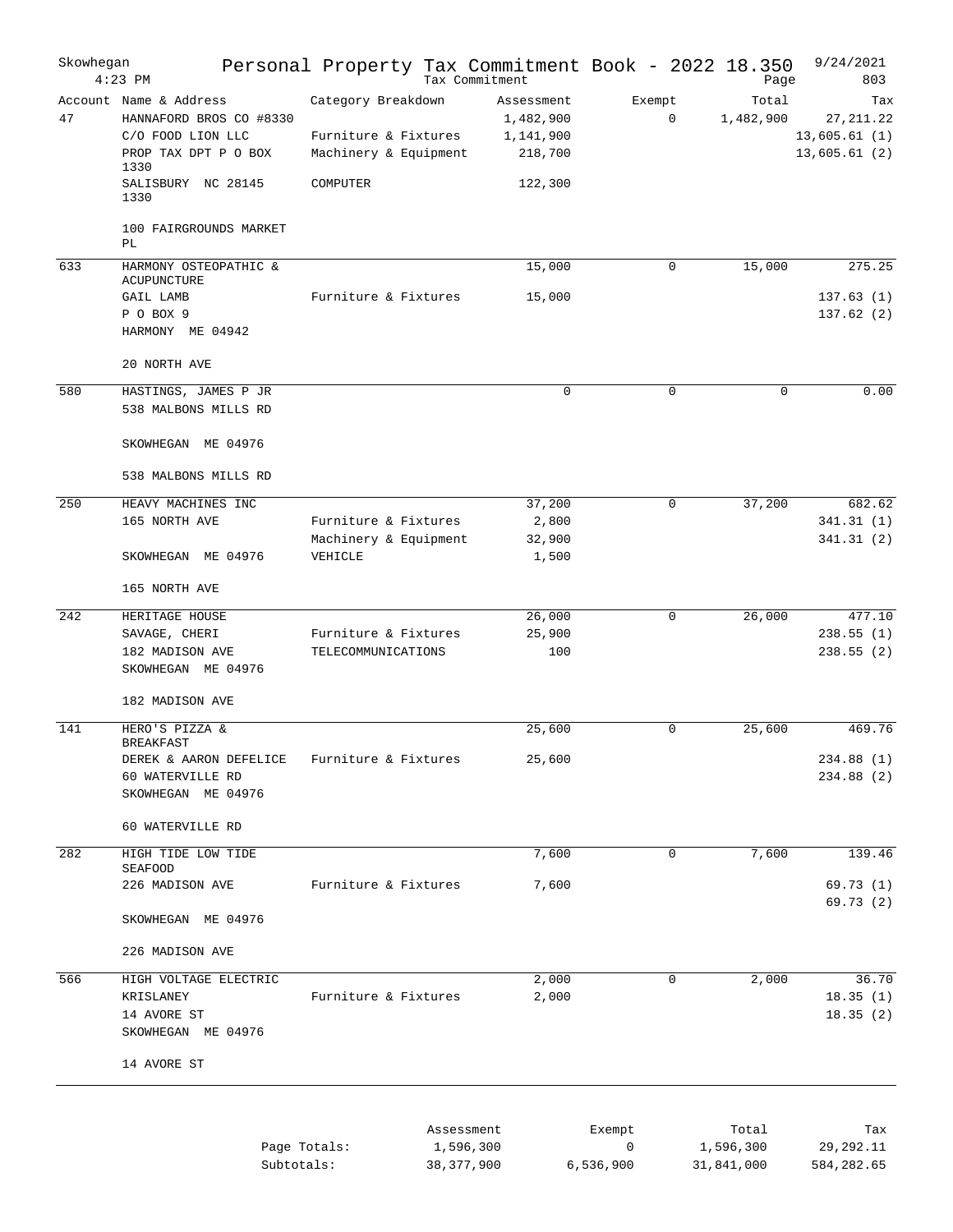| Skowhegan | $4:23$ PM                                                                                              | Personal Property Tax Commitment Book - 2022 18.350                 |                                         | Tax Commitment                                  |                          | Page                             | 9/24/2021<br>803                                  |
|-----------|--------------------------------------------------------------------------------------------------------|---------------------------------------------------------------------|-----------------------------------------|-------------------------------------------------|--------------------------|----------------------------------|---------------------------------------------------|
| 47        | Account Name & Address<br>HANNAFORD BROS CO #8330<br>C/O FOOD LION LLC<br>PROP TAX DPT P O BOX<br>1330 | Category Breakdown<br>Furniture & Fixtures<br>Machinery & Equipment |                                         | Assessment<br>1,482,900<br>1,141,900<br>218,700 | Exempt<br>0              | Total<br>1,482,900               | Tax<br>27, 211.22<br>13,605.61(1)<br>13,605.61(2) |
|           | SALISBURY NC 28145<br>1330<br>100 FAIRGROUNDS MARKET                                                   | COMPUTER                                                            |                                         | 122,300                                         |                          |                                  |                                                   |
|           | PL                                                                                                     |                                                                     |                                         |                                                 |                          |                                  |                                                   |
| 633       | HARMONY OSTEOPATHIC &<br><b>ACUPUNCTURE</b>                                                            |                                                                     |                                         | 15,000                                          | 0                        | 15,000                           | 275.25                                            |
|           | GAIL LAMB<br>P O BOX 9<br>HARMONY ME 04942                                                             | Furniture & Fixtures                                                |                                         | 15,000                                          |                          |                                  | 137.63(1)<br>137.62(2)                            |
|           | 20 NORTH AVE                                                                                           |                                                                     |                                         |                                                 |                          |                                  |                                                   |
| 580       | HASTINGS, JAMES P JR<br>538 MALBONS MILLS RD                                                           |                                                                     |                                         | $\mathsf 0$                                     | $\mathbf 0$              | $\mathbf 0$                      | 0.00                                              |
|           | SKOWHEGAN ME 04976                                                                                     |                                                                     |                                         |                                                 |                          |                                  |                                                   |
|           | 538 MALBONS MILLS RD                                                                                   |                                                                     |                                         |                                                 |                          |                                  |                                                   |
| 250       | HEAVY MACHINES INC<br>165 NORTH AVE                                                                    | Furniture & Fixtures<br>Machinery & Equipment                       |                                         | 37,200<br>2,800<br>32,900                       | 0                        | 37,200                           | 682.62<br>341.31(1)<br>341.31(2)                  |
|           | SKOWHEGAN ME 04976                                                                                     | VEHICLE                                                             |                                         | 1,500                                           |                          |                                  |                                                   |
|           | 165 NORTH AVE                                                                                          |                                                                     |                                         |                                                 |                          |                                  |                                                   |
| 242       | HERITAGE HOUSE<br>SAVAGE, CHERI<br>182 MADISON AVE<br>SKOWHEGAN ME 04976                               | Furniture & Fixtures<br>TELECOMMUNICATIONS                          |                                         | 26,000<br>25,900<br>100                         | 0                        | 26,000                           | 477.10<br>238.55(1)<br>238.55(2)                  |
|           | 182 MADISON AVE                                                                                        |                                                                     |                                         |                                                 |                          |                                  |                                                   |
| 141       | HERO'S PIZZA &<br><b>BREAKFAST</b>                                                                     |                                                                     |                                         | 25,600                                          | 0                        | 25,600                           | 469.76                                            |
|           | DEREK & AARON DEFELICE<br>60 WATERVILLE RD<br>SKOWHEGAN ME 04976                                       | Furniture & Fixtures                                                |                                         | 25,600                                          |                          |                                  | 234.88 (1)<br>234.88 (2)                          |
|           | 60 WATERVILLE RD                                                                                       |                                                                     |                                         |                                                 |                          |                                  |                                                   |
| 282       | HIGH TIDE LOW TIDE<br><b>SEAFOOD</b>                                                                   |                                                                     |                                         | 7,600                                           | 0                        | 7,600                            | 139.46                                            |
|           | 226 MADISON AVE<br>SKOWHEGAN ME 04976                                                                  | Furniture & Fixtures                                                |                                         | 7,600                                           |                          |                                  | 69.73(1)<br>69.73 (2)                             |
|           | 226 MADISON AVE                                                                                        |                                                                     |                                         |                                                 |                          |                                  |                                                   |
| 566       | HIGH VOLTAGE ELECTRIC                                                                                  |                                                                     |                                         | 2,000                                           | 0                        | 2,000                            | 36.70                                             |
|           | KRISLANEY<br>14 AVORE ST<br>SKOWHEGAN ME 04976                                                         | Furniture & Fixtures                                                |                                         | 2,000                                           |                          |                                  | 18.35(1)<br>18.35(2)                              |
|           | 14 AVORE ST                                                                                            |                                                                     |                                         |                                                 |                          |                                  |                                                   |
|           |                                                                                                        | Page Totals:<br>Subtotals:                                          | Assessment<br>1,596,300<br>38, 377, 900 |                                                 | Exempt<br>0<br>6,536,900 | Total<br>1,596,300<br>31,841,000 | Tax<br>29,292.11<br>584,282.65                    |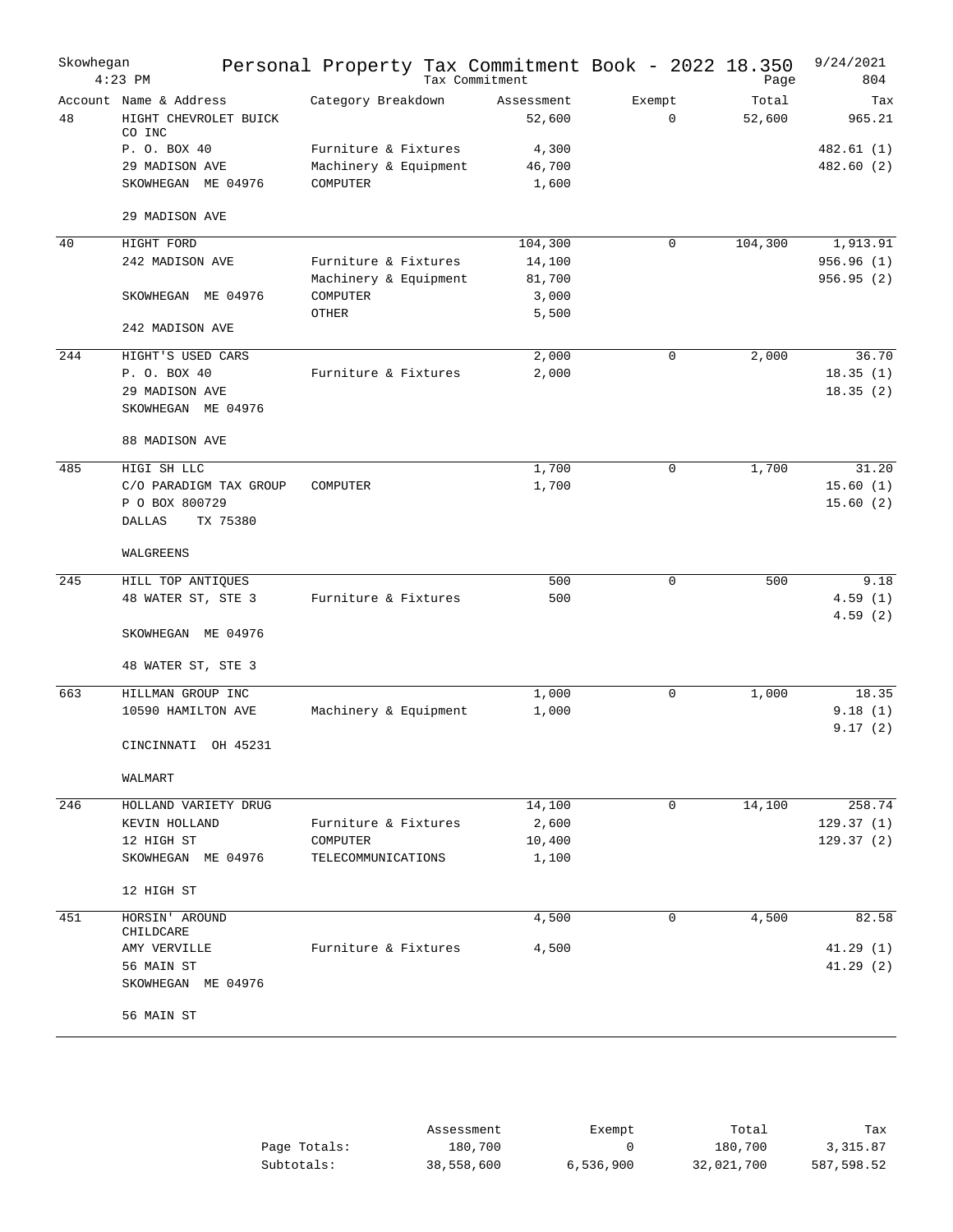| Skowhegan | $4:23$ PM                                                                     | Personal Property Tax Commitment Book - 2022 18.350       | Tax Commitment                     |        |             | Page            | 9/24/2021<br>804                 |
|-----------|-------------------------------------------------------------------------------|-----------------------------------------------------------|------------------------------------|--------|-------------|-----------------|----------------------------------|
| 48        | Account Name & Address<br>HIGHT CHEVROLET BUICK<br>CO INC                     | Category Breakdown                                        | Assessment<br>52,600               | Exempt | $\mathbf 0$ | Total<br>52,600 | Tax<br>965.21                    |
|           | P. O. BOX 40<br>29 MADISON AVE<br>SKOWHEGAN ME 04976                          | Furniture & Fixtures<br>Machinery & Equipment<br>COMPUTER | 4,300<br>46,700<br>1,600           |        |             |                 | 482.61 (1)<br>482.60 (2)         |
|           | 29 MADISON AVE                                                                |                                                           |                                    |        |             |                 |                                  |
| 40        | HIGHT FORD                                                                    |                                                           | 104,300                            |        | 0           | 104,300         | 1,913.91                         |
|           | 242 MADISON AVE                                                               | Furniture & Fixtures<br>Machinery & Equipment             | 14,100<br>81,700                   |        |             |                 | 956.96(1)<br>956.95(2)           |
|           | SKOWHEGAN ME 04976                                                            | COMPUTER<br>OTHER                                         | 3,000<br>5,500                     |        |             |                 |                                  |
|           | 242 MADISON AVE                                                               |                                                           |                                    |        |             |                 |                                  |
| 244       | HIGHT'S USED CARS<br>P. O. BOX 40<br>29 MADISON AVE<br>SKOWHEGAN ME 04976     | Furniture & Fixtures                                      | 2,000<br>2,000                     |        | 0           | 2,000           | 36.70<br>18.35(1)<br>18.35(2)    |
|           | 88 MADISON AVE                                                                |                                                           |                                    |        |             |                 |                                  |
| 485       | HIGI SH LLC<br>C/O PARADIGM TAX GROUP<br>P O BOX 800729<br>TX 75380<br>DALLAS | COMPUTER                                                  | 1,700<br>1,700                     |        | 0           | 1,700           | 31.20<br>15.60(1)<br>15.60(2)    |
|           | WALGREENS                                                                     |                                                           |                                    |        |             |                 |                                  |
| 245       | HILL TOP ANTIQUES<br>48 WATER ST, STE 3                                       | Furniture & Fixtures                                      | 500<br>500                         |        | 0           | 500             | 9.18<br>4.59(1)<br>4.59(2)       |
|           | SKOWHEGAN ME 04976                                                            |                                                           |                                    |        |             |                 |                                  |
|           | 48 WATER ST, STE 3                                                            |                                                           |                                    |        |             |                 |                                  |
| 663       | HILLMAN GROUP INC<br>10590 HAMILTON AVE                                       | Machinery & Equipment                                     | 1,000<br>1,000                     |        | 0           | 1,000           | 18.35<br>9.18(1)<br>9.17(2)      |
|           | CINCINNATI<br>OH 45231                                                        |                                                           |                                    |        |             |                 |                                  |
|           | WALMART                                                                       |                                                           |                                    |        |             |                 |                                  |
| 246       | HOLLAND VARIETY DRUG<br>KEVIN HOLLAND<br>12 HIGH ST<br>SKOWHEGAN ME 04976     | Furniture & Fixtures<br>COMPUTER<br>TELECOMMUNICATIONS    | 14,100<br>2,600<br>10,400<br>1,100 |        | 0           | 14,100          | 258.74<br>129.37(1)<br>129.37(2) |
|           | 12 HIGH ST                                                                    |                                                           |                                    |        |             |                 |                                  |
| 451       | HORSIN' AROUND<br>CHILDCARE                                                   |                                                           | 4,500                              |        | 0           | 4,500           | 82.58                            |
|           | AMY VERVILLE<br>56 MAIN ST<br>SKOWHEGAN ME 04976                              | Furniture & Fixtures                                      | 4,500                              |        |             |                 | 41.29(1)<br>41.29(2)             |
|           | 56 MAIN ST                                                                    |                                                           |                                    |        |             |                 |                                  |

|               | Assessment | Exempt    | Total      | Tax        |
|---------------|------------|-----------|------------|------------|
| Page Totals:  | 180,700    |           | 180,700    | 3,315.87   |
| $Subtotals$ : | 38,558,600 | 6,536,900 | 32,021,700 | 587,598.52 |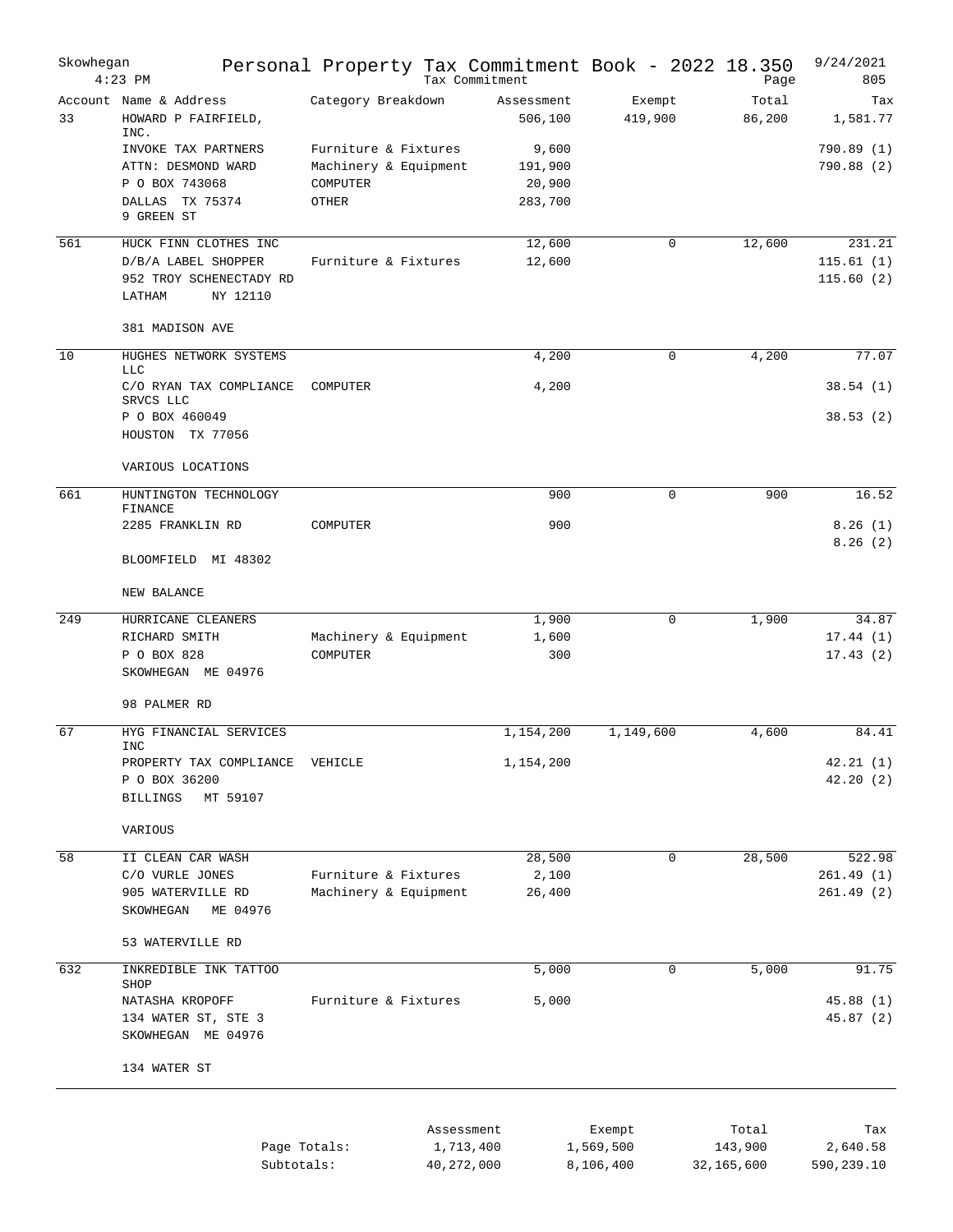| Skowhegan | $4:23$ PM                                                            | Personal Property Tax Commitment Book - 2022 18.350 | Tax Commitment        |                     | Page             | 9/24/2021<br>805       |
|-----------|----------------------------------------------------------------------|-----------------------------------------------------|-----------------------|---------------------|------------------|------------------------|
| 33        | Account Name & Address<br>HOWARD P FAIRFIELD,<br>INC.                | Category Breakdown                                  | Assessment<br>506,100 | Exempt<br>419,900   | Total<br>86,200  | Tax<br>1,581.77        |
|           | INVOKE TAX PARTNERS<br>ATTN: DESMOND WARD                            | Furniture & Fixtures<br>Machinery & Equipment       | 9,600<br>191,900      |                     |                  | 790.89(1)<br>790.88(2) |
|           | P O BOX 743068                                                       | COMPUTER                                            | 20,900                |                     |                  |                        |
|           | DALLAS<br>TX 75374<br>9 GREEN ST                                     | OTHER                                               | 283,700               |                     |                  |                        |
| 561       | HUCK FINN CLOTHES INC                                                |                                                     | 12,600                | $\mathbf 0$         | 12,600           | 231.21                 |
|           | D/B/A LABEL SHOPPER<br>952 TROY SCHENECTADY RD<br>NY 12110<br>LATHAM | Furniture & Fixtures                                | 12,600                |                     |                  | 115.61(1)<br>115.60(2) |
|           | 381 MADISON AVE                                                      |                                                     |                       |                     |                  |                        |
| 10        | HUGHES NETWORK SYSTEMS<br><b>LLC</b>                                 |                                                     | 4,200                 | $\mathbf 0$         | 4,200            | 77.07                  |
|           | C/O RYAN TAX COMPLIANCE<br>SRVCS LLC                                 | COMPUTER                                            | 4,200                 |                     |                  | 38.54(1)               |
|           | P O BOX 460049<br>HOUSTON TX 77056                                   |                                                     |                       |                     |                  | 38.53(2)               |
|           | VARIOUS LOCATIONS                                                    |                                                     |                       |                     |                  |                        |
| 661       | HUNTINGTON TECHNOLOGY<br>FINANCE                                     |                                                     | 900                   | $\Omega$            | 900              | 16.52                  |
|           | 2285 FRANKLIN RD                                                     | COMPUTER                                            | 900                   |                     |                  | 8.26(1)<br>8.26(2)     |
|           | BLOOMFIELD MI 48302                                                  |                                                     |                       |                     |                  |                        |
|           | NEW BALANCE                                                          |                                                     |                       |                     |                  |                        |
| 249       | HURRICANE CLEANERS                                                   |                                                     | 1,900                 | 0                   | 1,900            | 34.87                  |
|           | RICHARD SMITH                                                        | Machinery & Equipment                               | 1,600                 |                     |                  | 17.44(1)               |
|           | P O BOX 828<br>SKOWHEGAN ME 04976                                    | COMPUTER                                            | 300                   |                     |                  | 17.43(2)               |
|           | 98 PALMER RD                                                         |                                                     |                       |                     |                  |                        |
| 67        | HYG FINANCIAL SERVICES<br>INC                                        |                                                     | 1,154,200             | 1,149,600           | 4,600            | 84.41                  |
|           | PROPERTY TAX COMPLIANCE<br>P O BOX 36200<br><b>BILLINGS</b>          | VEHICLE                                             | 1,154,200             |                     |                  | 42.21(1)<br>42.20(2)   |
|           | MT 59107<br>VARIOUS                                                  |                                                     |                       |                     |                  |                        |
| 58        | II CLEAN CAR WASH                                                    |                                                     | 28,500                | $\mathbf 0$         | 28,500           | 522.98                 |
|           | C/O VURLE JONES                                                      | Furniture & Fixtures                                | 2,100                 |                     |                  | 261.49(1)              |
|           | 905 WATERVILLE RD<br>SKOWHEGAN<br>ME 04976                           | Machinery & Equipment                               | 26,400                |                     |                  | 261.49(2)              |
|           | 53 WATERVILLE RD                                                     |                                                     |                       |                     |                  |                        |
| 632       | INKREDIBLE INK TATTOO<br>SHOP                                        |                                                     | 5,000                 | 0                   | 5,000            | 91.75                  |
|           | NATASHA KROPOFF<br>134 WATER ST, STE 3<br>SKOWHEGAN ME 04976         | Furniture & Fixtures                                | 5,000                 |                     |                  | 45.88(1)<br>45.87(2)   |
|           | 134 WATER ST                                                         |                                                     |                       |                     |                  |                        |
|           |                                                                      |                                                     |                       |                     |                  |                        |
|           |                                                                      | Assessment<br>Page Totals:<br>1,713,400             |                       | Exempt<br>1,569,500 | Total<br>143,900 | Tax<br>2,640.58        |

Subtotals: 40,272,000 8,106,400 32,165,600 590,239.10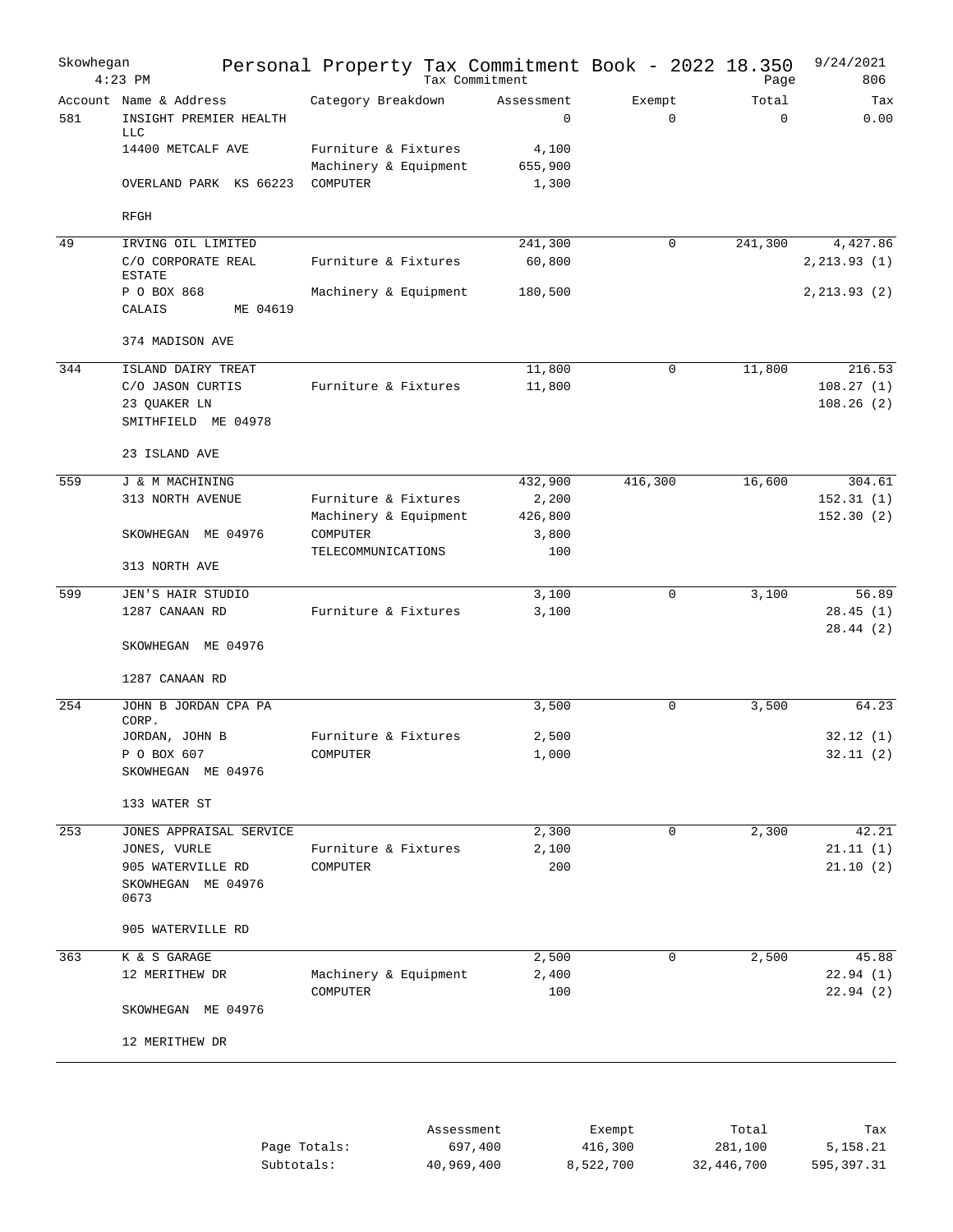| $4:23$ PM | Skowhegan                                        | Personal Property Tax Commitment Book - 2022 18.350 | Tax Commitment            |                       | Page                 | 9/24/2021<br>806     |
|-----------|--------------------------------------------------|-----------------------------------------------------|---------------------------|-----------------------|----------------------|----------------------|
| 581       | Account Name & Address<br>INSIGHT PREMIER HEALTH | Category Breakdown                                  | Assessment<br>$\mathbf 0$ | Exempt<br>$\mathbf 0$ | Total<br>$\mathbf 0$ | Tax<br>0.00          |
|           | <b>LLC</b><br>14400 METCALF AVE                  | Furniture & Fixtures                                | 4,100                     |                       |                      |                      |
|           |                                                  | Machinery & Equipment                               | 655,900                   |                       |                      |                      |
|           | OVERLAND PARK KS 66223                           | COMPUTER                                            | 1,300                     |                       |                      |                      |
|           | RFGH                                             |                                                     |                           |                       |                      |                      |
| 49        | IRVING OIL LIMITED                               |                                                     | 241,300                   | 0                     | 241,300              | 4,427.86             |
|           | C/O CORPORATE REAL<br><b>ESTATE</b>              | Furniture & Fixtures                                | 60,800                    |                       |                      | 2, 213.93(1)         |
|           | P O BOX 868<br>CALAIS<br>ME 04619                | Machinery & Equipment                               | 180,500                   |                       |                      | 2, 213.93(2)         |
|           |                                                  |                                                     |                           |                       |                      |                      |
|           | 374 MADISON AVE                                  |                                                     |                           |                       |                      |                      |
| 344       | ISLAND DAIRY TREAT                               |                                                     | 11,800                    | $\mathbf 0$           | 11,800               | 216.53               |
|           | C/O JASON CURTIS                                 | Furniture & Fixtures                                | 11,800                    |                       |                      | 108.27(1)            |
|           | 23 QUAKER LN<br>SMITHFIELD ME 04978              |                                                     |                           |                       |                      | 108.26(2)            |
|           | 23 ISLAND AVE                                    |                                                     |                           |                       |                      |                      |
| 559       | J & M MACHINING                                  |                                                     | 432,900                   | 416,300               | 16,600               | 304.61               |
|           | 313 NORTH AVENUE                                 | Furniture & Fixtures                                | 2,200                     |                       |                      | 152.31(1)            |
|           |                                                  | Machinery & Equipment                               | 426,800                   |                       |                      | 152.30(2)            |
|           | SKOWHEGAN ME 04976                               | COMPUTER                                            | 3,800                     |                       |                      |                      |
|           |                                                  | TELECOMMUNICATIONS                                  | 100                       |                       |                      |                      |
|           | 313 NORTH AVE                                    |                                                     |                           |                       |                      |                      |
| 599       | JEN'S HAIR STUDIO                                |                                                     | 3,100                     | $\mathbf 0$           | 3,100                | 56.89                |
|           | 1287 CANAAN RD                                   | Furniture & Fixtures                                | 3,100                     |                       |                      | 28.45(1)             |
|           | SKOWHEGAN ME 04976                               |                                                     |                           |                       |                      | 28.44(2)             |
|           | 1287 CANAAN RD                                   |                                                     |                           |                       |                      |                      |
| 254       | JOHN B JORDAN CPA PA                             |                                                     | 3,500                     | 0                     | 3,500                | 64.23                |
|           | CORP.<br>JORDAN, JOHN B                          | Furniture & Fixtures                                | 2,500                     |                       |                      | 32.12(1)             |
|           | P O BOX 607                                      | COMPUTER                                            | $1\, , \, 0\,0\,0$        |                       |                      | 32.11(2)             |
|           | SKOWHEGAN ME 04976                               |                                                     |                           |                       |                      |                      |
|           | 133 WATER ST                                     |                                                     |                           |                       |                      |                      |
| 253       | JONES APPRAISAL SERVICE                          |                                                     | 2,300                     | 0                     | 2,300                | 42.21                |
|           | JONES, VURLE                                     | Furniture & Fixtures                                | 2,100                     |                       |                      | 21.11(1)             |
|           | 905 WATERVILLE RD                                | COMPUTER                                            | 200                       |                       |                      | 21.10(2)             |
|           | SKOWHEGAN ME 04976<br>0673                       |                                                     |                           |                       |                      |                      |
|           | 905 WATERVILLE RD                                |                                                     |                           |                       |                      |                      |
| 363       | K & S GARAGE                                     |                                                     | 2,500                     | 0                     | 2,500                | 45.88                |
|           | 12 MERITHEW DR                                   | Machinery & Equipment<br>COMPUTER                   | 2,400<br>100              |                       |                      | 22.94(1)<br>22.94(2) |
|           | SKOWHEGAN ME 04976                               |                                                     |                           |                       |                      |                      |
|           | 12 MERITHEW DR                                   |                                                     |                           |                       |                      |                      |
|           |                                                  |                                                     |                           |                       |                      |                      |

|              | Assessment | Exempt    | Total      | Tax        |
|--------------|------------|-----------|------------|------------|
| Page Totals: | 697,400    | 416,300   | 281,100    | 5,158.21   |
| Subtotals:   | 40,969,400 | 8,522,700 | 32,446,700 | 595,397.31 |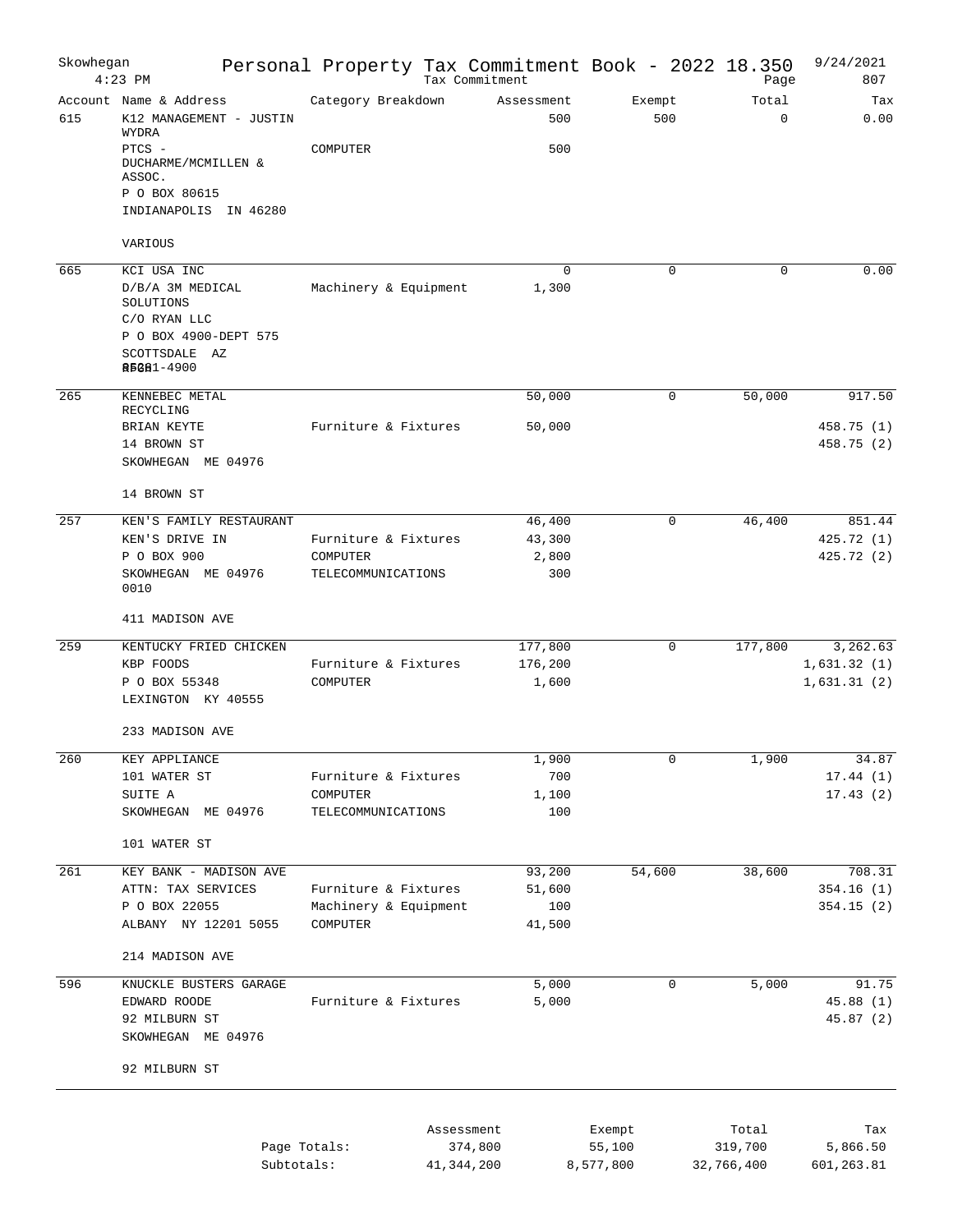| Skowhegan | $4:23$ PM                                                  | Personal Property Tax Commitment Book - 2022 18.350 |                       | Tax Commitment |                   |        |               | Page                 | 9/24/2021<br>807     |
|-----------|------------------------------------------------------------|-----------------------------------------------------|-----------------------|----------------|-------------------|--------|---------------|----------------------|----------------------|
| 615       | Account Name & Address<br>K12 MANAGEMENT - JUSTIN<br>WYDRA | Category Breakdown                                  |                       |                | Assessment<br>500 |        | Exempt<br>500 | Total<br>$\mathbf 0$ | Tax<br>0.00          |
|           | PTCS -<br>DUCHARME/MCMILLEN &<br>ASSOC.<br>P O BOX 80615   | COMPUTER                                            |                       |                | 500               |        |               |                      |                      |
|           | INDIANAPOLIS IN 46280<br>VARIOUS                           |                                                     |                       |                |                   |        |               |                      |                      |
| 665       |                                                            |                                                     |                       |                | 0                 |        | $\Omega$      | $\Omega$             | 0.00                 |
|           | KCI USA INC<br>D/B/A 3M MEDICAL<br>SOLUTIONS               |                                                     | Machinery & Equipment |                | 1,300             |        |               |                      |                      |
|           | C/O RYAN LLC<br>P O BOX 4900-DEPT 575<br>SCOTTSDALE AZ     |                                                     |                       |                |                   |        |               |                      |                      |
|           | <b><i>REGE1-4900</i></b>                                   |                                                     |                       |                |                   |        |               |                      |                      |
| 265       | KENNEBEC METAL<br>RECYCLING<br>BRIAN KEYTE                 |                                                     | Furniture & Fixtures  |                | 50,000<br>50,000  |        | 0             | 50,000               | 917.50<br>458.75 (1) |
|           | 14 BROWN ST<br>SKOWHEGAN ME 04976                          |                                                     |                       |                |                   |        |               |                      | 458.75 (2)           |
|           | 14 BROWN ST                                                |                                                     |                       |                |                   |        |               |                      |                      |
| 257       | KEN'S FAMILY RESTAURANT                                    |                                                     |                       |                | 46,400            |        | 0             | 46,400               | 851.44               |
|           | KEN'S DRIVE IN                                             |                                                     | Furniture & Fixtures  |                | 43,300            |        |               |                      | 425.72(1)            |
|           | P O BOX 900                                                | COMPUTER                                            |                       |                | 2,800             |        |               |                      | 425.72(2)            |
|           | SKOWHEGAN ME 04976<br>0010                                 |                                                     | TELECOMMUNICATIONS    |                | 300               |        |               |                      |                      |
|           | 411 MADISON AVE                                            |                                                     |                       |                |                   |        |               |                      |                      |
| 259       | KENTUCKY FRIED CHICKEN                                     |                                                     |                       |                | 177,800           |        | 0             | 177,800              | 3,262.63             |
|           | KBP FOODS                                                  |                                                     | Furniture & Fixtures  |                | 176,200           |        |               |                      | 1,631.32(1)          |
|           | P O BOX 55348                                              | COMPUTER                                            |                       |                | 1,600             |        |               |                      | 1,631.31(2)          |
|           | LEXINGTON KY 40555                                         |                                                     |                       |                |                   |        |               |                      |                      |
|           | 233 MADISON AVE                                            |                                                     |                       |                |                   |        |               |                      |                      |
| 260       | KEY APPLIANCE                                              |                                                     |                       |                | 1,900             |        | 0             | 1,900                | 34.87                |
|           | 101 WATER ST                                               |                                                     | Furniture & Fixtures  |                | 700               |        |               |                      | 17.44(1)             |
|           | SUITE A                                                    | COMPUTER                                            |                       |                | 1,100             |        |               |                      | 17.43(2)             |
|           | SKOWHEGAN ME 04976                                         |                                                     | TELECOMMUNICATIONS    |                | 100               |        |               |                      |                      |
|           | 101 WATER ST                                               |                                                     |                       |                |                   |        |               |                      |                      |
| 261       | KEY BANK - MADISON AVE                                     |                                                     |                       |                | 93,200            |        | 54,600        | 38,600               | 708.31               |
|           | ATTN: TAX SERVICES                                         |                                                     | Furniture & Fixtures  |                | 51,600            |        |               |                      | 354.16(1)            |
|           | P O BOX 22055                                              |                                                     | Machinery & Equipment |                | 100               |        |               |                      | 354.15(2)            |
|           | ALBANY NY 12201 5055                                       | COMPUTER                                            |                       |                | 41,500            |        |               |                      |                      |
|           | 214 MADISON AVE                                            |                                                     |                       |                |                   |        |               |                      |                      |
| 596       | KNUCKLE BUSTERS GARAGE                                     |                                                     |                       |                | 5,000             |        | $\mathbf 0$   | 5,000                | 91.75                |
|           | EDWARD ROODE                                               |                                                     | Furniture & Fixtures  |                | 5,000             |        |               |                      | 45.88(1)             |
|           | 92 MILBURN ST<br>SKOWHEGAN ME 04976                        |                                                     |                       |                |                   |        |               |                      | 45.87 (2)            |
|           | 92 MILBURN ST                                              |                                                     |                       |                |                   |        |               |                      |                      |
|           |                                                            |                                                     |                       |                |                   |        |               |                      |                      |
|           |                                                            |                                                     |                       | Assessment     |                   | Exempt |               | Total                | Tax                  |
|           |                                                            | Page Totals:                                        |                       | 374,800        |                   | 55,100 |               | 319,700              | 5,866.50             |

Subtotals: 41,344,200 8,577,800 32,766,400 601,263.81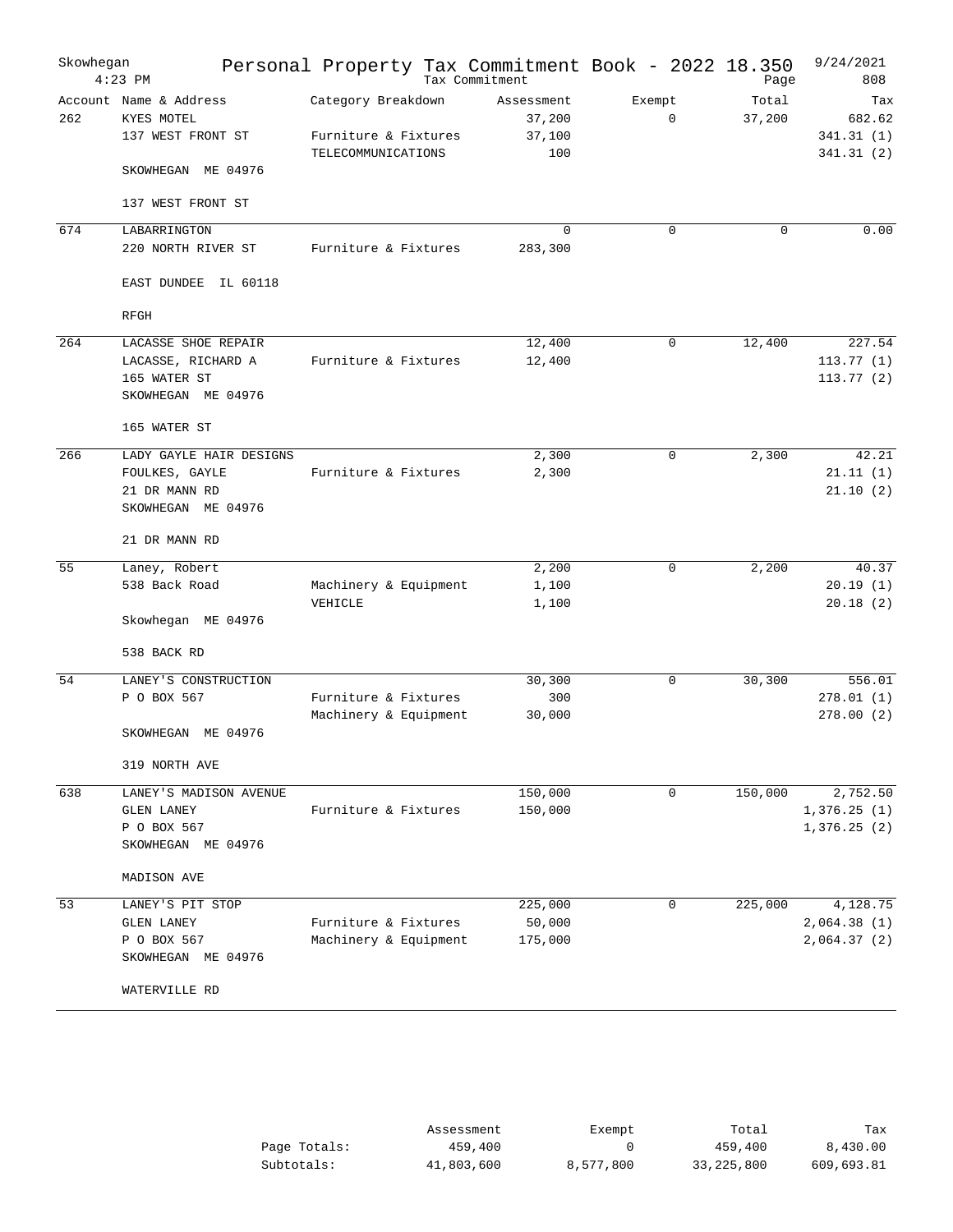| Skowhegan | $4:23$ PM                                                                                   | Personal Property Tax Commitment Book - 2022 18.350              | Tax Commitment                        |        |             | Page            | 9/24/2021<br>808                        |
|-----------|---------------------------------------------------------------------------------------------|------------------------------------------------------------------|---------------------------------------|--------|-------------|-----------------|-----------------------------------------|
| 262       | Account Name & Address<br>KYES MOTEL<br>137 WEST FRONT ST<br>SKOWHEGAN ME 04976             | Category Breakdown<br>Furniture & Fixtures<br>TELECOMMUNICATIONS | Assessment<br>37,200<br>37,100<br>100 | Exempt | $\mathbf 0$ | Total<br>37,200 | Tax<br>682.62<br>341.31(1)<br>341.31(2) |
|           | 137 WEST FRONT ST                                                                           |                                                                  |                                       |        |             |                 |                                         |
| 674       | LABARRINGTON<br>220 NORTH RIVER ST                                                          | Furniture & Fixtures                                             | $\Omega$<br>283,300                   |        | $\Omega$    | $\Omega$        | 0.00                                    |
|           | EAST DUNDEE<br>IL 60118<br>RFGH                                                             |                                                                  |                                       |        |             |                 |                                         |
| 264       | LACASSE SHOE REPAIR<br>LACASSE, RICHARD A<br>165 WATER ST<br>SKOWHEGAN ME 04976             | Furniture & Fixtures                                             | 12,400<br>12,400                      |        | 0           | 12,400          | 227.54<br>113.77(1)<br>113.77(2)        |
|           | 165 WATER ST                                                                                |                                                                  |                                       |        |             |                 |                                         |
| 266       | LADY GAYLE HAIR DESIGNS<br>FOULKES, GAYLE<br>21 DR MANN RD<br>SKOWHEGAN ME 04976            | Furniture & Fixtures                                             | 2,300<br>2,300                        |        | 0           | 2,300           | 42.21<br>21.11(1)<br>21.10(2)           |
|           | 21 DR MANN RD                                                                               |                                                                  |                                       |        |             |                 |                                         |
| 55        | Laney, Robert<br>538 Back Road<br>Skowhegan ME 04976                                        | Machinery & Equipment<br>VEHICLE                                 | 2,200<br>1,100<br>1,100               |        | 0           | 2,200           | 40.37<br>20.19(1)<br>20.18(2)           |
|           | 538 BACK RD                                                                                 |                                                                  |                                       |        |             |                 |                                         |
| 54        | LANEY'S CONSTRUCTION<br>P O BOX 567<br>SKOWHEGAN ME 04976                                   | Furniture & Fixtures<br>Machinery & Equipment                    | 30,300<br>300<br>30,000               |        | 0           | 30,300          | 556.01<br>278.01(1)<br>278.00(2)        |
|           | 319 NORTH AVE                                                                               |                                                                  |                                       |        |             |                 |                                         |
| 638       | LANEY'S MADISON AVENUE<br>GLEN LANEY<br>P O BOX 567<br>SKOWHEGAN ME 04976<br>MADISON AVE    | Furniture & Fixtures                                             | 150,000<br>150,000                    |        | 0           | 150,000         | 2,752.50<br>1,376.25(1)<br>1,376.25(2)  |
| 53        | LANEY'S PIT STOP<br><b>GLEN LANEY</b><br>P O BOX 567<br>SKOWHEGAN ME 04976<br>WATERVILLE RD | Furniture & Fixtures<br>Machinery & Equipment                    | 225,000<br>50,000<br>175,000          |        | 0           | 225,000         | 4,128.75<br>2,064.38(1)<br>2,064.37(2)  |

|              | Assessment | Exempt    | Total      | Tax        |
|--------------|------------|-----------|------------|------------|
| Page Totals: | 459,400    |           | 459,400    | 8,430.00   |
| Subtotals:   | 41,803,600 | 8,577,800 | 33,225,800 | 609,693.81 |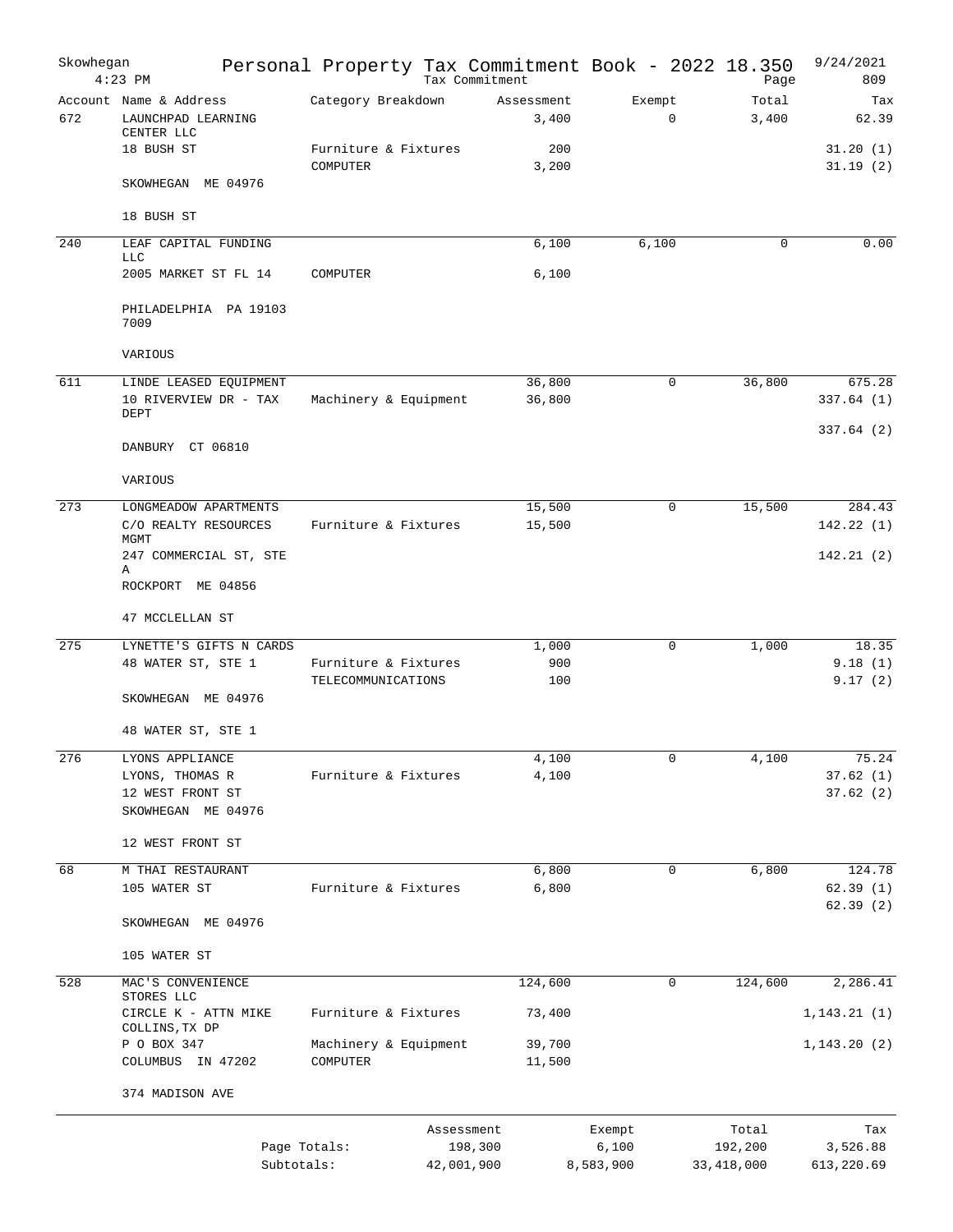|                                        |                                                                                                                                                                                                                           |                                                                                                                                                                                                  |                                                                                                                                                                                                                                            |                                                                                                  |                                | 9/24/2021<br>809                                            |
|----------------------------------------|---------------------------------------------------------------------------------------------------------------------------------------------------------------------------------------------------------------------------|--------------------------------------------------------------------------------------------------------------------------------------------------------------------------------------------------|--------------------------------------------------------------------------------------------------------------------------------------------------------------------------------------------------------------------------------------------|--------------------------------------------------------------------------------------------------|--------------------------------|-------------------------------------------------------------|
| LAUNCHPAD LEARNING                     |                                                                                                                                                                                                                           |                                                                                                                                                                                                  | 3,400                                                                                                                                                                                                                                      | Exempt<br>$\mathbf 0$                                                                            | Total<br>3,400                 | Tax<br>62.39                                                |
| 18 BUSH ST                             | COMPUTER                                                                                                                                                                                                                  |                                                                                                                                                                                                  | 200<br>3,200                                                                                                                                                                                                                               |                                                                                                  |                                | 31.20(1)<br>31.19(2)                                        |
| SKOWHEGAN ME 04976                     |                                                                                                                                                                                                                           |                                                                                                                                                                                                  |                                                                                                                                                                                                                                            |                                                                                                  |                                |                                                             |
| 18 BUSH ST                             |                                                                                                                                                                                                                           |                                                                                                                                                                                                  |                                                                                                                                                                                                                                            |                                                                                                  |                                |                                                             |
| LEAF CAPITAL FUNDING<br><b>LLC</b>     |                                                                                                                                                                                                                           |                                                                                                                                                                                                  | 6,100                                                                                                                                                                                                                                      | 6,100                                                                                            | $\mathbf 0$                    | 0.00                                                        |
| 2005 MARKET ST FL 14                   | COMPUTER                                                                                                                                                                                                                  |                                                                                                                                                                                                  | 6,100                                                                                                                                                                                                                                      |                                                                                                  |                                |                                                             |
| 7009                                   |                                                                                                                                                                                                                           |                                                                                                                                                                                                  |                                                                                                                                                                                                                                            |                                                                                                  |                                |                                                             |
| VARIOUS                                |                                                                                                                                                                                                                           |                                                                                                                                                                                                  |                                                                                                                                                                                                                                            |                                                                                                  |                                |                                                             |
| DEPT                                   |                                                                                                                                                                                                                           |                                                                                                                                                                                                  | 36,800<br>36,800                                                                                                                                                                                                                           | 0                                                                                                | 36,800                         | 675.28<br>337.64(1)<br>337.64(2)                            |
| DANBURY CT 06810                       |                                                                                                                                                                                                                           |                                                                                                                                                                                                  |                                                                                                                                                                                                                                            |                                                                                                  |                                |                                                             |
| VARIOUS                                |                                                                                                                                                                                                                           |                                                                                                                                                                                                  |                                                                                                                                                                                                                                            |                                                                                                  |                                |                                                             |
|                                        |                                                                                                                                                                                                                           |                                                                                                                                                                                                  | 15,500                                                                                                                                                                                                                                     | 0                                                                                                | 15,500                         | 284.43<br>142.22(1)                                         |
| MGMT                                   |                                                                                                                                                                                                                           |                                                                                                                                                                                                  |                                                                                                                                                                                                                                            |                                                                                                  |                                | 142.21(2)                                                   |
| Α                                      |                                                                                                                                                                                                                           |                                                                                                                                                                                                  |                                                                                                                                                                                                                                            |                                                                                                  |                                |                                                             |
|                                        |                                                                                                                                                                                                                           |                                                                                                                                                                                                  |                                                                                                                                                                                                                                            |                                                                                                  |                                |                                                             |
|                                        |                                                                                                                                                                                                                           |                                                                                                                                                                                                  | 1,000                                                                                                                                                                                                                                      | 0                                                                                                | 1,000                          | 18.35                                                       |
| 48 WATER ST, STE 1                     |                                                                                                                                                                                                                           |                                                                                                                                                                                                  | 900<br>100                                                                                                                                                                                                                                 |                                                                                                  |                                | 9.18(1)<br>9.17(2)                                          |
| SKOWHEGAN ME 04976                     |                                                                                                                                                                                                                           |                                                                                                                                                                                                  |                                                                                                                                                                                                                                            |                                                                                                  |                                |                                                             |
| 48 WATER ST, STE 1                     |                                                                                                                                                                                                                           |                                                                                                                                                                                                  |                                                                                                                                                                                                                                            |                                                                                                  |                                |                                                             |
| LYONS APPLIANCE                        |                                                                                                                                                                                                                           |                                                                                                                                                                                                  | 4,100                                                                                                                                                                                                                                      | 0                                                                                                | 4,100                          | 75.24<br>37.62(1)                                           |
| 12 WEST FRONT ST<br>SKOWHEGAN ME 04976 |                                                                                                                                                                                                                           |                                                                                                                                                                                                  |                                                                                                                                                                                                                                            |                                                                                                  |                                | 37.62(2)                                                    |
| 12 WEST FRONT ST                       |                                                                                                                                                                                                                           |                                                                                                                                                                                                  |                                                                                                                                                                                                                                            |                                                                                                  |                                |                                                             |
| M THAI RESTAURANT<br>105 WATER ST      |                                                                                                                                                                                                                           |                                                                                                                                                                                                  | 6,800<br>6,800                                                                                                                                                                                                                             | 0                                                                                                | 6,800                          | 124.78<br>62.39(1)                                          |
| SKOWHEGAN ME 04976                     |                                                                                                                                                                                                                           |                                                                                                                                                                                                  |                                                                                                                                                                                                                                            |                                                                                                  |                                | 62.39(2)                                                    |
| 105 WATER ST                           |                                                                                                                                                                                                                           |                                                                                                                                                                                                  |                                                                                                                                                                                                                                            |                                                                                                  |                                |                                                             |
| MAC'S CONVENIENCE                      |                                                                                                                                                                                                                           |                                                                                                                                                                                                  | 124,600                                                                                                                                                                                                                                    | $\mathbf 0$                                                                                      | 124,600                        | 2,286.41                                                    |
| CIRCLE K - ATTN MIKE                   |                                                                                                                                                                                                                           |                                                                                                                                                                                                  | 73,400                                                                                                                                                                                                                                     |                                                                                                  |                                | 1, 143.21(1)                                                |
| P O BOX 347                            |                                                                                                                                                                                                                           |                                                                                                                                                                                                  | 39,700                                                                                                                                                                                                                                     |                                                                                                  |                                | 1,143.20(2)                                                 |
|                                        |                                                                                                                                                                                                                           |                                                                                                                                                                                                  |                                                                                                                                                                                                                                            |                                                                                                  |                                |                                                             |
|                                        |                                                                                                                                                                                                                           |                                                                                                                                                                                                  |                                                                                                                                                                                                                                            |                                                                                                  |                                |                                                             |
|                                        |                                                                                                                                                                                                                           |                                                                                                                                                                                                  |                                                                                                                                                                                                                                            | Exempt<br>6,100                                                                                  | Total<br>192,200<br>33,418,000 | Tax<br>3,526.88<br>613,220.69                               |
|                                        | Skowhegan<br>$4:23$ PM<br>Account Name & Address<br>CENTER LLC<br>C/O REALTY RESOURCES<br>ROCKPORT ME 04856<br>47 MCCLELLAN ST<br>LYONS, THOMAS R<br>STORES LLC<br>COLLINS, TX DP<br>COLUMBUS IN 47202<br>374 MADISON AVE | PHILADELPHIA PA 19103<br>LINDE LEASED EQUIPMENT<br>10 RIVERVIEW DR - TAX<br>LONGMEADOW APARTMENTS<br>247 COMMERCIAL ST, STE<br>LYNETTE'S GIFTS N CARDS<br>COMPUTER<br>Page Totals:<br>Subtotals: | Category Breakdown<br>Furniture & Fixtures<br>Machinery & Equipment<br>Furniture & Fixtures<br>Furniture & Fixtures<br>TELECOMMUNICATIONS<br>Furniture & Fixtures<br>Furniture & Fixtures<br>Furniture & Fixtures<br>Machinery & Equipment | Tax Commitment<br>Assessment<br>15,500<br>4,100<br>11,500<br>Assessment<br>198,300<br>42,001,900 | 8,583,900                      | Personal Property Tax Commitment Book - 2022 18.350<br>Page |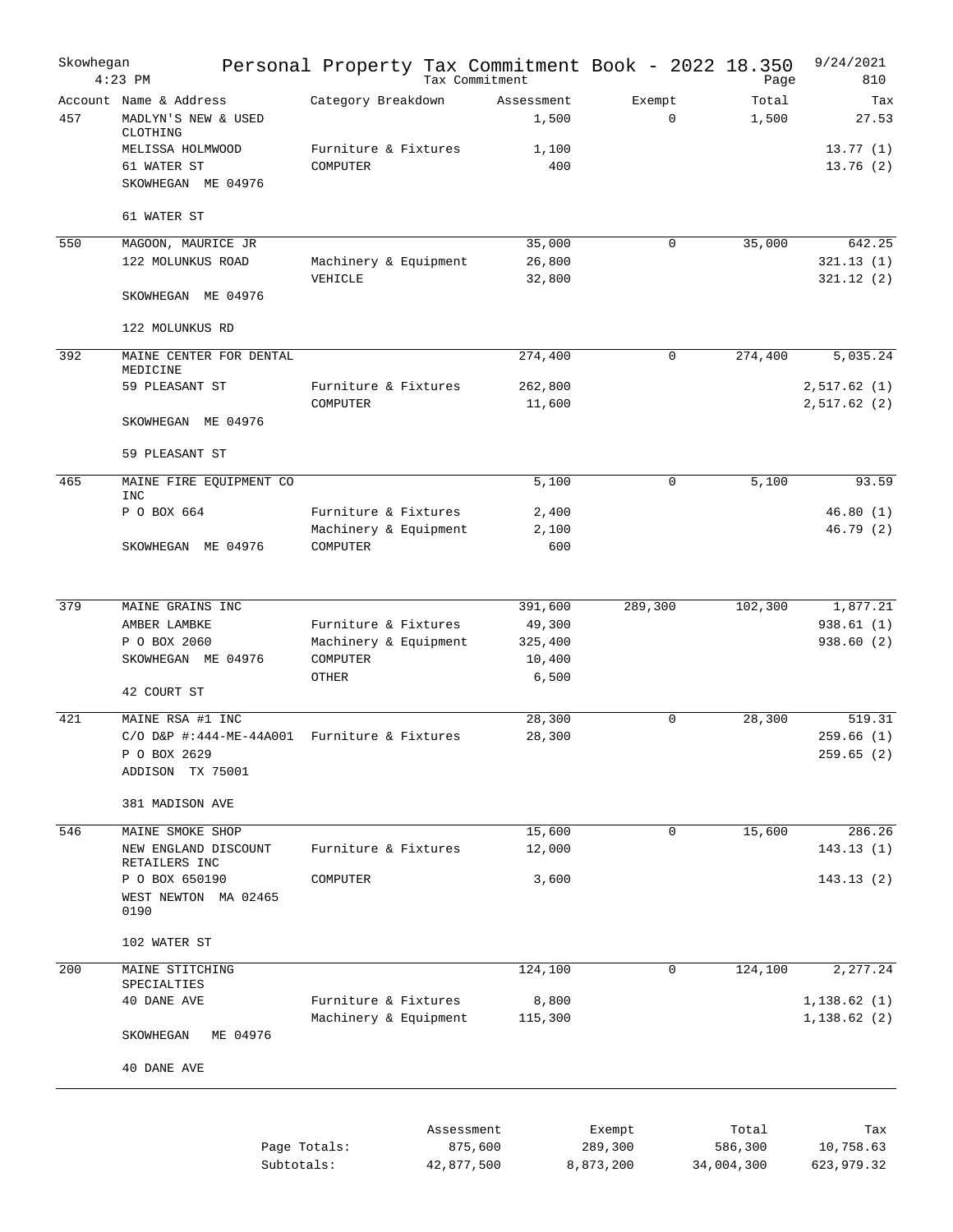| Skowhegan | $4:23$ PM                                                 | Personal Property Tax Commitment Book - 2022 18.350 | Tax Commitment        |                     |                      |             | Page                  | 9/24/2021<br>810           |
|-----------|-----------------------------------------------------------|-----------------------------------------------------|-----------------------|---------------------|----------------------|-------------|-----------------------|----------------------------|
| 457       | Account Name & Address<br>MADLYN'S NEW & USED<br>CLOTHING | Category Breakdown                                  |                       | Assessment<br>1,500 | Exempt               | 0           | Total<br>1,500        | Tax<br>27.53               |
|           | MELISSA HOLMWOOD<br>61 WATER ST<br>SKOWHEGAN ME 04976     | Furniture & Fixtures<br>COMPUTER                    |                       | 1,100<br>400        |                      |             |                       | 13.77(1)<br>13.76(2)       |
|           | 61 WATER ST                                               |                                                     |                       |                     |                      |             |                       |                            |
| 550       | MAGOON, MAURICE JR                                        |                                                     |                       | 35,000              |                      | $\mathbf 0$ | 35,000                | 642.25                     |
|           | 122 MOLUNKUS ROAD                                         | Machinery & Equipment                               |                       | 26,800              |                      |             |                       | 321.13(1)                  |
|           | SKOWHEGAN ME 04976                                        | VEHICLE                                             |                       | 32,800              |                      |             |                       | 321.12(2)                  |
|           |                                                           |                                                     |                       |                     |                      |             |                       |                            |
|           | 122 MOLUNKUS RD                                           |                                                     |                       |                     |                      |             |                       |                            |
| 392       | MAINE CENTER FOR DENTAL<br>MEDICINE                       |                                                     |                       | 274,400             |                      | 0           | 274,400               | 5,035.24                   |
|           | 59 PLEASANT ST                                            | Furniture & Fixtures<br>COMPUTER                    |                       | 262,800<br>11,600   |                      |             |                       | 2,517.62(1)<br>2,517.62(2) |
|           | SKOWHEGAN ME 04976                                        |                                                     |                       |                     |                      |             |                       |                            |
|           | 59 PLEASANT ST                                            |                                                     |                       |                     |                      |             |                       |                            |
| 465       | MAINE FIRE EQUIPMENT CO<br><b>INC</b>                     |                                                     |                       | 5,100               |                      | 0           | 5,100                 | 93.59                      |
|           | P O BOX 664                                               | Furniture & Fixtures                                |                       | 2,400               |                      |             |                       | 46.80(1)                   |
|           |                                                           | Machinery & Equipment                               |                       | 2,100               |                      |             |                       | 46.79(2)                   |
|           | SKOWHEGAN ME 04976                                        | COMPUTER                                            |                       | 600                 |                      |             |                       |                            |
| 379       | MAINE GRAINS INC                                          |                                                     |                       | 391,600             | 289,300              |             | 102,300               | 1,877.21                   |
|           | AMBER LAMBKE                                              | Furniture & Fixtures                                |                       | 49,300              |                      |             |                       | 938.61 (1)                 |
|           | P O BOX 2060                                              | Machinery & Equipment                               |                       | 325,400             |                      |             |                       | 938.60(2)                  |
|           | SKOWHEGAN ME 04976                                        | COMPUTER<br>OTHER                                   |                       | 10,400<br>6,500     |                      |             |                       |                            |
|           | 42 COURT ST                                               |                                                     |                       |                     |                      |             |                       |                            |
| 421       | MAINE RSA #1 INC                                          |                                                     |                       | 28,300              |                      | $\mathbf 0$ | 28,300                | 519.31                     |
|           | $C/O$ D&P #:444-ME-44A001<br>P O BOX 2629                 | Furniture & Fixtures                                |                       | 28,300              |                      |             |                       | 259.66(1)<br>259.65 (2)    |
|           | ADDISON TX 75001                                          |                                                     |                       |                     |                      |             |                       |                            |
|           | 381 MADISON AVE                                           |                                                     |                       |                     |                      |             |                       |                            |
| 546       | MAINE SMOKE SHOP                                          |                                                     |                       | 15,600              |                      | $\mathbf 0$ | 15,600                | 286.26                     |
|           | NEW ENGLAND DISCOUNT<br>RETAILERS INC                     | Furniture & Fixtures                                |                       | 12,000              |                      |             |                       | 143.13(1)                  |
|           | P O BOX 650190                                            | COMPUTER                                            |                       | 3,600               |                      |             |                       | 143.13(2)                  |
|           | WEST NEWTON MA 02465<br>0190                              |                                                     |                       |                     |                      |             |                       |                            |
|           | 102 WATER ST                                              |                                                     |                       |                     |                      |             |                       |                            |
| 200       | MAINE STITCHING                                           |                                                     |                       | 124,100             |                      | 0           | 124,100               | 2,277.24                   |
|           | SPECIALTIES<br>40 DANE AVE                                | Furniture & Fixtures                                |                       | 8,800               |                      |             |                       | 1,138.62(1)                |
|           |                                                           | Machinery & Equipment                               |                       | 115,300             |                      |             |                       | 1,138.62(2)                |
|           | SKOWHEGAN<br>ME 04976                                     |                                                     |                       |                     |                      |             |                       |                            |
|           | 40 DANE AVE                                               |                                                     |                       |                     |                      |             |                       |                            |
|           |                                                           |                                                     |                       |                     |                      |             |                       |                            |
|           |                                                           |                                                     | Assessment            |                     | Exempt               |             | Total                 | Tax                        |
|           |                                                           | Page Totals:<br>Subtotals:                          | 875,600<br>42,877,500 |                     | 289,300<br>8,873,200 |             | 586,300<br>34,004,300 | 10,758.63<br>623,979.32    |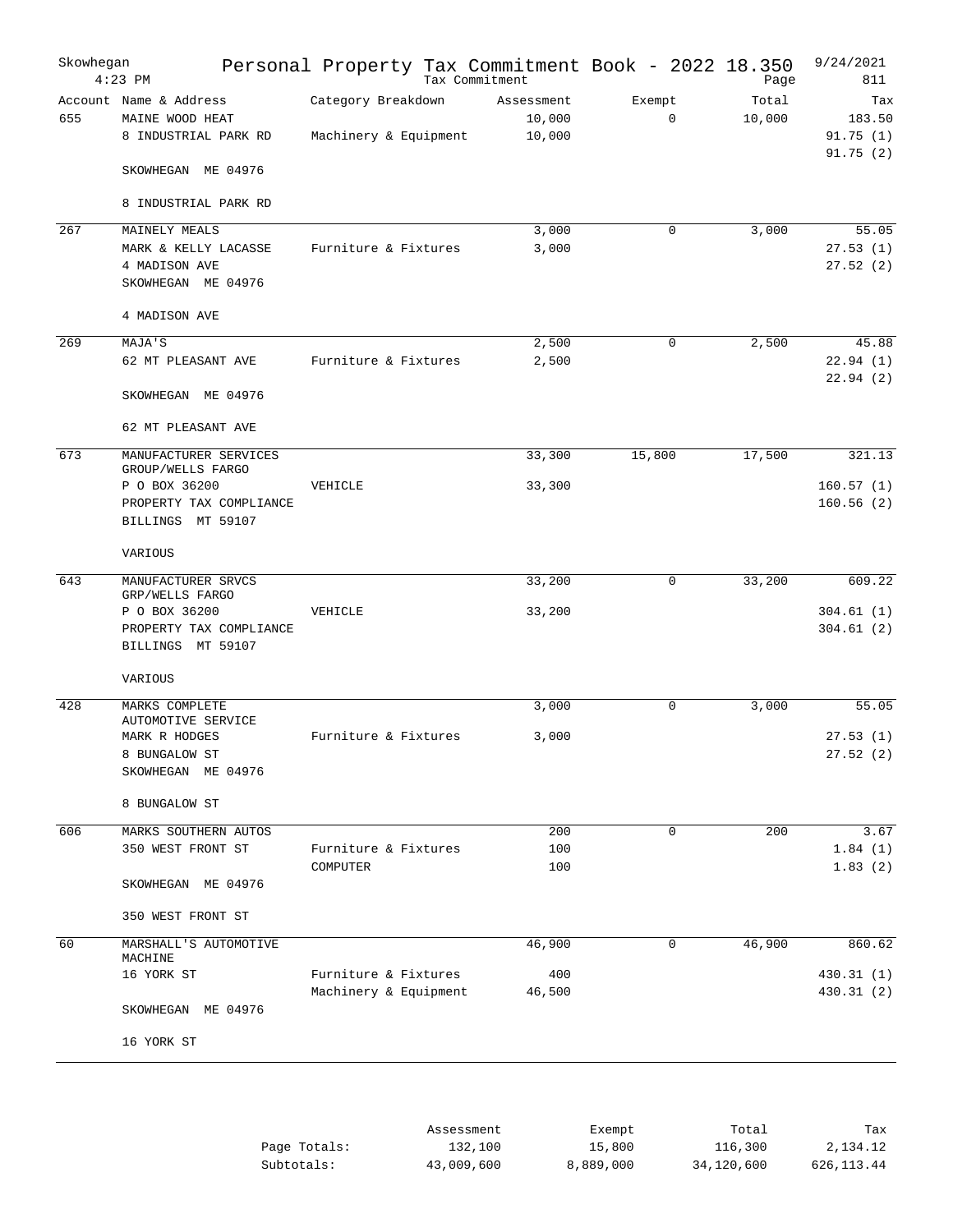| Skowhegan | $4:23$ PM                                                         | Personal Property Tax Commitment Book - 2022 18.350 | Tax Commitment                 |                       | Page            | 9/24/2021<br>811                      |
|-----------|-------------------------------------------------------------------|-----------------------------------------------------|--------------------------------|-----------------------|-----------------|---------------------------------------|
| 655       | Account Name & Address<br>MAINE WOOD HEAT<br>8 INDUSTRIAL PARK RD | Category Breakdown<br>Machinery & Equipment         | Assessment<br>10,000<br>10,000 | Exempt<br>$\mathbf 0$ | Total<br>10,000 | Tax<br>183.50<br>91.75(1)<br>91.75(2) |
|           | SKOWHEGAN ME 04976                                                |                                                     |                                |                       |                 |                                       |
|           | 8 INDUSTRIAL PARK RD                                              |                                                     |                                |                       |                 |                                       |
| 267       | MAINELY MEALS                                                     |                                                     | 3,000                          | 0                     | 3,000           | 55.05                                 |
|           | MARK & KELLY LACASSE<br>4 MADISON AVE<br>SKOWHEGAN ME 04976       | Furniture & Fixtures                                | 3,000                          |                       |                 | 27.53(1)<br>27.52(2)                  |
|           | 4 MADISON AVE                                                     |                                                     |                                |                       |                 |                                       |
| 269       | MAJA'S                                                            |                                                     | 2,500                          | $\mathbf 0$           | 2,500           | 45.88                                 |
|           | 62 MT PLEASANT AVE                                                | Furniture & Fixtures                                | 2,500                          |                       |                 | 22.94(1)<br>22.94(2)                  |
|           | SKOWHEGAN ME 04976                                                |                                                     |                                |                       |                 |                                       |
|           | 62 MT PLEASANT AVE                                                |                                                     |                                |                       |                 |                                       |
| 673       | MANUFACTURER SERVICES<br>GROUP/WELLS FARGO                        |                                                     | 33,300                         | 15,800                | 17,500          | 321.13                                |
|           | P O BOX 36200                                                     | VEHICLE                                             | 33,300                         |                       |                 | 160.57(1)                             |
|           | PROPERTY TAX COMPLIANCE<br><b>BILLINGS</b><br>MT 59107            |                                                     |                                |                       |                 | 160.56(2)                             |
|           | VARIOUS                                                           |                                                     |                                |                       |                 |                                       |
| 643       | MANUFACTURER SRVCS<br>GRP/WELLS FARGO                             |                                                     | 33,200                         | 0                     | 33,200          | 609.22                                |
|           | P O BOX 36200                                                     | VEHICLE                                             | 33,200                         |                       |                 | 304.61(1)                             |
|           | PROPERTY TAX COMPLIANCE<br>BILLINGS MT 59107                      |                                                     |                                |                       |                 | 304.61(2)                             |
|           | VARIOUS                                                           |                                                     |                                |                       |                 |                                       |
| 428       | MARKS COMPLETE                                                    |                                                     | 3,000                          | 0                     | 3,000           | 55.05                                 |
|           | AUTOMOTIVE SERVICE<br>MARK R HODGES                               | Furniture & Fixtures                                | 3,000                          |                       |                 | 27.53(1)                              |
|           | 8 BUNGALOW ST                                                     |                                                     |                                |                       |                 | 27.52(2)                              |
|           | SKOWHEGAN ME 04976                                                |                                                     |                                |                       |                 |                                       |
|           | 8 BUNGALOW ST                                                     |                                                     |                                |                       |                 |                                       |
| 606       | MARKS SOUTHERN AUTOS                                              |                                                     | 200                            | $\mathbf 0$           | 200             | 3.67                                  |
|           | 350 WEST FRONT ST                                                 | Furniture & Fixtures<br>COMPUTER                    | 100<br>100                     |                       |                 | 1.84(1)<br>1.83(2)                    |
|           | SKOWHEGAN ME 04976                                                |                                                     |                                |                       |                 |                                       |
|           | 350 WEST FRONT ST                                                 |                                                     |                                |                       |                 |                                       |
| 60        | MARSHALL'S AUTOMOTIVE<br>MACHINE                                  |                                                     | 46,900                         | $\mathbf 0$           | 46,900          | 860.62                                |
|           | 16 YORK ST                                                        | Furniture & Fixtures                                | 400                            |                       |                 | 430.31 (1)                            |
|           | SKOWHEGAN ME 04976                                                | Machinery & Equipment                               | 46,500                         |                       |                 | 430.31(2)                             |
|           | 16 YORK ST                                                        |                                                     |                                |                       |                 |                                       |
|           |                                                                   |                                                     |                                |                       |                 |                                       |

|              | Assessment | Exempt    | Total      | Tax        |
|--------------|------------|-----------|------------|------------|
| Page Totals: | 132,100    | 15,800    | 116,300    | 2,134.12   |
| Subtotals:   | 43,009,600 | 8,889,000 | 34,120,600 | 626,113.44 |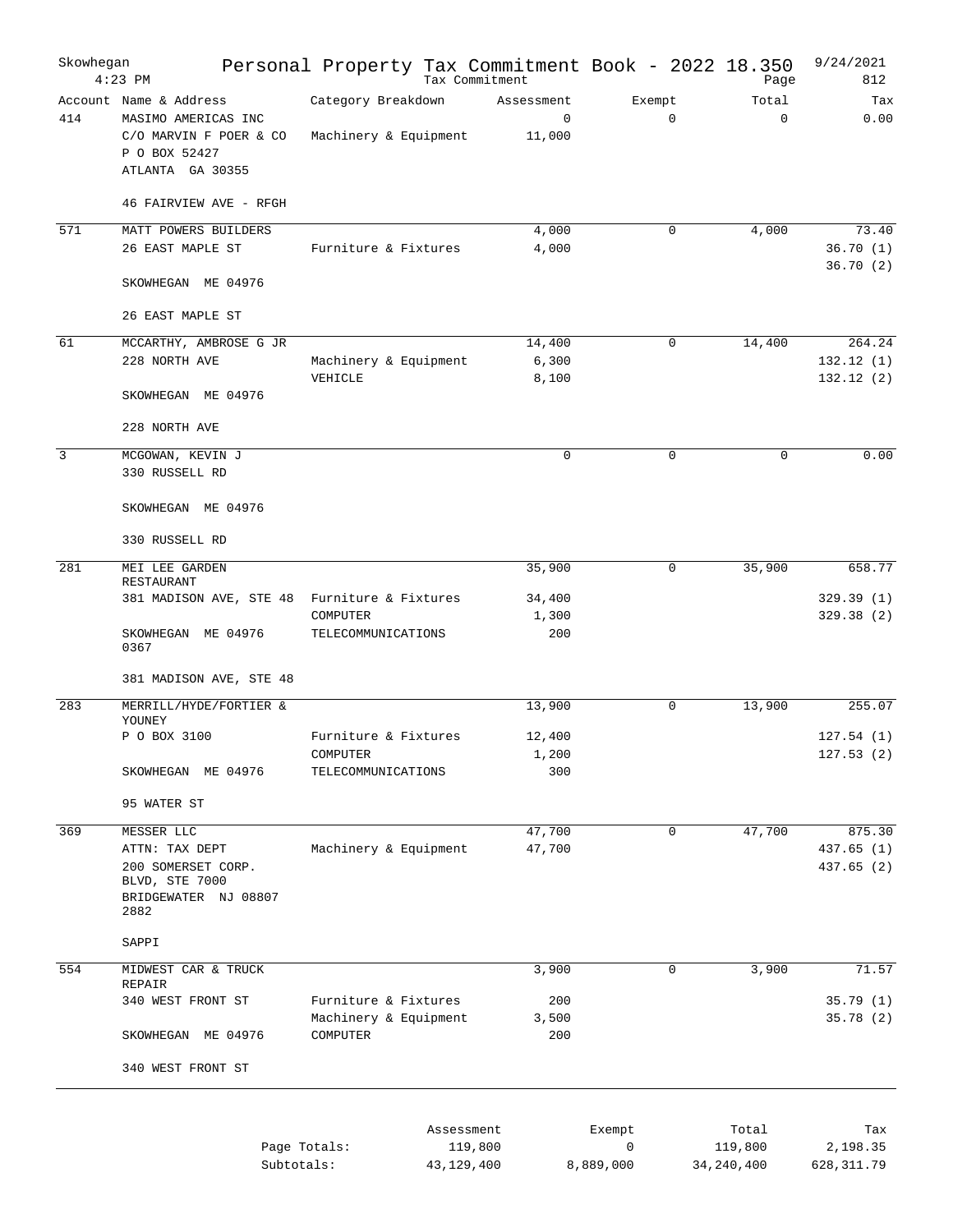| Skowhegan      | $4:23$ PM                                                                                                    | Personal Property Tax Commitment Book - 2022 18.350 | Tax Commitment                      |                       | Page                 | 9/24/2021<br>812                 |
|----------------|--------------------------------------------------------------------------------------------------------------|-----------------------------------------------------|-------------------------------------|-----------------------|----------------------|----------------------------------|
| 414            | Account Name & Address<br>MASIMO AMERICAS INC<br>C/O MARVIN F POER & CO<br>P O BOX 52427<br>ATLANTA GA 30355 | Category Breakdown<br>Machinery & Equipment         | Assessment<br>$\mathbf 0$<br>11,000 | Exempt<br>$\mathbf 0$ | Total<br>$\mathbf 0$ | Tax<br>0.00                      |
|                | 46 FAIRVIEW AVE - RFGH                                                                                       |                                                     |                                     |                       |                      |                                  |
| 571            | MATT POWERS BUILDERS<br>26 EAST MAPLE ST                                                                     | Furniture & Fixtures                                | 4,000<br>4,000                      | $\Omega$              | 4,000                | 73.40<br>36.70(1)<br>36.70(2)    |
|                | SKOWHEGAN ME 04976<br>26 EAST MAPLE ST                                                                       |                                                     |                                     |                       |                      |                                  |
|                |                                                                                                              |                                                     |                                     |                       |                      |                                  |
| 61             | MCCARTHY, AMBROSE G JR<br>228 NORTH AVE                                                                      | Machinery & Equipment<br>VEHICLE                    | 14,400<br>6,300<br>8,100            | $\Omega$              | 14,400               | 264.24<br>132.12(1)<br>132.12(2) |
|                | SKOWHEGAN ME 04976                                                                                           |                                                     |                                     |                       |                      |                                  |
|                | 228 NORTH AVE                                                                                                |                                                     |                                     |                       |                      |                                  |
| $\overline{3}$ | MCGOWAN, KEVIN J<br>330 RUSSELL RD                                                                           |                                                     | $\Omega$                            | $\Omega$              | $\mathbf 0$          | 0.00                             |
|                | SKOWHEGAN ME 04976                                                                                           |                                                     |                                     |                       |                      |                                  |
|                | 330 RUSSELL RD                                                                                               |                                                     |                                     |                       |                      |                                  |
| 281            | MEI LEE GARDEN<br>RESTAURANT                                                                                 |                                                     | 35,900                              | $\mathbf 0$           | 35,900               | 658.77                           |
|                | 381 MADISON AVE, STE 48 Furniture & Fixtures                                                                 |                                                     | 34,400                              |                       |                      | 329.39(1)                        |
|                | SKOWHEGAN ME 04976<br>0367                                                                                   | COMPUTER<br>TELECOMMUNICATIONS                      | 1,300<br>200                        |                       |                      | 329.38(2)                        |
|                | 381 MADISON AVE, STE 48                                                                                      |                                                     |                                     |                       |                      |                                  |
| 283            | MERRILL/HYDE/FORTIER &<br>YOUNEY                                                                             |                                                     | 13,900                              | $\mathbf 0$           | 13,900               | 255.07                           |
|                | P O BOX 3100                                                                                                 | Furniture & Fixtures                                | 12,400                              |                       |                      | 127.54(1)                        |
|                | SKOWHEGAN ME 04976                                                                                           | COMPUTER<br>TELECOMMUNICATIONS                      | 1,200<br>300                        |                       |                      | 127.53(2)                        |
|                | 95 WATER ST                                                                                                  |                                                     |                                     |                       |                      |                                  |
| 369            | MESSER LLC                                                                                                   |                                                     | 47,700                              | $\mathbf 0$           | 47,700               | 875.30                           |
|                | ATTN: TAX DEPT<br>200 SOMERSET CORP.<br>BLVD, STE 7000<br>BRIDGEWATER NJ 08807<br>2882                       | Machinery & Equipment                               | 47,700                              |                       |                      | 437.65(1)<br>437.65 (2)          |
|                | SAPPI                                                                                                        |                                                     |                                     |                       |                      |                                  |
| 554            | MIDWEST CAR & TRUCK                                                                                          |                                                     | 3,900                               | $\mathbf 0$           | 3,900                | 71.57                            |
|                | REPAIR<br>340 WEST FRONT ST                                                                                  | Furniture & Fixtures<br>Machinery & Equipment       | 200                                 |                       |                      | 35.79(1)<br>35.78(2)             |
|                | SKOWHEGAN ME 04976                                                                                           | COMPUTER                                            | 3,500<br>200                        |                       |                      |                                  |
|                | 340 WEST FRONT ST                                                                                            |                                                     |                                     |                       |                      |                                  |
|                |                                                                                                              | Page Totals:                                        | Assessment<br>119,800               | Exempt<br>$\mathbf 0$ | Total<br>119,800     | Tax<br>2,198.35                  |
|                |                                                                                                              | Subtotals:                                          | 43,129,400                          | 8,889,000             | 34, 240, 400         | 628, 311.79                      |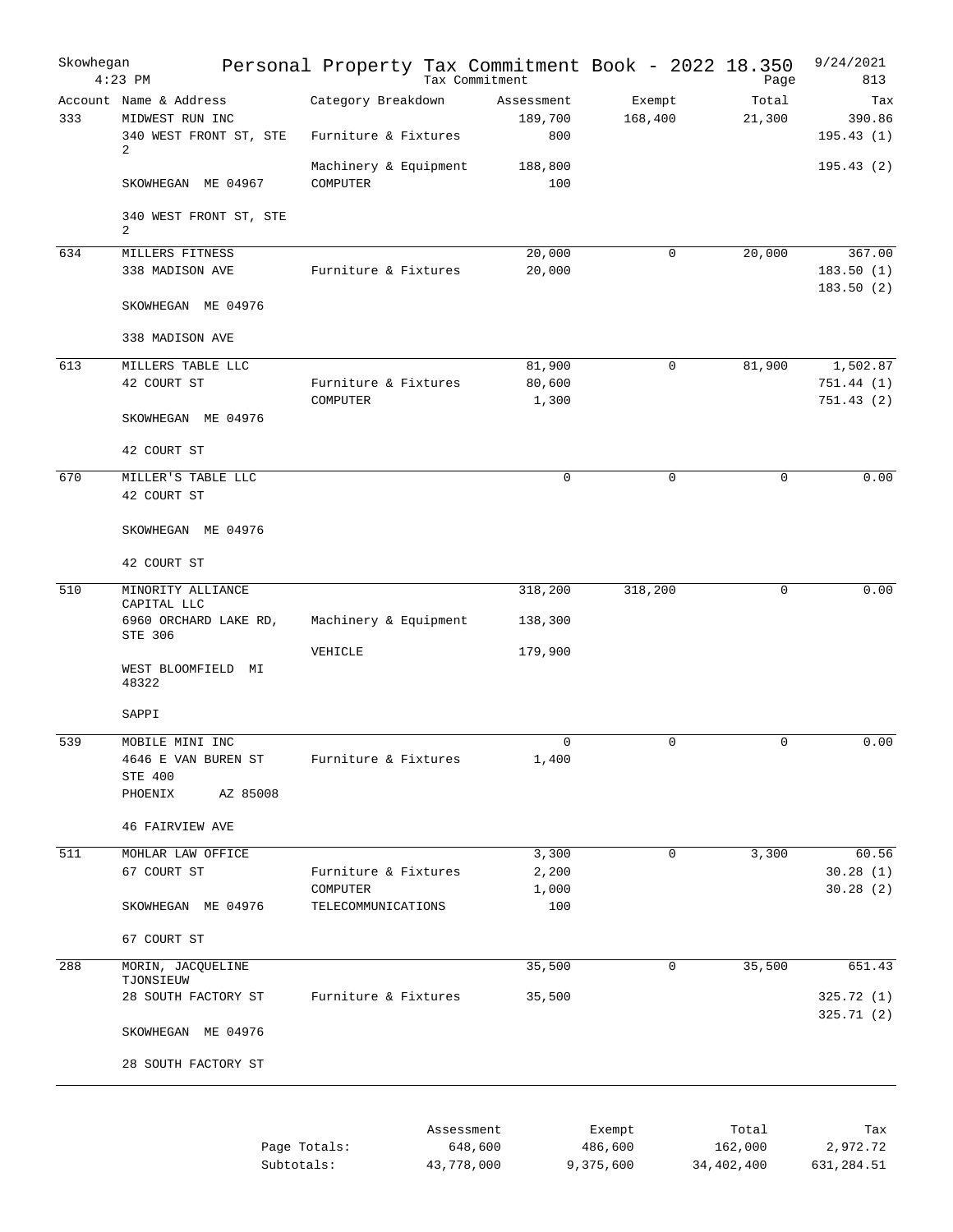| Skowhegan        | $4:23$ PM                                                                | Personal Property Tax Commitment Book - 2022 18.350 |            | Tax Commitment               |                   | Page            | 9/24/2021<br>813           |
|------------------|--------------------------------------------------------------------------|-----------------------------------------------------|------------|------------------------------|-------------------|-----------------|----------------------------|
| 333              | Account Name & Address<br>MIDWEST RUN INC<br>340 WEST FRONT ST, STE<br>2 | Category Breakdown<br>Furniture & Fixtures          |            | Assessment<br>189,700<br>800 | Exempt<br>168,400 | Total<br>21,300 | Tax<br>390.86<br>195.43(1) |
|                  | SKOWHEGAN ME 04967                                                       | Machinery & Equipment<br>COMPUTER                   |            | 188,800<br>100               |                   |                 | 195.43(2)                  |
|                  | 340 WEST FRONT ST, STE<br>2                                              |                                                     |            |                              |                   |                 |                            |
| 634              | MILLERS FITNESS                                                          |                                                     |            | 20,000                       | $\mathbf 0$       | 20,000          | 367.00                     |
|                  | 338 MADISON AVE                                                          | Furniture & Fixtures                                |            | 20,000                       |                   |                 | 183.50(1)<br>183.50(2)     |
|                  | SKOWHEGAN ME 04976                                                       |                                                     |            |                              |                   |                 |                            |
|                  | 338 MADISON AVE                                                          |                                                     |            |                              |                   |                 |                            |
| 613              | MILLERS TABLE LLC                                                        |                                                     |            | 81,900                       | $\mathbf 0$       | 81,900          | 1,502.87                   |
|                  | 42 COURT ST                                                              | Furniture & Fixtures                                |            | 80,600                       |                   |                 | 751.44 (1)                 |
|                  | SKOWHEGAN ME 04976                                                       | <b>COMPUTER</b>                                     |            | 1,300                        |                   |                 | 751.43(2)                  |
|                  | 42 COURT ST                                                              |                                                     |            |                              |                   |                 |                            |
| 670              | MILLER'S TABLE LLC                                                       |                                                     |            | $\mathbf 0$                  | $\mathbf 0$       | $\mathbf 0$     | 0.00                       |
|                  | 42 COURT ST                                                              |                                                     |            |                              |                   |                 |                            |
|                  | SKOWHEGAN ME 04976                                                       |                                                     |            |                              |                   |                 |                            |
|                  | 42 COURT ST                                                              |                                                     |            |                              |                   |                 |                            |
| 510              | MINORITY ALLIANCE                                                        |                                                     |            | 318,200                      | 318,200           | $\mathbf 0$     | 0.00                       |
|                  | CAPITAL LLC<br>6960 ORCHARD LAKE RD,<br>STE 306                          | Machinery & Equipment                               |            | 138,300                      |                   |                 |                            |
|                  |                                                                          | VEHICLE                                             |            | 179,900                      |                   |                 |                            |
|                  | WEST BLOOMFIELD MI<br>48322                                              |                                                     |            |                              |                   |                 |                            |
|                  | SAPPI                                                                    |                                                     |            |                              |                   |                 |                            |
| 539              | MOBILE MINI INC                                                          |                                                     |            | $\mathbf 0$                  | 0                 | 0               | 0.00                       |
|                  | 4646 E VAN BUREN ST                                                      | Furniture & Fixtures                                |            | 1,400                        |                   |                 |                            |
|                  | STE 400<br>PHOENIX<br>AZ 85008                                           |                                                     |            |                              |                   |                 |                            |
|                  |                                                                          |                                                     |            |                              |                   |                 |                            |
|                  | <b>46 FAIRVIEW AVE</b>                                                   |                                                     |            |                              |                   |                 |                            |
| $\overline{511}$ | MOHLAR LAW OFFICE                                                        |                                                     |            | 3,300                        | $\mathbf 0$       | 3,300           | 60.56                      |
|                  | 67 COURT ST                                                              | Furniture & Fixtures                                |            | 2,200                        |                   |                 | 30.28(1)                   |
|                  |                                                                          | COMPUTER                                            |            | 1,000                        |                   |                 | 30.28(2)                   |
|                  | SKOWHEGAN ME 04976                                                       | TELECOMMUNICATIONS                                  |            | 100                          |                   |                 |                            |
|                  | 67 COURT ST                                                              |                                                     |            |                              |                   |                 |                            |
| 288              | MORIN, JACQUELINE<br>TJONSIEUW                                           |                                                     |            | 35,500                       | $\mathbf 0$       | 35,500          | 651.43                     |
|                  | 28 SOUTH FACTORY ST                                                      | Furniture & Fixtures                                |            | 35,500                       |                   |                 | 325.72 (1)                 |
|                  | SKOWHEGAN ME 04976                                                       |                                                     |            |                              |                   |                 | 325.71 (2)                 |
|                  | 28 SOUTH FACTORY ST                                                      |                                                     |            |                              |                   |                 |                            |
|                  |                                                                          |                                                     |            |                              |                   |                 |                            |
|                  |                                                                          |                                                     | Assessment |                              | Exempt            | Total           | Tax                        |
|                  |                                                                          | Page Totals:                                        |            | 648,600                      | 486,600           | 162,000         | 2,972.72                   |

|              | -------------------- | _______   |            | -------    |
|--------------|----------------------|-----------|------------|------------|
| Page Totals: | 648,600              | 486,600   | 162,000    | 2,972.72   |
| Subtotals:   | 43,778,000           | 9,375,600 | 34,402,400 | 631,284.51 |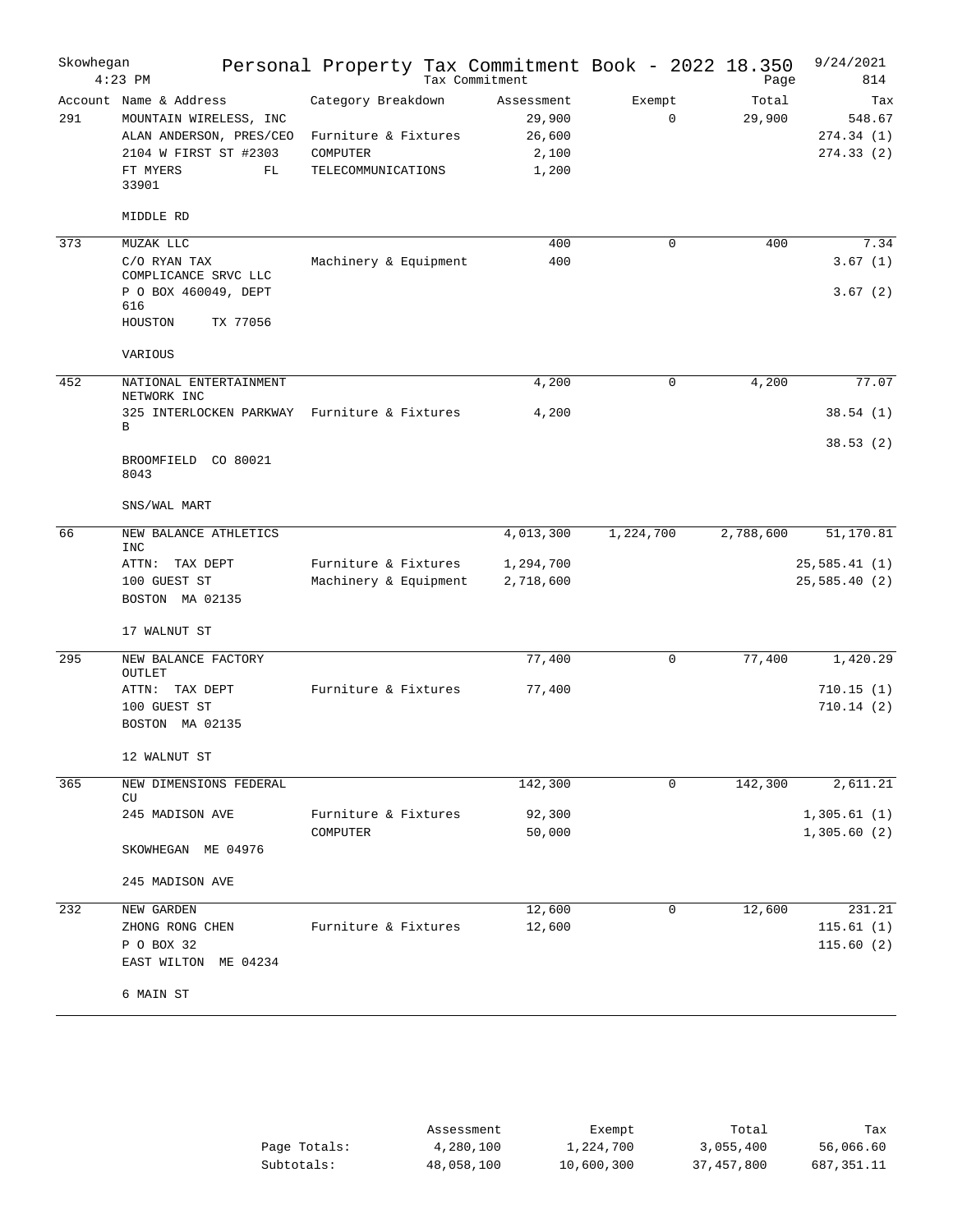| Skowhegan | $4:23$ PM                                                                                                                       | Personal Property Tax Commitment Book - 2022 18.350                          | Tax Commitment                                   |           |             | Page            | 9/24/2021<br>814                        |
|-----------|---------------------------------------------------------------------------------------------------------------------------------|------------------------------------------------------------------------------|--------------------------------------------------|-----------|-------------|-----------------|-----------------------------------------|
| 291       | Account Name & Address<br>MOUNTAIN WIRELESS, INC<br>ALAN ANDERSON, PRES/CEO<br>2104 W FIRST ST #2303<br>FT MYERS<br>FL<br>33901 | Category Breakdown<br>Furniture & Fixtures<br>COMPUTER<br>TELECOMMUNICATIONS | Assessment<br>29,900<br>26,600<br>2,100<br>1,200 | Exempt    | $\mathbf 0$ | Total<br>29,900 | Tax<br>548.67<br>274.34(1)<br>274.33(2) |
|           | MIDDLE RD                                                                                                                       |                                                                              |                                                  |           |             |                 |                                         |
| 373       | MUZAK LLC<br>C/O RYAN TAX<br>COMPLICANCE SRVC LLC<br>P O BOX 460049, DEPT<br>616<br>HOUSTON<br>TX 77056                         | Machinery & Equipment                                                        | 400<br>400                                       |           | $\mathbf 0$ | 400             | 7.34<br>3.67(1)<br>3.67(2)              |
|           | VARIOUS                                                                                                                         |                                                                              |                                                  |           |             |                 |                                         |
| 452       | NATIONAL ENTERTAINMENT<br>NETWORK INC                                                                                           |                                                                              | 4,200                                            |           | 0           | 4,200           | 77.07                                   |
|           | 325 INTERLOCKEN PARKWAY<br>В                                                                                                    | Furniture & Fixtures                                                         | 4,200                                            |           |             |                 | 38.54(1)<br>38.53(2)                    |
|           | BROOMFIELD CO 80021<br>8043                                                                                                     |                                                                              |                                                  |           |             |                 |                                         |
|           | SNS/WAL MART                                                                                                                    |                                                                              |                                                  |           |             |                 |                                         |
| 66        | NEW BALANCE ATHLETICS<br><b>INC</b>                                                                                             |                                                                              | 4,013,300                                        | 1,224,700 |             | 2,788,600       | 51,170.81                               |
|           | ATTN: TAX DEPT<br>100 GUEST ST<br>BOSTON MA 02135<br>17 WALNUT ST                                                               | Furniture & Fixtures<br>Machinery & Equipment                                | 1,294,700<br>2,718,600                           |           |             |                 | 25,585.41(1)<br>25,585.40 (2)           |
| 295       | NEW BALANCE FACTORY                                                                                                             |                                                                              | 77,400                                           |           | 0           | 77,400          | 1,420.29                                |
|           | OUTLET<br>ATTN: TAX DEPT<br>100 GUEST ST<br>BOSTON MA 02135                                                                     | Furniture & Fixtures                                                         | 77,400                                           |           |             |                 | 710.15(1)<br>710.14(2)                  |
|           | 12 WALNUT ST                                                                                                                    |                                                                              |                                                  |           |             |                 |                                         |
| 365       | NEW DIMENSIONS FEDERAL<br>CU                                                                                                    |                                                                              | 142,300                                          |           | 0           | 142,300         | 2,611.21                                |
|           | 245 MADISON AVE<br>SKOWHEGAN ME 04976                                                                                           | Furniture & Fixtures<br>COMPUTER                                             | 92,300<br>50,000                                 |           |             |                 | 1,305.61(1)<br>1,305.60(2)              |
|           | 245 MADISON AVE                                                                                                                 |                                                                              |                                                  |           |             |                 |                                         |
| 232       | NEW GARDEN<br>ZHONG RONG CHEN<br>P O BOX 32<br>EAST WILTON<br>ME 04234<br>6 MAIN ST                                             | Furniture & Fixtures                                                         | 12,600<br>12,600                                 |           | 0           | 12,600          | 231.21<br>115.61(1)<br>115.60(2)        |

|              | Assessment | Exempt     | Total      | Tax        |
|--------------|------------|------------|------------|------------|
| Page Totals: | 4,280,100  | 1,224,700  | 3,055,400  | 56,066.60  |
| Subtotals:   | 48,058,100 | 10,600,300 | 37,457,800 | 687,351.11 |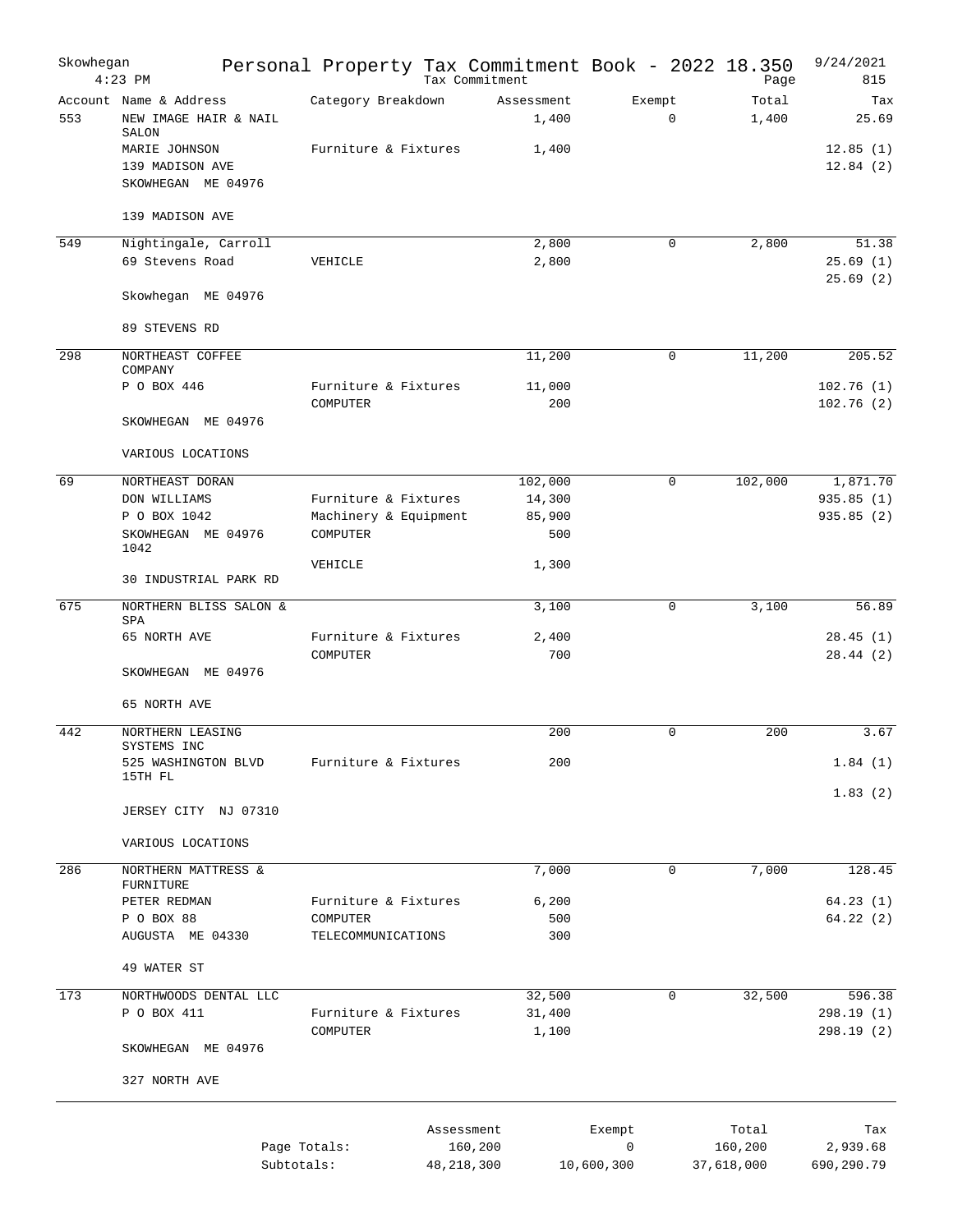| Skowhegan | $4:23$ PM                                                | Personal Property Tax Commitment Book - 2022 18.350 | Tax Commitment      |                       | Page           | 9/24/2021<br>815        |
|-----------|----------------------------------------------------------|-----------------------------------------------------|---------------------|-----------------------|----------------|-------------------------|
| 553       | Account Name & Address<br>NEW IMAGE HAIR & NAIL<br>SALON | Category Breakdown                                  | Assessment<br>1,400 | Exempt<br>$\mathbf 0$ | Total<br>1,400 | Tax<br>25.69            |
|           | MARIE JOHNSON<br>139 MADISON AVE<br>SKOWHEGAN ME 04976   | Furniture & Fixtures                                | 1,400               |                       |                | 12.85(1)<br>12.84(2)    |
|           | 139 MADISON AVE                                          |                                                     |                     |                       |                |                         |
| 549       | Nightingale, Carroll                                     |                                                     | 2,800               | $\mathbf 0$           | 2,800          | 51.38                   |
|           | 69 Stevens Road                                          | VEHICLE                                             | 2,800               |                       |                | 25.69(1)<br>25.69(2)    |
|           | Skowhegan ME 04976                                       |                                                     |                     |                       |                |                         |
|           | 89 STEVENS RD                                            |                                                     |                     |                       |                |                         |
| 298       | NORTHEAST COFFEE<br>COMPANY                              |                                                     | 11,200              | 0                     | 11,200         | 205.52                  |
|           | P O BOX 446                                              | Furniture & Fixtures<br>COMPUTER                    | 11,000<br>200       |                       |                | 102.76(1)<br>102.76(2)  |
|           | SKOWHEGAN ME 04976                                       |                                                     |                     |                       |                |                         |
|           | VARIOUS LOCATIONS                                        |                                                     |                     |                       |                |                         |
| 69        | NORTHEAST DORAN                                          |                                                     | 102,000             | $\mathbf 0$           | 102,000        | 1,871.70                |
|           | DON WILLIAMS                                             | Furniture & Fixtures                                | 14,300              |                       |                | 935.85(1)               |
|           | P O BOX 1042                                             | Machinery & Equipment                               | 85,900              |                       |                | 935.85(2)               |
|           | SKOWHEGAN ME 04976<br>1042                               | COMPUTER                                            | 500                 |                       |                |                         |
|           | 30 INDUSTRIAL PARK RD                                    | VEHICLE                                             | 1,300               |                       |                |                         |
| 675       | NORTHERN BLISS SALON &                                   |                                                     | 3,100               | $\mathbf 0$           | 3,100          | 56.89                   |
|           | SPA                                                      |                                                     |                     |                       |                |                         |
|           | 65 NORTH AVE                                             | Furniture & Fixtures<br>COMPUTER                    | 2,400<br>700        |                       |                | 28.45(1)<br>28.44(2)    |
|           | SKOWHEGAN ME 04976                                       |                                                     |                     |                       |                |                         |
|           | 65 NORTH AVE                                             |                                                     |                     |                       |                |                         |
| 442       | NORTHERN LEASING<br>SYSTEMS INC                          |                                                     | 200                 | $\Omega$              | 200            | 3.67                    |
|           | 525 WASHINGTON BLVD<br>15TH FL                           | Furniture & Fixtures                                | 200                 |                       |                | 1.84(1)                 |
|           | JERSEY CITY NJ 07310                                     |                                                     |                     |                       |                | 1.83(2)                 |
|           | VARIOUS LOCATIONS                                        |                                                     |                     |                       |                |                         |
| 286       | NORTHERN MATTRESS &                                      |                                                     | 7,000               | $\mathbf 0$           | 7,000          | 128.45                  |
|           | FURNITURE<br>PETER REDMAN                                | Furniture & Fixtures                                | 6,200               |                       |                | 64.23(1)                |
|           | P O BOX 88                                               | COMPUTER                                            | 500                 |                       |                | 64.22(2)                |
|           | AUGUSTA ME 04330                                         | TELECOMMUNICATIONS                                  | 300                 |                       |                |                         |
|           | 49 WATER ST                                              |                                                     |                     |                       |                |                         |
| 173       | NORTHWOODS DENTAL LLC                                    |                                                     | 32,500              | 0                     | 32,500         | 596.38                  |
|           | P O BOX 411                                              | Furniture & Fixtures<br>COMPUTER                    | 31,400<br>1,100     |                       |                | 298.19 (1)<br>298.19(2) |
|           | SKOWHEGAN ME 04976                                       |                                                     |                     |                       |                |                         |
|           | 327 NORTH AVE                                            |                                                     |                     |                       |                |                         |
|           |                                                          |                                                     | Assessment          | Exempt                | Total          | Tax                     |
|           |                                                          | Page Totals:                                        | 160,200             | 0                     | 160,200        | 2,939.68                |
|           |                                                          | Subtotals:                                          | 48, 218, 300        | 10,600,300            | 37,618,000     | 690,290.79              |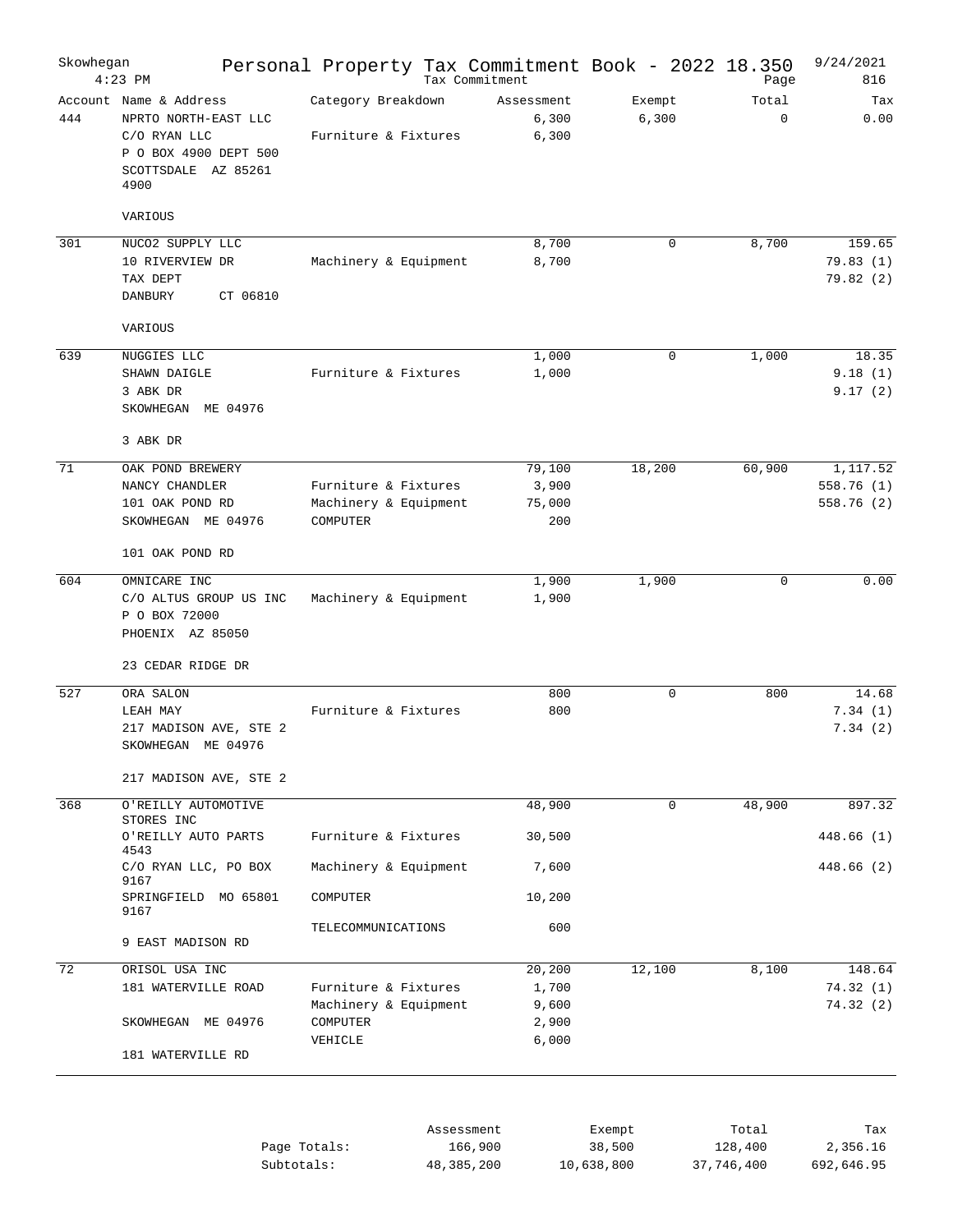| Skowhegan       | $4:23$ PM                                                                                                              | Personal Property Tax Commitment Book - 2022 18.350       | Tax Commitment          |                |                      | Page                  | 9/24/2021<br>816                   |
|-----------------|------------------------------------------------------------------------------------------------------------------------|-----------------------------------------------------------|-------------------------|----------------|----------------------|-----------------------|------------------------------------|
| 444             | Account Name & Address<br>NPRTO NORTH-EAST LLC<br>C/O RYAN LLC<br>P O BOX 4900 DEPT 500<br>SCOTTSDALE AZ 85261<br>4900 | Category Breakdown<br>Furniture & Fixtures                | Assessment              | 6,300<br>6,300 | Exempt<br>6,300      | Total<br>0            | Tax<br>0.00                        |
|                 | VARIOUS                                                                                                                |                                                           |                         |                |                      |                       |                                    |
| 301             | NUCO2 SUPPLY LLC<br>10 RIVERVIEW DR<br>TAX DEPT<br>DANBURY<br>CT 06810<br>VARIOUS                                      | Machinery & Equipment                                     |                         | 8,700<br>8,700 | 0                    | 8,700                 | 159.65<br>79.83(1)<br>79.82(2)     |
|                 |                                                                                                                        |                                                           |                         |                |                      |                       |                                    |
| 639             | NUGGIES LLC<br>SHAWN DAIGLE<br>3 ABK DR<br>SKOWHEGAN<br>ME 04976                                                       | Furniture & Fixtures                                      |                         | 1,000<br>1,000 | $\mathbf 0$          | 1,000                 | 18.35<br>9.18(1)<br>9.17(2)        |
|                 | 3 ABK DR                                                                                                               |                                                           |                         |                |                      |                       |                                    |
| 71              | OAK POND BREWERY<br>NANCY CHANDLER<br>101 OAK POND RD<br>SKOWHEGAN ME 04976                                            | Furniture & Fixtures<br>Machinery & Equipment<br>COMPUTER | 79,100<br>75,000        | 3,900<br>200   | 18,200               | 60,900                | 1,117.52<br>558.76(1)<br>558.76(2) |
|                 | 101 OAK POND RD                                                                                                        |                                                           |                         |                |                      |                       |                                    |
| 604             | OMNICARE INC<br>C/O ALTUS GROUP US INC<br>P O BOX 72000<br>PHOENIX AZ 85050<br>23 CEDAR RIDGE DR                       | Machinery & Equipment                                     |                         | 1,900<br>1,900 | 1,900                | 0                     | 0.00                               |
| 527             | ORA SALON                                                                                                              |                                                           |                         | 800            | 0                    | 800                   | 14.68                              |
|                 | LEAH MAY<br>217 MADISON AVE, STE 2<br>SKOWHEGAN ME 04976<br>217 MADISON AVE, STE 2                                     | Furniture & Fixtures                                      |                         | 800            |                      |                       | 7.34(1)<br>7.34(2)                 |
| 368             | O'REILLY AUTOMOTIVE                                                                                                    |                                                           | 48,900                  |                | $\mathbf 0$          | 48,900                | 897.32                             |
|                 | STORES INC<br>O'REILLY AUTO PARTS<br>4543                                                                              | Furniture & Fixtures                                      | 30,500                  |                |                      |                       | 448.66 (1)                         |
|                 | C/O RYAN LLC, PO BOX<br>9167                                                                                           | Machinery & Equipment                                     |                         | 7,600          |                      |                       | 448.66 (2)                         |
|                 | SPRINGFIELD MO 65801<br>9167                                                                                           | COMPUTER                                                  | 10,200                  |                |                      |                       |                                    |
|                 | 9 EAST MADISON RD                                                                                                      | TELECOMMUNICATIONS                                        |                         | 600            |                      |                       |                                    |
| $\overline{72}$ | ORISOL USA INC                                                                                                         |                                                           | 20,200                  |                | 12,100               | 8,100                 | 148.64                             |
|                 | 181 WATERVILLE ROAD                                                                                                    | Furniture & Fixtures<br>Machinery & Equipment             |                         | 1,700<br>9,600 |                      |                       | 74.32(1)<br>74.32(2)               |
|                 | SKOWHEGAN ME 04976                                                                                                     | COMPUTER<br>VEHICLE                                       |                         | 2,900<br>6,000 |                      |                       |                                    |
|                 | 181 WATERVILLE RD                                                                                                      |                                                           | Assessment              |                | Exempt               | Total                 | Tax                                |
|                 |                                                                                                                        | Page Totals:<br>Subtotals:                                | 166,900<br>48, 385, 200 |                | 38,500<br>10,638,800 | 128,400<br>37,746,400 | 2,356.16<br>692,646.95             |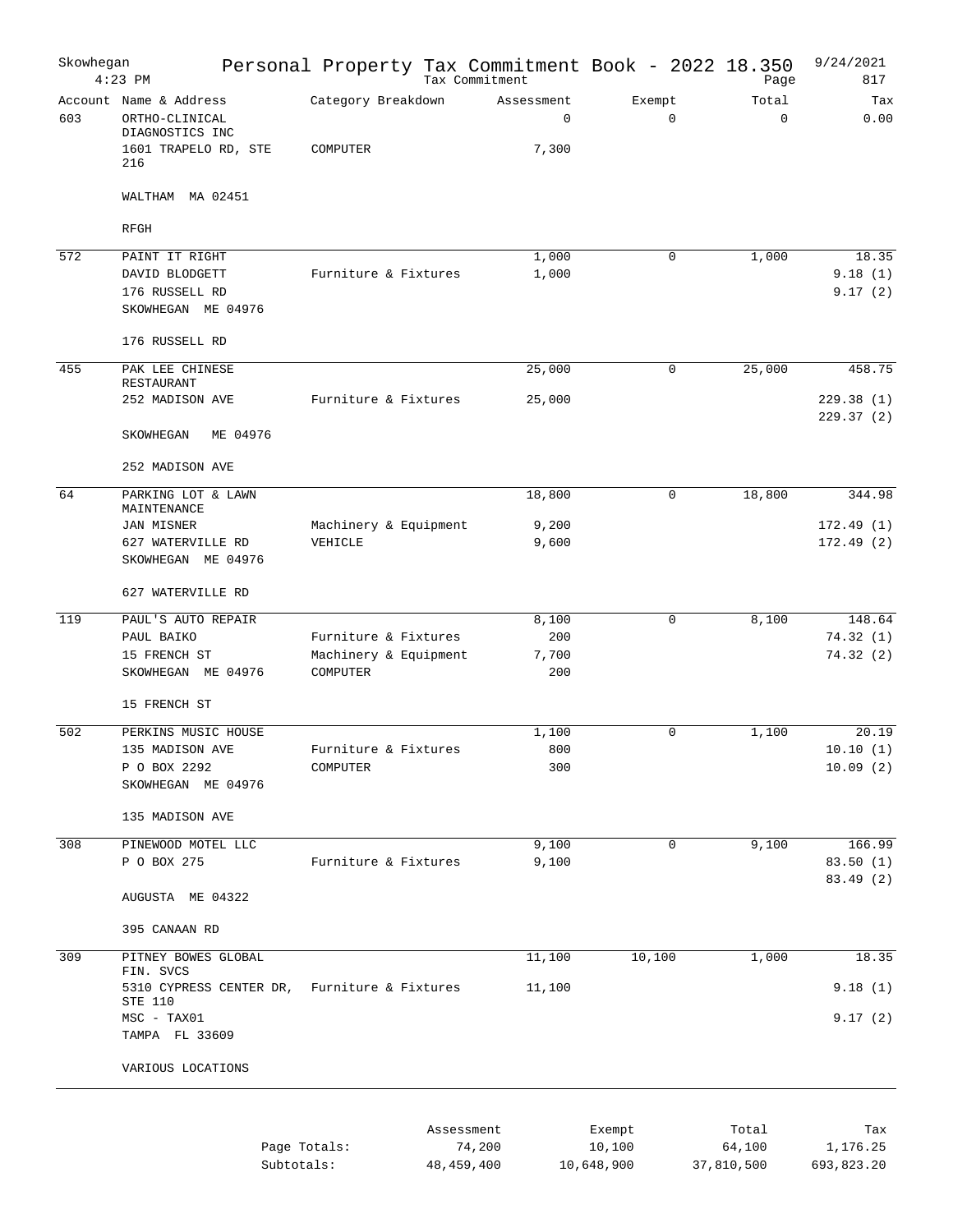| Skowhegan | $4:23$ PM                                                                                  | Personal Property Tax Commitment Book - 2022 18.350<br>Page |              |                                    |                      | Page                 | 9/24/2021<br>817        |
|-----------|--------------------------------------------------------------------------------------------|-------------------------------------------------------------|--------------|------------------------------------|----------------------|----------------------|-------------------------|
| 603       | Account Name & Address<br>ORTHO-CLINICAL<br>DIAGNOSTICS INC<br>1601 TRAPELO RD, STE<br>216 | Category Breakdown<br>COMPUTER                              |              | Assessment<br>$\mathbf 0$<br>7,300 | Exempt<br>0          | Total<br>$\mathbf 0$ | Tax<br>0.00             |
|           | WALTHAM MA 02451                                                                           |                                                             |              |                                    |                      |                      |                         |
|           | RFGH                                                                                       |                                                             |              |                                    |                      |                      |                         |
| 572       | PAINT IT RIGHT                                                                             |                                                             |              | 1,000                              | $\mathbf 0$          | 1,000                | 18.35                   |
|           | DAVID BLODGETT<br>176 RUSSELL RD<br>SKOWHEGAN ME 04976                                     | Furniture & Fixtures                                        |              | 1,000                              |                      |                      | 9.18(1)<br>9.17(2)      |
|           | 176 RUSSELL RD                                                                             |                                                             |              |                                    |                      |                      |                         |
| 455       | PAK LEE CHINESE                                                                            |                                                             |              | 25,000                             | $\mathbf 0$          | 25,000               | 458.75                  |
|           | RESTAURANT<br>252 MADISON AVE                                                              | Furniture & Fixtures                                        |              | 25,000                             |                      |                      | 229.38(1)<br>229.37(2)  |
|           | SKOWHEGAN<br>ME 04976                                                                      |                                                             |              |                                    |                      |                      |                         |
|           | 252 MADISON AVE                                                                            |                                                             |              |                                    |                      |                      |                         |
| 64        | PARKING LOT & LAWN<br>MAINTENANCE                                                          |                                                             |              | 18,800                             | $\mathbf 0$          | 18,800               | 344.98                  |
|           | JAN MISNER                                                                                 | Machinery & Equipment                                       |              | 9,200                              |                      |                      | 172.49(1)               |
|           | 627 WATERVILLE RD<br>SKOWHEGAN ME 04976                                                    | VEHICLE                                                     |              | 9,600                              |                      |                      | 172.49(2)               |
|           | 627 WATERVILLE RD                                                                          |                                                             |              |                                    |                      |                      |                         |
| 119       | PAUL'S AUTO REPAIR                                                                         |                                                             |              | 8,100                              | $\mathbf 0$          | 8,100                | 148.64                  |
|           | PAUL BAIKO                                                                                 | Furniture & Fixtures                                        |              | 200                                |                      |                      | 74.32 (1)               |
|           | 15 FRENCH ST<br>SKOWHEGAN ME 04976                                                         | Machinery & Equipment<br>COMPUTER                           |              | 7,700<br>200                       |                      |                      | 74.32(2)                |
|           | 15 FRENCH ST                                                                               |                                                             |              |                                    |                      |                      |                         |
| 502       | PERKINS MUSIC HOUSE                                                                        |                                                             |              | 1,100                              | $\mathbf 0$          | 1,100                | 20.19                   |
|           | 135 MADISON AVE                                                                            | Furniture & Fixtures                                        |              | 800                                |                      |                      | 10.10(1)                |
|           | P O BOX 2292<br>SKOWHEGAN ME 04976                                                         | COMPUTER                                                    |              | 300                                |                      |                      | 10.09(2)                |
|           | 135 MADISON AVE                                                                            |                                                             |              |                                    |                      |                      |                         |
| 308       | PINEWOOD MOTEL LLC                                                                         |                                                             |              | 9,100                              | $\mathbf 0$          | 9,100                | 166.99                  |
|           | P O BOX 275                                                                                | Furniture & Fixtures                                        |              | 9,100                              |                      |                      | 83.50(1)                |
|           | AUGUSTA ME 04322                                                                           |                                                             |              |                                    |                      |                      | 83.49 (2)               |
|           | 395 CANAAN RD                                                                              |                                                             |              |                                    |                      |                      |                         |
| 309       | PITNEY BOWES GLOBAL                                                                        |                                                             |              | 11,100                             | 10,100               | 1,000                | 18.35                   |
|           | FIN. SVCS<br>5310 CYPRESS CENTER DR,                                                       | Furniture & Fixtures                                        |              | 11,100                             |                      |                      | 9.18(1)                 |
|           | STE 110                                                                                    |                                                             |              |                                    |                      |                      |                         |
|           | MSC - TAX01<br>TAMPA FL 33609                                                              |                                                             |              |                                    |                      |                      | 9.17(2)                 |
|           | VARIOUS LOCATIONS                                                                          |                                                             |              |                                    |                      |                      |                         |
|           |                                                                                            |                                                             |              |                                    |                      |                      |                         |
|           |                                                                                            |                                                             | Assessment   |                                    | Exempt               | Total                | Tax                     |
|           |                                                                                            | Page Totals:<br>Subtotals:                                  | 48, 459, 400 | 74,200                             | 10,100<br>10,648,900 | 64,100<br>37,810,500 | 1, 176.25<br>693,823.20 |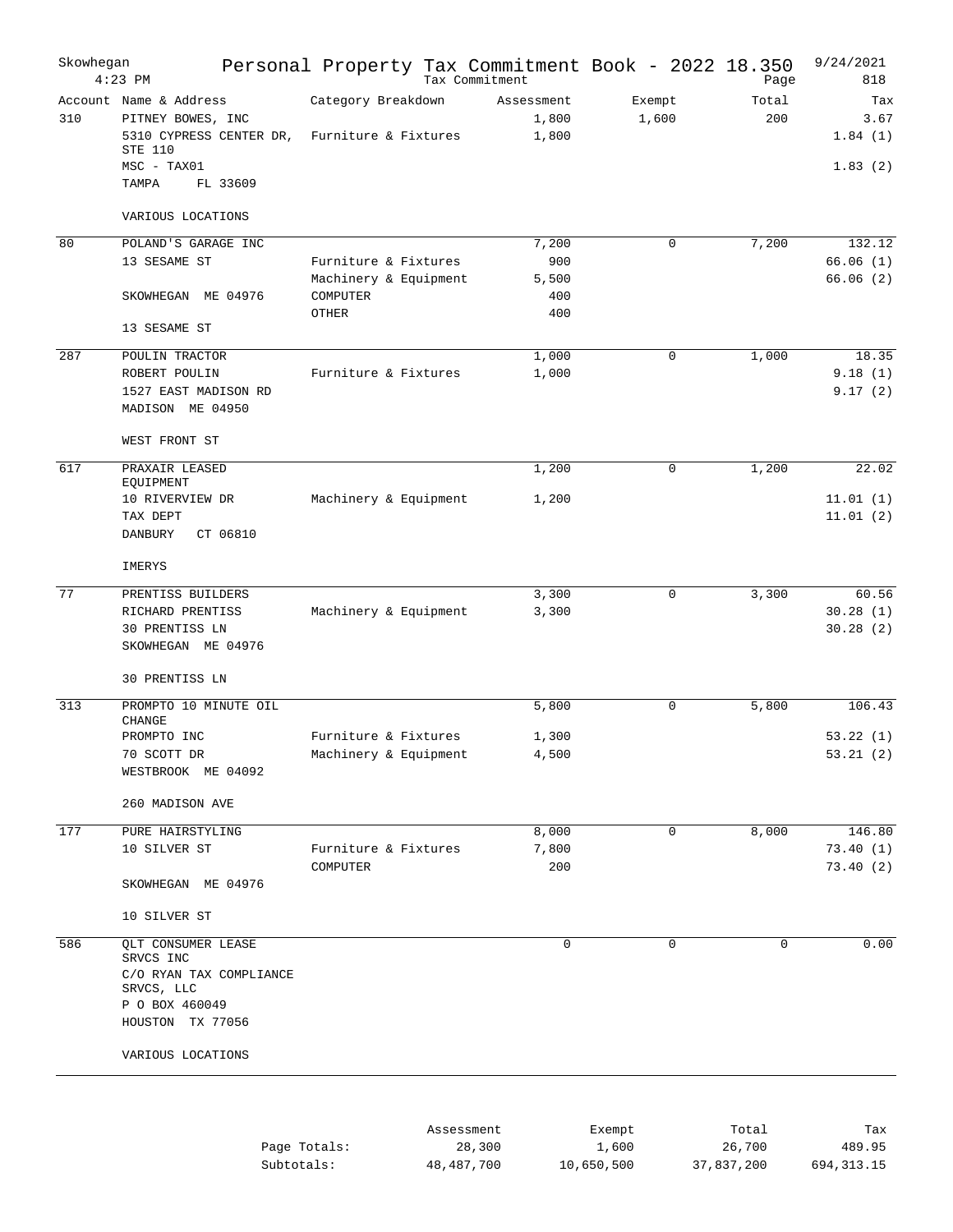| Skowhegan | $4:23$ PM                                                                                | Personal Property Tax Commitment Book - 2022 18.350 | Tax Commitment               |                 | Page         | 9/24/2021<br>818       |
|-----------|------------------------------------------------------------------------------------------|-----------------------------------------------------|------------------------------|-----------------|--------------|------------------------|
| 310       | Account Name & Address<br>PITNEY BOWES, INC<br>5310 CYPRESS CENTER DR,<br><b>STE 110</b> | Category Breakdown<br>Furniture & Fixtures          | Assessment<br>1,800<br>1,800 | Exempt<br>1,600 | Total<br>200 | Tax<br>3.67<br>1.84(1) |
|           | MSC - TAX01<br>FL 33609<br>TAMPA                                                         |                                                     |                              |                 |              | 1.83(2)                |
|           | VARIOUS LOCATIONS                                                                        |                                                     |                              |                 |              |                        |
| 80        | POLAND'S GARAGE INC                                                                      |                                                     | 7,200                        | $\mathbf 0$     | 7,200        | 132.12                 |
|           | 13 SESAME ST                                                                             | Furniture & Fixtures                                | 900                          |                 |              | 66.06(1)               |
|           | SKOWHEGAN ME 04976                                                                       | Machinery & Equipment<br>COMPUTER<br>OTHER          | 5,500<br>400<br>400          |                 |              | 66.06(2)               |
|           | 13 SESAME ST                                                                             |                                                     |                              |                 |              |                        |
| 287       | POULIN TRACTOR                                                                           |                                                     | 1,000                        | $\mathbf 0$     | 1,000        | 18.35                  |
|           | ROBERT POULIN<br>1527 EAST MADISON RD                                                    | Furniture & Fixtures                                | 1,000                        |                 |              | 9.18(1)<br>9.17(2)     |
|           | MADISON ME 04950                                                                         |                                                     |                              |                 |              |                        |
|           | WEST FRONT ST                                                                            |                                                     |                              |                 |              |                        |
| 617       | PRAXAIR LEASED                                                                           |                                                     | 1,200                        | $\mathbf 0$     | 1,200        | 22.02                  |
|           | EQUIPMENT<br>10 RIVERVIEW DR                                                             | Machinery & Equipment                               | 1,200                        |                 |              | 11.01(1)               |
|           | TAX DEPT<br>CT 06810<br>DANBURY                                                          |                                                     |                              |                 |              | 11.01(2)               |
|           | IMERYS                                                                                   |                                                     |                              |                 |              |                        |
| 77        | PRENTISS BUILDERS                                                                        |                                                     | 3,300                        | $\mathbf 0$     | 3,300        | 60.56                  |
|           | RICHARD PRENTISS<br>30 PRENTISS LN<br>SKOWHEGAN ME 04976                                 | Machinery & Equipment                               | 3,300                        |                 |              | 30.28(1)<br>30.28(2)   |
|           | 30 PRENTISS LN                                                                           |                                                     |                              |                 |              |                        |
| 313       | PROMPTO 10 MINUTE OIL<br><b>CHANGE</b>                                                   |                                                     | 5,800                        | $\mathbf 0$     | 5,800        | 106.43                 |
|           | PROMPTO INC                                                                              | Furniture & Fixtures                                | 1,300                        |                 |              | 53.22(1)               |
|           | 70 SCOTT DR<br>WESTBROOK ME 04092                                                        | Machinery & Equipment                               | 4,500                        |                 |              | 53.21(2)               |
|           | 260 MADISON AVE                                                                          |                                                     |                              |                 |              |                        |
| 177       | PURE HAIRSTYLING                                                                         |                                                     | 8,000                        | 0               | 8,000        | 146.80                 |
|           | 10 SILVER ST                                                                             | Furniture & Fixtures<br>COMPUTER                    | 7,800<br>200                 |                 |              | 73.40 (1)<br>73.40(2)  |
|           | SKOWHEGAN ME 04976                                                                       |                                                     |                              |                 |              |                        |
|           | 10 SILVER ST                                                                             |                                                     |                              |                 |              |                        |
| 586       | QLT CONSUMER LEASE<br>SRVCS INC                                                          |                                                     | 0                            | $\mathbf 0$     | $\mathbf 0$  | 0.00                   |
|           | C/O RYAN TAX COMPLIANCE<br>SRVCS, LLC                                                    |                                                     |                              |                 |              |                        |
|           | P O BOX 460049<br>HOUSTON TX 77056                                                       |                                                     |                              |                 |              |                        |
|           | VARIOUS LOCATIONS                                                                        |                                                     |                              |                 |              |                        |
|           |                                                                                          |                                                     |                              |                 |              |                        |
|           |                                                                                          |                                                     |                              |                 |              |                        |

|              | Assessment | Exempt     | Total      | Tax          |
|--------------|------------|------------|------------|--------------|
| Page Totals: | 28,300     | 1,600      | 26,700     | 489.95       |
| Subtotals:   | 48,487,700 | 10,650,500 | 37,837,200 | 694, 313, 15 |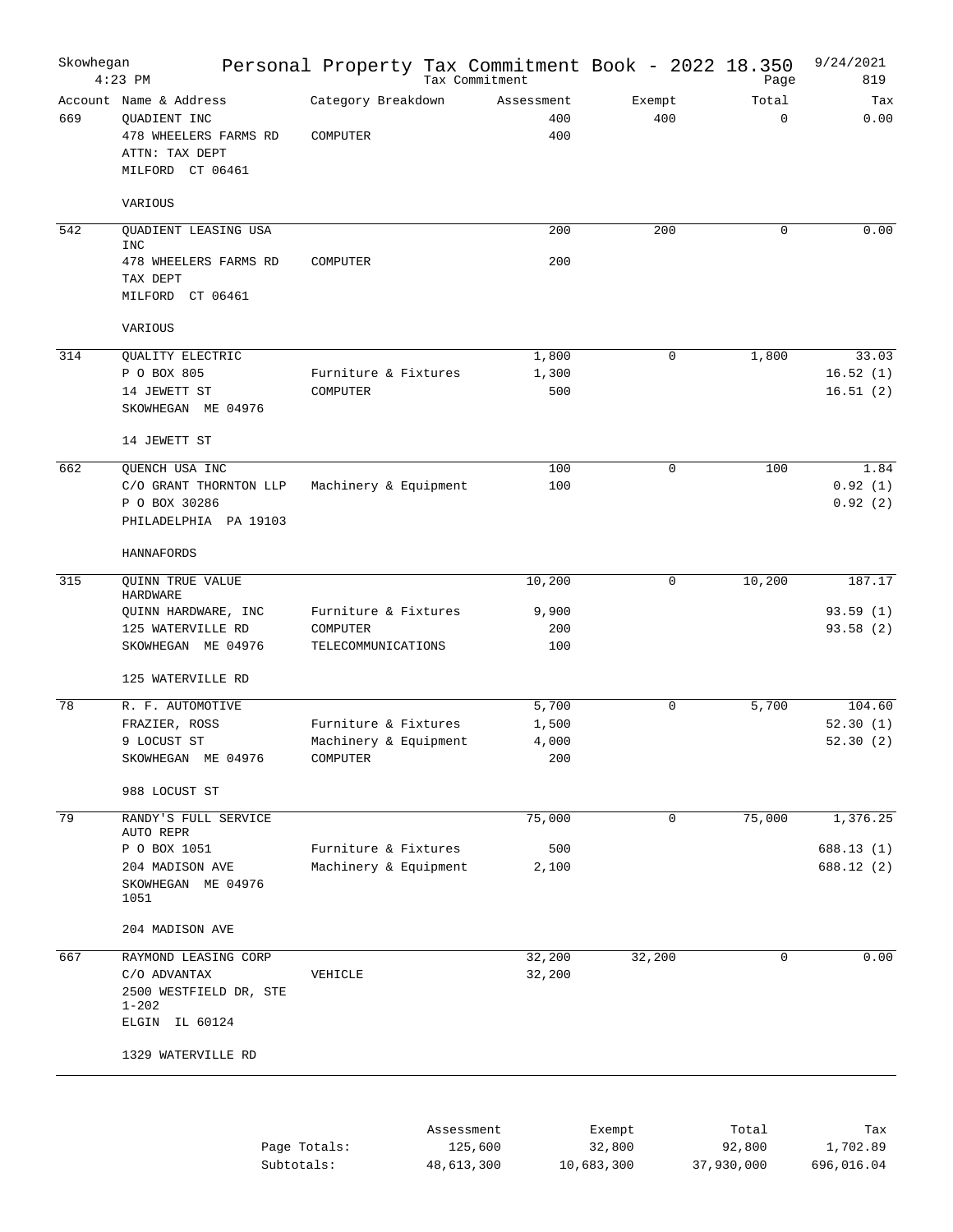| Skowhegan | $4:23$ PM                                                                                                           | Personal Property Tax Commitment Book - 2022 18.350       |            | Tax Commitment                 |                  | Page                 | 9/24/2021<br>819               |
|-----------|---------------------------------------------------------------------------------------------------------------------|-----------------------------------------------------------|------------|--------------------------------|------------------|----------------------|--------------------------------|
| 669       | Account Name & Address<br>QUADIENT INC<br>478 WHEELERS FARMS RD<br>ATTN: TAX DEPT<br>MILFORD CT 06461               | Category Breakdown<br>COMPUTER                            |            | Assessment<br>400<br>400       | Exempt<br>400    | Total<br>$\mathbf 0$ | Tax<br>0.00                    |
|           | VARIOUS                                                                                                             |                                                           |            |                                |                  |                      |                                |
| 542       | QUADIENT LEASING USA                                                                                                |                                                           |            | 200                            | 200              | 0                    | 0.00                           |
|           | <b>INC</b><br>478 WHEELERS FARMS RD<br>TAX DEPT<br>MILFORD CT 06461                                                 | COMPUTER                                                  |            | 200                            |                  |                      |                                |
|           | VARIOUS                                                                                                             |                                                           |            |                                |                  |                      |                                |
| 314       | QUALITY ELECTRIC<br>P O BOX 805<br>14 JEWETT ST<br>SKOWHEGAN ME 04976                                               | Furniture & Fixtures<br>COMPUTER                          |            | 1,800<br>1,300<br>500          | 0                | 1,800                | 33.03<br>16.52(1)<br>16.51(2)  |
|           | 14 JEWETT ST                                                                                                        |                                                           |            |                                |                  |                      |                                |
| 662       | QUENCH USA INC<br>C/O GRANT THORNTON LLP<br>P O BOX 30286<br>PHILADELPHIA PA 19103                                  | Machinery & Equipment                                     |            | 100<br>100                     | 0                | 100                  | 1.84<br>0.92(1)<br>0.92(2)     |
|           | HANNAFORDS                                                                                                          |                                                           |            |                                |                  |                      |                                |
| 315       | <b>QUINN TRUE VALUE</b><br>HARDWARE                                                                                 |                                                           |            | 10,200                         | 0                | 10,200               | 187.17                         |
|           | QUINN HARDWARE, INC<br>125 WATERVILLE RD<br>SKOWHEGAN ME 04976                                                      | Furniture & Fixtures<br>COMPUTER<br>TELECOMMUNICATIONS    |            | 9,900<br>200<br>100            |                  |                      | 93.59(1)<br>93.58(2)           |
|           | 125 WATERVILLE RD                                                                                                   |                                                           |            |                                |                  |                      |                                |
| 78        | R. F. AUTOMOTIVE<br>FRAZIER, ROSS<br>9 LOCUST ST<br>SKOWHEGAN ME 04976                                              | Furniture & Fixtures<br>Machinery & Equipment<br>COMPUTER |            | 5,700<br>1,500<br>4,000<br>200 | $\mathbf 0$      | 5,700                | 104.60<br>52.30(1)<br>52.30(2) |
|           | 988 LOCUST ST                                                                                                       |                                                           |            |                                |                  |                      |                                |
| 79        | RANDY'S FULL SERVICE<br>AUTO REPR                                                                                   |                                                           |            | 75,000                         | $\mathbf 0$      | 75,000               | 1,376.25                       |
|           | P O BOX 1051<br>204 MADISON AVE<br>SKOWHEGAN ME 04976<br>1051                                                       | Furniture & Fixtures<br>Machinery & Equipment             |            | 500<br>2,100                   |                  |                      | 688.13 (1)<br>688.12 (2)       |
|           | 204 MADISON AVE                                                                                                     |                                                           |            |                                |                  |                      |                                |
| 667       | RAYMOND LEASING CORP<br>C/O ADVANTAX<br>2500 WESTFIELD DR, STE<br>$1 - 202$<br>ELGIN IL 60124<br>1329 WATERVILLE RD | VEHICLE                                                   |            | 32,200<br>32,200               | 32,200           | $\mathbf 0$          | 0.00                           |
|           |                                                                                                                     | Page Totals:                                              | Assessment | 125,600                        | Exempt<br>32,800 | Total<br>92,800      | Tax<br>1,702.89                |

| Page Totals: | 125,600    | 32,800     | 92,800     | 1,702.89   |
|--------------|------------|------------|------------|------------|
| Subtotals:   | 48,613,300 | 10,683,300 | 37,930,000 | 696,016.04 |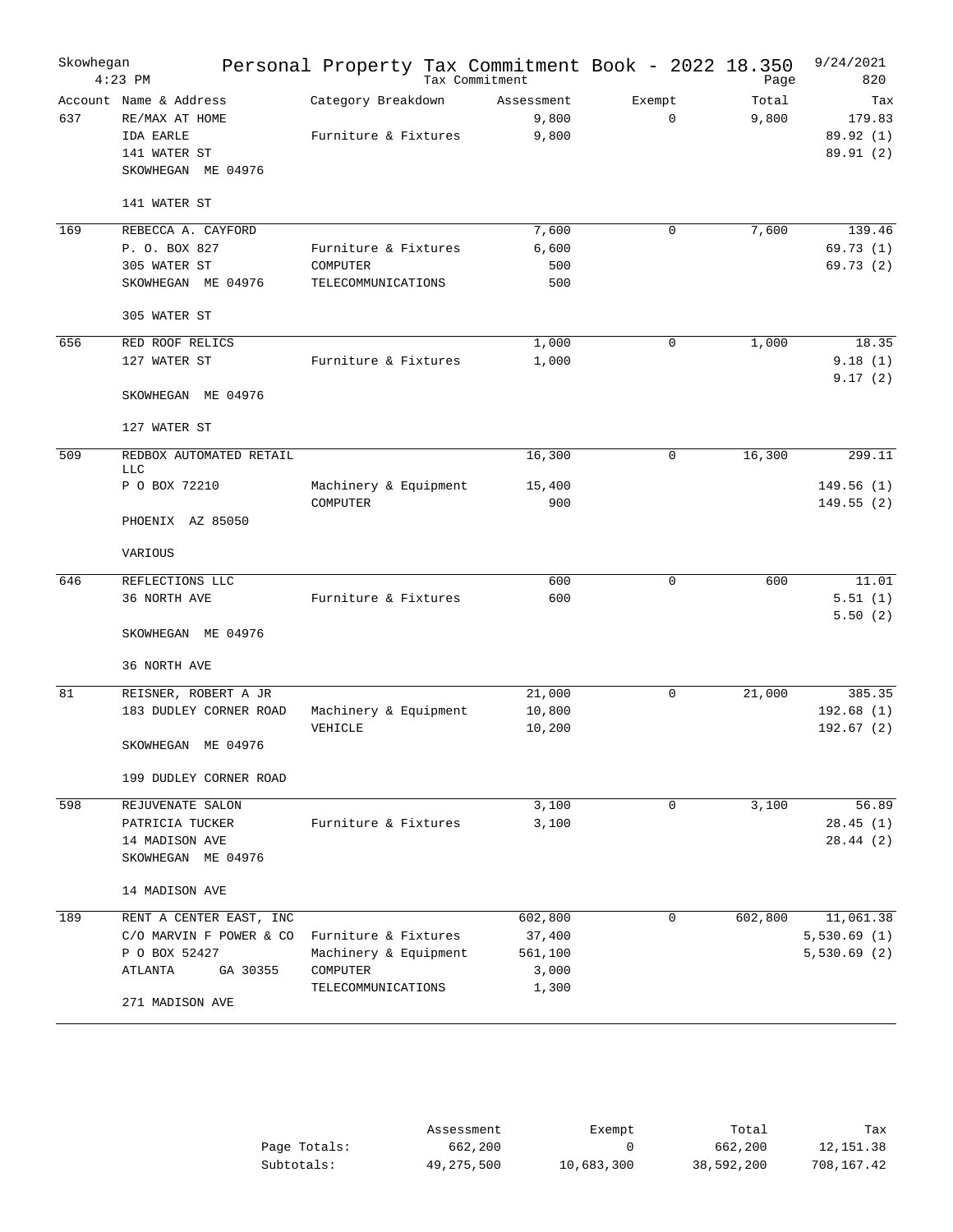| Skowhegan | $4:23$ PM                                                                                   | Personal Property Tax Commitment Book - 2022 18.350 | Tax Commitment               |                       | Page           | 9/24/2021<br>820                       |
|-----------|---------------------------------------------------------------------------------------------|-----------------------------------------------------|------------------------------|-----------------------|----------------|----------------------------------------|
| 637       | Account Name & Address<br>RE/MAX AT HOME<br>IDA EARLE<br>141 WATER ST<br>SKOWHEGAN ME 04976 | Category Breakdown<br>Furniture & Fixtures          | Assessment<br>9,800<br>9,800 | Exempt<br>$\mathbf 0$ | Total<br>9,800 | Tax<br>179.83<br>89.92 (1)<br>89.91(2) |
|           | 141 WATER ST                                                                                |                                                     |                              |                       |                |                                        |
| 169       | REBECCA A. CAYFORD                                                                          |                                                     | 7,600                        | 0                     | 7,600          | 139.46                                 |
|           | P. O. BOX 827                                                                               | Furniture & Fixtures                                | 6,600                        |                       |                | 69.73(1)                               |
|           | 305 WATER ST                                                                                | COMPUTER                                            | 500                          |                       |                | 69.73(2)                               |
|           | SKOWHEGAN ME 04976                                                                          | TELECOMMUNICATIONS                                  | 500                          |                       |                |                                        |
|           | 305 WATER ST                                                                                |                                                     |                              |                       |                |                                        |
| 656       | RED ROOF RELICS                                                                             |                                                     | 1,000                        | 0                     | 1,000          | 18.35                                  |
|           | 127 WATER ST                                                                                | Furniture & Fixtures                                | 1,000                        |                       |                | 9.18(1)                                |
|           | SKOWHEGAN ME 04976                                                                          |                                                     |                              |                       |                | 9.17(2)                                |
|           | 127 WATER ST                                                                                |                                                     |                              |                       |                |                                        |
| 509       | REDBOX AUTOMATED RETAIL<br><b>LLC</b>                                                       |                                                     | 16,300                       | 0                     | 16,300         | 299.11                                 |
|           | P O BOX 72210                                                                               | Machinery & Equipment<br>COMPUTER                   | 15,400<br>900                |                       |                | 149.56(1)<br>149.55(2)                 |
|           | PHOENIX AZ 85050                                                                            |                                                     |                              |                       |                |                                        |
|           | VARIOUS                                                                                     |                                                     |                              |                       |                |                                        |
| 646       | REFLECTIONS LLC                                                                             |                                                     | 600                          | 0                     | 600            | 11.01                                  |
|           | 36 NORTH AVE                                                                                | Furniture & Fixtures                                | 600                          |                       |                | 5.51(1)                                |
|           | SKOWHEGAN ME 04976                                                                          |                                                     |                              |                       |                | 5.50(2)                                |
|           | 36 NORTH AVE                                                                                |                                                     |                              |                       |                |                                        |
| 81        | REISNER, ROBERT A JR                                                                        |                                                     | 21,000                       | 0                     | 21,000         | 385.35                                 |
|           | 183 DUDLEY CORNER ROAD                                                                      | Machinery & Equipment                               | 10,800                       |                       |                | 192.68(1)                              |
|           |                                                                                             | VEHICLE                                             | 10,200                       |                       |                | 192.67(2)                              |
|           | SKOWHEGAN<br>ME 04976                                                                       |                                                     |                              |                       |                |                                        |
|           | 199 DUDLEY CORNER ROAD                                                                      |                                                     |                              |                       |                |                                        |
| 598       | REJUVENATE SALON                                                                            |                                                     | 3,100                        | 0                     | 3,100          | 56.89                                  |
|           | PATRICIA TUCKER                                                                             | Furniture & Fixtures                                | 3,100                        |                       |                | 28.45(1)                               |
|           | 14 MADISON AVE                                                                              |                                                     |                              |                       |                | 28.44(2)                               |
|           | SKOWHEGAN ME 04976                                                                          |                                                     |                              |                       |                |                                        |
|           | 14 MADISON AVE                                                                              |                                                     |                              |                       |                |                                        |
| 189       | RENT A CENTER EAST, INC                                                                     |                                                     | 602,800                      | 0                     | 602,800        | 11,061.38                              |
|           | C/O MARVIN F POWER & CO                                                                     | Furniture & Fixtures                                | 37,400                       |                       |                | 5,530.69(1)                            |
|           | P O BOX 52427                                                                               | Machinery & Equipment                               | 561,100                      |                       |                | 5,530.69(2)                            |
|           | GA 30355<br>ATLANTA                                                                         | COMPUTER                                            | 3,000                        |                       |                |                                        |
|           | 271 MADISON AVE                                                                             | TELECOMMUNICATIONS                                  | 1,300                        |                       |                |                                        |

|              | Assessment | Exempt     | Total      | Tax        |
|--------------|------------|------------|------------|------------|
| Page Totals: | 662,200    |            | 662,200    | 12,151.38  |
| Subtotals:   | 49,275,500 | 10,683,300 | 38,592,200 | 708,167.42 |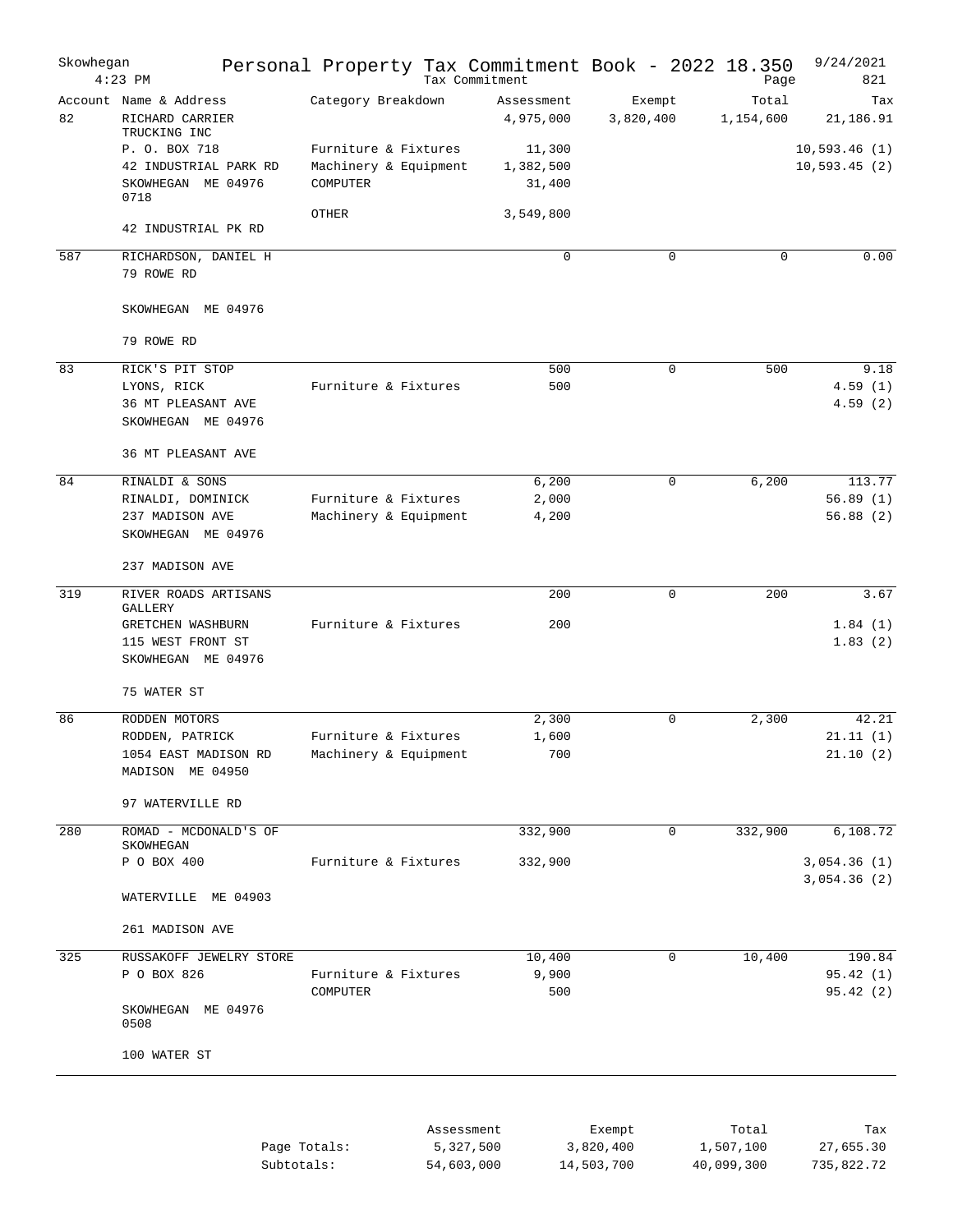| Skowhegan | $4:23$ PM                                                                    | Personal Property Tax Commitment Book - 2022 18.350       |            | Tax Commitment                |                     | Page               | 9/24/2021<br>821               |
|-----------|------------------------------------------------------------------------------|-----------------------------------------------------------|------------|-------------------------------|---------------------|--------------------|--------------------------------|
| 82        | Account Name & Address<br>RICHARD CARRIER<br>TRUCKING INC                    | Category Breakdown                                        |            | Assessment<br>4,975,000       | Exempt<br>3,820,400 | Total<br>1,154,600 | Tax<br>21,186.91               |
|           | P. O. BOX 718<br>42 INDUSTRIAL PARK RD<br>SKOWHEGAN ME 04976<br>0718         | Furniture & Fixtures<br>Machinery & Equipment<br>COMPUTER |            | 11,300<br>1,382,500<br>31,400 |                     |                    | 10,593.46(1)<br>10, 593.45(2)  |
|           | 42 INDUSTRIAL PK RD                                                          | <b>OTHER</b>                                              |            | 3,549,800                     |                     |                    |                                |
| 587       | RICHARDSON, DANIEL H<br>79 ROWE RD                                           |                                                           |            | $\mathbf 0$                   | $\Omega$            | $\Omega$           | 0.00                           |
|           | SKOWHEGAN ME 04976                                                           |                                                           |            |                               |                     |                    |                                |
|           | 79 ROWE RD                                                                   |                                                           |            |                               |                     |                    |                                |
| 83        | RICK'S PIT STOP<br>LYONS, RICK<br>36 MT PLEASANT AVE<br>SKOWHEGAN ME 04976   | Furniture & Fixtures                                      |            | 500<br>500                    | $\mathbf 0$         | 500                | 9.18<br>4.59(1)<br>4.59(2)     |
|           | 36 MT PLEASANT AVE                                                           |                                                           |            |                               |                     |                    |                                |
| 84        | RINALDI & SONS<br>RINALDI, DOMINICK<br>237 MADISON AVE<br>SKOWHEGAN ME 04976 | Furniture & Fixtures<br>Machinery & Equipment             |            | 6,200<br>2,000<br>4,200       | $\mathbf 0$         | 6,200              | 113.77<br>56.89(1)<br>56.88(2) |
|           | 237 MADISON AVE                                                              |                                                           |            |                               |                     |                    |                                |
| 319       | RIVER ROADS ARTISANS<br>GALLERY                                              |                                                           |            | 200                           | $\mathbf 0$         | 200                | 3.67                           |
|           | GRETCHEN WASHBURN<br>115 WEST FRONT ST<br>SKOWHEGAN ME 04976                 | Furniture & Fixtures                                      |            | 200                           |                     |                    | 1.84(1)<br>1.83(2)             |
|           | 75 WATER ST                                                                  |                                                           |            |                               |                     |                    |                                |
| 86        | RODDEN MOTORS<br>RODDEN, PATRICK                                             | Furniture & Fixtures                                      |            | 2,300<br>1,600                | $\Omega$            | 2,300              | 42.21<br>21.11(1)              |
|           | 1054 EAST MADISON RD<br>MADISON ME 04950                                     | Machinery & Equipment                                     |            | 700                           |                     |                    | 21.10(2)                       |
|           | 97 WATERVILLE RD                                                             |                                                           |            |                               |                     |                    |                                |
| 280       | ROMAD - MCDONALD'S OF<br>SKOWHEGAN                                           |                                                           |            | 332,900                       | 0                   | 332,900            | 6,108.72                       |
|           | P O BOX 400                                                                  | Furniture & Fixtures                                      |            | 332,900                       |                     |                    | 3,054.36(1)<br>3,054.36(2)     |
|           | WATERVILLE ME 04903                                                          |                                                           |            |                               |                     |                    |                                |
|           | 261 MADISON AVE                                                              |                                                           |            |                               |                     |                    |                                |
| 325       | RUSSAKOFF JEWELRY STORE                                                      |                                                           |            | 10,400                        | $\mathbf 0$         | 10,400             | 190.84                         |
|           | P O BOX 826                                                                  | Furniture & Fixtures<br>COMPUTER                          |            | 9,900<br>500                  |                     |                    | 95.42 (1)<br>95.42(2)          |
|           | SKOWHEGAN ME 04976<br>0508                                                   |                                                           |            |                               |                     |                    |                                |
|           | 100 WATER ST                                                                 |                                                           |            |                               |                     |                    |                                |
|           |                                                                              |                                                           |            |                               |                     |                    |                                |
|           |                                                                              | Page Totals:                                              | Assessment | 5,327,500                     | Exempt<br>3,820,400 | Total<br>1,507,100 | Tax<br>27,655.30               |

| Page Totals: | 5,327,500  | 3,820,400  | 1,507,100  | 27,655.30  |
|--------------|------------|------------|------------|------------|
| Subtotals:   | 54,603,000 | 14,503,700 | 40,099,300 | 735,822.72 |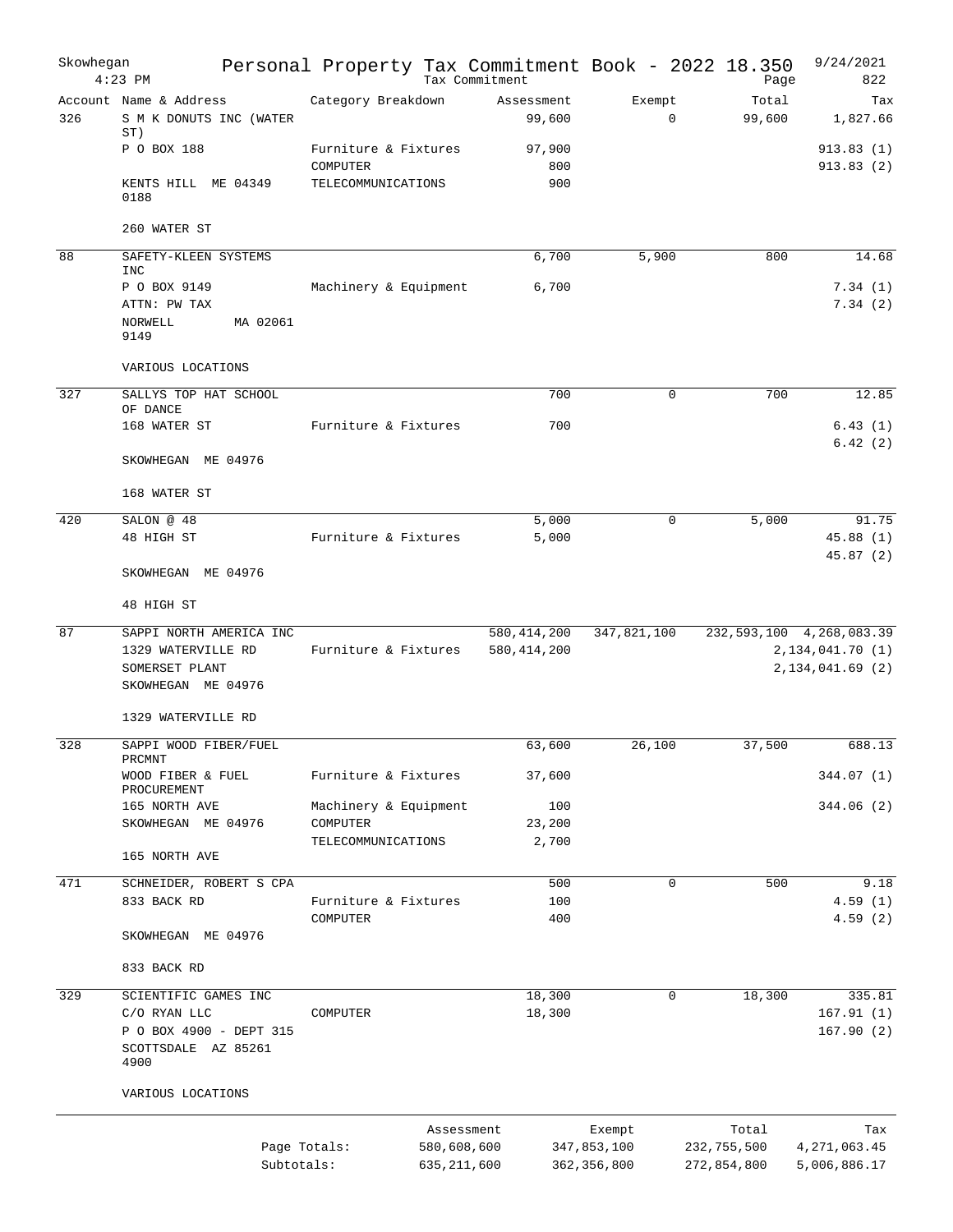| Skowhegan | $4:23$ PM                                                                             | Personal Property Tax Commitment Book - 2022 18.350                      | Tax Commitment                 |                                        | Page                                | 9/24/2021<br>822                                                           |
|-----------|---------------------------------------------------------------------------------------|--------------------------------------------------------------------------|--------------------------------|----------------------------------------|-------------------------------------|----------------------------------------------------------------------------|
| 326       | Account Name & Address<br>S M K DONUTS INC (WATER<br>ST)                              | Category Breakdown                                                       | Assessment<br>99,600           | Exempt<br>$\mathbf 0$                  | Total<br>99,600                     | Tax<br>1,827.66                                                            |
|           | P O BOX 188                                                                           | Furniture & Fixtures<br>COMPUTER                                         | 97,900<br>800                  |                                        |                                     | 913.83(1)<br>913.83(2)                                                     |
|           | KENTS HILL ME 04349<br>0188                                                           | TELECOMMUNICATIONS                                                       | 900                            |                                        |                                     |                                                                            |
|           | 260 WATER ST                                                                          |                                                                          |                                |                                        |                                     |                                                                            |
| 88        | SAFETY-KLEEN SYSTEMS<br>INC                                                           |                                                                          | 6,700                          | 5,900                                  | 800                                 | 14.68                                                                      |
|           | P O BOX 9149<br>ATTN: PW TAX<br>MA 02061<br>NORWELL<br>9149                           | Machinery & Equipment                                                    | 6,700                          |                                        |                                     | 7.34(1)<br>7.34(2)                                                         |
|           | VARIOUS LOCATIONS                                                                     |                                                                          |                                |                                        |                                     |                                                                            |
| 327       | SALLYS TOP HAT SCHOOL<br>OF DANCE                                                     |                                                                          | 700                            | 0                                      | 700                                 | 12.85                                                                      |
|           | 168 WATER ST                                                                          | Furniture & Fixtures                                                     | 700                            |                                        |                                     | 6.43(1)<br>6.42(2)                                                         |
|           | SKOWHEGAN ME 04976                                                                    |                                                                          |                                |                                        |                                     |                                                                            |
|           | 168 WATER ST                                                                          |                                                                          |                                |                                        |                                     |                                                                            |
| 420       | SALON @ 48                                                                            |                                                                          | 5,000                          | $\mathbf 0$                            | 5,000                               | 91.75                                                                      |
|           | 48 HIGH ST                                                                            | Furniture & Fixtures                                                     | 5,000                          |                                        |                                     | 45.88(1)<br>45.87(2)                                                       |
|           | SKOWHEGAN ME 04976                                                                    |                                                                          |                                |                                        |                                     |                                                                            |
|           | 48 HIGH ST                                                                            |                                                                          |                                |                                        |                                     |                                                                            |
| 87        | SAPPI NORTH AMERICA INC<br>1329 WATERVILLE RD<br>SOMERSET PLANT<br>SKOWHEGAN ME 04976 | Furniture & Fixtures                                                     | 580, 414, 200<br>580, 414, 200 | 347,821,100                            |                                     | 232, 593, 100 4, 268, 083. 39<br>2, 134, 041. 70 (1)<br>2, 134, 041.69 (2) |
|           | 1329 WATERVILLE RD                                                                    |                                                                          |                                |                                        |                                     |                                                                            |
| 328       | SAPPI WOOD FIBER/FUEL<br>PRCMNT                                                       |                                                                          | 63,600                         | 26,100                                 | 37,500                              | 688.13                                                                     |
|           | WOOD FIBER & FUEL<br>PROCUREMENT                                                      | Furniture & Fixtures                                                     | 37,600                         |                                        |                                     | 344.07 (1)                                                                 |
|           | 165 NORTH AVE                                                                         | Machinery & Equipment                                                    | 100                            |                                        |                                     | 344.06(2)                                                                  |
|           | SKOWHEGAN ME 04976                                                                    | COMPUTER<br>TELECOMMUNICATIONS                                           | 23,200<br>2,700                |                                        |                                     |                                                                            |
|           | 165 NORTH AVE                                                                         |                                                                          |                                |                                        |                                     |                                                                            |
| 471       | SCHNEIDER, ROBERT S CPA                                                               | Furniture & Fixtures                                                     | 500                            | 0                                      | 500                                 | 9.18                                                                       |
|           | 833 BACK RD                                                                           | COMPUTER                                                                 | 100<br>400                     |                                        |                                     | 4.59(1)<br>4.59(2)                                                         |
|           | SKOWHEGAN ME 04976                                                                    |                                                                          |                                |                                        |                                     |                                                                            |
|           | 833 BACK RD                                                                           |                                                                          |                                |                                        |                                     |                                                                            |
| 329       | SCIENTIFIC GAMES INC                                                                  |                                                                          | 18,300                         | 0                                      | 18,300                              | 335.81                                                                     |
|           | C/O RYAN LLC<br>P O BOX 4900 - DEPT 315<br>SCOTTSDALE AZ 85261<br>4900                | COMPUTER                                                                 | 18,300                         |                                        |                                     | 167.91(1)<br>167.90(2)                                                     |
|           | VARIOUS LOCATIONS                                                                     |                                                                          |                                |                                        |                                     |                                                                            |
|           |                                                                                       | Assessment<br>Page Totals:<br>580,608,600<br>Subtotals:<br>635, 211, 600 |                                | Exempt<br>347,853,100<br>362, 356, 800 | Total<br>232,755,500<br>272,854,800 | Tax<br>4,271,063.45<br>5,006,886.17                                        |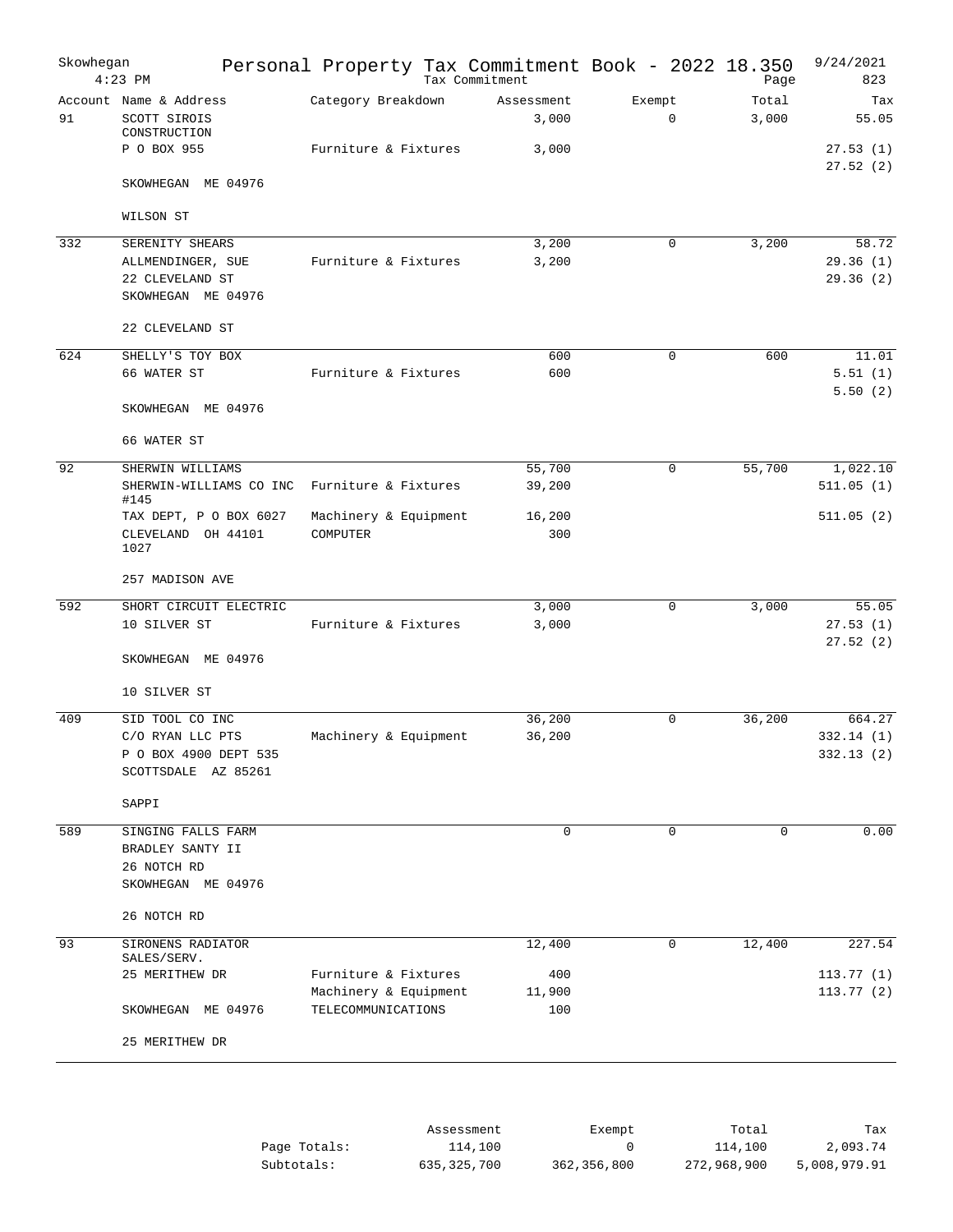| Skowhegan | $4:23$ PM                                              | Personal Property Tax Commitment Book - 2022 18.350 | Tax Commitment      |                       | Page           | 9/24/2021<br>823     |
|-----------|--------------------------------------------------------|-----------------------------------------------------|---------------------|-----------------------|----------------|----------------------|
| 91        | Account Name & Address<br>SCOTT SIROIS<br>CONSTRUCTION | Category Breakdown                                  | Assessment<br>3,000 | Exempt<br>$\mathbf 0$ | Total<br>3,000 | Tax<br>55.05         |
|           | P O BOX 955                                            | Furniture & Fixtures                                | 3,000               |                       |                | 27.53(1)<br>27.52(2) |
|           | SKOWHEGAN ME 04976                                     |                                                     |                     |                       |                |                      |
|           | WILSON ST                                              |                                                     |                     |                       |                |                      |
| 332       | SERENITY SHEARS                                        |                                                     | 3,200               | 0                     | 3,200          | 58.72                |
|           | ALLMENDINGER, SUE                                      | Furniture & Fixtures                                | 3,200               |                       |                | 29.36(1)             |
|           | 22 CLEVELAND ST                                        |                                                     |                     |                       |                | 29.36(2)             |
|           | SKOWHEGAN ME 04976                                     |                                                     |                     |                       |                |                      |
|           | 22 CLEVELAND ST                                        |                                                     |                     |                       |                |                      |
| 624       | SHELLY'S TOY BOX                                       |                                                     | 600                 | 0                     | 600            | 11.01                |
|           | 66 WATER ST                                            | Furniture & Fixtures                                | 600                 |                       |                | 5.51(1)              |
|           | SKOWHEGAN ME 04976                                     |                                                     |                     |                       |                | 5.50(2)              |
|           | 66 WATER ST                                            |                                                     |                     |                       |                |                      |
| 92        | SHERWIN WILLIAMS                                       |                                                     | 55,700              | $\Omega$              | 55,700         | 1,022.10             |
|           | SHERWIN-WILLIAMS CO INC<br>#145                        | Furniture & Fixtures                                | 39,200              |                       |                | 511.05(1)            |
|           | TAX DEPT, P O BOX 6027                                 | Machinery & Equipment                               | 16,200              |                       |                | 511.05(2)            |
|           | CLEVELAND OH 44101<br>1027                             | COMPUTER                                            | 300                 |                       |                |                      |
|           | 257 MADISON AVE                                        |                                                     |                     |                       |                |                      |
| 592       | SHORT CIRCUIT ELECTRIC                                 |                                                     | 3,000               | 0                     | 3,000          | 55.05                |
|           | 10 SILVER ST                                           | Furniture & Fixtures                                | 3,000               |                       |                | 27.53(1)<br>27.52(2) |
|           | SKOWHEGAN ME 04976                                     |                                                     |                     |                       |                |                      |
|           | 10 SILVER ST                                           |                                                     |                     |                       |                |                      |
| 409       | SID TOOL CO INC                                        |                                                     | 36,200              | 0                     | 36,200         | 664.27               |
|           | C/O RYAN LLC PTS                                       | Machinery & Equipment                               | 36,200              |                       |                | 332.14(1)            |
|           | P O BOX 4900 DEPT 535<br>SCOTTSDALE AZ 85261           |                                                     |                     |                       |                | 332.13 (2)           |
|           | SAPPI                                                  |                                                     |                     |                       |                |                      |
| 589       | SINGING FALLS FARM                                     |                                                     | $\mathbf 0$         | 0                     | $\mathbf 0$    | 0.00                 |
|           | BRADLEY SANTY II                                       |                                                     |                     |                       |                |                      |
|           | 26 NOTCH RD                                            |                                                     |                     |                       |                |                      |
|           | SKOWHEGAN ME 04976                                     |                                                     |                     |                       |                |                      |
|           | 26 NOTCH RD                                            |                                                     |                     |                       |                |                      |
| 93        | SIRONENS RADIATOR<br>SALES/SERV.                       |                                                     | 12,400              | $\mathbf 0$           | 12,400         | 227.54               |
|           | 25 MERITHEW DR                                         | Furniture & Fixtures                                | 400                 |                       |                | 113.77(1)            |
|           |                                                        | Machinery & Equipment                               | 11,900              |                       |                | 113.77(2)            |
|           | SKOWHEGAN ME 04976                                     | TELECOMMUNICATIONS                                  | 100                 |                       |                |                      |
|           | 25 MERITHEW DR                                         |                                                     |                     |                       |                |                      |
|           |                                                        |                                                     |                     |                       |                |                      |

|              | Assessment  | Exempt        | Total       | Tax          |
|--------------|-------------|---------------|-------------|--------------|
| Page Totals: | 114,100     |               | 114,100     | 2,093.74     |
| Subtotals:   | 635,325,700 | 362, 356, 800 | 272,968,900 | 5,008,979.91 |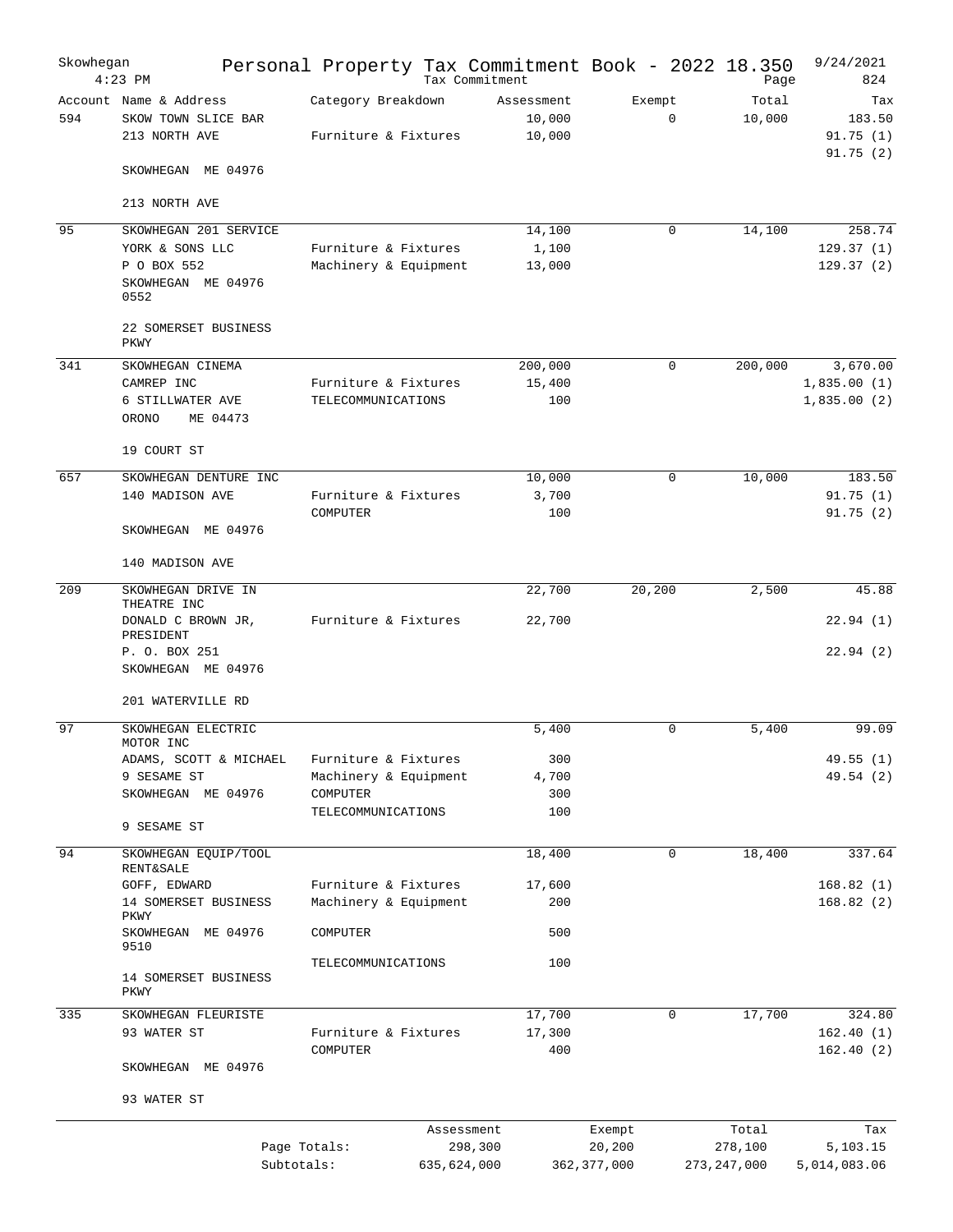| Skowhegan | $4:23$ PM                                                      | Personal Property Tax Commitment Book - 2022 18.350 |             | Tax Commitment                 |                         | Page                     | 9/24/2021<br>824          |
|-----------|----------------------------------------------------------------|-----------------------------------------------------|-------------|--------------------------------|-------------------------|--------------------------|---------------------------|
| 594       | Account Name & Address<br>SKOW TOWN SLICE BAR<br>213 NORTH AVE | Category Breakdown<br>Furniture & Fixtures          |             | Assessment<br>10,000<br>10,000 | Exempt<br>$\mathbf 0$   | Total<br>10,000          | Tax<br>183.50<br>91.75(1) |
|           | SKOWHEGAN ME 04976                                             |                                                     |             |                                |                         |                          | 91.75(2)                  |
|           | 213 NORTH AVE                                                  |                                                     |             |                                |                         |                          |                           |
| 95        | SKOWHEGAN 201 SERVICE                                          |                                                     |             | 14,100                         | $\Omega$                | 14,100                   | 258.74                    |
|           | YORK & SONS LLC                                                | Furniture & Fixtures                                |             | 1,100                          |                         |                          | 129.37(1)                 |
|           | P O BOX 552<br>SKOWHEGAN ME 04976<br>0552                      | Machinery & Equipment                               |             | 13,000                         |                         |                          | 129.37(2)                 |
|           | 22 SOMERSET BUSINESS<br>PKWY                                   |                                                     |             |                                |                         |                          |                           |
| 341       | SKOWHEGAN CINEMA                                               |                                                     |             | 200,000                        | $\mathbf 0$             | 200,000                  | 3,670.00                  |
|           | CAMREP INC                                                     | Furniture & Fixtures                                |             | 15,400                         |                         |                          | 1,835.00(1)               |
|           | 6 STILLWATER AVE<br>ORONO<br>ME 04473                          | TELECOMMUNICATIONS                                  |             | 100                            |                         |                          | 1,835.00(2)               |
|           | 19 COURT ST                                                    |                                                     |             |                                |                         |                          |                           |
| 657       | SKOWHEGAN DENTURE INC                                          |                                                     |             | 10,000                         | $\mathbf 0$             | 10,000                   | 183.50                    |
|           | 140 MADISON AVE                                                | Furniture & Fixtures                                |             | 3,700                          |                         |                          | 91.75(1)                  |
|           | SKOWHEGAN ME 04976                                             | COMPUTER                                            |             | 100                            |                         |                          | 91.75(2)                  |
|           | 140 MADISON AVE                                                |                                                     |             |                                |                         |                          |                           |
| 209       | SKOWHEGAN DRIVE IN<br>THEATRE INC                              |                                                     |             | 22,700                         | 20,200                  | 2,500                    | 45.88                     |
|           | DONALD C BROWN JR,<br>PRESIDENT                                | Furniture & Fixtures                                |             | 22,700                         |                         |                          | 22.94(1)                  |
|           | P. O. BOX 251<br>SKOWHEGAN ME 04976                            |                                                     |             |                                |                         |                          | 22.94(2)                  |
|           | 201 WATERVILLE RD                                              |                                                     |             |                                |                         |                          |                           |
| 97        | SKOWHEGAN ELECTRIC<br>MOTOR INC                                |                                                     |             | 5,400                          | $\mathbf 0$             | 5.400                    | 99.09                     |
|           | ADAMS, SCOTT & MICHAEL                                         | Furniture & Fixtures                                |             | 300                            |                         |                          | 49.55(1)                  |
|           | 9 SESAME ST                                                    | Machinery & Equipment                               |             | 4,700                          |                         |                          | 49.54 (2)                 |
|           | SKOWHEGAN ME 04976                                             | COMPUTER<br>TELECOMMUNICATIONS                      |             | 300<br>100                     |                         |                          |                           |
|           | 9 SESAME ST                                                    |                                                     |             |                                |                         |                          |                           |
| 94        | SKOWHEGAN EQUIP/TOOL<br><b>RENT&amp;SALE</b>                   |                                                     |             | 18,400                         | $\mathbf 0$             | 18,400                   | 337.64                    |
|           | GOFF, EDWARD                                                   | Furniture & Fixtures                                |             | 17,600                         |                         |                          | 168.82(1)                 |
|           | 14 SOMERSET BUSINESS<br>PKWY                                   | Machinery & Equipment                               |             | 200                            |                         |                          | 168.82(2)                 |
|           | SKOWHEGAN ME 04976<br>9510                                     | COMPUTER                                            |             | 500                            |                         |                          |                           |
|           | 14 SOMERSET BUSINESS<br>PKWY                                   | TELECOMMUNICATIONS                                  |             | 100                            |                         |                          |                           |
| 335       | SKOWHEGAN FLEURISTE                                            |                                                     |             | 17,700                         | 0                       | 17,700                   | 324.80                    |
|           | 93 WATER ST                                                    | Furniture & Fixtures<br>COMPUTER                    |             | 17,300<br>400                  |                         |                          | 162.40(1)<br>162.40(2)    |
|           | SKOWHEGAN ME 04976                                             |                                                     |             |                                |                         |                          |                           |
|           | 93 WATER ST                                                    |                                                     |             |                                |                         |                          |                           |
|           |                                                                |                                                     | Assessment  |                                | Exempt                  | Total                    | Tax                       |
|           | Subtotals:                                                     | Page Totals:                                        | 635,624,000 | 298,300                        | 20,200<br>362, 377, 000 | 278,100<br>273, 247, 000 | 5,103.15<br>5,014,083.06  |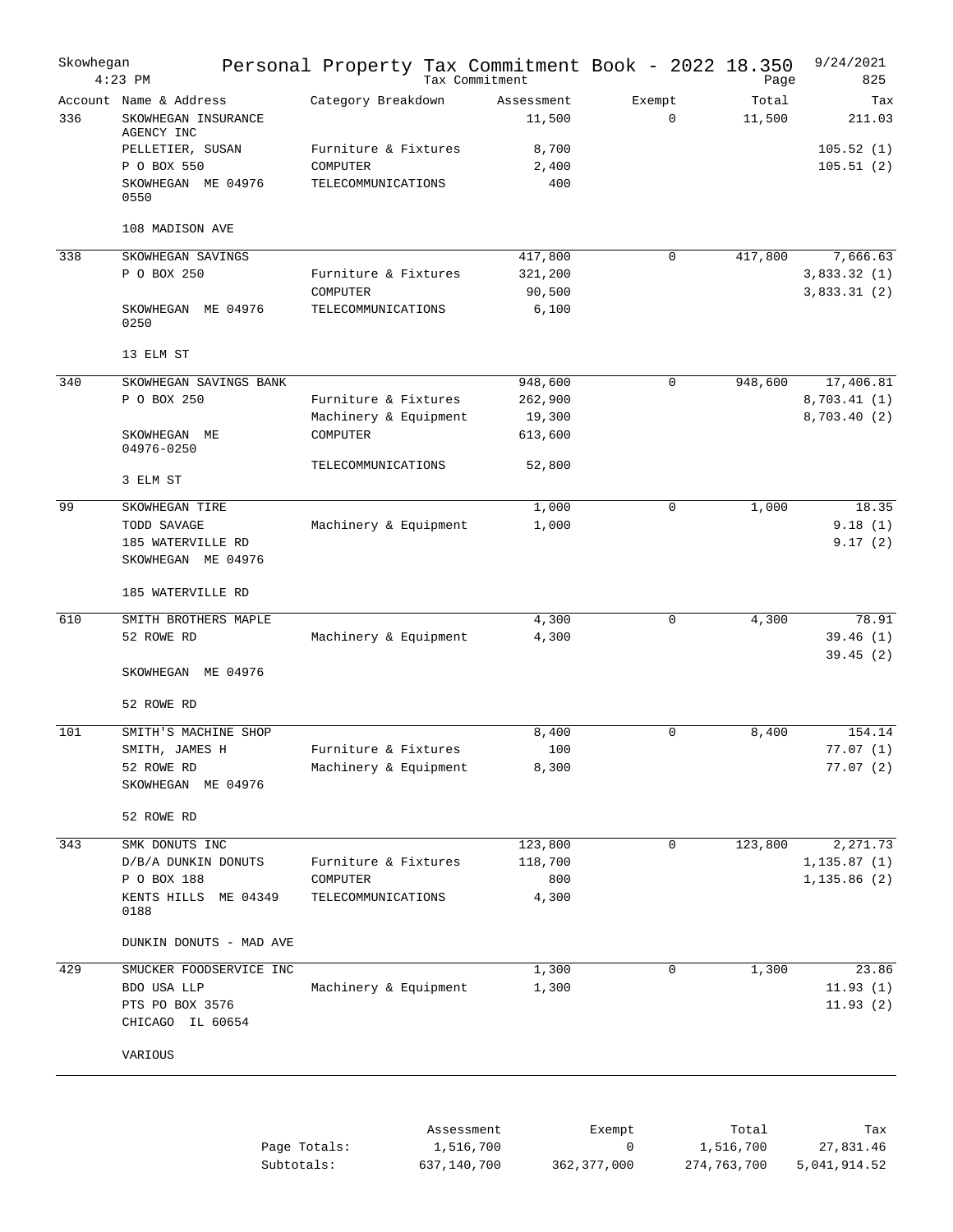| Skowhegan | $4:23$ PM                                                                     | Personal Property Tax Commitment Book - 2022 18.350 | Tax Commitment       |                       | Page            | 9/24/2021<br>825              |
|-----------|-------------------------------------------------------------------------------|-----------------------------------------------------|----------------------|-----------------------|-----------------|-------------------------------|
| 336       | Account Name & Address<br>SKOWHEGAN INSURANCE<br>AGENCY INC                   | Category Breakdown                                  | Assessment<br>11,500 | Exempt<br>$\mathbf 0$ | Total<br>11,500 | Tax<br>211.03                 |
|           | PELLETIER, SUSAN                                                              | Furniture & Fixtures                                | 8,700                |                       |                 | 105.52(1)                     |
|           | P O BOX 550                                                                   | COMPUTER                                            | 2,400                |                       |                 | 105.51(2)                     |
|           | SKOWHEGAN ME 04976<br>0550                                                    | TELECOMMUNICATIONS                                  | 400                  |                       |                 |                               |
|           | 108 MADISON AVE                                                               |                                                     |                      |                       |                 |                               |
| 338       | SKOWHEGAN SAVINGS                                                             |                                                     | 417,800              | 0                     | 417,800         | 7,666.63                      |
|           | P O BOX 250                                                                   | Furniture & Fixtures                                | 321,200              |                       |                 | 3,833.32(1)                   |
|           | SKOWHEGAN ME 04976<br>0250                                                    | COMPUTER<br>TELECOMMUNICATIONS                      | 90,500<br>6,100      |                       |                 | 3,833.31(2)                   |
|           | 13 ELM ST                                                                     |                                                     |                      |                       |                 |                               |
| 340       | SKOWHEGAN SAVINGS BANK                                                        |                                                     | 948,600              | 0                     | 948,600         | 17,406.81                     |
|           | P O BOX 250                                                                   | Furniture & Fixtures                                | 262,900              |                       |                 | 8,703.41(1)                   |
|           |                                                                               | Machinery & Equipment                               | 19,300               |                       |                 | 8,703.40 (2)                  |
|           | SKOWHEGAN<br>МE<br>04976-0250                                                 | COMPUTER<br>TELECOMMUNICATIONS                      | 613,600<br>52,800    |                       |                 |                               |
|           | 3 ELM ST                                                                      |                                                     |                      |                       |                 |                               |
| 99        | SKOWHEGAN TIRE                                                                |                                                     | 1,000                | $\mathbf 0$           | 1,000           | 18.35                         |
|           | TODD SAVAGE                                                                   | Machinery & Equipment                               | 1,000                |                       |                 | 9.18(1)                       |
|           | 185 WATERVILLE RD<br>SKOWHEGAN ME 04976                                       |                                                     |                      |                       |                 | 9.17(2)                       |
|           | 185 WATERVILLE RD                                                             |                                                     |                      |                       |                 |                               |
| 610       | SMITH BROTHERS MAPLE                                                          |                                                     | 4,300                | 0                     | 4,300           | 78.91                         |
|           | 52 ROWE RD                                                                    | Machinery & Equipment                               | 4,300                |                       |                 | 39.46(1)<br>39.45(2)          |
|           | SKOWHEGAN ME 04976                                                            |                                                     |                      |                       |                 |                               |
|           | 52 ROWE RD                                                                    |                                                     |                      |                       |                 |                               |
| 101       | SMITH'S MACHINE SHOP                                                          |                                                     | 8,400                | 0                     | 8,400           | 154.14                        |
|           | SMITH, JAMES H<br>52 ROWE RD                                                  | Furniture & Fixtures<br>Machinery & Equipment       | 100<br>8,300         |                       |                 | 77.07 (1)<br>77.07(2)         |
|           | SKOWHEGAN ME 04976                                                            |                                                     |                      |                       |                 |                               |
|           | 52 ROWE RD                                                                    |                                                     |                      |                       |                 |                               |
| 343       | SMK DONUTS INC                                                                |                                                     | 123,800              | $\mathbf 0$           | 123,800         | 2,271.73                      |
|           | D/B/A DUNKIN DONUTS                                                           | Furniture & Fixtures                                | 118,700              |                       |                 | 1, 135.87(1)                  |
|           | P O BOX 188<br>KENTS HILLS ME 04349<br>0188                                   | COMPUTER<br>TELECOMMUNICATIONS                      | 800<br>4,300         |                       |                 | 1, 135.86(2)                  |
|           | DUNKIN DONUTS - MAD AVE                                                       |                                                     |                      |                       |                 |                               |
|           |                                                                               |                                                     |                      |                       |                 |                               |
| 429       | SMUCKER FOODSERVICE INC<br>BDO USA LLP<br>PTS PO BOX 3576<br>CHICAGO IL 60654 | Machinery & Equipment                               | 1,300<br>1,300       | 0                     | 1,300           | 23.86<br>11.93(1)<br>11.93(2) |
|           | VARIOUS                                                                       |                                                     |                      |                       |                 |                               |
|           |                                                                               |                                                     |                      |                       |                 |                               |
|           |                                                                               |                                                     |                      |                       |                 |                               |

|              | Assessment  | Exempt      | Total       | Tax          |
|--------------|-------------|-------------|-------------|--------------|
| Page Totals: | 1,516,700   |             | 1,516,700   | 27,831.46    |
| Subtotals:   | 637,140,700 | 362,377,000 | 274,763,700 | 5,041,914.52 |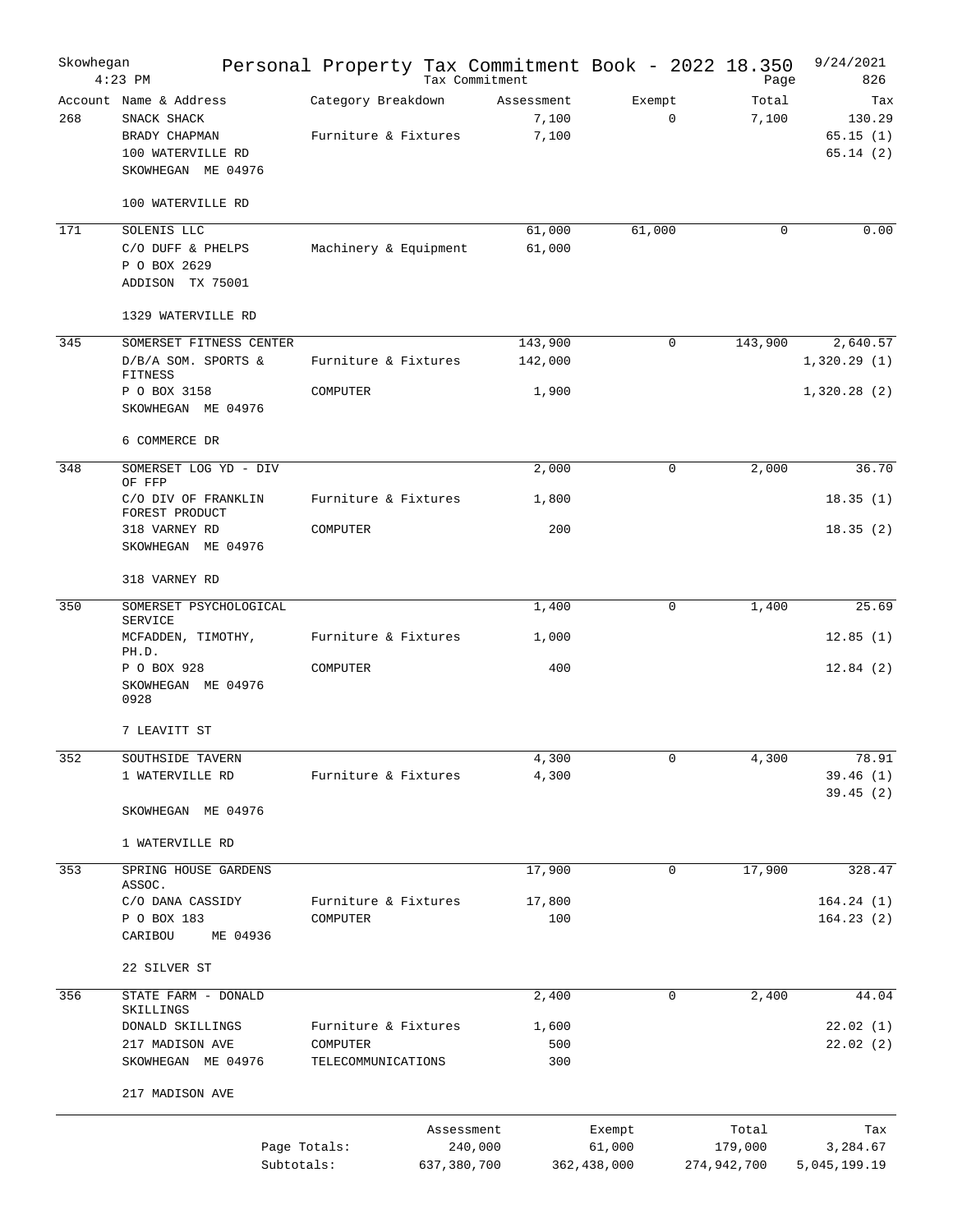| Skowhegan | $4:23$ PM                                                                                         |                                            |                           | Personal Property Tax Commitment Book - 2022 18.350<br>Tax Commitment |                                 | Page                            | 9/24/2021<br>826                      |
|-----------|---------------------------------------------------------------------------------------------------|--------------------------------------------|---------------------------|-----------------------------------------------------------------------|---------------------------------|---------------------------------|---------------------------------------|
| 268       | Account Name & Address<br>SNACK SHACK<br>BRADY CHAPMAN<br>100 WATERVILLE RD<br>SKOWHEGAN ME 04976 | Category Breakdown<br>Furniture & Fixtures |                           | Assessment<br>7,100<br>7,100                                          | Exempt<br>$\mathbf 0$           | Total<br>7,100                  | Tax<br>130.29<br>65.15(1)<br>65.14(2) |
|           | 100 WATERVILLE RD                                                                                 |                                            |                           |                                                                       |                                 |                                 |                                       |
| 171       | SOLENIS LLC<br>C/O DUFF & PHELPS<br>P O BOX 2629<br>ADDISON TX 75001                              | Machinery & Equipment                      |                           | 61,000<br>61,000                                                      | 61,000                          | 0                               | 0.00                                  |
|           | 1329 WATERVILLE RD                                                                                |                                            |                           |                                                                       |                                 |                                 |                                       |
| 345       | SOMERSET FITNESS CENTER<br>D/B/A SOM. SPORTS &<br><b>FITNESS</b>                                  | Furniture & Fixtures                       |                           | 143,900<br>142,000                                                    | $\Omega$                        | 143,900                         | 2,640.57<br>1,320.29(1)               |
|           | P O BOX 3158<br>SKOWHEGAN ME 04976<br>6 COMMERCE DR                                               | COMPUTER                                   |                           | 1,900                                                                 |                                 |                                 | 1,320.28(2)                           |
| 348       | SOMERSET LOG YD - DIV                                                                             |                                            |                           | 2,000                                                                 | 0                               | 2,000                           | 36.70                                 |
|           | OF FFP<br>C/O DIV OF FRANKLIN                                                                     | Furniture & Fixtures                       |                           | 1,800                                                                 |                                 |                                 | 18.35(1)                              |
|           | FOREST PRODUCT<br>318 VARNEY RD<br>SKOWHEGAN ME 04976                                             | COMPUTER                                   |                           | 200                                                                   |                                 |                                 | 18.35(2)                              |
|           | 318 VARNEY RD                                                                                     |                                            |                           |                                                                       |                                 |                                 |                                       |
| 350       | SOMERSET PSYCHOLOGICAL                                                                            |                                            |                           | 1,400                                                                 | 0                               | 1,400                           | 25.69                                 |
|           | SERVICE<br>MCFADDEN, TIMOTHY,<br>PH.D.                                                            | Furniture & Fixtures                       |                           | 1,000                                                                 |                                 |                                 | 12.85(1)                              |
|           | P O BOX 928<br>SKOWHEGAN ME 04976<br>0928                                                         | COMPUTER                                   |                           | 400                                                                   |                                 |                                 | 12.84(2)                              |
|           | 7 LEAVITT ST                                                                                      |                                            |                           |                                                                       |                                 |                                 |                                       |
| 352       | SOUTHSIDE TAVERN                                                                                  |                                            |                           | 4,300                                                                 | 0                               | 4,300                           | 78.91                                 |
|           | 1 WATERVILLE RD                                                                                   | Furniture & Fixtures                       |                           | 4,300                                                                 |                                 |                                 | 39.46(1)<br>39.45(2)                  |
|           | SKOWHEGAN ME 04976                                                                                |                                            |                           |                                                                       |                                 |                                 |                                       |
|           | 1 WATERVILLE RD                                                                                   |                                            |                           |                                                                       |                                 |                                 |                                       |
| 353       | SPRING HOUSE GARDENS<br>ASSOC.                                                                    |                                            |                           | 17,900                                                                | $\mathbf 0$                     | 17,900                          | 328.47                                |
|           | C/O DANA CASSIDY<br>P O BOX 183                                                                   | Furniture & Fixtures<br>COMPUTER           |                           | 17,800<br>100                                                         |                                 |                                 | 164.24(1)<br>164.23(2)                |
|           | CARIBOU<br>ME 04936                                                                               |                                            |                           |                                                                       |                                 |                                 |                                       |
|           | 22 SILVER ST                                                                                      |                                            |                           |                                                                       |                                 |                                 |                                       |
| 356       | STATE FARM - DONALD<br>SKILLINGS                                                                  |                                            |                           | 2,400                                                                 | 0                               | 2,400                           | 44.04                                 |
|           | DONALD SKILLINGS                                                                                  | Furniture & Fixtures                       |                           | 1,600                                                                 |                                 |                                 | 22.02(1)                              |
|           | 217 MADISON AVE<br>SKOWHEGAN ME 04976                                                             | COMPUTER<br>TELECOMMUNICATIONS             |                           | 500<br>300                                                            |                                 |                                 | 22.02(2)                              |
|           | 217 MADISON AVE                                                                                   |                                            |                           |                                                                       |                                 |                                 |                                       |
|           |                                                                                                   | Page Totals:<br>Subtotals:                 | Assessment<br>637,380,700 | 240,000                                                               | Exempt<br>61,000<br>362,438,000 | Total<br>179,000<br>274,942,700 | Tax<br>3,284.67<br>5,045,199.19       |
|           |                                                                                                   |                                            |                           |                                                                       |                                 |                                 |                                       |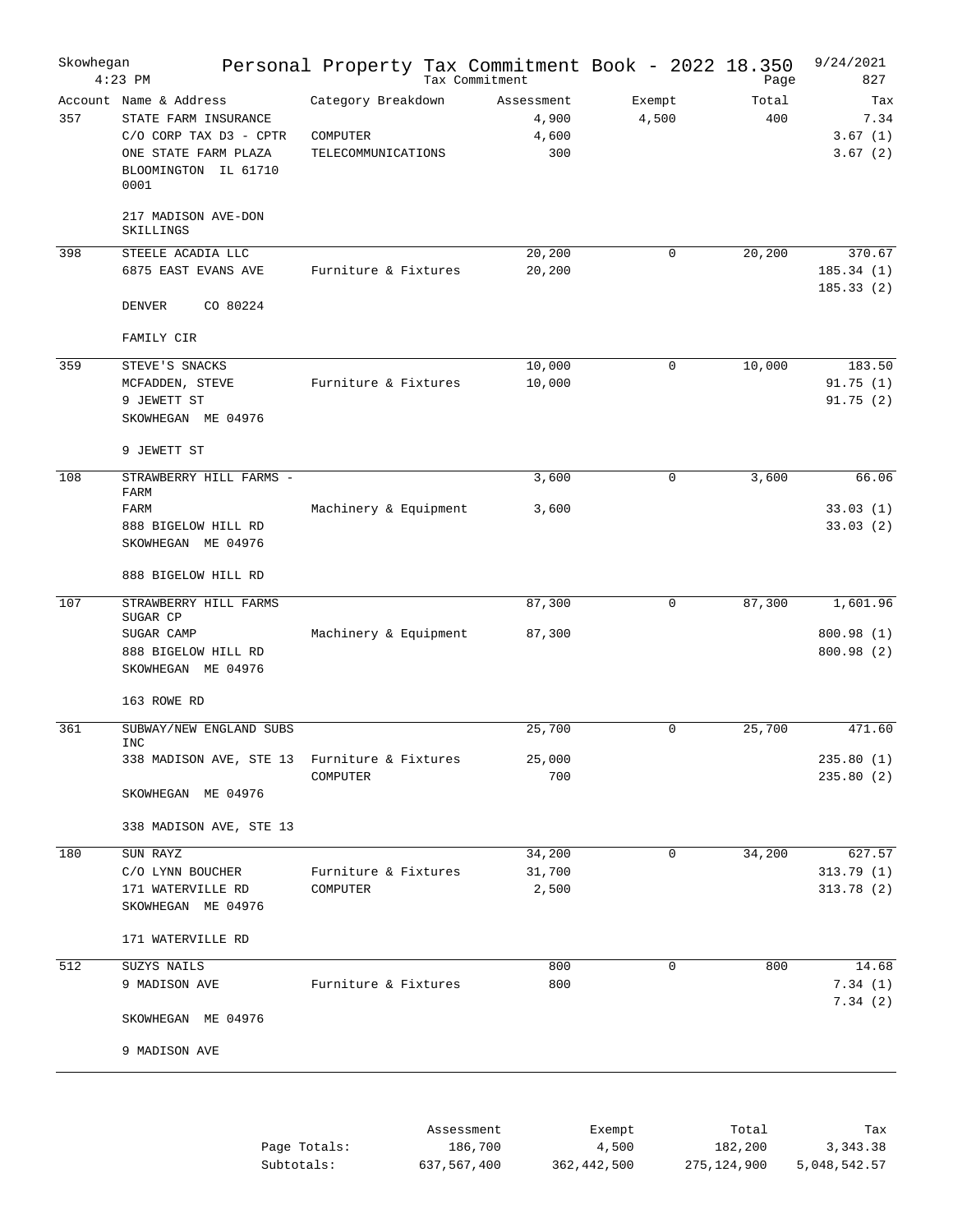| Skowhegan | $4:23$ PM                                                                                                                            | Personal Property Tax Commitment Book - 2022 18.350  | Tax Commitment                      |                 | Page         | 9/24/2021<br>827                  |
|-----------|--------------------------------------------------------------------------------------------------------------------------------------|------------------------------------------------------|-------------------------------------|-----------------|--------------|-----------------------------------|
| 357       | Account Name & Address<br>STATE FARM INSURANCE<br>$C/O$ CORP TAX $D3 - CPTR$<br>ONE STATE FARM PLAZA<br>BLOOMINGTON IL 61710<br>0001 | Category Breakdown<br>COMPUTER<br>TELECOMMUNICATIONS | Assessment<br>4,900<br>4,600<br>300 | Exempt<br>4,500 | Total<br>400 | Tax<br>7.34<br>3.67(1)<br>3.67(2) |
|           | 217 MADISON AVE-DON<br>SKILLINGS                                                                                                     |                                                      |                                     |                 |              |                                   |
| 398       | STEELE ACADIA LLC<br>6875 EAST EVANS AVE                                                                                             | Furniture & Fixtures                                 | 20,200<br>20,200                    | 0               | 20,200       | 370.67<br>185.34(1)<br>185.33(2)  |
|           | DENVER<br>CO 80224                                                                                                                   |                                                      |                                     |                 |              |                                   |
|           | FAMILY CIR                                                                                                                           |                                                      |                                     |                 |              |                                   |
| 359       | STEVE'S SNACKS<br>MCFADDEN, STEVE<br>9 JEWETT ST<br>SKOWHEGAN ME 04976                                                               | Furniture & Fixtures                                 | 10,000<br>10,000                    | 0               | 10,000       | 183.50<br>91.75(1)<br>91.75(2)    |
|           | 9 JEWETT ST                                                                                                                          |                                                      |                                     |                 |              |                                   |
| 108       | STRAWBERRY HILL FARMS -<br>FARM<br>FARM<br>888 BIGELOW HILL RD                                                                       | Machinery & Equipment                                | 3,600<br>3,600                      | 0               | 3,600        | 66.06<br>33.03(1)<br>33.03(2)     |
|           | SKOWHEGAN ME 04976<br>888 BIGELOW HILL RD                                                                                            |                                                      |                                     |                 |              |                                   |
| 107       | STRAWBERRY HILL FARMS                                                                                                                |                                                      | 87,300                              | 0               | 87,300       | 1,601.96                          |
|           | SUGAR CP<br>SUGAR CAMP<br>888 BIGELOW HILL RD<br>SKOWHEGAN ME 04976                                                                  | Machinery & Equipment                                | 87,300                              |                 |              | 800.98(1)<br>800.98(2)            |
|           | 163 ROWE RD                                                                                                                          |                                                      |                                     |                 |              |                                   |
| 361       | SUBWAY/NEW ENGLAND SUBS<br><b>INC</b>                                                                                                |                                                      | 25,700                              | 0               | 25,700       | 471.60                            |
|           | 338 MADISON AVE, STE 13 Furniture & Fixtures                                                                                         | COMPUTER                                             | 25,000<br>700                       |                 |              | 235.80(1)<br>235.80(2)            |
|           | SKOWHEGAN ME 04976<br>338 MADISON AVE, STE 13                                                                                        |                                                      |                                     |                 |              |                                   |
| 180       | SUN RAYZ                                                                                                                             |                                                      | 34,200                              | 0               | 34,200       | 627.57                            |
|           | C/O LYNN BOUCHER<br>171 WATERVILLE RD<br>SKOWHEGAN ME 04976                                                                          | Furniture & Fixtures<br>COMPUTER                     | 31,700<br>2,500                     |                 |              | 313.79(1)<br>313.78(2)            |
|           | 171 WATERVILLE RD                                                                                                                    |                                                      |                                     |                 |              |                                   |
| 512       | SUZYS NAILS                                                                                                                          |                                                      | 800                                 | $\mathbf 0$     | 800          | 14.68                             |
|           | 9 MADISON AVE                                                                                                                        | Furniture & Fixtures                                 | 800                                 |                 |              | 7.34(1)<br>7.34(2)                |
|           | SKOWHEGAN ME 04976                                                                                                                   |                                                      |                                     |                 |              |                                   |
|           | 9 MADISON AVE                                                                                                                        |                                                      |                                     |                 |              |                                   |
|           |                                                                                                                                      |                                                      |                                     |                 |              |                                   |
|           |                                                                                                                                      | Assessment                                           |                                     | Exempt          | Total        | Tax                               |

|              | ASSESSMEIIL | LACHIPL     | TOLAT       | 1 d.X        |
|--------------|-------------|-------------|-------------|--------------|
| Page Totals: | 186,700     | 4,500       | 182,200     | 3, 343, 38   |
| Subtotals:   | 637,567,400 | 362,442,500 | 275,124,900 | 5,048,542.57 |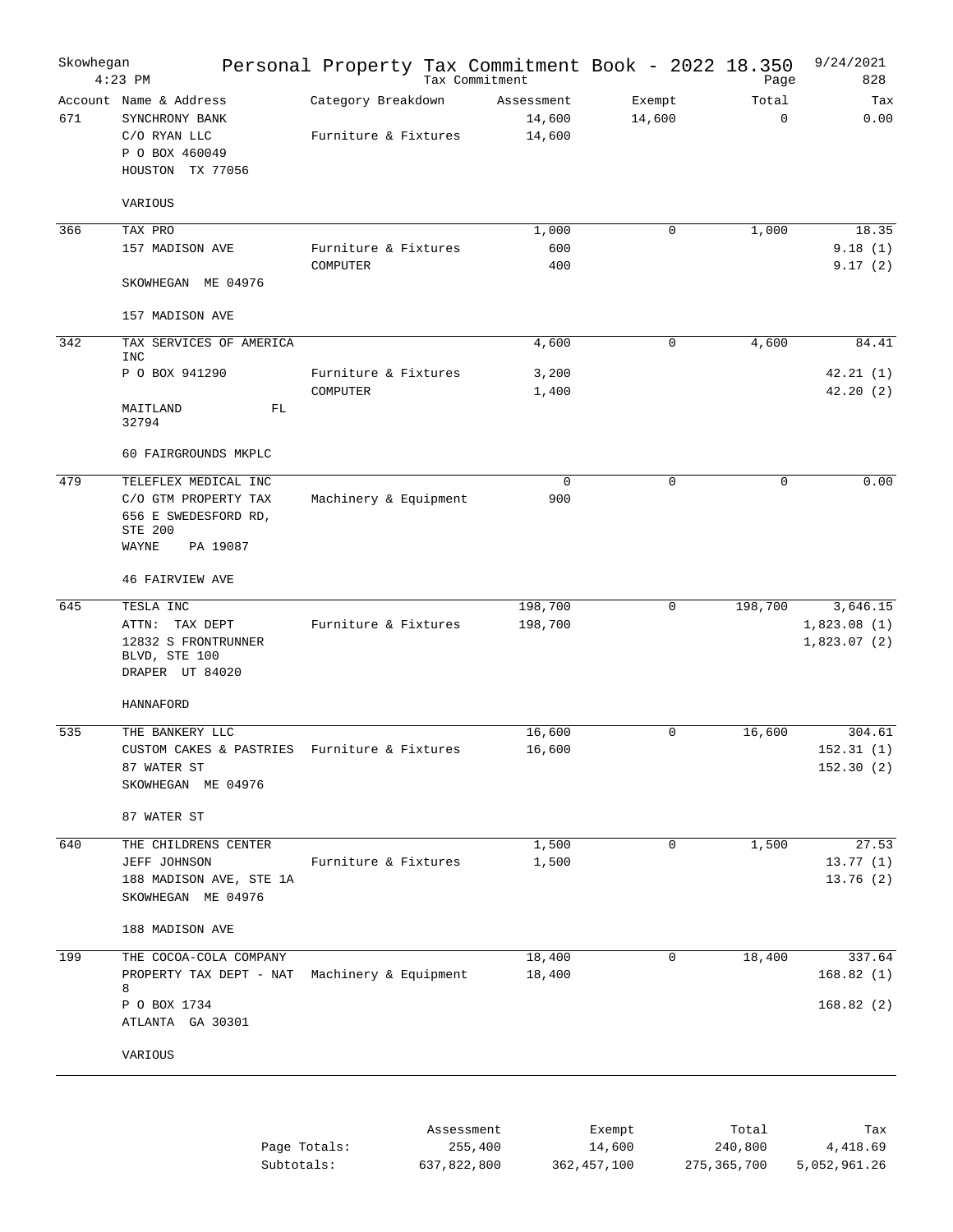| Skowhegan | $4:23$ PM                                                                                            |                                            | Personal Property Tax Commitment Book - 2022 18.350<br>Tax Commitment |                  | Page                 | 9/24/2021<br>828                       |
|-----------|------------------------------------------------------------------------------------------------------|--------------------------------------------|-----------------------------------------------------------------------|------------------|----------------------|----------------------------------------|
| 671       | Account Name & Address<br>SYNCHRONY BANK<br>C/O RYAN LLC<br>P O BOX 460049<br>HOUSTON TX 77056       | Category Breakdown<br>Furniture & Fixtures | Assessment<br>14,600<br>14,600                                        | Exempt<br>14,600 | Total<br>$\mathbf 0$ | Tax<br>0.00                            |
|           | VARIOUS                                                                                              |                                            |                                                                       |                  |                      |                                        |
| 366       | TAX PRO                                                                                              |                                            | 1,000                                                                 | $\mathbf 0$      | 1,000                | 18.35                                  |
|           | 157 MADISON AVE<br>SKOWHEGAN ME 04976                                                                | Furniture & Fixtures<br>COMPUTER           | 600<br>400                                                            |                  |                      | 9.18(1)<br>9.17(2)                     |
|           | 157 MADISON AVE                                                                                      |                                            |                                                                       |                  |                      |                                        |
| 342       | TAX SERVICES OF AMERICA                                                                              |                                            | 4,600                                                                 | $\mathbf 0$      | 4,600                | 84.41                                  |
|           | <b>INC</b><br>P O BOX 941290                                                                         | Furniture & Fixtures<br>COMPUTER           | 3,200<br>1,400                                                        |                  |                      | 42.21(1)<br>42.20(2)                   |
|           | MAITLAND<br>FL<br>32794                                                                              |                                            |                                                                       |                  |                      |                                        |
|           | 60 FAIRGROUNDS MKPLC                                                                                 |                                            |                                                                       |                  |                      |                                        |
| 479       | TELEFLEX MEDICAL INC<br>C/O GTM PROPERTY TAX<br>656 E SWEDESFORD RD,<br>STE 200<br>WAYNE<br>PA 19087 | Machinery & Equipment                      | $\mathbf 0$<br>900                                                    | 0                | $\mathbf 0$          | 0.00                                   |
|           | <b>46 FAIRVIEW AVE</b>                                                                               |                                            |                                                                       |                  |                      |                                        |
| 645       | TESLA INC<br>ATTN:<br>TAX DEPT<br>12832 S FRONTRUNNER<br>BLVD, STE 100<br>DRAPER UT 84020            | Furniture & Fixtures                       | 198,700<br>198,700                                                    | $\mathbf 0$      | 198,700              | 3,646.15<br>1,823.08(1)<br>1,823.07(2) |
|           | HANNAFORD                                                                                            |                                            |                                                                       |                  |                      |                                        |
| 535       | THE BANKERY LLC<br>CUSTOM CAKES & PASTRIES<br>87 WATER ST<br>SKOWHEGAN ME 04976<br>87 WATER ST       | Furniture & Fixtures                       | 16,600<br>16,600                                                      | $\mathbf 0$      | 16,600               | 304.61<br>152.31(1)<br>152.30(2)       |
| 640       | THE CHILDRENS CENTER                                                                                 |                                            | 1,500                                                                 | $\mathbf 0$      | 1,500                | 27.53                                  |
|           | JEFF JOHNSON<br>188 MADISON AVE, STE 1A<br>SKOWHEGAN ME 04976                                        | Furniture & Fixtures                       | 1,500                                                                 |                  |                      | 13.77(1)<br>13.76(2)                   |
|           | 188 MADISON AVE                                                                                      |                                            |                                                                       |                  |                      |                                        |
| 199       | THE COCOA-COLA COMPANY<br>PROPERTY TAX DEPT - NAT Machinery & Equipment<br>8                         |                                            | 18,400<br>18,400                                                      | 0                | 18,400               | 337.64<br>168.82(1)                    |
|           | P O BOX 1734<br>ATLANTA GA 30301                                                                     |                                            |                                                                       |                  |                      | 168.82(2)                              |
|           | VARIOUS                                                                                              |                                            |                                                                       |                  |                      |                                        |
|           |                                                                                                      |                                            | Assessment                                                            | Exempt           | Total                | Tax                                    |
|           |                                                                                                      | Page Totals:                               | 255,400                                                               | 14,600           | 240,800              | 4,418.69                               |

637,822,800

362,457,100

275,365,700

5,052,961.26

Subtotals: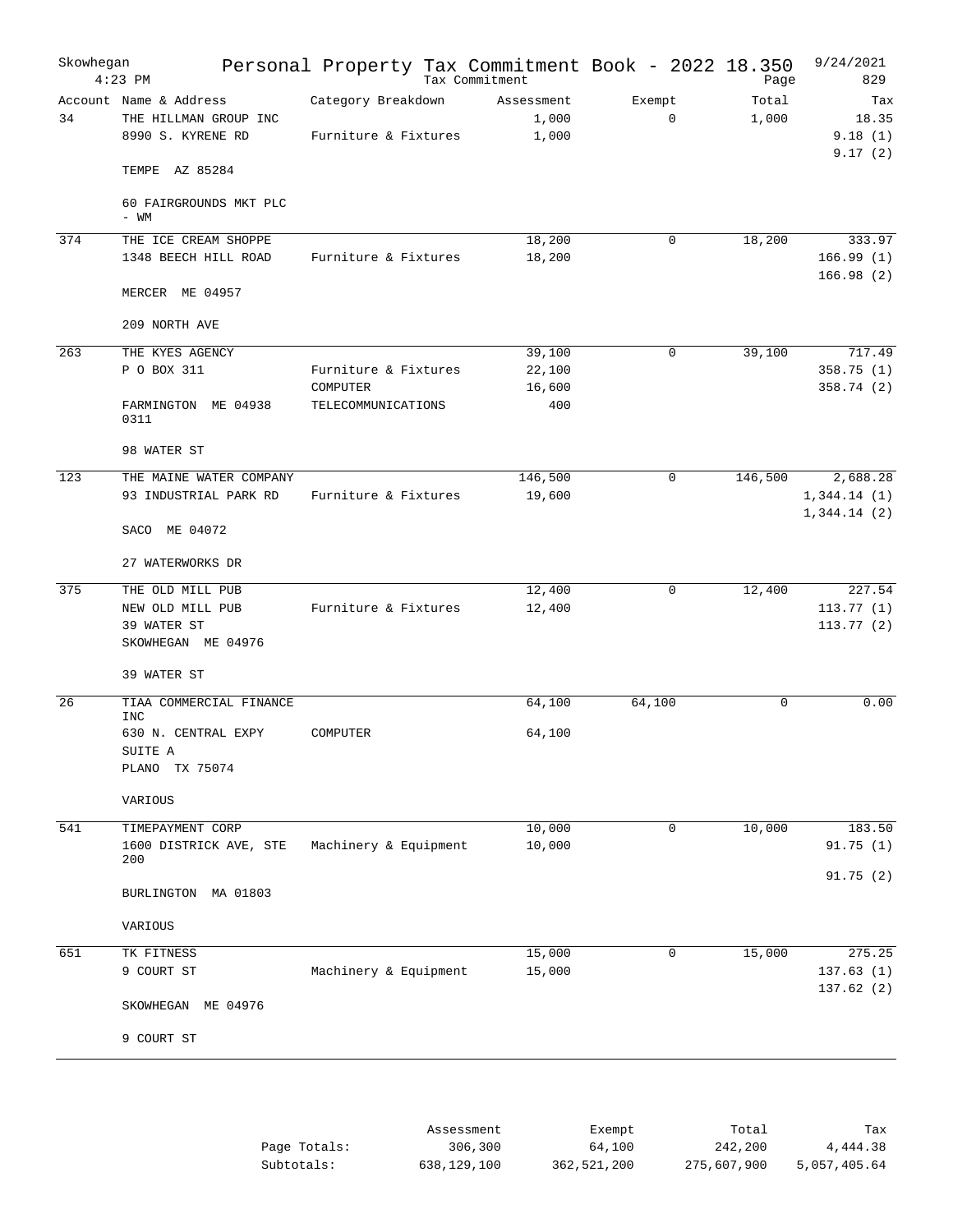| Skowhegan | $4:23$ PM                                                            |                                            | Personal Property Tax Commitment Book - 2022 18.350<br>Tax Commitment |                       | Page           | 9/24/2021<br>829                   |
|-----------|----------------------------------------------------------------------|--------------------------------------------|-----------------------------------------------------------------------|-----------------------|----------------|------------------------------------|
| 34        | Account Name & Address<br>THE HILLMAN GROUP INC<br>8990 S. KYRENE RD | Category Breakdown<br>Furniture & Fixtures | Assessment<br>1,000<br>1,000                                          | Exempt<br>$\mathbf 0$ | Total<br>1,000 | Tax<br>18.35<br>9.18(1)<br>9.17(2) |
|           | TEMPE AZ 85284                                                       |                                            |                                                                       |                       |                |                                    |
|           | 60 FAIRGROUNDS MKT PLC<br>- WM                                       |                                            |                                                                       |                       |                |                                    |
| 374       | THE ICE CREAM SHOPPE<br>1348 BEECH HILL ROAD                         | Furniture & Fixtures                       | 18,200<br>18,200                                                      | $\mathbf 0$           | 18,200         | 333.97                             |
|           |                                                                      |                                            |                                                                       |                       |                | 166.99(1)<br>166.98(2)             |
|           | MERCER ME 04957                                                      |                                            |                                                                       |                       |                |                                    |
|           | 209 NORTH AVE                                                        |                                            |                                                                       |                       |                |                                    |
| 263       | THE KYES AGENCY                                                      |                                            | 39,100                                                                | $\mathbf 0$           | 39,100         | 717.49                             |
|           | P O BOX 311                                                          | Furniture & Fixtures                       | 22,100                                                                |                       |                | 358.75(1)                          |
|           |                                                                      | COMPUTER                                   | 16,600                                                                |                       |                | 358.74 (2)                         |
|           | FARMINGTON ME 04938<br>0311                                          | TELECOMMUNICATIONS                         | 400                                                                   |                       |                |                                    |
|           | 98 WATER ST                                                          |                                            |                                                                       |                       |                |                                    |
| 123       | THE MAINE WATER COMPANY                                              |                                            | 146,500                                                               | 0                     | 146,500        | 2,688.28                           |
|           | 93 INDUSTRIAL PARK RD                                                | Furniture & Fixtures                       | 19,600                                                                |                       |                | 1,344.14(1)<br>1,344.14(2)         |
|           | SACO ME 04072                                                        |                                            |                                                                       |                       |                |                                    |
|           | 27 WATERWORKS DR                                                     |                                            |                                                                       |                       |                |                                    |
| 375       | THE OLD MILL PUB                                                     |                                            | 12,400                                                                | $\mathbf 0$           | 12,400         | 227.54                             |
|           | NEW OLD MILL PUB                                                     | Furniture & Fixtures                       | 12,400                                                                |                       |                | 113.77(1)                          |
|           | 39 WATER ST<br>SKOWHEGAN ME 04976                                    |                                            |                                                                       |                       |                | 113.77(2)                          |
|           | 39 WATER ST                                                          |                                            |                                                                       |                       |                |                                    |
| 26        | TIAA COMMERCIAL FINANCE                                              |                                            | 64,100                                                                | 64,100                | 0              | 0.00                               |
|           | INC<br>630 N. CENTRAL EXPY                                           | COMPUTER                                   | 64,100                                                                |                       |                |                                    |
|           | SUITE A<br>PLANO TX 75074                                            |                                            |                                                                       |                       |                |                                    |
|           | VARIOUS                                                              |                                            |                                                                       |                       |                |                                    |
|           |                                                                      |                                            |                                                                       |                       | 10,000         |                                    |
| 541       | TIMEPAYMENT CORP<br>1600 DISTRICK AVE, STE                           | Machinery & Equipment                      | 10,000<br>10,000                                                      | 0                     |                | 183.50<br>91.75(1)                 |
|           | 200                                                                  |                                            |                                                                       |                       |                | 91.75(2)                           |
|           | BURLINGTON MA 01803                                                  |                                            |                                                                       |                       |                |                                    |
|           | VARIOUS                                                              |                                            |                                                                       |                       |                |                                    |
| 651       | TK FITNESS                                                           |                                            | 15,000                                                                | 0                     | 15,000         | 275.25                             |
|           | 9 COURT ST                                                           | Machinery & Equipment                      | 15,000                                                                |                       |                | 137.63(1)<br>137.62(2)             |
|           | SKOWHEGAN ME 04976                                                   |                                            |                                                                       |                       |                |                                    |
|           | 9 COURT ST                                                           |                                            |                                                                       |                       |                |                                    |
|           |                                                                      |                                            |                                                                       |                       |                |                                    |

|              | Assessment  | Exempt      | Total       | Tax          |
|--------------|-------------|-------------|-------------|--------------|
| Page Totals: | 306,300     | 64,100      | 242,200     | 4,444.38     |
| Subtotals:   | 638,129,100 | 362,521,200 | 275,607,900 | 5,057,405.64 |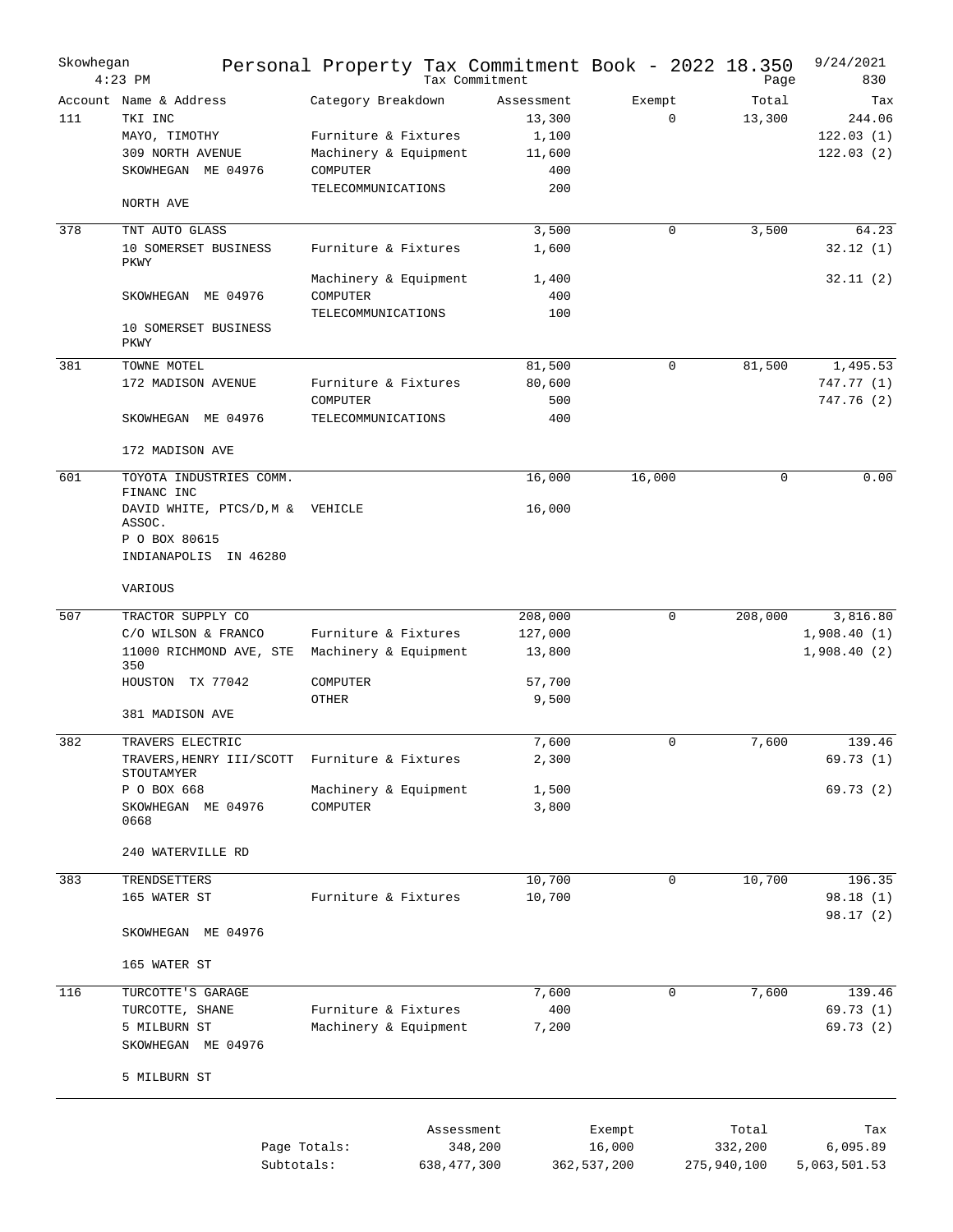| Skowhegan | $4:23$ PM                                                                                                         | Personal Property Tax Commitment Book - 2022 18.350                                                   |                             | Tax Commitment                                        |                                 | Page                            | 9/24/2021<br>830                        |
|-----------|-------------------------------------------------------------------------------------------------------------------|-------------------------------------------------------------------------------------------------------|-----------------------------|-------------------------------------------------------|---------------------------------|---------------------------------|-----------------------------------------|
| 111       | Account Name & Address<br>TKI INC<br>MAYO, TIMOTHY<br>309 NORTH AVENUE<br>SKOWHEGAN ME 04976<br>NORTH AVE         | Category Breakdown<br>Furniture & Fixtures<br>Machinery & Equipment<br>COMPUTER<br>TELECOMMUNICATIONS |                             | Assessment<br>13,300<br>1,100<br>11,600<br>400<br>200 | Exempt<br>$\mathbf 0$           | Total<br>13,300                 | Tax<br>244.06<br>122.03(1)<br>122.03(2) |
|           |                                                                                                                   |                                                                                                       |                             |                                                       |                                 |                                 |                                         |
| 378       | TNT AUTO GLASS<br>10 SOMERSET BUSINESS<br>PKWY                                                                    | Furniture & Fixtures                                                                                  |                             | 3,500<br>1,600                                        | 0                               | 3,500                           | 64.23<br>32.12(1)                       |
|           | SKOWHEGAN ME 04976                                                                                                | Machinery & Equipment<br>COMPUTER<br>TELECOMMUNICATIONS                                               |                             | 1,400<br>400<br>100                                   |                                 |                                 | 32.11(2)                                |
|           | 10 SOMERSET BUSINESS<br>PKWY                                                                                      |                                                                                                       |                             |                                                       |                                 |                                 |                                         |
| 381       | TOWNE MOTEL<br>172 MADISON AVENUE                                                                                 | Furniture & Fixtures<br>COMPUTER                                                                      |                             | 81,500<br>80,600<br>500                               | $\mathbf 0$                     | 81,500                          | 1,495.53<br>747.77(1)<br>747.76 (2)     |
|           | SKOWHEGAN ME 04976                                                                                                | TELECOMMUNICATIONS                                                                                    |                             | 400                                                   |                                 |                                 |                                         |
|           | 172 MADISON AVE                                                                                                   |                                                                                                       |                             |                                                       |                                 |                                 |                                         |
| 601       | TOYOTA INDUSTRIES COMM.<br>FINANC INC                                                                             |                                                                                                       |                             | 16,000                                                | 16,000                          | 0                               | 0.00                                    |
|           | DAVID WHITE, PTCS/D, M &<br>ASSOC.<br>P O BOX 80615<br>INDIANAPOLIS IN 46280                                      | VEHICLE                                                                                               |                             | 16,000                                                |                                 |                                 |                                         |
|           | VARIOUS                                                                                                           |                                                                                                       |                             |                                                       |                                 |                                 |                                         |
| 507       | TRACTOR SUPPLY CO<br>C/O WILSON & FRANCO<br>11000 RICHMOND AVE, STE<br>350<br>HOUSTON TX 77042<br>381 MADISON AVE | Furniture & Fixtures<br>Machinery & Equipment<br>COMPUTER<br>OTHER                                    |                             | 208,000<br>127,000<br>13,800<br>57,700<br>9,500       | $\mathbf 0$                     | 208,000                         | 3,816.80<br>1,908.40(1)<br>1,908.40(2)  |
|           |                                                                                                                   |                                                                                                       |                             |                                                       |                                 |                                 |                                         |
| 382       | TRAVERS ELECTRIC<br>TRAVERS, HENRY III/SCOTT<br>STOUTAMYER                                                        | Furniture & Fixtures                                                                                  |                             | 7,600<br>2,300                                        | $\mathbf 0$                     | 7,600                           | 139.46<br>69.73(1)                      |
|           | P O BOX 668<br>SKOWHEGAN ME 04976<br>0668                                                                         | Machinery & Equipment<br>COMPUTER                                                                     |                             | 1,500<br>3,800                                        |                                 |                                 | 69.73(2)                                |
|           | 240 WATERVILLE RD                                                                                                 |                                                                                                       |                             |                                                       |                                 |                                 |                                         |
| 383       | TRENDSETTERS<br>165 WATER ST                                                                                      | Furniture & Fixtures                                                                                  |                             | 10,700<br>10,700                                      | $\mathbf 0$                     | 10,700                          | 196.35<br>98.18 (1)<br>98.17 (2)        |
|           | SKOWHEGAN ME 04976                                                                                                |                                                                                                       |                             |                                                       |                                 |                                 |                                         |
|           | 165 WATER ST                                                                                                      |                                                                                                       |                             |                                                       |                                 |                                 |                                         |
| 116       | TURCOTTE'S GARAGE<br>TURCOTTE, SHANE<br>5 MILBURN ST<br>SKOWHEGAN ME 04976                                        | Furniture & Fixtures<br>Machinery & Equipment                                                         |                             | 7,600<br>400<br>7,200                                 | $\mathbf 0$                     | 7,600                           | 139.46<br>69.73 (1)<br>69.73 (2)        |
|           | 5 MILBURN ST                                                                                                      |                                                                                                       |                             |                                                       |                                 |                                 |                                         |
|           |                                                                                                                   | Page Totals:<br>Subtotals:                                                                            | Assessment<br>638, 477, 300 | 348,200                                               | Exempt<br>16,000<br>362,537,200 | Total<br>332,200<br>275,940,100 | Tax<br>6,095.89<br>5,063,501.53         |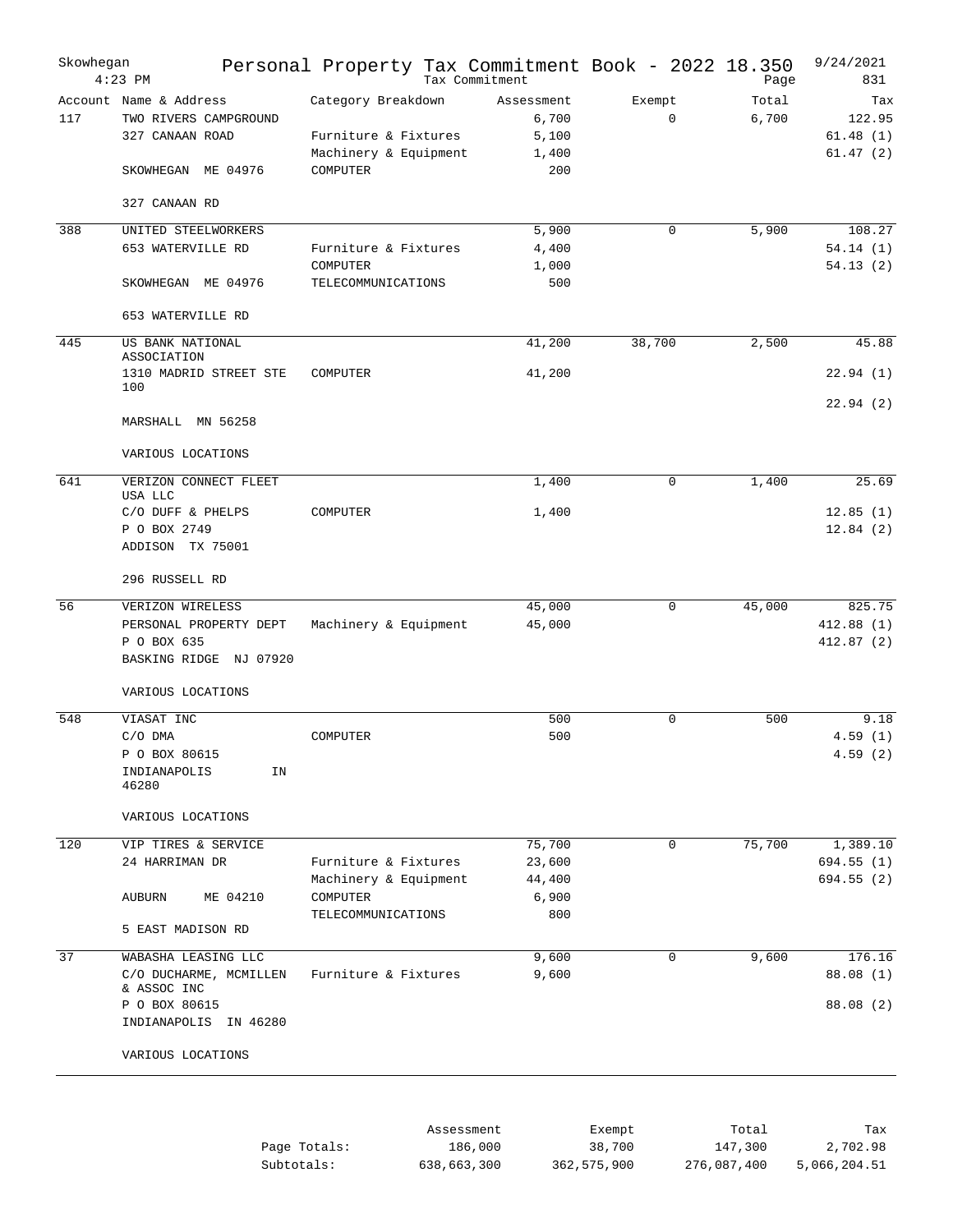| Skowhegan | $4:23$ PM                                                          | Personal Property Tax Commitment Book - 2022 18.350<br>Tax Commitment |                              |                       | Page           | 9/24/2021<br>831          |
|-----------|--------------------------------------------------------------------|-----------------------------------------------------------------------|------------------------------|-----------------------|----------------|---------------------------|
| 117       | Account Name & Address<br>TWO RIVERS CAMPGROUND<br>327 CANAAN ROAD | Category Breakdown<br>Furniture & Fixtures                            | Assessment<br>6,700<br>5,100 | Exempt<br>$\mathbf 0$ | Total<br>6,700 | Tax<br>122.95<br>61.48(1) |
|           | SKOWHEGAN ME 04976                                                 | Machinery & Equipment<br>COMPUTER                                     | 1,400<br>200                 |                       |                | 61.47(2)                  |
|           | 327 CANAAN RD                                                      |                                                                       |                              |                       |                |                           |
| 388       | UNITED STEELWORKERS                                                |                                                                       | 5,900                        | 0                     | 5,900          | 108.27                    |
|           | 653 WATERVILLE RD                                                  | Furniture & Fixtures                                                  | 4,400                        |                       |                | 54.14(1)                  |
|           | SKOWHEGAN ME 04976                                                 | COMPUTER<br>TELECOMMUNICATIONS                                        | 1,000<br>500                 |                       |                | 54.13(2)                  |
|           | 653 WATERVILLE RD                                                  |                                                                       |                              |                       |                |                           |
| 445       | US BANK NATIONAL                                                   |                                                                       | 41,200                       | 38,700                | 2,500          | 45.88                     |
|           | ASSOCIATION                                                        |                                                                       |                              |                       |                |                           |
|           | 1310 MADRID STREET STE<br>100                                      | COMPUTER                                                              | 41,200                       |                       |                | 22.94(1)                  |
|           | MARSHALL MN 56258                                                  |                                                                       |                              |                       |                | 22.94(2)                  |
|           | VARIOUS LOCATIONS                                                  |                                                                       |                              |                       |                |                           |
| 641       | VERIZON CONNECT FLEET                                              |                                                                       | 1,400                        | $\mathbf 0$           | 1,400          | 25.69                     |
|           | USA LLC<br>C/O DUFF & PHELPS                                       | COMPUTER                                                              | 1,400                        |                       |                | 12.85(1)                  |
|           | P O BOX 2749<br>ADDISON TX 75001                                   |                                                                       |                              |                       |                | 12.84(2)                  |
|           | 296 RUSSELL RD                                                     |                                                                       |                              |                       |                |                           |
| 56        | VERIZON WIRELESS                                                   |                                                                       | 45,000                       | $\mathbf 0$           | 45,000         | 825.75                    |
|           | PERSONAL PROPERTY DEPT<br>P O BOX 635                              | Machinery & Equipment                                                 | 45,000                       |                       |                | 412.88(1)<br>412.87(2)    |
|           | BASKING RIDGE NJ 07920                                             |                                                                       |                              |                       |                |                           |
|           | VARIOUS LOCATIONS                                                  |                                                                       |                              |                       |                |                           |
| 548       | VIASAT INC                                                         |                                                                       | 500                          | $\mathbf 0$           | 500            | 9.18                      |
|           | C/O DMA<br>P O BOX 80615                                           | COMPUTER                                                              | 500                          |                       |                | 4.59(1)<br>4.59(2)        |
|           | INDIANAPOLIS<br>ΙN<br>46280                                        |                                                                       |                              |                       |                |                           |
|           | VARIOUS LOCATIONS                                                  |                                                                       |                              |                       |                |                           |
| 120       | VIP TIRES & SERVICE                                                |                                                                       | 75,700                       | $\mathbf 0$           | 75,700         | 1,389.10                  |
|           | 24 HARRIMAN DR                                                     | Furniture & Fixtures                                                  | 23,600                       |                       |                | 694.55 (1)                |
|           |                                                                    | Machinery & Equipment                                                 | 44,400                       |                       |                | 694.55(2)                 |
|           | ME 04210<br>AUBURN                                                 | COMPUTER<br>TELECOMMUNICATIONS                                        | 6,900<br>800                 |                       |                |                           |
|           | 5 EAST MADISON RD                                                  |                                                                       |                              |                       |                |                           |
| 37        | WABASHA LEASING LLC                                                |                                                                       | 9,600                        | 0                     | 9,600          | 176.16                    |
|           | C/O DUCHARME, MCMILLEN<br>& ASSOC INC                              | Furniture & Fixtures                                                  | 9,600                        |                       |                | 88.08 (1)                 |
|           | P O BOX 80615<br>INDIANAPOLIS IN 46280                             |                                                                       |                              |                       |                | 88.08 (2)                 |
|           | VARIOUS LOCATIONS                                                  |                                                                       |                              |                       |                |                           |
|           |                                                                    |                                                                       |                              |                       |                |                           |
|           |                                                                    | Assessment                                                            |                              | Exempt.               | Total          | Tax                       |

|              | Assessment  | Exempt      | Total       | Tax          |
|--------------|-------------|-------------|-------------|--------------|
| Page Totals: | 186,000     | 38,700      | 147,300     | 2,702.98     |
| Subtotals:   | 638,663,300 | 362,575,900 | 276,087,400 | 5,066,204.51 |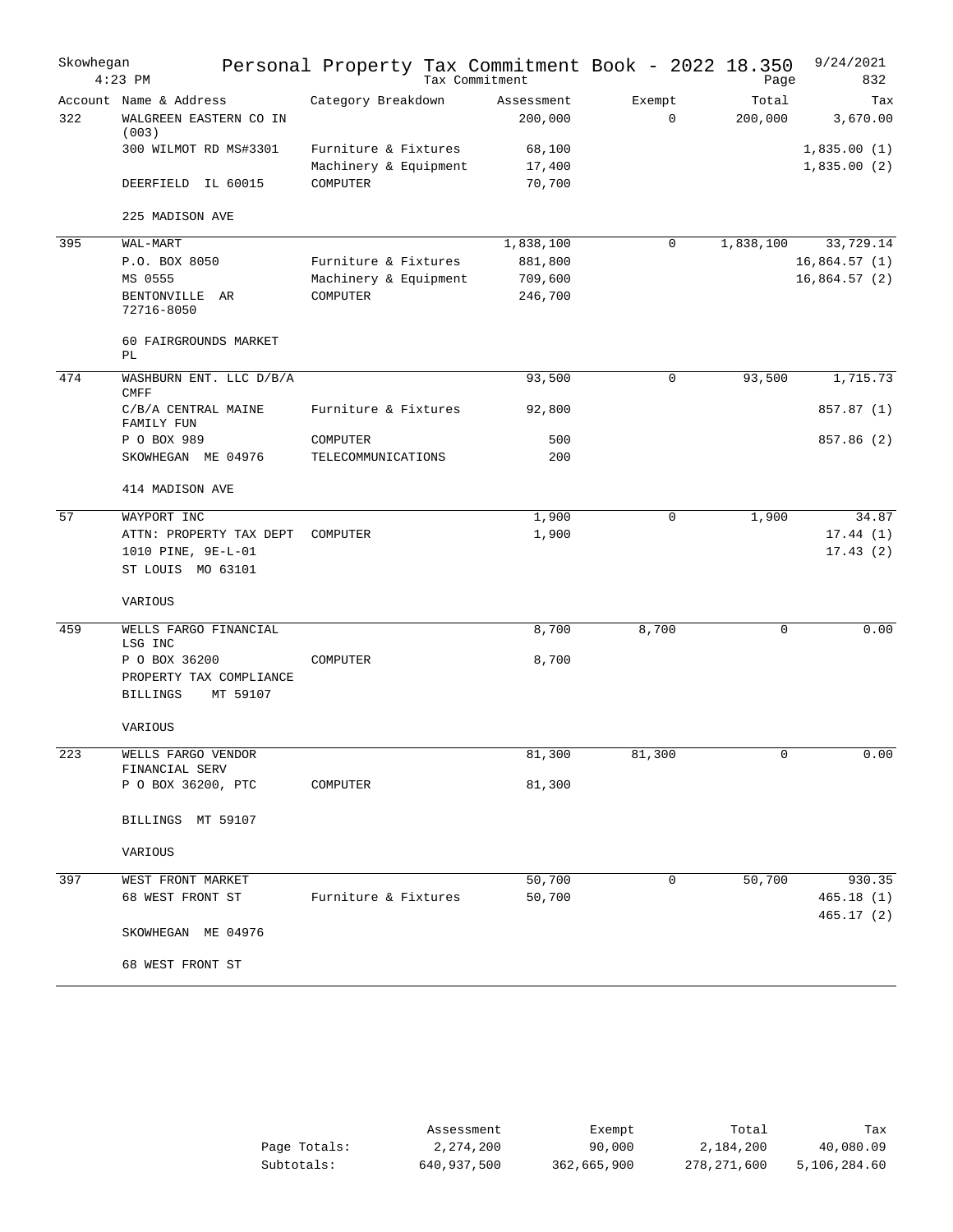| Skowhegan | $4:23$ PM                              | Personal Property Tax Commitment Book - 2022 18.350 | Tax Commitment |        |             | Page        | 9/24/2021<br>832        |
|-----------|----------------------------------------|-----------------------------------------------------|----------------|--------|-------------|-------------|-------------------------|
|           | Account Name & Address                 | Category Breakdown                                  | Assessment     | Exempt |             | Total       | Tax                     |
| 322       | WALGREEN EASTERN CO IN<br>(003)        |                                                     | 200,000        |        | 0           | 200,000     | 3,670.00                |
|           | 300 WILMOT RD MS#3301                  | Furniture & Fixtures                                | 68,100         |        |             |             | 1,835.00(1)             |
|           |                                        | Machinery & Equipment                               | 17,400         |        |             |             | 1,835.00(2)             |
|           | DEERFIELD IL 60015                     | COMPUTER                                            | 70,700         |        |             |             |                         |
|           | 225 MADISON AVE                        |                                                     |                |        |             |             |                         |
| 395       | WAL-MART                               |                                                     | 1,838,100      |        | 0           | 1,838,100   | 33,729.14               |
|           | P.O. BOX 8050                          | Furniture & Fixtures                                | 881,800        |        |             |             | 16,864.57(1)            |
|           | MS 0555                                | Machinery & Equipment                               | 709,600        |        |             |             | 16,864.57(2)            |
|           | BENTONVILLE AR<br>72716-8050           | COMPUTER                                            | 246,700        |        |             |             |                         |
|           | 60 FAIRGROUNDS MARKET<br>PL            |                                                     |                |        |             |             |                         |
| 474       | WASHBURN ENT. LLC D/B/A<br><b>CMFF</b> |                                                     | 93,500         |        | 0           | 93,500      | 1,715.73                |
|           | C/B/A CENTRAL MAINE<br>FAMILY FUN      | Furniture & Fixtures                                | 92,800         |        |             |             | 857.87 (1)              |
|           | P O BOX 989                            | COMPUTER                                            | 500            |        |             |             | 857.86 (2)              |
|           | SKOWHEGAN ME 04976                     | TELECOMMUNICATIONS                                  | 200            |        |             |             |                         |
|           | 414 MADISON AVE                        |                                                     |                |        |             |             |                         |
| 57        | WAYPORT INC                            |                                                     | 1,900          |        | $\mathbf 0$ | 1,900       | 34.87                   |
|           | ATTN: PROPERTY TAX DEPT                | COMPUTER                                            | 1,900          |        |             |             | 17.44(1)                |
|           | 1010 PINE, 9E-L-01                     |                                                     |                |        |             |             | 17.43(2)                |
|           | ST LOUIS MO 63101                      |                                                     |                |        |             |             |                         |
|           | VARIOUS                                |                                                     |                |        |             |             |                         |
| 459       | WELLS FARGO FINANCIAL<br>LSG INC       |                                                     | 8,700          | 8,700  |             | $\mathbf 0$ | 0.00                    |
|           | P O BOX 36200                          | COMPUTER                                            | 8,700          |        |             |             |                         |
|           | PROPERTY TAX COMPLIANCE                |                                                     |                |        |             |             |                         |
|           | MT 59107<br><b>BILLINGS</b>            |                                                     |                |        |             |             |                         |
|           | VARIOUS                                |                                                     |                |        |             |             |                         |
| 223       | WELLS FARGO VENDOR<br>FINANCIAL SERV   |                                                     | 81,300         | 81,300 |             |             | 0.00                    |
|           | P O BOX 36200, PTC                     | COMPUTER                                            | 81,300         |        |             |             |                         |
|           | BILLINGS MT 59107                      |                                                     |                |        |             |             |                         |
|           | VARIOUS                                |                                                     |                |        |             |             |                         |
|           |                                        |                                                     |                |        |             |             |                         |
| 397       | WEST FRONT MARKET                      |                                                     | 50,700         |        | 0           | 50,700      | 930.35                  |
|           | 68 WEST FRONT ST                       | Furniture & Fixtures                                | 50,700         |        |             |             | 465.18 (1)<br>465.17(2) |
|           | SKOWHEGAN ME 04976                     |                                                     |                |        |             |             |                         |
|           | 68 WEST FRONT ST                       |                                                     |                |        |             |             |                         |

|              | Assessment  | Exempt      | Total       | Tax          |
|--------------|-------------|-------------|-------------|--------------|
| Page Totals: | 2,274,200   | 90,000      | 2,184,200   | 40,080.09    |
| Subtotals:   | 640,937,500 | 362,665,900 | 278,271,600 | 5,106,284.60 |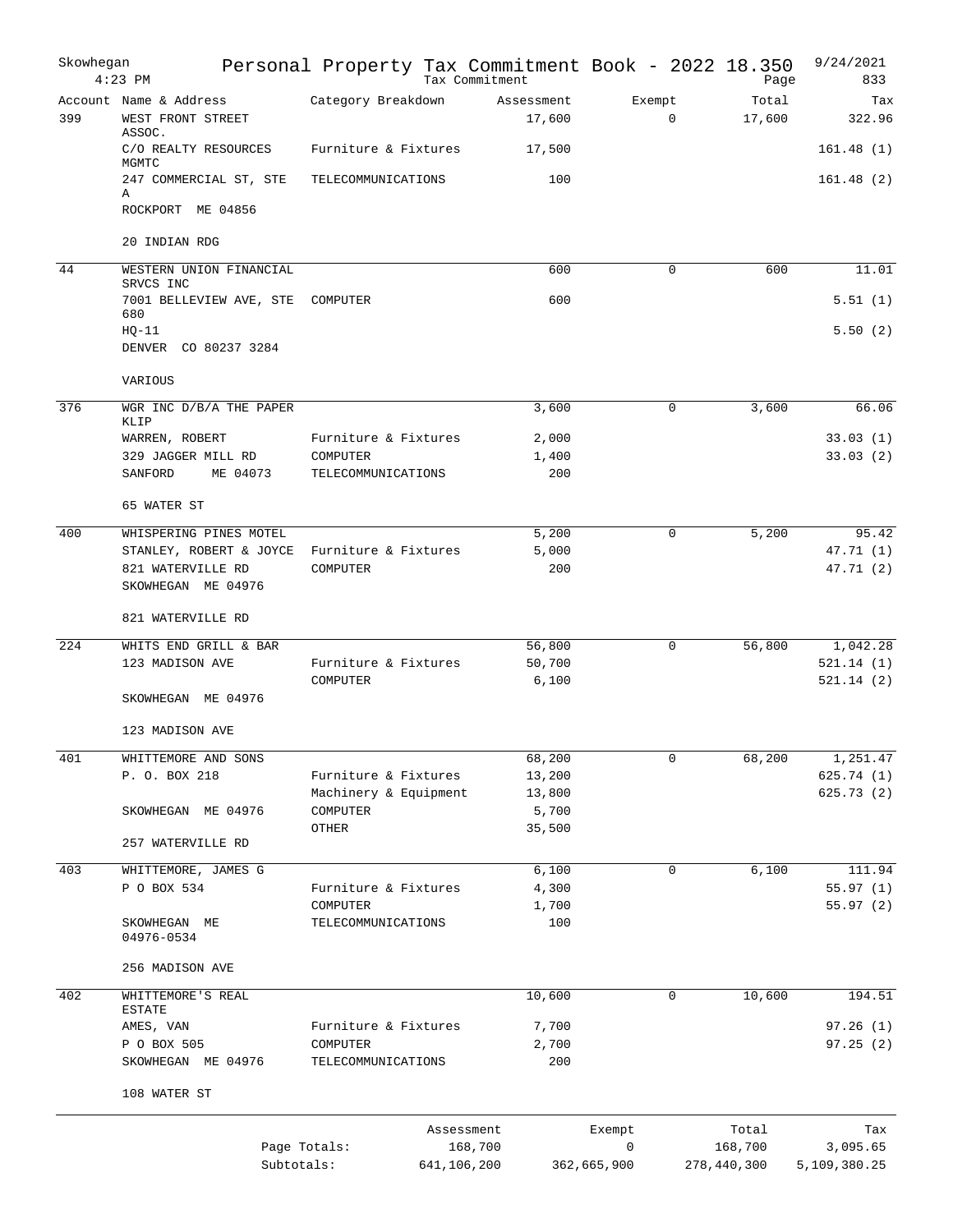| Skowhegan | $4:23$ PM                                                          | Personal Property Tax Commitment Book - 2022 18.350 |             | Tax Commitment       |                       | Page                   | 9/24/2021<br>833         |
|-----------|--------------------------------------------------------------------|-----------------------------------------------------|-------------|----------------------|-----------------------|------------------------|--------------------------|
| 399       | Account Name & Address<br>WEST FRONT STREET<br>ASSOC.              | Category Breakdown                                  |             | Assessment<br>17,600 | Exempt<br>$\mathbf 0$ | Total<br>17,600        | Tax<br>322.96            |
|           | C/O REALTY RESOURCES<br>MGMTC                                      | Furniture & Fixtures                                |             | 17,500               |                       |                        | 161.48(1)                |
|           | 247 COMMERCIAL ST, STE<br>Α                                        | TELECOMMUNICATIONS                                  |             | 100                  |                       |                        | 161.48(2)                |
|           | ROCKPORT ME 04856                                                  |                                                     |             |                      |                       |                        |                          |
|           | 20 INDIAN RDG                                                      |                                                     |             |                      |                       |                        |                          |
| 44        | WESTERN UNION FINANCIAL<br>SRVCS INC                               |                                                     |             | 600                  | $\Omega$              | 600                    | 11.01                    |
|           | 7001 BELLEVIEW AVE, STE<br>680                                     | COMPUTER                                            |             | 600                  |                       |                        | 5.51(1)                  |
|           | $HQ-11$<br>DENVER CO 80237 3284                                    |                                                     |             |                      |                       |                        | 5.50(2)                  |
|           | VARIOUS                                                            |                                                     |             |                      |                       |                        |                          |
| 376       | WGR INC D/B/A THE PAPER                                            |                                                     |             | 3,600                | $\mathbf 0$           | 3,600                  | 66.06                    |
|           | KLIP<br>WARREN, ROBERT                                             | Furniture & Fixtures                                |             | 2,000                |                       |                        | 33.03(1)                 |
|           | 329 JAGGER MILL RD                                                 | COMPUTER                                            |             | 1,400                |                       |                        | 33.03(2)                 |
|           | ME 04073<br>SANFORD                                                | TELECOMMUNICATIONS                                  |             | 200                  |                       |                        |                          |
|           | 65 WATER ST                                                        |                                                     |             |                      |                       |                        |                          |
| 400       | WHISPERING PINES MOTEL                                             |                                                     |             | 5,200                | 0                     | 5,200                  | 95.42                    |
|           | STANLEY, ROBERT & JOYCE<br>821 WATERVILLE RD<br>SKOWHEGAN ME 04976 | Furniture & Fixtures<br>COMPUTER                    |             | 5,000<br>200         |                       |                        | 47.71 (1)<br>47.71 (2)   |
|           | 821 WATERVILLE RD                                                  |                                                     |             |                      |                       |                        |                          |
| 224       | WHITS END GRILL & BAR                                              |                                                     |             | 56,800               | $\mathbf 0$           | 56,800                 | 1,042.28                 |
|           | 123 MADISON AVE                                                    | Furniture & Fixtures<br>COMPUTER                    |             | 50,700<br>6,100      |                       |                        | 521.14(1)<br>521.14(2)   |
|           | SKOWHEGAN ME 04976                                                 |                                                     |             |                      |                       |                        |                          |
|           | 123 MADISON AVE                                                    |                                                     |             |                      |                       |                        |                          |
| 401       | WHITTEMORE AND SONS                                                |                                                     |             | 68,200               | 0                     | 68,200                 | 1,251.47                 |
|           | P. O. BOX 218                                                      | Furniture & Fixtures<br>Machinery & Equipment       |             | 13,200<br>13,800     |                       |                        | 625.74 (1)<br>625.73(2)  |
|           | SKOWHEGAN ME 04976                                                 | COMPUTER                                            |             | 5,700                |                       |                        |                          |
|           | 257 WATERVILLE RD                                                  | OTHER                                               |             | 35,500               |                       |                        |                          |
| 403       | WHITTEMORE, JAMES G                                                |                                                     |             | 6,100                | $\mathbf 0$           | 6,100                  | 111.94                   |
|           | P O BOX 534                                                        | Furniture & Fixtures                                |             | 4,300                |                       |                        | 55.97(1)                 |
|           |                                                                    | COMPUTER                                            |             | 1,700                |                       |                        | 55.97(2)                 |
|           | SKOWHEGAN ME<br>04976-0534                                         | TELECOMMUNICATIONS                                  |             | 100                  |                       |                        |                          |
|           | 256 MADISON AVE                                                    |                                                     |             |                      |                       |                        |                          |
| 402       | WHITTEMORE'S REAL<br>ESTATE                                        |                                                     |             | 10,600               | 0                     | 10,600                 | 194.51                   |
|           | AMES, VAN                                                          | Furniture & Fixtures                                |             | 7,700                |                       |                        | 97.26 (1)                |
|           | P O BOX 505                                                        | COMPUTER                                            |             | 2,700                |                       |                        | 97.25(2)                 |
|           | SKOWHEGAN ME 04976                                                 | TELECOMMUNICATIONS                                  |             | 200                  |                       |                        |                          |
|           | 108 WATER ST                                                       |                                                     |             |                      |                       |                        |                          |
|           |                                                                    |                                                     | Assessment  |                      | Exempt                | Total                  | Tax                      |
|           |                                                                    | Page Totals:<br>Subtotals:                          | 641,106,200 | 168,700              | 0<br>362,665,900      | 168,700<br>278,440,300 | 3,095.65<br>5,109,380.25 |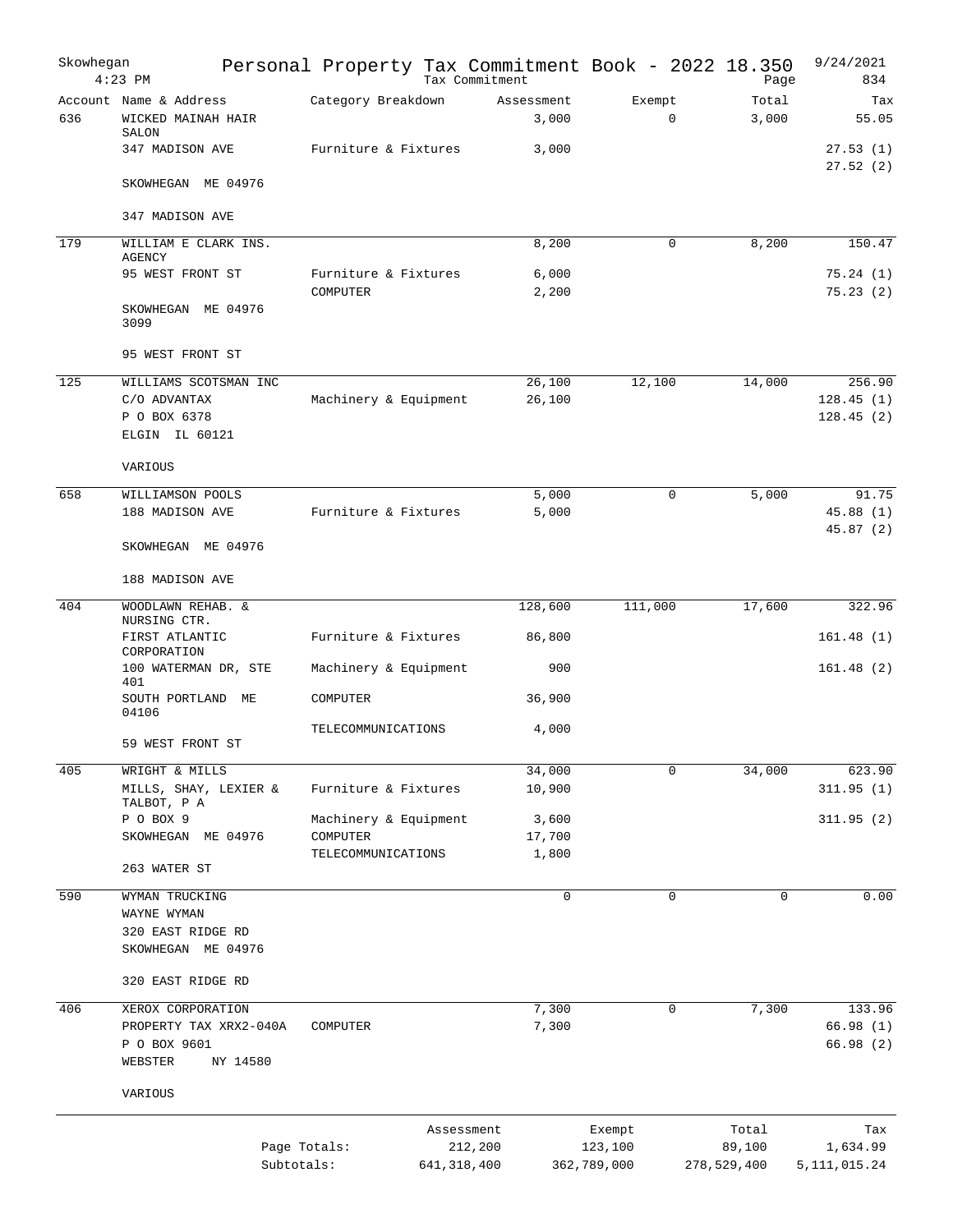| Skowhegan | $4:23$ PM                                                                | Personal Property Tax Commitment Book - 2022 18.350 |               | Tax Commitment        |                                  | Page                           | 9/24/2021<br>834                   |
|-----------|--------------------------------------------------------------------------|-----------------------------------------------------|---------------|-----------------------|----------------------------------|--------------------------------|------------------------------------|
| 636       | Account Name & Address<br>WICKED MAINAH HAIR<br>SALON                    | Category Breakdown                                  |               | Assessment<br>3,000   | Exempt<br>$\mathbf 0$            | Total<br>3,000                 | Tax<br>55.05                       |
|           | 347 MADISON AVE                                                          | Furniture & Fixtures                                |               | 3,000                 |                                  |                                | 27.53(1)<br>27.52(2)               |
|           | SKOWHEGAN ME 04976                                                       |                                                     |               |                       |                                  |                                |                                    |
|           | 347 MADISON AVE                                                          |                                                     |               |                       |                                  |                                |                                    |
| 179       | WILLIAM E CLARK INS.<br>AGENCY                                           |                                                     |               | 8,200                 | $\mathbf 0$                      | 8,200                          | 150.47                             |
|           | 95 WEST FRONT ST                                                         | Furniture & Fixtures<br>COMPUTER                    |               | 6,000<br>2,200        |                                  |                                | 75.24(1)<br>75.23(2)               |
|           | SKOWHEGAN ME 04976<br>3099                                               |                                                     |               |                       |                                  |                                |                                    |
|           | 95 WEST FRONT ST                                                         |                                                     |               |                       |                                  |                                |                                    |
| 125       | WILLIAMS SCOTSMAN INC<br>C/O ADVANTAX<br>P O BOX 6378<br>ELGIN IL 60121  | Machinery & Equipment                               |               | 26,100<br>26,100      | 12,100                           | 14,000                         | 256.90<br>128.45(1)<br>128.45(2)   |
|           | VARIOUS                                                                  |                                                     |               |                       |                                  |                                |                                    |
| 658       | WILLIAMSON POOLS<br>188 MADISON AVE                                      | Furniture & Fixtures                                |               | 5,000<br>5,000        | $\mathbf 0$                      | 5,000                          | 91.75<br>45.88(1)<br>45.87(2)      |
|           | SKOWHEGAN ME 04976                                                       |                                                     |               |                       |                                  |                                |                                    |
|           | 188 MADISON AVE                                                          |                                                     |               |                       |                                  |                                |                                    |
| 404       | WOODLAWN REHAB. &<br>NURSING CTR.                                        |                                                     |               | 128,600               | 111,000                          | 17,600                         | 322.96                             |
|           | FIRST ATLANTIC<br>CORPORATION                                            | Furniture & Fixtures                                |               | 86,800                |                                  |                                | 161.48(1)                          |
|           | 100 WATERMAN DR, STE<br>401                                              | Machinery & Equipment                               |               | 900                   |                                  |                                | 161.48(2)                          |
|           | SOUTH PORTLAND ME<br>04106                                               | COMPUTER                                            |               | 36,900                |                                  |                                |                                    |
|           | 59 WEST FRONT ST                                                         | TELECOMMUNICATIONS                                  |               | 4,000                 |                                  |                                |                                    |
| 405       | WRIGHT & MILLS                                                           |                                                     |               | 34,000                | 0                                | 34,000                         | 623.90                             |
|           | MILLS, SHAY, LEXIER &<br>TALBOT, P A                                     | Furniture & Fixtures                                |               | 10,900                |                                  |                                | 311.95(1)                          |
|           | P O BOX 9<br>SKOWHEGAN ME 04976                                          | Machinery & Equipment<br>COMPUTER                   |               | 3,600<br>17,700       |                                  |                                | 311.95(2)                          |
|           | 263 WATER ST                                                             | TELECOMMUNICATIONS                                  |               | 1,800                 |                                  |                                |                                    |
| 590       | WYMAN TRUCKING<br>WAYNE WYMAN<br>320 EAST RIDGE RD<br>SKOWHEGAN ME 04976 |                                                     |               | $\mathbf 0$           | 0                                | 0                              | 0.00                               |
|           | 320 EAST RIDGE RD                                                        |                                                     |               |                       |                                  |                                |                                    |
| 406       | XEROX CORPORATION                                                        |                                                     |               | 7,300                 | 0                                | 7,300                          | 133.96                             |
|           | PROPERTY TAX XRX2-040A<br>P O BOX 9601<br>WEBSTER<br>NY 14580            | COMPUTER                                            |               | 7,300                 |                                  |                                | 66.98 (1)<br>66.98 (2)             |
|           | VARIOUS                                                                  |                                                     |               |                       |                                  |                                |                                    |
|           |                                                                          | Page Totals:<br>Subtotals:                          | 641, 318, 400 | Assessment<br>212,200 | Exempt<br>123,100<br>362,789,000 | Total<br>89,100<br>278,529,400 | Tax<br>1,634.99<br>5, 111, 015. 24 |